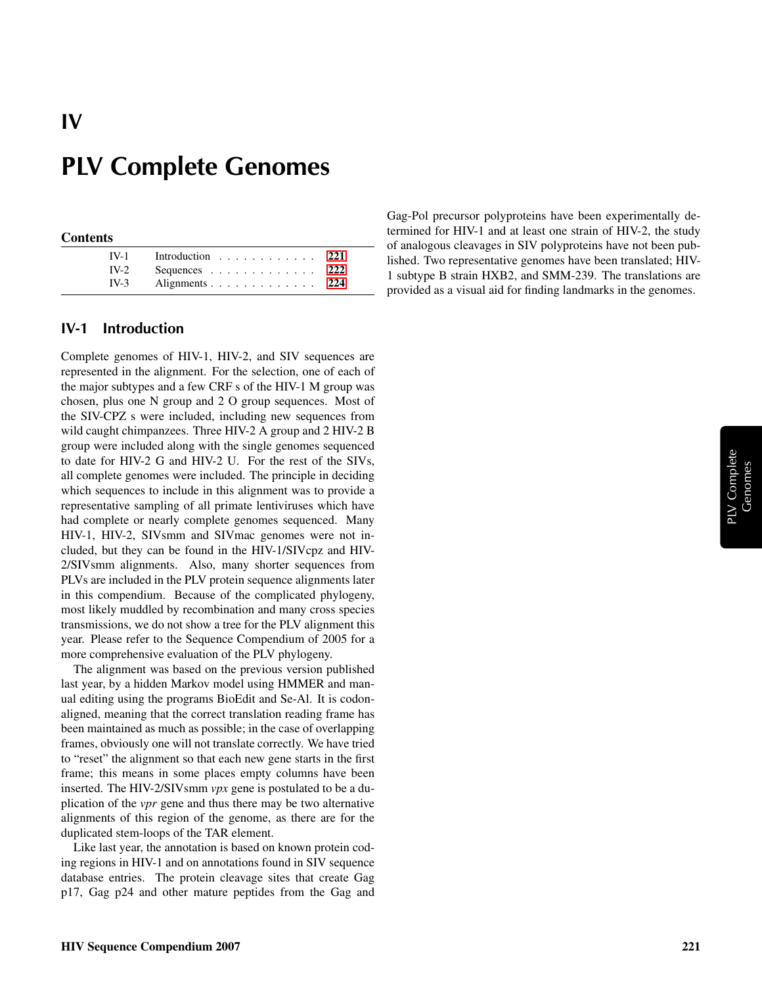#### **Contents**

IV

| $IV-1$ Introduction 221 |  |
|-------------------------|--|
| $IV-2$ Sequences 222    |  |
| $IV-3$ Alignments 224   |  |

### <span id="page-0-0"></span>IV-1 Introduction

Complete genomes of HIV-1, HIV-2, and SIV sequences are represented in the alignment. For the selection, one of each of the major subtypes and a few CRF s of the HIV-1 M group was chosen, plus one N group and 2 O group sequences. Most of the SIV-CPZ s were included, including new sequences from wild caught chimpanzees. Three HIV-2 A group and 2 HIV-2 B group were included along with the single genomes sequenced to date for HIV-2 G and HIV-2 U. For the rest of the SIVs, all complete genomes were included. The principle in deciding which sequences to include in this alignment was to provide a representative sampling of all primate lentiviruses which have had complete or nearly complete genomes sequenced. Many HIV-1, HIV-2, SIVsmm and SIVmac genomes were not included, but they can be found in the HIV-1/SIVcpz and HIV-2/SIVsmm alignments. Also, many shorter sequences from PLVs are included in the PLV protein sequence alignments later in this compendium. Because of the complicated phylogeny, most likely muddled by recombination and many cross species transmissions, we do not show a tree for the PLV alignment this year. Please refer to the Sequence Compendium of 2005 for a more comprehensive evaluation of the PLV phylogeny.

The alignment was based on the previous version published last year, by a hidden Markov model using HMMER and manual editing using the programs BioEdit and Se-Al. It is codonaligned, meaning that the correct translation reading frame has been maintained as much as possible; in the case of overlapping frames, obviously one will not translate correctly. We have tried to "reset" the alignment so that each new gene starts in the first frame; this means in some places empty columns have been inserted. The HIV-2/SIVsmm *vpx* gene is postulated to be a duplication of the *vpr* gene and thus there may be two alternative alignments of this region of the genome, as there are for the duplicated stem-loops of the TAR element.

Like last year, the annotation is based on known protein coding regions in HIV-1 and on annotations found in SIV sequence database entries. The protein cleavage sites that create Gag p17, Gag p24 and other mature peptides from the Gag and Gag-Pol precursor polyproteins have been experimentally determined for HIV-1 and at least one strain of HIV-2, the study of analogous cleavages in SIV polyproteins have not been published. Two representative genomes have been translated; HIV-1 subtype B strain HXB2, and SMM-239. The translations are provided as a visual aid for finding landmarks in the genomes.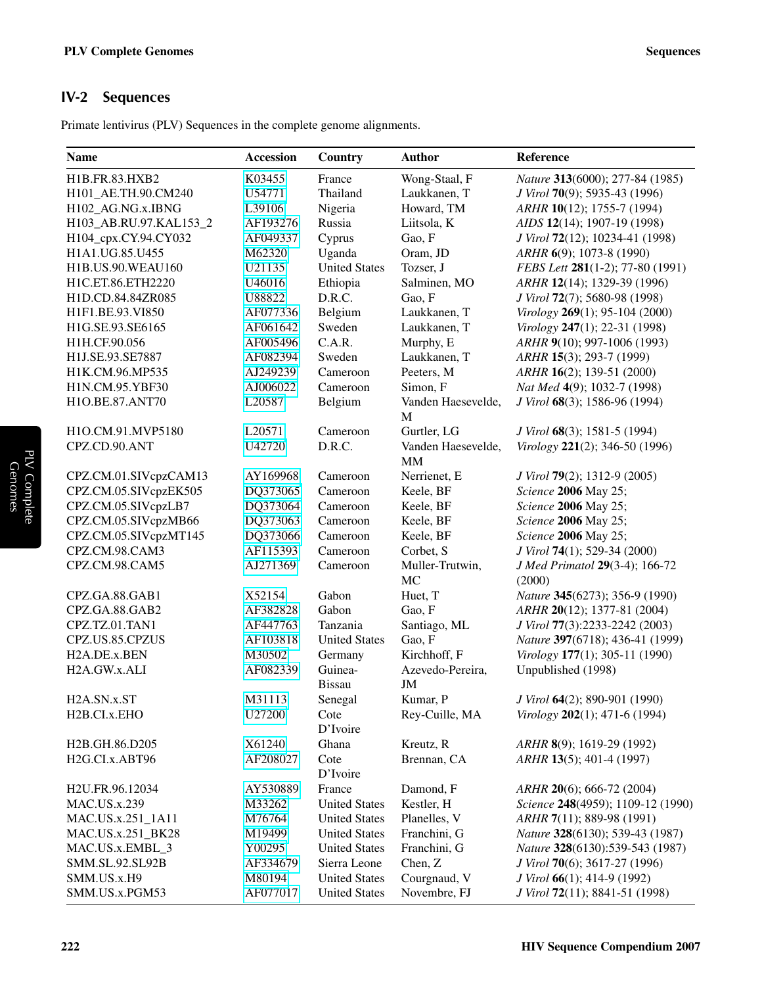## <span id="page-1-0"></span>IV-2 Sequences

Primate lentivirus (PLV) Sequences in the complete genome alignments.

| <b>Name</b>               | Accession          | Country              | <b>Author</b>      | Reference                         |
|---------------------------|--------------------|----------------------|--------------------|-----------------------------------|
| H1B.FR.83.HXB2            | K03455             | France               | Wong-Staal, F      | Nature 313(6000); 277-84 (1985)   |
| H101_AE.TH.90.CM240       | U54771             | Thailand             | Laukkanen, T       | J Virol 70(9); 5935-43 (1996)     |
| H102_AG.NG.x.IBNG         | L39106             | Nigeria              | Howard, TM         | ARHR 10(12); 1755-7 (1994)        |
| H103_AB.RU.97.KAL153_2    | AF193276           | Russia               | Liitsola, K        | AIDS 12(14); 1907-19 (1998)       |
| H104_cpx.CY.94.CY032      | AF049337           | Cyprus               | Gao, F             | J Virol 72(12); 10234-41 (1998)   |
| H1A1.UG.85.U455           | M62320             | Uganda               | Oram, JD           | ARHR 6(9); 1073-8 (1990)          |
| H1B.US.90.WEAU160         | U21135             | <b>United States</b> | Tozser, J          | FEBS Lett 281(1-2); 77-80 (1991)  |
| H1C.ET.86.ETH2220         | U46016             | Ethiopia             | Salminen, MO       | ARHR 12(14); 1329-39 (1996)       |
| H1D.CD.84.84ZR085         | U88822             | D.R.C.               | Gao, F             | J Virol 72(7); 5680-98 (1998)     |
| H1F1.BE.93.VI850          | AF077336           | Belgium              | Laukkanen, T       | Virology 269(1); 95-104 (2000)    |
| H1G.SE.93.SE6165          | AF061642           | Sweden               | Laukkanen, T       | Virology 247(1); 22-31 (1998)     |
| H1H.CF.90.056             | AF005496           | C.A.R.               | Murphy, E          | ARHR 9(10); 997-1006 (1993)       |
| H1J.SE.93.SE7887          | AF082394           | Sweden               | Laukkanen, T       | ARHR 15(3); 293-7 (1999)          |
| H1K.CM.96.MP535           | AJ249239           | Cameroon             | Peeters, M         | ARHR 16(2); 139-51 (2000)         |
| H1N.CM.95.YBF30           | AJ006022           | Cameroon             | Simon, F           | Nat Med 4(9); 1032-7 (1998)       |
| H1O.BE.87.ANT70           | L <sub>20587</sub> | Belgium              | Vanden Haesevelde, | J Virol 68(3); 1586-96 (1994)     |
|                           |                    |                      | M                  |                                   |
| H1O.CM.91.MVP5180         | L20571             | Cameroon             | Gurtler, LG        | J Virol 68(3); 1581-5 (1994)      |
| CPZ.CD.90.ANT             | U42720             | D.R.C.               | Vanden Haesevelde, | Virology 221(2); 346-50 (1996)    |
|                           |                    |                      | <b>MM</b>          |                                   |
| CPZ.CM.01.SIVcpzCAM13     | AY169968           | Cameroon             | Nerrienet, E       | J Virol 79(2); 1312-9 (2005)      |
| CPZ.CM.05.SIVcpzEK505     | DQ373065           | Cameroon             | Keele, BF          | Science 2006 May 25;              |
| CPZ.CM.05.SIVcpzLB7       | DQ373064           | Cameroon             | Keele, BF          | Science 2006 May 25;              |
| CPZ.CM.05.SIVcpzMB66      | DQ373063           | Cameroon             | Keele, BF          | Science 2006 May 25;              |
| CPZ.CM.05.SIVcpzMT145     | DQ373066           | Cameroon             | Keele, BF          | Science 2006 May 25;              |
| CPZ.CM.98.CAM3            | AF115393           | Cameroon             | Corbet, S          | J Virol 74(1); 529-34 (2000)      |
| CPZ.CM.98.CAM5            | AJ271369           | Cameroon             | Muller-Trutwin,    | J Med Primatol 29(3-4); 166-72    |
|                           |                    |                      | MC                 | (2000)                            |
| CPZ.GA.88.GAB1            | X52154             | Gabon                | Huet, T            | Nature 345(6273); 356-9 (1990)    |
| CPZ.GA.88.GAB2            | AF382828           | Gabon                | Gao, F             | ARHR 20(12); 1377-81 (2004)       |
| CPZ.TZ.01.TAN1            | AF447763           | Tanzania             | Santiago, ML       | J Virol 77(3):2233-2242 (2003)    |
| CPZ.US.85.CPZUS           | AF103818           | <b>United States</b> | Gao, F             | Nature 397(6718); 436-41 (1999)   |
| H2A.DE.x.BEN              | M30502             | Germany              | Kirchhoff, F       | Virology 177(1); 305-11 (1990)    |
| H2A.GW.x.ALI              | AF082339           | Guinea-              | Azevedo-Pereira,   | Unpublished (1998)                |
|                           |                    | <b>Bissau</b>        | JM                 |                                   |
| H <sub>2</sub> A.SN.x.ST  | M31113             | Senegal              | Kumar, P           | J Virol 64(2); 890-901 (1990)     |
| H <sub>2</sub> B.CI.x.EHO | U27200             | Cote                 | Rey-Cuille, MA     | Virology 202(1); 471-6 (1994)     |
|                           |                    | D'Ivoire             |                    |                                   |
| H2B.GH.86.D205            | X61240             | Ghana                | Kreutz, R          | ARHR 8(9); 1619-29 (1992)         |
| H2G.CI.x.ABT96            | AF208027           | Cote                 | Brennan, CA        | ARHR 13(5); 401-4 (1997)          |
|                           |                    | D'Ivoire             |                    |                                   |
| H2U.FR.96.12034           | AY530889           | France               | Damond, F          | ARHR 20(6); 666-72 (2004)         |
| <b>MAC.US.x.239</b>       | M33262             | <b>United States</b> | Kestler, H         | Science 248(4959); 1109-12 (1990) |
| MAC.US.x.251_1A11         | M76764             | <b>United States</b> | Planelles, V       | ARHR 7(11); 889-98 (1991)         |
| MAC.US.x.251_BK28         | M19499             | <b>United States</b> | Franchini, G       | Nature 328(6130); 539-43 (1987)   |
| MAC.US.x.EMBL_3           | Y00295             | <b>United States</b> | Franchini, G       | Nature 328(6130):539-543 (1987)   |
| SMM.SL.92.SL92B           | AF334679           | Sierra Leone         | Chen, Z            | J Virol 70(6); 3617-27 (1996)     |
| SMM.US.x.H9               | M80194             | <b>United States</b> | Courgnaud, V       | J Virol 66(1); 414-9 (1992)       |
| SMM.US.x.PGM53            | AF077017           | <b>United States</b> | Novembre, FJ       | J Virol 72(11); 8841-51 (1998)    |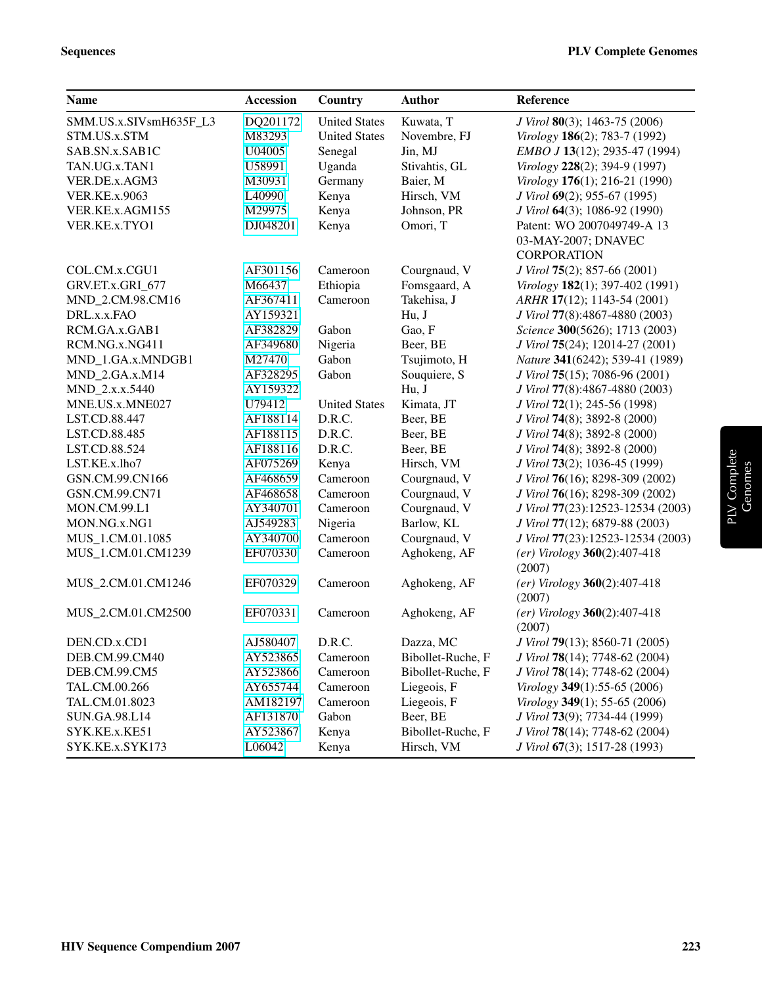| <b>Name</b>            | <b>Accession</b> | Country              | <b>Author</b>     | Reference                                  |
|------------------------|------------------|----------------------|-------------------|--------------------------------------------|
| SMM.US.x.SIVsmH635F_L3 | DQ201172         | <b>United States</b> | Kuwata, T         | J Virol 80(3); 1463-75 (2006)              |
| STM.US.x.STM           | M83293           | <b>United States</b> | Novembre, FJ      | Virology 186(2); 783-7 (1992)              |
| SAB.SN.x.SAB1C         | U04005           | Senegal              | Jin, MJ           | EMBO J 13(12); 2935-47 (1994)              |
| TAN.UG.x.TAN1          | U58991           | Uganda               | Stivahtis, GL     | Virology 228(2); 394-9 (1997)              |
| VER.DE.x.AGM3          | M30931           | Germany              | Baier, M          | Virology 176(1); 216-21 (1990)             |
| <b>VER.KE.x.9063</b>   | L40990           | Kenya                | Hirsch, VM        | J Virol 69(2); 955-67 (1995)               |
| VER.KE.x.AGM155        | M29975           | Kenya                | Johnson, PR       | J Virol 64(3); 1086-92 (1990)              |
| VER.KE.x.TYO1          | DJ048201         | Kenya                | Omori, T          | Patent: WO 2007049749-A 13                 |
|                        |                  |                      |                   | 03-MAY-2007; DNAVEC                        |
|                        |                  |                      |                   | <b>CORPORATION</b>                         |
| COL.CM.x.CGU1          | AF301156         | Cameroon             | Courgnaud, V      | J Virol 75(2); 857-66 (2001)               |
| GRV.ET.x.GRI_677       | M66437           | Ethiopia             | Fomsgaard, A      | Virology 182(1); 397-402 (1991)            |
| MND_2.CM.98.CM16       | AF367411         | Cameroon             | Takehisa, J       | ARHR 17(12); 1143-54 (2001)                |
| DRL.x.x.FAO            | AY159321         |                      | Hu, J             | J Virol 77(8):4867-4880 (2003)             |
| RCM.GA.x.GAB1          | AF382829         | Gabon                | Gao, F            | Science 300(5626); 1713 (2003)             |
| RCM.NG.x.NG411         | AF349680         | Nigeria              | Beer, BE          | J Virol 75(24); 12014-27 (2001)            |
| MND_1.GA.x.MNDGB1      | M27470           | Gabon                | Tsujimoto, H      | Nature 341(6242); 539-41 (1989)            |
| MND_2.GA.x.M14         | AF328295         | Gabon                | Souquiere, S      | J Virol 75(15); 7086-96 (2001)             |
| MND_2.x.x.5440         | AY159322         |                      | Hu, J             | J Virol 77(8):4867-4880 (2003)             |
| MNE.US.x.MNE027        | U79412           | <b>United States</b> | Kimata, JT        | J Virol 72(1); 245-56 (1998)               |
| LST.CD.88.447          | AF188114         | D.R.C.               | Beer, BE          | J Virol 74(8); 3892-8 (2000)               |
| LST.CD.88.485          | AF188115         | D.R.C.               | Beer, BE          | J Virol 74(8); 3892-8 (2000)               |
| LST.CD.88.524          | AF188116         | D.R.C.               | Beer, BE          | J Virol 74(8); 3892-8 (2000)               |
| LST.KE.x.lho7          | AF075269         | Kenya                | Hirsch, VM        | J Virol 73(2); 1036-45 (1999)              |
| GSN.CM.99.CN166        | AF468659         | Cameroon             | Courgnaud, V      | J Virol 76(16); 8298-309 (2002)            |
| GSN.CM.99.CN71         | AF468658         | Cameroon             | Courgnaud, V      | J Virol 76(16); 8298-309 (2002)            |
| MON.CM.99.L1           | AY340701         | Cameroon             | Courgnaud, V      | J Virol 77(23):12523-12534 (2003)          |
| MON.NG.x.NG1           | AJ549283         | Nigeria              | Barlow, KL        | J Virol 77(12); 6879-88 (2003)             |
| MUS_1.CM.01.1085       | AY340700         | Cameroon             | Courgnaud, V      | J Virol 77(23):12523-12534 (2003)          |
| MUS_1.CM.01.CM1239     | EF070330         | Cameroon             | Aghokeng, AF      | $(er)$ Virology $360(2):407-418$<br>(2007) |
| MUS_2.CM.01.CM1246     | EF070329         | Cameroon             | Aghokeng, AF      | $(er)$ Virology 360(2):407-418<br>(2007)   |
| MUS_2.CM.01.CM2500     | EF070331         | Cameroon             | Aghokeng, AF      | $(er)$ Virology 360(2):407-418<br>(2007)   |
| DEN.CD.x.CD1           | AJ580407         | D.R.C.               | Dazza, MC         | J Virol 79(13); 8560-71 (2005)             |
| DEB.CM.99.CM40         | AY523865         | Cameroon             | Bibollet-Ruche, F | J Virol 78(14); 7748-62 (2004)             |
| DEB.CM.99.CM5          | AY523866         | Cameroon             | Bibollet-Ruche, F | J Virol 78(14); 7748-62 (2004)             |
| TAL.CM.00.266          | AY655744         | Cameroon             | Liegeois, F       | Virology 349(1):55-65 (2006)               |
| TAL.CM.01.8023         | AM182197         | Cameroon             | Liegeois, F       | Virology 349(1); 55-65 (2006)              |
| SUN.GA.98.L14          | AF131870         | Gabon                | Beer, BE          | J Virol 73(9); 7734-44 (1999)              |
| SYK.KE.x.KE51          | AY523867         | Kenya                | Bibollet-Ruche, F | J Virol 78(14); 7748-62 (2004)             |
| SYK.KE.x.SYK173        | L06042           | Kenya                | Hirsch, VM        | J Virol 67(3); 1517-28 (1993)              |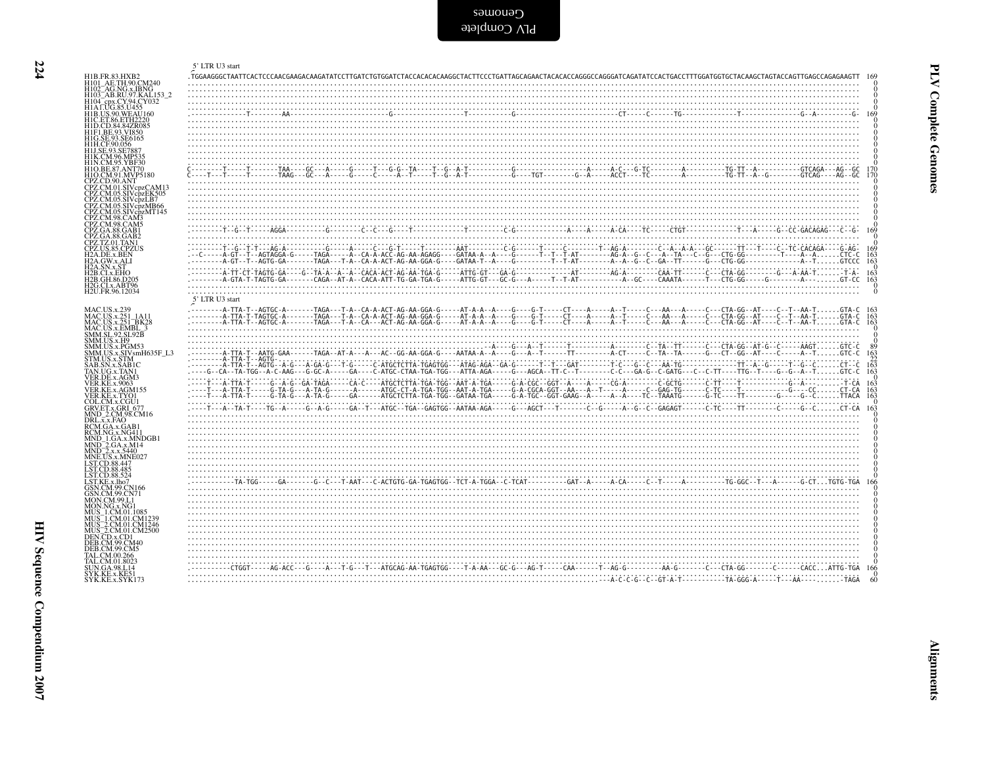<span id="page-3-0"></span>

|                                                                                                     | 5' LTR U3 start                                                                                                                                                                           |
|-----------------------------------------------------------------------------------------------------|-------------------------------------------------------------------------------------------------------------------------------------------------------------------------------------------|
| H1B.FR.83.HXB2<br>H101_AE.TH.90.CM240                                                               | .TGGAAGGGCTAATTCACTCCCAACGAAGACAAGATATCCTTGATCTGTGGATCTACCACACAAGGCTACTTCCCTGATTAGCAGAACTACACACCAGGGCCAGGGATCAGATATCCACTGACCTTTGGATGGTGCTACAAGCTACAAGCTAGGATGAGAGGTACCAGAGAAGTT           |
| H102_AG.NG.x.IBNG<br>H103 <sup>-</sup> AB.RU.97.KAL153 2<br>H104_cpx.CY.94.CY032                    |                                                                                                                                                                                           |
| H1A LUG.85.U455<br>H1B.US.90.WEAU160                                                                | $\overbrace{\cdots}_{\textcolor{red}{\alpha}}$                                                                                                                                            |
| H1C.ET.86.ETH2220<br>H1D.CD.84.84ZR085<br>H1F1.BE.93.VI850                                          |                                                                                                                                                                                           |
| H1G.SE.93.SE6165<br>H1H.CF.90.056                                                                   |                                                                                                                                                                                           |
| H1J.SE.93.SE788<br>H1K.CM.96.MP535<br>H1N.CM.95.YBF30                                               |                                                                                                                                                                                           |
| H1O.BE.87.ANT70<br>H1O.CM.91.MVP5180                                                                |                                                                                                                                                                                           |
| CPZ.CD.90.ANT<br>CPZ.CM.01.SIVcpzCAM13                                                              |                                                                                                                                                                                           |
| CPZ.CM.05.SIVcpzEK505<br>CPZ.CM.05.SIVcpzLB7<br>CPZ.CM.05.SIVcpzMB66                                |                                                                                                                                                                                           |
| CPZ.CM.05.SIVcpzMT145<br>CPZ.CM.98.CAM3<br>CPZ.CM.98.CAM5                                           |                                                                                                                                                                                           |
| CPZ.GA.88.GAB1<br>CPZ.GA.88.GAB2                                                                    |                                                                                                                                                                                           |
| CPZ.TZ.01.TAN1<br>CPZ.US.85.CPZUS                                                                   | 169                                                                                                                                                                                       |
| H <sub>2</sub> A.DE.x.BEN<br>H <sub>2</sub> A.GW.x.ALI<br>H2A.SN.x.ST                               | $\frac{163}{163}$                                                                                                                                                                         |
| H2B.CI.x.EHO<br>H2B.GH.86.D205                                                                      | $\frac{163}{163}$                                                                                                                                                                         |
| H2G.CI.x.ABT96<br>H <sub>2</sub> U.FR.96.12034                                                      |                                                                                                                                                                                           |
|                                                                                                     | 5' LTR U3 start<br>$\frac{163}{162}$                                                                                                                                                      |
| MAC.US.x.239<br>MAC.US.x.251_1A11<br>MAC.US.x.251_BK28<br>MAC.US.x.EMBL_3                           |                                                                                                                                                                                           |
| SMM.SL.92.SL.92B<br>SMM.US.x.H9<br>SMM.US.x.PGM53                                                   |                                                                                                                                                                                           |
|                                                                                                     |                                                                                                                                                                                           |
| SMM.US.x.SIVsmH635F_L3<br>STM.US.x.SIVsmH635F_L3<br>STM.US.x.SIM<br>SAB.SN.x.SAB1C<br>TAN.UG.x.TAN1 | $\frac{163}{22}$<br>$\frac{22}{163}$                                                                                                                                                      |
| VER.DE.x.AGM3<br>VER.KE.x.9063                                                                      | 163                                                                                                                                                                                       |
| VER.KE.x.AĞM155<br>VER.KE.x.TYO1<br>COL.CM.x.CGU1<br>GRV.ET.x.GRI_677                               | $\frac{163}{163}$                                                                                                                                                                         |
| MND_2.CM.98.CM16<br>DRL, x, x, FAO                                                                  |                                                                                                                                                                                           |
| RCM.GA.x.GAB1<br>RCM.NG.x.NG411                                                                     |                                                                                                                                                                                           |
| MND_1.GA.x.MNDGB1<br>MND_2.GA.x.M14<br>MND_2.x.x.5440<br>MNE.US.x.MNE027                            |                                                                                                                                                                                           |
| LST.CD.88.447                                                                                       |                                                                                                                                                                                           |
| LST.CD.88.485<br>LST.CD.88.524<br>LST.KE.x.lho7                                                     |                                                                                                                                                                                           |
| GSN.CM.99.CN166<br>GSN.CM.99.CN71                                                                   |                                                                                                                                                                                           |
| <b>MON.CM.99.L1</b><br>MON.NG.x.NG1                                                                 |                                                                                                                                                                                           |
| MUS_1.CM.01.1085<br>MUS_1.CM.01.CM1239<br>MUS_2.CM.01.CM1246<br>MUS_2.CM.01.CM2500                  |                                                                                                                                                                                           |
| DEN.CD.x.CD1<br>DEB.CM.99.CM40                                                                      |                                                                                                                                                                                           |
| <b>DEB.CM.99.CM5</b><br>TAL.CM.00.266                                                               |                                                                                                                                                                                           |
| AL.CM.01.8023<br><b>SUN.GA.98.L14</b>                                                               | -------CTGGT-----AG-ACC---G----A---T-G---T---ATGCAG-AA-TGAGTGG----T-A-AA---GC-G---AG-T-----CAA------T--AG-G--------AA-G--------CTA-GG--------CACC---AC-ACC---ATG-TGACC---ATG-TGACC------- |
| SYK.KE.x.KE51<br>SYK.KE.x.SYK173                                                                    | 60                                                                                                                                                                                        |

Cenomes<br>BLV Complete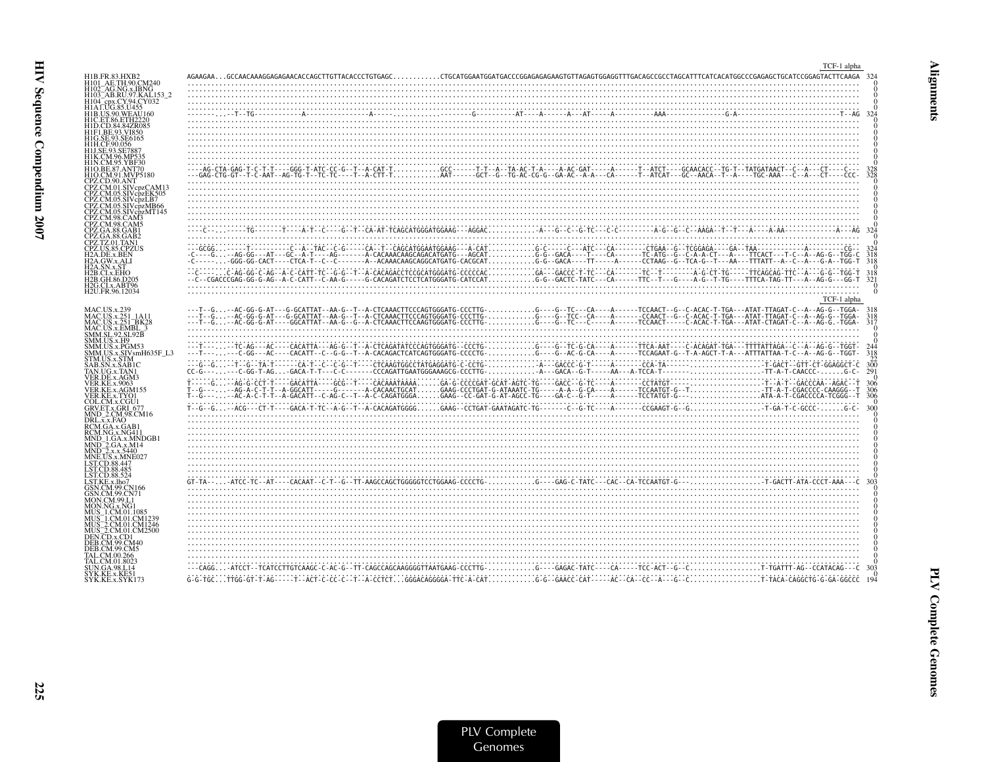|                                                                                                                                                                                                                     | TCF-1 alpha      |
|---------------------------------------------------------------------------------------------------------------------------------------------------------------------------------------------------------------------|------------------|
| H1B.FR.83.HXB2<br>H101 AE.TH.90.CM240<br>H102_AG.NG.x.IBNG<br>H103 <sup>-</sup> AB.RU.97.KAL153-2<br>H104 <sup>-</sup> cpx.CY.94.CY032                                                                              |                  |
| H1A LUG.85.U455<br><b>H1B.US.90.WEAU160</b><br>H1C.ET.86.ETH2220<br>H1D.CD.84.84ZR085<br>H1F1.BE.93.VI850<br>HIG.SE.93.SE6165<br>H1H.CE90.056<br>H1J.SE.93.SE7887<br>H1K.CM.96.MP535                                |                  |
| H1N.CM.95.YBF30<br>H1O.BE.87.ANT70<br>H1O.CM.91.MVP5180<br>CPZ.CD.90.ANT<br>CPZ.CM.01.SIVcpzCAM1<br>CPZ.CM.05.SIVcpzEK505<br>CPZ.CM.05.SIVcpzLB7<br>CPZ.CM.05.SIVcpzMB66<br>CPZ.CM.05.SIVcpzMT145<br>CPZ.CM.98.CAM3 |                  |
| CPZ.CM.98.CAM5<br>CPZ.GA.88.GAB1<br>CPZ.GA.88.GAB2                                                                                                                                                                  |                  |
| CPZ.TZ.01.TAN1<br>CPZ.US.85.CPZUS<br>H <sub>2</sub> A.DE.x.BEN<br>H2A.GW.x.ALI                                                                                                                                      | 318              |
| H2A.SN.x.ST<br>H2B.CI.x.EHO<br>H2B.GH.86.D205                                                                                                                                                                       | $\frac{318}{32}$ |
| H2G.CI.x.ABT96<br>H2U.FR.96.12034                                                                                                                                                                                   | TCF-1 alpha      |
| <b>MAC.US.x.239</b><br>MAC.US.x.251_1A11<br>MAC.US.x.251_BK28<br>MAC.US.x.EMBL_3<br>SMM.SL.92.SL92B                                                                                                                 | 31               |
| SMM.US.x.H9<br>SMM.US.x.PGM53<br>SMM.US.x.SIVsmH635F_L3<br>STM.US.x.STM                                                                                                                                             | 318              |
| SAB.SN.x.SAB1C<br>TAN.UG.x.TAN1<br>VER.DE.x.AGM3                                                                                                                                                                    |                  |
| <b>VER.KE.x.9063</b><br>VER.KE.x.AGM155<br>VER.KE.x.TYOI<br>COL.CM.x.CGU1                                                                                                                                           |                  |
| GRV.ET.x.GRI 677<br>MND_2.CM.98.CM16<br>DRL.x.x.FAQ                                                                                                                                                                 |                  |
| RCM.GA.x.GAB<br>RCM.NG.x.NG411<br>MND 1.GA.x.MNDGB:<br>MND_2.GA.x.M14<br>MND_2.x.x.5440<br>MNE.US.x.MNE027<br>LST.CD.88.447                                                                                         |                  |
| LST.CD.88.485<br>LST.CD.88.524<br>LST.KE.x.lho7                                                                                                                                                                     |                  |
| GSN.CM.99.CN166<br>GSN.CM.99.CN71<br><b>MON.CM.99.L1</b><br>MON NG x NG1<br>MUS 1.CM.01.108:<br>MUS_1.CM.01.CM1239<br>MUS_2.CM.01.CM1246<br>MUS_2.CM.01.CM2500<br>DEN.CD.x.CD1<br><b>DEB.CM.99.CM40</b>             |                  |
| DEB.CM.99.CM5<br>FAL CM 00 266<br>`AL.CM.01.8023                                                                                                                                                                    |                  |
| UN.GA.98.L14<br>SYK.KE.x.KE51<br>SYK.KE.x.SYK173                                                                                                                                                                    |                  |

**225**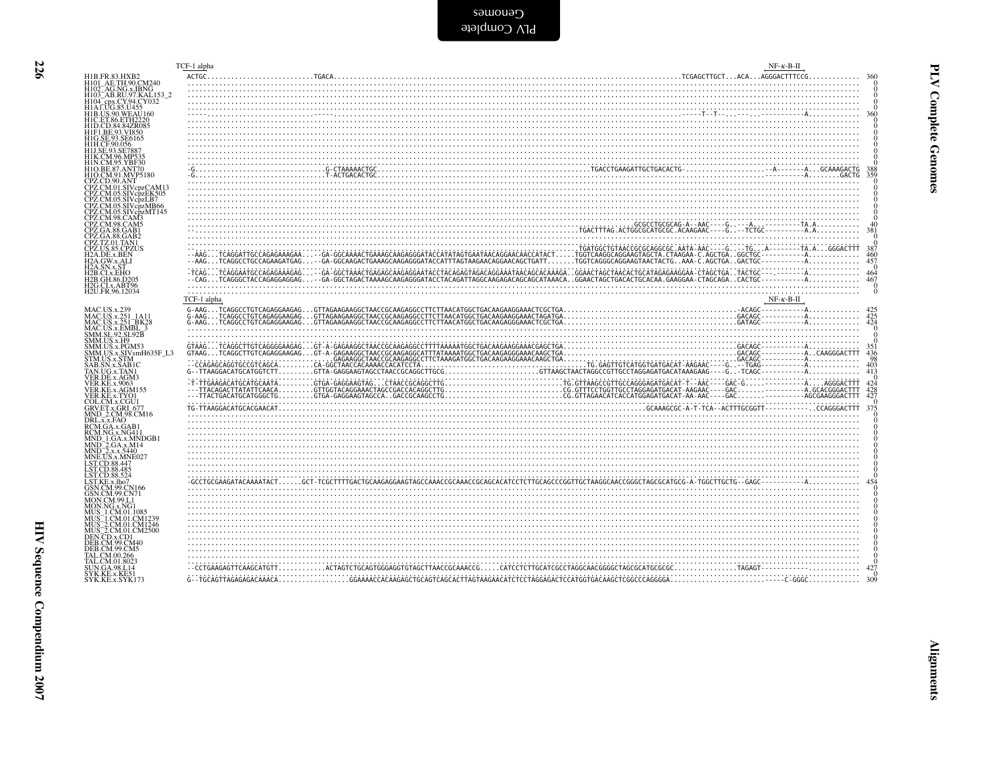Cenomes<br>applete

| H1B.FR.83.HXB2                                                                                                       | TCF-1 alpha |                                                                                                                                                                                                                                                                                                                                                                                                                                          | $NF-K-B-H$             |                                                                             |
|----------------------------------------------------------------------------------------------------------------------|-------------|------------------------------------------------------------------------------------------------------------------------------------------------------------------------------------------------------------------------------------------------------------------------------------------------------------------------------------------------------------------------------------------------------------------------------------------|------------------------|-----------------------------------------------------------------------------|
| H101_AE.TH.90.CM240<br>H102_AG.NG.x.IBNG<br>H103_AB.RU.97.KAL153_2<br>H104_cpx.CY.94.CY032<br>H1A1.UG.85.U455        |             |                                                                                                                                                                                                                                                                                                                                                                                                                                          |                        |                                                                             |
| H1B.US.90.WEAU160<br>H1C.ET.86.ETH2220<br>H1D.CD.84.84ZR085                                                          |             |                                                                                                                                                                                                                                                                                                                                                                                                                                          |                        |                                                                             |
| H1F1.BE.93.VI850<br>H1G.SE.93.SE6165<br>H1H.CF.90.056<br>H1J.SE.93.SE788                                             |             |                                                                                                                                                                                                                                                                                                                                                                                                                                          |                        |                                                                             |
| H1K.CM.96.MP535<br>H1N.CM.95.YBF30<br>H1O.BE.87.ANT70<br>H1O.CM.91.MVP5180                                           |             |                                                                                                                                                                                                                                                                                                                                                                                                                                          |                        |                                                                             |
| CPZ.CD.90.ANT<br>CPZ.CM.01.SIVcpzCAM13<br>CPZ.CM.05.SIVcpzEK505<br>CPZ.CM.05.SIVcpzLB7                               |             |                                                                                                                                                                                                                                                                                                                                                                                                                                          |                        |                                                                             |
| CPZ.CM.05.SIVcpzMB66<br>CPZ.CM.05.SIVcpzMT145<br>CPZ.CM.98.CAM5<br>CPZ.GA.88.GAB1                                    |             |                                                                                                                                                                                                                                                                                                                                                                                                                                          |                        | 381                                                                         |
| CPZ.GA.88.GAB2<br>CPZ.TZ.01.TAN1<br>CPZ.US.85.CPZUS<br>H <sub>2</sub> A.DE.x.BEN                                     |             |                                                                                                                                                                                                                                                                                                                                                                                                                                          |                        | 387<br>460                                                                  |
| H2A.GW.x.ALI<br>.SN.x.ST<br>H2B.CI.x.EHO<br>H <sub>2</sub> B.GH.86.D <sub>205</sub><br>H <sub>2G.CI.x</sub> .ABT96   |             |                                                                                                                                                                                                                                                                                                                                                                                                                                          |                        | 457<br>464<br>467                                                           |
| H2U.FR.96.12034                                                                                                      | TCF-1 alpha |                                                                                                                                                                                                                                                                                                                                                                                                                                          | $NF - \kappa - B - II$ | $\Omega$                                                                    |
| MAC.US.x.239<br>MAC.US.x.251_1A11<br>MAC.US.x.251_BK28<br>MAC.US.x.EMBL_3                                            |             |                                                                                                                                                                                                                                                                                                                                                                                                                                          |                        | $\frac{425}{424}$<br>$\Omega$                                               |
| NM.SL.92.SL.92B<br>SMM.US.x.H9<br>SMM.US.x.H9<br>SMM.US.x.PGM53<br>SMM.US.x.SIV.smH635F_L3<br>STM.US.x.STM           |             | $\begin{minipage}{0.01\textwidth} \begin{tabular}{c c c c} \multicolumn{1}{c c c} \multicolumn{1}{c c} \multicolumn{1}{c c} \multicolumn{1}{c c} \multicolumn{1}{c c} \multicolumn{1}{c c} \multicolumn{1}{c c} \multicolumn{1}{c c} \multicolumn{1}{c c} \multicolumn{1}{c c} \multicolumn{1}{c c} \multicolumn{1}{c c} \multicolumn{1}{c c} \multicolumn{1}{c c} \multicolumn{1}{c c} \multicolumn{1}{c c} \multicolumn{1}{c c} \mult$ |                        | 436<br>98                                                                   |
| SAB.SN.x.SAB1C<br>TAN.UG.x.TAN1<br>VER.DE.x.AGM3<br><b>VER.KE.x.9063</b>                                             |             |                                                                                                                                                                                                                                                                                                                                                                                                                                          |                        | 403<br>413                                                                  |
| VER.KE.x.AGM155<br>VER.KE.x.TYO1<br>COL.CM.x.CGU1<br>GRV.ET.x.GRI_677                                                |             |                                                                                                                                                                                                                                                                                                                                                                                                                                          |                        | $\begin{smallmatrix}&&0\\424\\428\\427\end{smallmatrix}$<br>$\Omega$<br>375 |
| MND_2.CM.98.CM16<br>DRL.x.x.FAO<br>RCM.GA.x.GAB1<br>RCM.NG.x.NG411                                                   |             |                                                                                                                                                                                                                                                                                                                                                                                                                                          |                        |                                                                             |
| MND 1.GA.x.MNDGB1<br>MND_2.GA.x.M14<br>MND_2.x.x.5440<br>MNE.US.x.MNE027                                             |             |                                                                                                                                                                                                                                                                                                                                                                                                                                          |                        |                                                                             |
| LST.CD.88.447<br>LST.CD.88.485<br>LST.CD.88.524<br>ST.KE.x.lho7<br>GSN.CM.99.CN166                                   |             |                                                                                                                                                                                                                                                                                                                                                                                                                                          |                        |                                                                             |
| GSN.CM.99.CN71<br>MON.CM.99.L1<br>MON.NG.x.NG1                                                                       |             |                                                                                                                                                                                                                                                                                                                                                                                                                                          |                        |                                                                             |
| MUS 1.CM.01.1085<br>MUS 1.CM.01.CM1239<br>MUS 2.CM.01.CM1246<br>MUS 2.CM.01.CM2500<br>DEN.CD.x.CD1<br>DEB.CM.99.CM40 |             |                                                                                                                                                                                                                                                                                                                                                                                                                                          |                        |                                                                             |
| DEB.CM.99.CM5<br>TAL.CM.00.266<br>AL.CM.01.8023                                                                      |             |                                                                                                                                                                                                                                                                                                                                                                                                                                          |                        |                                                                             |
| SUN.GA.98.L14<br>SYK.KE.x.KE51<br>SYK.KE.x.SYK173                                                                    |             |                                                                                                                                                                                                                                                                                                                                                                                                                                          |                        |                                                                             |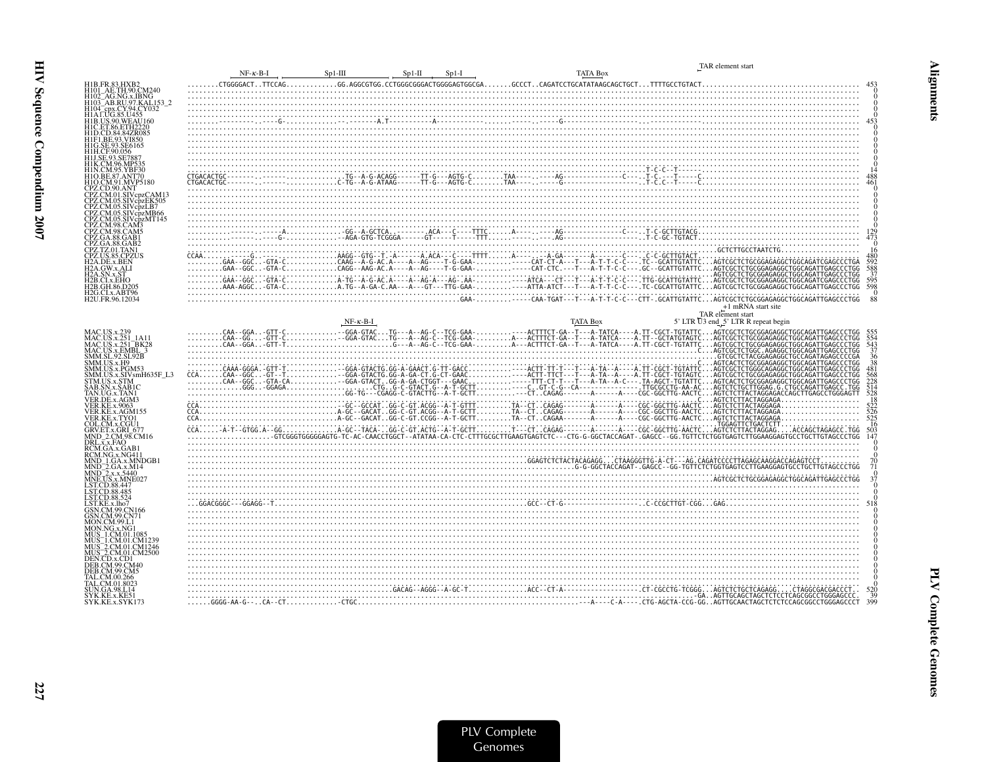|                                                                                         | $NF - \kappa - B - I$ | $Sp1-III$<br>$Sp1-II$<br>$Sp1-I$ | <b>TATA Box</b> | TAR element start  |     |
|-----------------------------------------------------------------------------------------|-----------------------|----------------------------------|-----------------|--------------------|-----|
|                                                                                         |                       |                                  |                 |                    |     |
| H1B.FR.83.HXB2<br>H101_AE.TH.90.CM240<br>H102 AG.NG.x.IBNG                              |                       |                                  |                 |                    |     |
| H103_AB.RU.97.KAL153_2                                                                  |                       |                                  |                 |                    |     |
| H104_cpx.CY.94.CY032<br>H1A1.UG.85.U455<br>H1B.US.90.WEAU160                            |                       |                                  |                 |                    |     |
| C.ET.86.ETH2220                                                                         |                       |                                  |                 |                    |     |
| H1F1.BE.93.VI850                                                                        |                       |                                  |                 |                    |     |
|                                                                                         |                       |                                  |                 |                    |     |
| H1J.SE.93.SE788                                                                         |                       |                                  |                 |                    |     |
| H1O.BE.87.ANT70                                                                         |                       |                                  |                 |                    |     |
| H1O.CM.91.MVP5180<br>CPZ.CD.90.ANT                                                      |                       |                                  |                 |                    |     |
|                                                                                         |                       |                                  |                 |                    |     |
|                                                                                         |                       |                                  |                 |                    |     |
| PZ.CM.05.SIVcpzMB66                                                                     |                       |                                  |                 |                    |     |
|                                                                                         |                       |                                  |                 |                    |     |
| <sup>9</sup> Z.GA.88.GAB1<br>2Z.GA.88.GAB2                                              |                       |                                  |                 |                    |     |
| 2Z.TZ.01.TAN1                                                                           |                       |                                  |                 |                    |     |
| 12A.DE.x.BEN<br>12A.GW.x.ALI                                                            |                       |                                  |                 |                    |     |
| 2A.SN.x.ST<br>B.CI.x.EHO                                                                |                       |                                  |                 |                    |     |
| 2B.GH.86.D205<br>2G.CLx.ABT96                                                           |                       |                                  |                 |                    | 598 |
| H2U.FR.96.12034                                                                         |                       |                                  |                 | +1 mRNA start site |     |
|                                                                                         |                       |                                  |                 | TAR element start  |     |
|                                                                                         |                       |                                  |                 |                    |     |
| MAC.US.x.239<br>MAC.US.x.251_1A11                                                       |                       |                                  |                 |                    |     |
|                                                                                         |                       |                                  |                 |                    |     |
| MAC.US.x.251_BK28<br>MAC.US.x.251_BK28<br>MAC.US.x.EMBL_3<br>SMM.US.x.H9<br>SMM.US.x.H9 |                       |                                  |                 |                    |     |
| SMM.US.x.SIVsmH635F L3                                                                  |                       |                                  |                 |                    |     |
| <b>STM.US.x.STM</b><br>SAB.SN.x.SAB1C                                                   |                       |                                  |                 |                    |     |
| TAN.UG.x.TAN1<br>ER.DE.x.AGM3                                                           |                       |                                  |                 |                    |     |
| VER.KE.x.9063<br>VER.KE.x.AGM155                                                        |                       |                                  |                 |                    |     |
| VER.KE.x.TYO1<br>COL.CM.x.CGU1                                                          |                       |                                  |                 |                    |     |
| GRV.ET.x.GRI 677                                                                        |                       |                                  |                 |                    |     |
| MND_2.CM.98.CM16<br>DRL.x.x.FAO<br>RCM.GA.x.GAB                                         |                       |                                  |                 |                    |     |
| RCM.NG.x.NG411                                                                          |                       |                                  |                 |                    |     |
| IND 1.GA.x.MNDGB1<br>IND 2.GA.x.M14                                                     |                       |                                  |                 |                    |     |
| MND_2.x.x.5440<br>MND_2.x.x.5440<br>LST.CD.88.447                                       |                       |                                  |                 |                    |     |
| LST.CD.88.485<br>LST.CD.88.524                                                          |                       |                                  |                 |                    |     |
| LST.KE.x.lho7                                                                           |                       |                                  |                 |                    |     |
| GSN.CM.99.CN166<br>SN.CM.99.CN71                                                        |                       |                                  |                 |                    |     |
| ION.CM.99.L1                                                                            |                       |                                  |                 |                    |     |
| MUS 1.CM.01.CM1239                                                                      |                       |                                  |                 |                    |     |
| MUS_2.CM.01.CM1246<br>MUS_2.CM.01.CM2500                                                |                       |                                  |                 |                    |     |
| DEN.CD.x.CD1<br>DEB.CM.99.CM40                                                          |                       |                                  |                 |                    |     |
| EB.CM.99.CM5                                                                            |                       |                                  |                 |                    |     |
| AL.CM.01.8023                                                                           |                       |                                  |                 |                    |     |
| JN.GA.98.L14<br>SYK.KE.x.KE51<br>SYK.KE.x.SYK173                                        |                       |                                  |                 |                    |     |
|                                                                                         |                       |                                  |                 |                    | 399 |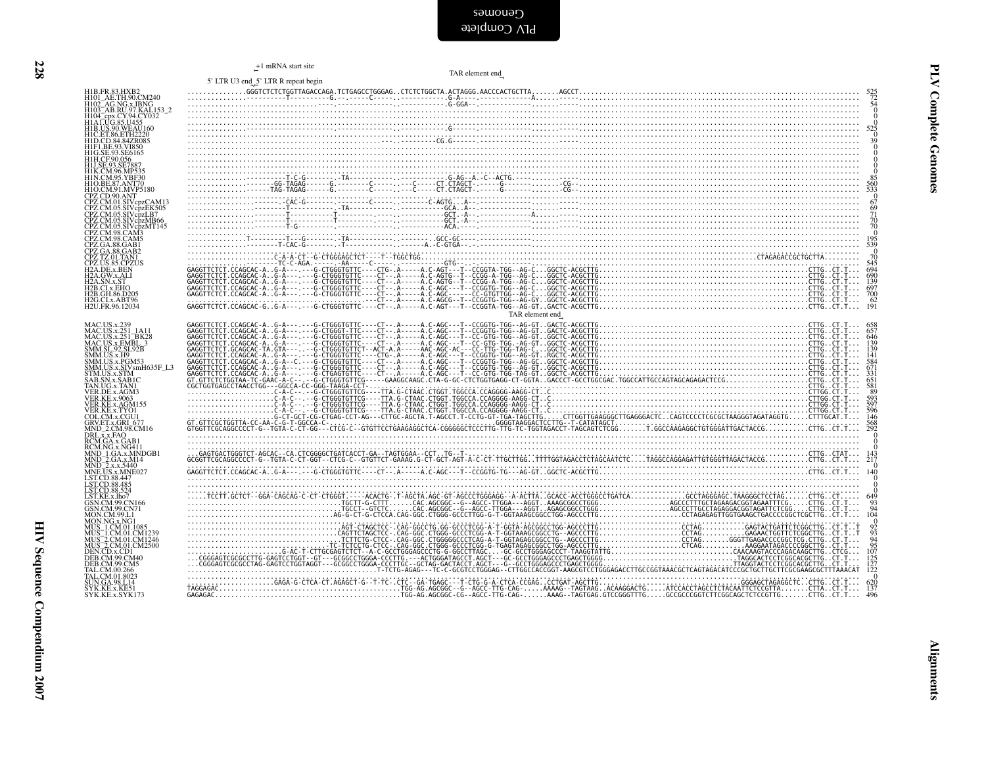| HIB.FR.83.HXB2<br>HIOI_AE.TH.90.CM240<br>HIO2_AG.NG.x.IBNG<br>HIO3_AG.NG.x.IBNG<br>HIO4_epx.CY.94.CY032<br>HIB.US.90.WEAU160<br>HID.CD.84.842R085<br>HID.CD.84.842R085<br>HID.CD.84.842R085<br>HID.CD.84.842R085                                                             |                 | $\begin{matrix} 0 \\ 0 \end{matrix}$<br>$525$<br>$39$<br>$0$<br>$0$                                                     |
|------------------------------------------------------------------------------------------------------------------------------------------------------------------------------------------------------------------------------------------------------------------------------|-----------------|-------------------------------------------------------------------------------------------------------------------------|
| H1G.SE.93.SE6165<br>H1H.CF.90.056<br>J.SE.93.SE7887<br>HIK.CM.96.MP535<br>HIN.CM.95.YBF30<br>HIO.BE.87.ANT70<br>HIO.CM.91.MVP5180                                                                                                                                            |                 | $\begin{smallmatrix} 0 & 0 \\ 0 & 0 \\ 85 & 560 \\ 533 & 0 \\ 0 & 0 \end{smallmatrix}$                                  |
| CPZ.CD.90.ANT<br>CPZ.CD.90.ANT<br>CPZ.CM.01.SIVcpzCAM13<br>CPZ.CM.05.SIVcpzEK505<br>CPZ.CM.05.SIVcpzEK505<br><i>CPZ.CM.05.SIV cpzLB/<br/>CPZ.CM.05.SIV cpzMT145<br/>CPZ.CM.05.SIV cpzMT145<br/>CPZ.CM.98.CAM5<br/>CPZ.CA.88.GAM5<br/>CPZ.GA.88.GAB2<br/>CPZ.TZ.01.TAM116</i> |                 | $67$<br>$69$<br>$71$<br>$70$<br>$70$<br>$0$<br>$195$<br>539                                                             |
| ČPŽ.UŠ.85.ČPŽUS<br>H2A.DE.x.BEN<br>H2A.GW.x.ALI<br>H2A.SN.x.3T<br>H2A.SN.x.3T<br>H2B.CI.x.EHO<br>H2B.GH.86.D205<br>H2G.CI.x.ABT96<br>H2U.FR.96.12034                                                                                                                         |                 | Õ<br>545<br>694<br>$\frac{690}{139}$<br>$\begin{array}{c} 697 \\ 700 \\ 62 \\ 191 \end{array}$                          |
| MAC.US.x.239<br>MAC.US.x.239<br>MAC.US.x.2391_1A11<br>MAC.US.x.251_BK23<br>SMM.SL.92.SL.92B<br>SMM.SL.92.SL.92B<br>SMM.US.x.FOM53<br>SMM.US.x.STWMH635F_L3<br>STM.US.x.STM<br>STM.US.x.STM<br>STM.US.x.STM                                                                   | TAR element end | 646<br>139<br>139<br>141<br>671<br>593                                                                                  |
| SAB.SN.x.SABIC<br>TAN.UG.x.TAN!<br>VER.DE.x.AGM3<br>VER.KE.x.AGM155<br>VER.KE.x.TYO!<br>VER.KE.x.TYO!<br>GRV.ET.x.GRI<br>GNV.ET.x.GRI<br>MND_2.CM.98.CM16<br>DRI_x_FAO                                                                                                       |                 | 597<br>$\frac{596}{146}$<br>$\frac{568}{292}$<br>$\boldsymbol{0}$                                                       |
| MND_2.CM:98.CM16<br>DRL.x.x.FAO<br>RCM.GA.x.GAB1<br>RCM.NG.x.NG411<br>MND_2.GA.x.M14<br>MND_2.GA.x.X440<br>MNE.US.x.X440<br>MNE.US.x.MNE027<br>LST.CD.88.447<br>LST.CD.88.447<br>LST.CD.88.425<br>LST.CD.88.524<br>LST.KE.x.lho7                                             |                 | 143<br>217<br>140<br>649                                                                                                |
| LST.KEx.lho7<br>GSN.CM.99.CN166<br>GSN.CM.99.CN166<br>MON.CM.99.L1<br>MUS_1.CM.01.1085<br>MUS_1.CM.01.1085<br>MUS_2.CM.01.CM1246<br>DEN.CD.x.CD1<br>DEB.CM.99.CM5<br>DEB.CM.99.CM5<br>TAL.CM.01.2665<br>TAL.CM.01.26025                                                      |                 | $^{93}_{94}$<br>104<br>$\frac{92}{93}$<br>$\frac{94}{95}$<br>$\frac{95}{107}$<br>$\frac{125}{127}$<br>$\frac{127}{122}$ |
| TAL.CM.01.8023<br>SUN.GA.98.L14<br>SYK.KE.x.KE51                                                                                                                                                                                                                             |                 | 620<br>137                                                                                                              |

HIV Sequence Compendium 2007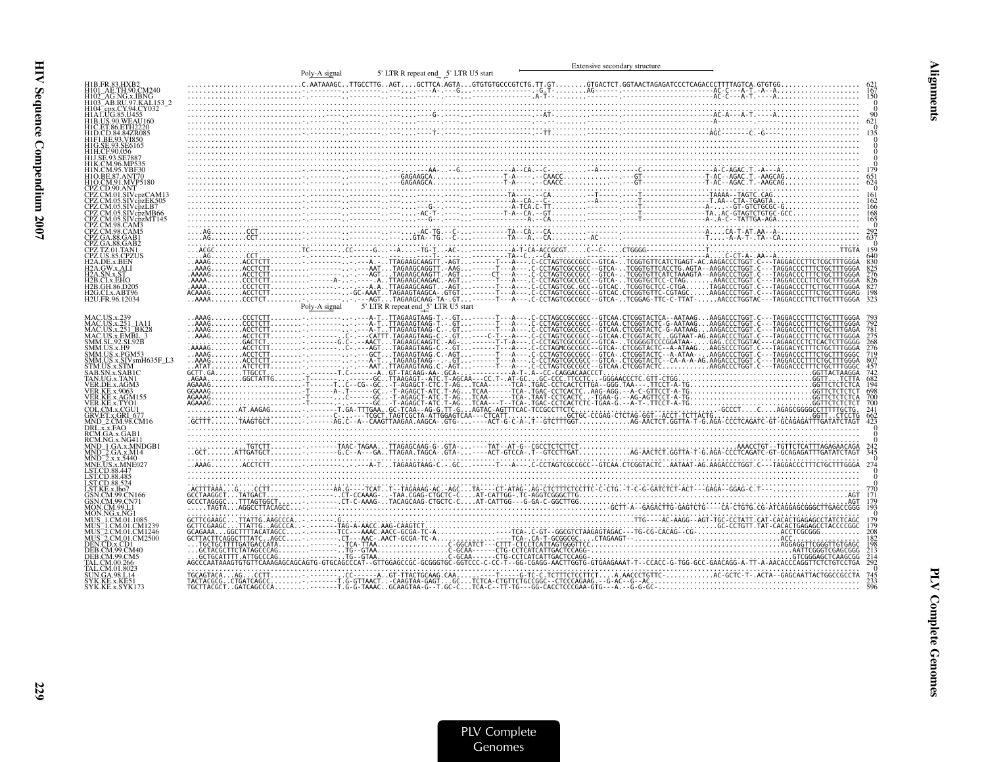|                                                                                                                                                               | Poly-A signal |                                                   | Extensive secondary structure |                          |
|---------------------------------------------------------------------------------------------------------------------------------------------------------------|---------------|---------------------------------------------------|-------------------------------|--------------------------|
| H101 AE.TH.90.CM240<br>H102 AG.NG.x.IBNG<br>H103 AB.RU.97.KAL153 2                                                                                            |               | 5' LTR R repeat end 5' LTR U5 start               |                               |                          |
| H104_cpx.CY.94.CY032<br>H1A1.UG.85.U455<br>H1B.US.90.WEAU160                                                                                                  |               |                                                   |                               |                          |
| 1H.CF.90.056                                                                                                                                                  |               |                                                   |                               |                          |
| H1O.CM.91.MVP5180                                                                                                                                             |               |                                                   |                               |                          |
| CPZ.CD.90.ANT<br>CPZ.CM.05.SIVcpzLB7<br>CPZ.CM.05.SIVcpzMB66<br>CPZ.CM.05.SIVcbzMT145                                                                         |               |                                                   |                               | 168                      |
| CPZ.GA.88.GAB1<br>CPZ.GA.88.GAB2                                                                                                                              |               |                                                   |                               | 159                      |
| CPZ.TZ.01.TAN1<br>CPZ.US.85.CPZUS<br>H2A.DE.x.BEN<br>I2A.GW.x.ALI<br>A.SN.x.ST:<br>2B.CI.x.EHO<br>H2B.GH.86.D205<br>H2G.CLx.ABT96<br>H2U.FR.96.12034          |               |                                                   |                               | 826<br>827<br>198<br>323 |
| MAC.US.x.251 1A1                                                                                                                                              |               | Poly-A signal 5' LTR R repeat end 5' LTR U5 start |                               |                          |
| MAC.US.x.251_BK28<br>MAC.US.x.EMBL_3<br>SMM.SL.92.SL92B<br>SMM.US.x.H9                                                                                        |               |                                                   |                               |                          |
| SMM.US.x.PGM53<br>SMM.US.x.SIVsmH635F_L3<br><b>STM.US.x.STM</b><br>AB.SN.x.SAB1C<br>TAN.UG.x.TAN1                                                             |               |                                                   |                               |                          |
| VER.DE.x.AGM3<br><b>VER.KE.x.9063</b><br>VER.KE.x.AGM155<br>VER.KE.x.TYO1<br>COL.CM.x.CGU1                                                                    |               |                                                   |                               |                          |
| GRV.ET.x.GRI 677<br>MND_2.CM.98.CM16<br>DRL.x.x.FAO<br>RCM.GA.x.GAB1<br>RCM.NG.x.NG411                                                                        |               |                                                   |                               |                          |
| MND_1.GA.x.MNDGB1<br>MND_2.GA.x.M14<br>MND_2.x.x.5440<br>MNE.US.x.MNE027                                                                                      |               |                                                   |                               |                          |
| LST.CD.88.447<br>LST.CD.88.485<br><b>ST.CD.88.524</b><br>ST.KE.x.lho7                                                                                         |               |                                                   |                               |                          |
| GSN.CM.99.CN166<br><b>GSN.CM.99.CN71</b><br>AON.CM.99.L1<br>MON NG x NGT                                                                                      |               |                                                   |                               |                          |
| 4US 1.CM.01.108<br>MUS 1.CM.01.CM1239<br>MUS 2.CM.01.CM1246<br>MUS 2.CM.01.CM12500<br>DEN.CD.x.CD1<br><b>DEB.CM.99.CM40</b><br>DEB.CM.99.CM5<br>`AL CM 00 266 |               |                                                   |                               | iźć                      |
| J .CM 01 8023<br>UN.GA.98.L14<br>SYK.KE.x.KE51<br>SYK.KE.x.SYK173                                                                                             |               |                                                   |                               |                          |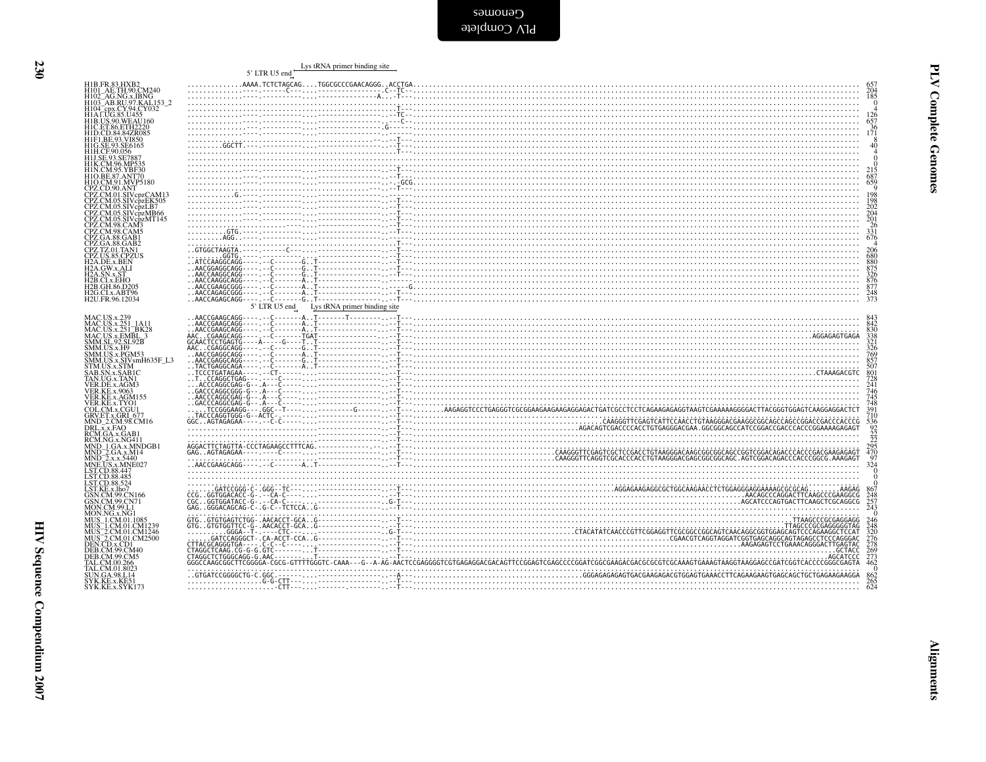| CPZ.CM.01.SIVcpzCAM13<br>CPZ.CM.05.SIVcpzEK505<br>CPZ.CM.05.SIVcpzMB66<br>CPZ.CM.05.SIVcpzMT145<br>5' LTR U5 end Lys tRNA primer binding site<br>SMM.US.x.PGM53<br>SMM.US.x.SIVsmH635F_L3<br>STM.US.x.SIVsmH635F_L3<br>SAB.SN.x.SABJLC |                                                             | 5' LTR U5 end | Lys tRNA primer binding site |
|----------------------------------------------------------------------------------------------------------------------------------------------------------------------------------------------------------------------------------------|-------------------------------------------------------------|---------------|------------------------------|
|                                                                                                                                                                                                                                        | H1B.FR.83.HXB2<br>H101_AE.TH.90.CM240                       |               |                              |
|                                                                                                                                                                                                                                        |                                                             |               |                              |
|                                                                                                                                                                                                                                        | H102_AG.NG.x.IBNG<br>H103_AB.RU.97.KAL153_2                 |               |                              |
|                                                                                                                                                                                                                                        | H104 cpx.CY.94.CY032<br>H1ALUG.85.U455<br>H1B.US.90.WEAU160 |               |                              |
|                                                                                                                                                                                                                                        |                                                             |               |                              |
|                                                                                                                                                                                                                                        |                                                             |               |                              |
|                                                                                                                                                                                                                                        |                                                             |               |                              |
|                                                                                                                                                                                                                                        |                                                             |               |                              |
|                                                                                                                                                                                                                                        |                                                             |               |                              |
|                                                                                                                                                                                                                                        |                                                             |               |                              |
|                                                                                                                                                                                                                                        |                                                             |               |                              |
|                                                                                                                                                                                                                                        |                                                             |               |                              |
|                                                                                                                                                                                                                                        |                                                             |               |                              |
|                                                                                                                                                                                                                                        |                                                             |               |                              |
|                                                                                                                                                                                                                                        |                                                             |               |                              |
|                                                                                                                                                                                                                                        |                                                             |               |                              |
|                                                                                                                                                                                                                                        |                                                             |               |                              |
|                                                                                                                                                                                                                                        |                                                             |               |                              |
|                                                                                                                                                                                                                                        |                                                             |               |                              |
|                                                                                                                                                                                                                                        |                                                             |               |                              |
|                                                                                                                                                                                                                                        |                                                             |               |                              |
|                                                                                                                                                                                                                                        |                                                             |               |                              |
|                                                                                                                                                                                                                                        |                                                             |               |                              |
|                                                                                                                                                                                                                                        |                                                             |               |                              |
|                                                                                                                                                                                                                                        |                                                             |               |                              |
|                                                                                                                                                                                                                                        |                                                             |               |                              |
|                                                                                                                                                                                                                                        |                                                             |               |                              |
|                                                                                                                                                                                                                                        |                                                             |               |                              |
|                                                                                                                                                                                                                                        |                                                             |               |                              |
|                                                                                                                                                                                                                                        |                                                             |               |                              |
|                                                                                                                                                                                                                                        |                                                             |               |                              |
|                                                                                                                                                                                                                                        |                                                             |               |                              |
|                                                                                                                                                                                                                                        |                                                             |               |                              |
|                                                                                                                                                                                                                                        |                                                             |               |                              |
|                                                                                                                                                                                                                                        |                                                             |               |                              |
|                                                                                                                                                                                                                                        |                                                             |               |                              |
|                                                                                                                                                                                                                                        |                                                             |               |                              |
|                                                                                                                                                                                                                                        |                                                             |               |                              |
|                                                                                                                                                                                                                                        |                                                             |               |                              |
|                                                                                                                                                                                                                                        |                                                             |               |                              |
|                                                                                                                                                                                                                                        |                                                             |               |                              |
|                                                                                                                                                                                                                                        |                                                             |               |                              |
|                                                                                                                                                                                                                                        |                                                             |               |                              |
|                                                                                                                                                                                                                                        |                                                             |               |                              |
|                                                                                                                                                                                                                                        |                                                             |               |                              |
|                                                                                                                                                                                                                                        |                                                             |               |                              |
|                                                                                                                                                                                                                                        |                                                             |               |                              |
|                                                                                                                                                                                                                                        |                                                             |               |                              |
|                                                                                                                                                                                                                                        |                                                             |               |                              |
|                                                                                                                                                                                                                                        |                                                             |               |                              |
|                                                                                                                                                                                                                                        |                                                             |               |                              |
|                                                                                                                                                                                                                                        |                                                             |               |                              |
|                                                                                                                                                                                                                                        |                                                             |               |                              |
|                                                                                                                                                                                                                                        |                                                             |               |                              |
|                                                                                                                                                                                                                                        |                                                             |               |                              |
|                                                                                                                                                                                                                                        |                                                             |               |                              |
|                                                                                                                                                                                                                                        |                                                             |               |                              |
|                                                                                                                                                                                                                                        |                                                             |               |                              |
|                                                                                                                                                                                                                                        |                                                             |               |                              |
|                                                                                                                                                                                                                                        |                                                             |               |                              |
|                                                                                                                                                                                                                                        |                                                             |               |                              |
|                                                                                                                                                                                                                                        |                                                             |               |                              |
|                                                                                                                                                                                                                                        |                                                             |               |                              |
|                                                                                                                                                                                                                                        |                                                             |               |                              |

230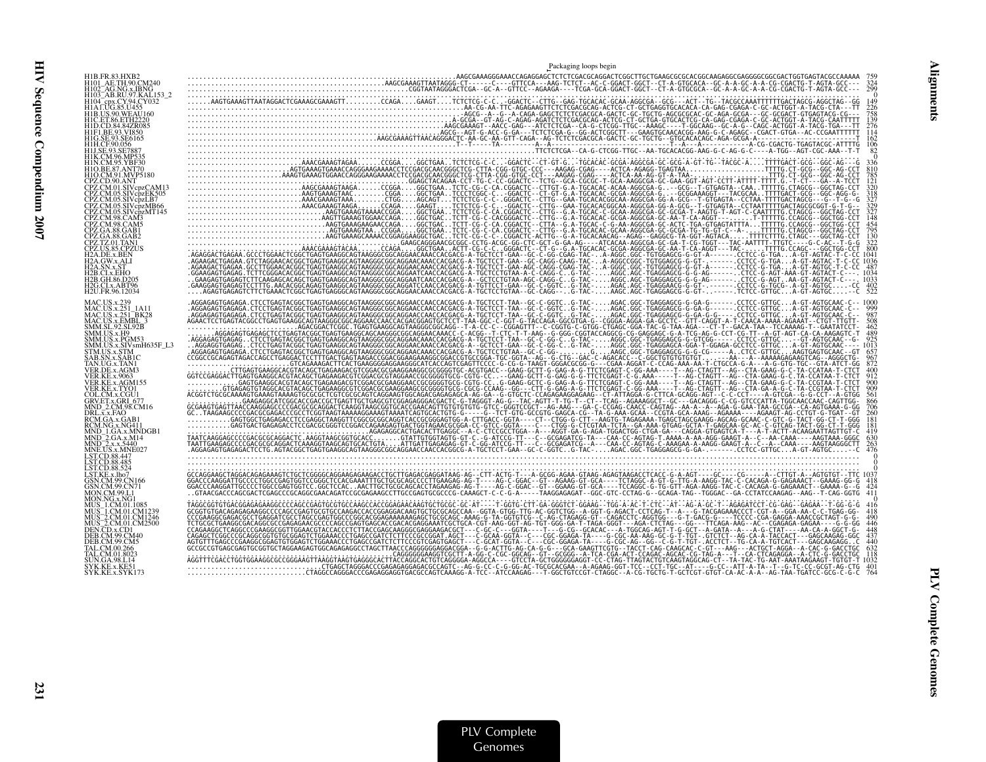HIV Sequence Compendium 2007

HIV Sequence Compendium 2007

|                                                                                                                                          | Packaging loops begin                                                                                                                                                                                                                                                                                                                                                                      |
|------------------------------------------------------------------------------------------------------------------------------------------|--------------------------------------------------------------------------------------------------------------------------------------------------------------------------------------------------------------------------------------------------------------------------------------------------------------------------------------------------------------------------------------------|
| H1B.FR.83.HXB.<br>H101 AE.TH.90.CM240<br>H102 AG.NG.x.IBNG<br>1103 AB.RU.97.KAL153 2                                                     |                                                                                                                                                                                                                                                                                                                                                                                            |
| I1F1.BE.93.VI850                                                                                                                         |                                                                                                                                                                                                                                                                                                                                                                                            |
|                                                                                                                                          |                                                                                                                                                                                                                                                                                                                                                                                            |
| N.CM.95.YBF30                                                                                                                            |                                                                                                                                                                                                                                                                                                                                                                                            |
| PZ.CM.05.SIVcpzMB66<br>PZ.CM.05.SIVcpzMT145                                                                                              |                                                                                                                                                                                                                                                                                                                                                                                            |
|                                                                                                                                          |                                                                                                                                                                                                                                                                                                                                                                                            |
| <b>I2A.DE.x.BEN</b><br>I2A.GW.x.ALI<br><b>I2B.CI.x.EHO</b><br>I2B.GH.86.D205<br>H2G.CI.x.ABT96<br>H2U.FR.96.12034                        |                                                                                                                                                                                                                                                                                                                                                                                            |
| MAC.US.x.239<br>MAC.US.x.251 1A11<br>MAC.US.x.251 <sup>-</sup> BK28<br>MAC.US.x.EMBL_3<br>SMM.SL.92.SL92B<br>AM.US.x.H9<br>4M.US.x.PGM53 | $\begin{smallmatrix} \textbf{0.15}_{\textbf{0.15}} \textbf{0.15}_{\textbf{0.15}} \textbf{0.15}_{\textbf{0.15}} \textbf{0.15}_{\textbf{0.15}} \textbf{0.15}_{\textbf{0.15}} \textbf{0.15}_{\textbf{0.15}} \textbf{0.15}_{\textbf{0.15}} \textbf{0.15}_{\textbf{0.15}} \textbf{0.15}_{\textbf{0.15}} \textbf{0.15}_{\textbf{0.15}} \textbf{0.15}_{\textbf{0.15}} \textbf{0.15}_{\textbf{0.1$ |
| MM.US.x.SIVsmH635F_L3<br>GTM.US.x.STM<br>AB.SN.x.SAB1C<br>FAN.UG.x.TAN1<br>ER.DE.x.AGM3                                                  |                                                                                                                                                                                                                                                                                                                                                                                            |
| /ER.KE.x.AGM155<br>VER.KE.x.TYO1<br>COL.CM.x.CGU1<br>GRV.ET.x.GRI 677<br>4ND 2.CM.98.CM16                                                |                                                                                                                                                                                                                                                                                                                                                                                            |
| DRL.x.x.FAQ<br>RCM.GA.x.GAB<br>RCM.NG.x.NG411<br>(MND 1.GA.x.MNDGB1<br>MND 2.GA.x.M14                                                    |                                                                                                                                                                                                                                                                                                                                                                                            |
| MND 2 x x 5440<br><b>INE.US.x.MNE027</b><br>ST.CD.88.447<br>ST CD 88.524                                                                 |                                                                                                                                                                                                                                                                                                                                                                                            |
| GSN.CM.99.CN166                                                                                                                          |                                                                                                                                                                                                                                                                                                                                                                                            |
| IHS 2 CM 01 CM2500                                                                                                                       |                                                                                                                                                                                                                                                                                                                                                                                            |
| SHN GA 98 L 14<br>SYK.KE.x.KE51<br>SYK.KE.x.SYK173                                                                                       | $\begin{smallmatrix} \textbf{0.1} \textbf{0.2} \textbf{0.3} \textbf{0.3} \textbf{0.4} \textbf{0.5} \textbf{0.5} \textbf{0.6} \textbf{0.6} \textbf{0.6} \textbf{0.6} \textbf{0.6} \textbf{0.6} \textbf{0.6} \textbf{0.6} \textbf{0.6} \textbf{0.6} \textbf{0.6} \textbf{0.6} \textbf{0.6} \textbf{0.6} \textbf{0.6} \textbf{0.6} \textbf{0.6} \textbf{0.6} \textbf{0.6} \textbf{0.$<br>764  |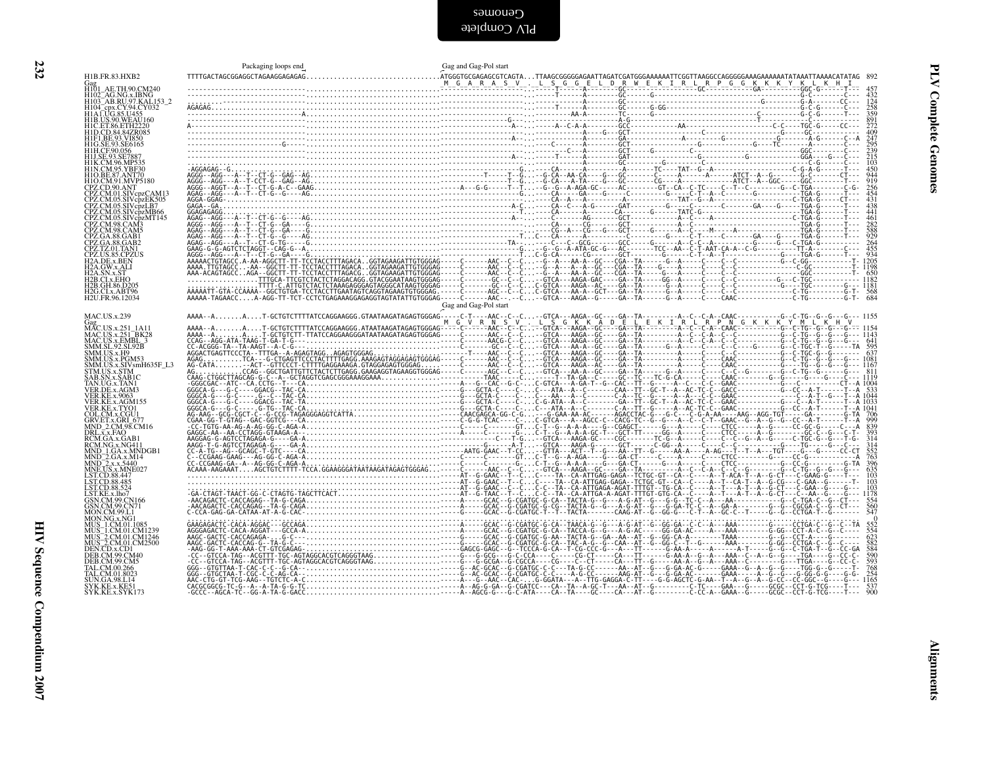| H1B.FR.83.HXB2                                                                                                                                                                                                                                                              | Packaging loops end | Gag and Gag-Pol start                                                                                                                                                                                                                                                                                                                                                          |
|-----------------------------------------------------------------------------------------------------------------------------------------------------------------------------------------------------------------------------------------------------------------------------|---------------------|--------------------------------------------------------------------------------------------------------------------------------------------------------------------------------------------------------------------------------------------------------------------------------------------------------------------------------------------------------------------------------|
| H101 AE.TH.90.CM240<br>H102_AG.NG.x.IBNG<br>H103_AB.RU.97.KAL153_2<br>H104_epx.CY.94.CY032<br>H1A1.UG.85.U455                                                                                                                                                               |                     |                                                                                                                                                                                                                                                                                                                                                                                |
| H1B.US.90.WEAU160                                                                                                                                                                                                                                                           |                     |                                                                                                                                                                                                                                                                                                                                                                                |
| H1C.ET.86.ETH2220<br>H1D.CD.84.84ZR085                                                                                                                                                                                                                                      |                     |                                                                                                                                                                                                                                                                                                                                                                                |
| HIF1.BE.93.VI850<br>HIG.SE.93.SE6165<br>HIH.CF.90.056<br>HIJ.SE.93.SE7887                                                                                                                                                                                                   |                     |                                                                                                                                                                                                                                                                                                                                                                                |
| H1K.CM.96.MP535<br>H1N.CM.95.YBF30<br>H1O.BE.87.ANT70                                                                                                                                                                                                                       |                     |                                                                                                                                                                                                                                                                                                                                                                                |
| HIO.CM.91.ANYP5180<br>CPZ.CD.90.ANT<br>CPZ.CM.01.SIVcpzCAM13<br>CPZ.CM.05.SIVcpzEK505                                                                                                                                                                                       |                     |                                                                                                                                                                                                                                                                                                                                                                                |
| CPZ.CM.05.SIVcpzLB7                                                                                                                                                                                                                                                         |                     |                                                                                                                                                                                                                                                                                                                                                                                |
| CPZ.CM.05.SIVepZBR<br>CPZ.CM.05.SIVepZMB66<br>CPZ.CM.08.SIVepZMT145<br>CPZ.CM.98.CAM3<br>CPZ.CM.98.CAM3<br>CPZ.GA.88.GAB1<br>CPZ.GA.88.GAB1<br>CPZ.CO.15.CM<br>H2A.DEX.ABN<br>H2A.DEX.ABN<br>H2A.DEX.ABN<br>H2A.DEX.ABN<br>H2A.DEX.ABN<br>H2A.DEX.ABN<br>H2A.DEX.ABN<br>H2B |                     |                                                                                                                                                                                                                                                                                                                                                                                |
|                                                                                                                                                                                                                                                                             |                     |                                                                                                                                                                                                                                                                                                                                                                                |
|                                                                                                                                                                                                                                                                             |                     |                                                                                                                                                                                                                                                                                                                                                                                |
| H <sub>2G.CLx</sub> , ABT96<br>H <sub>2U</sub> .FR.96.12034                                                                                                                                                                                                                 |                     |                                                                                                                                                                                                                                                                                                                                                                                |
| <b>MAC.US.x.239</b>                                                                                                                                                                                                                                                         |                     | $\int$ Gag and Gag-Pol start                                                                                                                                                                                                                                                                                                                                                   |
| Gag<br>MAC.US.x.251 1A11                                                                                                                                                                                                                                                    |                     |                                                                                                                                                                                                                                                                                                                                                                                |
| MAC.US.x.251_1A11<br>MAC.US.x.251_BK28<br>MAC.US.x.EMBL_3<br>SMM.SL.92.SL92B<br>SMM.US.x.PGM53<br>SMM.US.x.PGM53<br>SMM.US.x.PGM53<br>SMM.US.x.SIVsmH635F_L3<br>SMM.US.x.SIVsmH635F_L3                                                                                      |                     |                                                                                                                                                                                                                                                                                                                                                                                |
| STM.US.x.STM                                                                                                                                                                                                                                                                |                     |                                                                                                                                                                                                                                                                                                                                                                                |
| STM.US.x.STM<br>SAB.SN.x.SABIC<br>TAN.UG.x.TANI<br>VER.DE.x.AGM3<br>VER.KE.x.9063<br>VER.KE.x.AGM155<br>VER.KE.x.TYOI<br>COL.CM.x.CGU1<br>COL.CM.x.CGU1                                                                                                                     |                     |                                                                                                                                                                                                                                                                                                                                                                                |
|                                                                                                                                                                                                                                                                             |                     |                                                                                                                                                                                                                                                                                                                                                                                |
| GRV.ET.x.GRL 677<br>MND_2.CM.98.CM16<br>DRL.x.x.FAO<br>RCM.GA.x.GAB1<br>RCM.NG.x.NG411                                                                                                                                                                                      |                     |                                                                                                                                                                                                                                                                                                                                                                                |
|                                                                                                                                                                                                                                                                             |                     |                                                                                                                                                                                                                                                                                                                                                                                |
| RCM.NG.x.NG411<br>MND_1.GA.x.MNDGB1<br>MND_2.GA.x.M14<br>MND_2.x.x.5440<br>MNE.US.x.MNE027<br>LST.CD.88.485<br>LST.CD.88.485<br>LST.CD.88.524<br>LST.KE.x.lho7<br>CN.KE.x.Lho7                                                                                              |                     |                                                                                                                                                                                                                                                                                                                                                                                |
|                                                                                                                                                                                                                                                                             |                     |                                                                                                                                                                                                                                                                                                                                                                                |
|                                                                                                                                                                                                                                                                             |                     |                                                                                                                                                                                                                                                                                                                                                                                |
|                                                                                                                                                                                                                                                                             |                     |                                                                                                                                                                                                                                                                                                                                                                                |
| LIST.KE.x.,lho7<br>GSN.CM.99.CN166<br>MON.NG.2011<br>MON.NG.2011<br>MUS_1.CM.01.1085<br>MUS_1.CM.01.1085<br>MUS_2.CM.01.CM2246<br>MUS_2.CM.01.CM2246<br>DEB.CM.99.CM.00<br>DEB.CM.99.CM40<br>DEB.CM.99.CM40<br>DEB.CM.99.CM40<br>TAL CM.00.2M5                              |                     |                                                                                                                                                                                                                                                                                                                                                                                |
| TAL.CM.00.266<br>TAL.CM.00.266                                                                                                                                                                                                                                              |                     |                                                                                                                                                                                                                                                                                                                                                                                |
| UN.GA.98.L14<br>SYK.KE.x.KE51                                                                                                                                                                                                                                               |                     |                                                                                                                                                                                                                                                                                                                                                                                |
| SYK.KE.x.SYK173                                                                                                                                                                                                                                                             |                     | $\begin{smallmatrix} \textbf{0.01} & \textbf{0.02} & \textbf{0.03} & \textbf{0.04} & \textbf{0.04} & \textbf{0.05} & \textbf{0.06} & \textbf{0.07} & \textbf{0.07} & \textbf{0.08} & \textbf{0.09} & \textbf{0.01} & \textbf{0.01} & \textbf{0.01} & \textbf{0.01} & \textbf{0.01} & \textbf{0.01} & \textbf{0.01} & \textbf{0.01} & \textbf{0.01} & \textbf{0.01} & \textbf{$ |
|                                                                                                                                                                                                                                                                             |                     |                                                                                                                                                                                                                                                                                                                                                                                |
|                                                                                                                                                                                                                                                                             |                     |                                                                                                                                                                                                                                                                                                                                                                                |
|                                                                                                                                                                                                                                                                             |                     |                                                                                                                                                                                                                                                                                                                                                                                |
|                                                                                                                                                                                                                                                                             |                     |                                                                                                                                                                                                                                                                                                                                                                                |
|                                                                                                                                                                                                                                                                             |                     |                                                                                                                                                                                                                                                                                                                                                                                |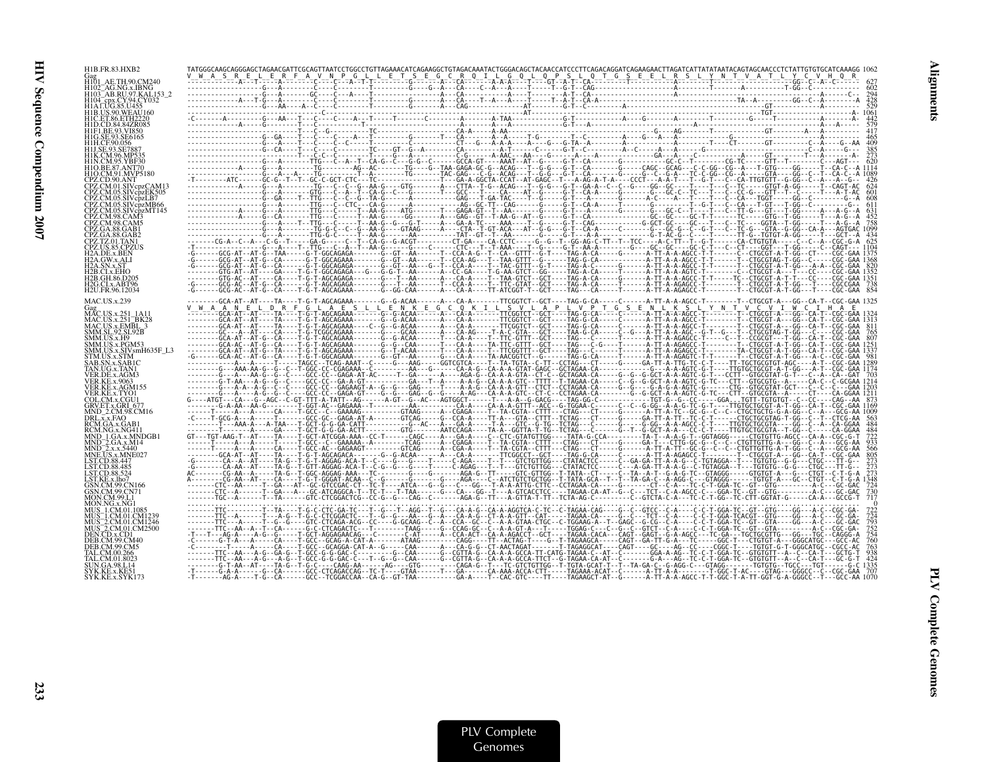| H1B.FR.83.HXB2                                          | TATGGGCAAGCAGGGAGCTAGAACGATTCGCAGTTAATCCTGGCCTGTTAGAAACATCAGAAGGCTGTAGACAAATACTGGGACAGCTACAACCATCCCTTCAGACAGGATCAGAAGAACTTAGATCATTATATAATACAGTAGCAACCCTCTATTGTGTGCATCAAAGG<br>$\label{eq:3} \begin{small} \textbf{MSE} & \textbf{MSE} & \textbf{MSE} & \textbf{MSE} & \textbf{MSE} & \textbf{MSE} & \textbf{MSE} & \textbf{MSE} & \textbf{MSE} & \textbf{MSE} & \textbf{MSE} & \textbf{MSE} & \textbf{MSE} & \textbf{MSE} & \textbf{MSE} & \textbf{MSE} & \textbf{MSE} & \textbf{MSE} & \textbf{MSE} & \textbf{MSE} & \textbf{MSE} & \textbf{MSE} & \textbf{MSE} & \textbf{MSE} & \textbf{MSE} & \textbf{MSE} &$ |  |  |
|---------------------------------------------------------|------------------------------------------------------------------------------------------------------------------------------------------------------------------------------------------------------------------------------------------------------------------------------------------------------------------------------------------------------------------------------------------------------------------------------------------------------------------------------------------------------------------------------------------------------------------------------------------------------------------|--|--|
| H101_AE.TH.90.CM240<br>AG NG x IRNG                     |                                                                                                                                                                                                                                                                                                                                                                                                                                                                                                                                                                                                                  |  |  |
| H103 AB.RU.97.KAL153<br>H104. cnx CY94 CY032            |                                                                                                                                                                                                                                                                                                                                                                                                                                                                                                                                                                                                                  |  |  |
| H1A1.UG.85.U455<br>H1B.US.90.WEAU160                    |                                                                                                                                                                                                                                                                                                                                                                                                                                                                                                                                                                                                                  |  |  |
| ` ET 86 ETH2220                                         |                                                                                                                                                                                                                                                                                                                                                                                                                                                                                                                                                                                                                  |  |  |
|                                                         |                                                                                                                                                                                                                                                                                                                                                                                                                                                                                                                                                                                                                  |  |  |
|                                                         |                                                                                                                                                                                                                                                                                                                                                                                                                                                                                                                                                                                                                  |  |  |
|                                                         |                                                                                                                                                                                                                                                                                                                                                                                                                                                                                                                                                                                                                  |  |  |
|                                                         |                                                                                                                                                                                                                                                                                                                                                                                                                                                                                                                                                                                                                  |  |  |
| PZ.CM.01.SIVcpzCAM13                                    |                                                                                                                                                                                                                                                                                                                                                                                                                                                                                                                                                                                                                  |  |  |
|                                                         |                                                                                                                                                                                                                                                                                                                                                                                                                                                                                                                                                                                                                  |  |  |
| $05.SIV$ cpzMT145                                       |                                                                                                                                                                                                                                                                                                                                                                                                                                                                                                                                                                                                                  |  |  |
|                                                         |                                                                                                                                                                                                                                                                                                                                                                                                                                                                                                                                                                                                                  |  |  |
|                                                         |                                                                                                                                                                                                                                                                                                                                                                                                                                                                                                                                                                                                                  |  |  |
|                                                         |                                                                                                                                                                                                                                                                                                                                                                                                                                                                                                                                                                                                                  |  |  |
|                                                         |                                                                                                                                                                                                                                                                                                                                                                                                                                                                                                                                                                                                                  |  |  |
| 2B GH 86 D20'                                           |                                                                                                                                                                                                                                                                                                                                                                                                                                                                                                                                                                                                                  |  |  |
| H2G.CLx.ABT96<br>H2H FR 96 12034                        |                                                                                                                                                                                                                                                                                                                                                                                                                                                                                                                                                                                                                  |  |  |
| <b>MAC.US.x.239</b>                                     | ---GCA-AT--AT----TA----T-G-T-AGCAGAAA------G--G-ACAA------A---CA-A------TTCGGTCT--GCT----TAG-G-CA-----C-----A-TT-A-A-AGCC-T---------T--CTGCGT<br>$\begin{smallmatrix} \mathbf{1}_{1} & \mathbf{1}_{2} & \mathbf{1}_{3} & \mathbf{1}_{4} & \mathbf{1}_{5} & \mathbf{1}_{6} & \mathbf{1}_{7} & \mathbf{1}_{8} & \mathbf{1}_{9} & \mathbf{1}_{10} & \mathbf{1}_{11} & \mathbf{1}_{12} & \mathbf{1}_{13} & \mathbf{1}_{14} & \mathbf{1}_{15} & \mathbf{1}_{16} & \mathbf{1}_{17} & \mathbf{1}_{18} & \mathbf{1}_{19} & \mathbf{1}_{10} & \mathbf{1}_{11} & \mathbf{1}_{12} & \mathbf$                                |  |  |
|                                                         |                                                                                                                                                                                                                                                                                                                                                                                                                                                                                                                                                                                                                  |  |  |
| MAC.US.x.251_BK28<br>MAC.US.x.EMBL_3<br>SMM.SL.92.SL92B |                                                                                                                                                                                                                                                                                                                                                                                                                                                                                                                                                                                                                  |  |  |
| <b>MM HS x H9</b><br>AM US x PGM53                      |                                                                                                                                                                                                                                                                                                                                                                                                                                                                                                                                                                                                                  |  |  |
| 4M.US.x.SIVsmH635F_L3                                   |                                                                                                                                                                                                                                                                                                                                                                                                                                                                                                                                                                                                                  |  |  |
|                                                         |                                                                                                                                                                                                                                                                                                                                                                                                                                                                                                                                                                                                                  |  |  |
| ER DE x AGM3                                            |                                                                                                                                                                                                                                                                                                                                                                                                                                                                                                                                                                                                                  |  |  |
|                                                         |                                                                                                                                                                                                                                                                                                                                                                                                                                                                                                                                                                                                                  |  |  |
| COL.CM.x.CGU1                                           |                                                                                                                                                                                                                                                                                                                                                                                                                                                                                                                                                                                                                  |  |  |
| ND-2.CM.98.CM16<br>RL x x FAO                           |                                                                                                                                                                                                                                                                                                                                                                                                                                                                                                                                                                                                                  |  |  |
| RCM.GA.x.GAB<br>CM.NG.x.NG411                           |                                                                                                                                                                                                                                                                                                                                                                                                                                                                                                                                                                                                                  |  |  |
| ND 2.GA.x.M14                                           |                                                                                                                                                                                                                                                                                                                                                                                                                                                                                                                                                                                                                  |  |  |
| NE HS x MNE02                                           |                                                                                                                                                                                                                                                                                                                                                                                                                                                                                                                                                                                                                  |  |  |
| ST CD 88 485                                            |                                                                                                                                                                                                                                                                                                                                                                                                                                                                                                                                                                                                                  |  |  |
| :T KE x lho7                                            |                                                                                                                                                                                                                                                                                                                                                                                                                                                                                                                                                                                                                  |  |  |
| N CM 99 CN71                                            |                                                                                                                                                                                                                                                                                                                                                                                                                                                                                                                                                                                                                  |  |  |
|                                                         |                                                                                                                                                                                                                                                                                                                                                                                                                                                                                                                                                                                                                  |  |  |
| S 1 CM 01 CM 123                                        |                                                                                                                                                                                                                                                                                                                                                                                                                                                                                                                                                                                                                  |  |  |
| 2 CM 01 CM2500                                          |                                                                                                                                                                                                                                                                                                                                                                                                                                                                                                                                                                                                                  |  |  |
|                                                         |                                                                                                                                                                                                                                                                                                                                                                                                                                                                                                                                                                                                                  |  |  |
|                                                         |                                                                                                                                                                                                                                                                                                                                                                                                                                                                                                                                                                                                                  |  |  |
|                                                         | -------G-T-AA--AT---TA-G--T-G-C---CAAG-AA------AG3---GTG--------CAGA-G--T--TC-GTCTGTIGG--T-TGTA-GA-C--G-AGG-C--GAGG-C--GTAGG------TGTGTG--TGCC---TGT-------G-C 133<br>-I------G-A-A------G-CA------GCC-CTCAGACCAG--TC-T----GTAA--                                                                                                                                                                                                                                                                                                                                                                                |  |  |
|                                                         |                                                                                                                                                                                                                                                                                                                                                                                                                                                                                                                                                                                                                  |  |  |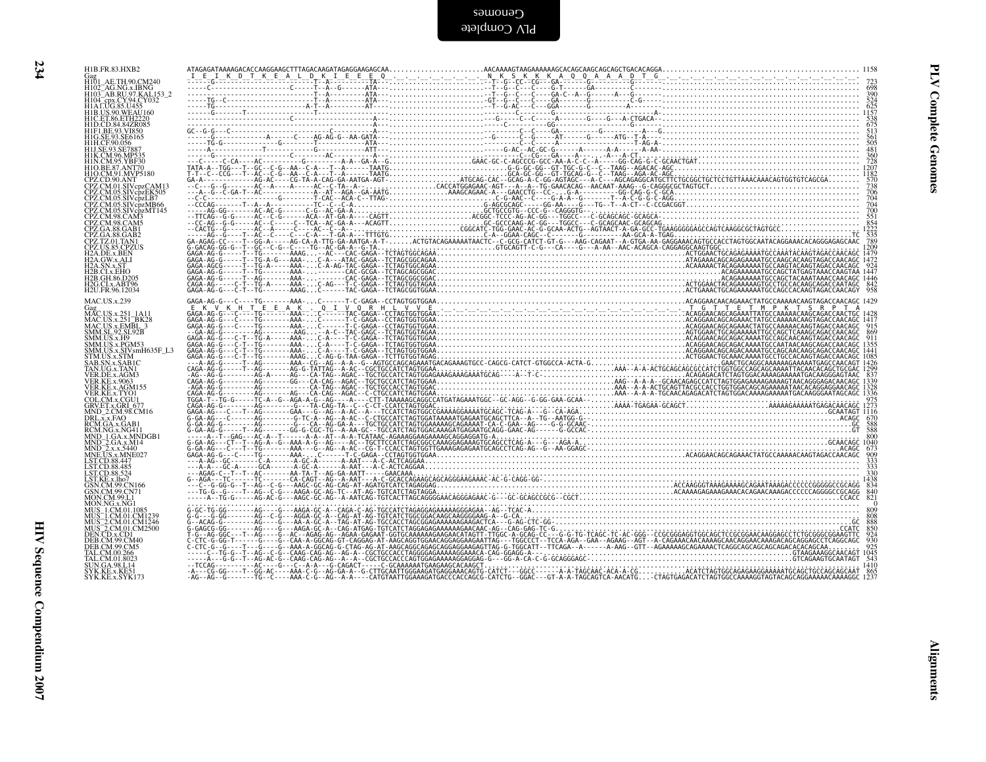| Gag<br>H101 AE.TH.90.CM240<br>HT01_AE.TH,90,CM240<br>HT03_AG.NG.x,IBNG<br>HT03_AB.RU/97,KAL153_2<br>HT04_BE.CY.94,CY032<br>HT04_BE.CY.94,CY035<br>HT04_BE.CY.94,CY035<br>HTD,CET.86,ETH2220<br>HTD,CET.86,ETH2220<br>HTD,EE.93,SEF65<br>HTD,EE.93,SEF85<br>HTM.CN.96,MP535<br>HTM.CM.96,MP535<br>CPZ.CD.90.ANT<br>CPZ.CM.01.SIVcpzCAM13<br>CPZ.CM.05.SIVcpzEK505<br>CPZ.CM.05.SIVcpzEK505<br>CPZ.CM.05.SIVcpzLB7<br>CPZ.CM.05.SIVcpzMF166<br>CPZ.CM.05.SIVcpzMT145<br>CPZ.CM.95.SIVcpzMT145<br>CPZ.CM.98.CAM5<br>CPZ.GA.88.GAB1<br>CPZ.TZ.01.TAN1<br>CPZ.TZ.01.TAN1<br>H2A.DE.x.BEN<br>H2A.DE.x.BEN<br>H2A.DE.x.BEN<br>H2A.DE.x.BEN<br>H2A.SN.x.ST<br>H2A.SN.x.ST<br>H2B.CI.x.EHO<br>H2B.GH.86.D205<br>H2G.CI.x.ABT96<br>H <sub>2</sub> U.FR.96.12034<br>MAC.US.x.239<br>Gag<br>MAC.US.x.251_1A11<br>MAC.US.x.251_1A11<br>MAC.US.x.251_BK28<br>SMM.SL.92.SL.925<br>SMM.SL.92.SL.92B<br>SMM.US.x.PGM53<br>SMM.US.x.STV.smH635F_L3<br>STM.US.x.STV.smH635F_L3<br>STM.US.x.STM<br>STM.US.x.STM<br>TAN.UG.x.TAN1<br>VER.DE.x.AGM3<br>VER.KE.x.9063<br>VER KE.x 9063<br>VER KE.x AGM155<br>COL.CM.x CGU1<br>COL.CM.x CGU1<br>COL.CM.x CGU1<br>MND_2.CM.98 CM16<br>NND_3 CM.36<br>RCM GA.x GAB1<br>NND_3 GA.x MNDGB1<br>MND_3 GA.x MNDGB1<br>MND_3 GA.x MNDGB1<br>MND_3 GA.x MNDGB1<br>LSTCD.88 445<br>LSTCD.88 445<br>LST.CD.88.485<br>LST.CD.88.524 | H1B.FR.83.HXB2 |  |
|-------------------------------------------------------------------------------------------------------------------------------------------------------------------------------------------------------------------------------------------------------------------------------------------------------------------------------------------------------------------------------------------------------------------------------------------------------------------------------------------------------------------------------------------------------------------------------------------------------------------------------------------------------------------------------------------------------------------------------------------------------------------------------------------------------------------------------------------------------------------------------------------------------------------------------------------------------------------------------------------------------------------------------------------------------------------------------------------------------------------------------------------------------------------------------------------------------------------------------------------------------------------------------------------------------------------------------------------------|----------------|--|
|                                                                                                                                                                                                                                                                                                                                                                                                                                                                                                                                                                                                                                                                                                                                                                                                                                                                                                                                                                                                                                                                                                                                                                                                                                                                                                                                                 |                |  |
|                                                                                                                                                                                                                                                                                                                                                                                                                                                                                                                                                                                                                                                                                                                                                                                                                                                                                                                                                                                                                                                                                                                                                                                                                                                                                                                                                 |                |  |
|                                                                                                                                                                                                                                                                                                                                                                                                                                                                                                                                                                                                                                                                                                                                                                                                                                                                                                                                                                                                                                                                                                                                                                                                                                                                                                                                                 |                |  |
|                                                                                                                                                                                                                                                                                                                                                                                                                                                                                                                                                                                                                                                                                                                                                                                                                                                                                                                                                                                                                                                                                                                                                                                                                                                                                                                                                 |                |  |
|                                                                                                                                                                                                                                                                                                                                                                                                                                                                                                                                                                                                                                                                                                                                                                                                                                                                                                                                                                                                                                                                                                                                                                                                                                                                                                                                                 |                |  |
|                                                                                                                                                                                                                                                                                                                                                                                                                                                                                                                                                                                                                                                                                                                                                                                                                                                                                                                                                                                                                                                                                                                                                                                                                                                                                                                                                 |                |  |
|                                                                                                                                                                                                                                                                                                                                                                                                                                                                                                                                                                                                                                                                                                                                                                                                                                                                                                                                                                                                                                                                                                                                                                                                                                                                                                                                                 |                |  |
|                                                                                                                                                                                                                                                                                                                                                                                                                                                                                                                                                                                                                                                                                                                                                                                                                                                                                                                                                                                                                                                                                                                                                                                                                                                                                                                                                 |                |  |
|                                                                                                                                                                                                                                                                                                                                                                                                                                                                                                                                                                                                                                                                                                                                                                                                                                                                                                                                                                                                                                                                                                                                                                                                                                                                                                                                                 |                |  |
|                                                                                                                                                                                                                                                                                                                                                                                                                                                                                                                                                                                                                                                                                                                                                                                                                                                                                                                                                                                                                                                                                                                                                                                                                                                                                                                                                 |                |  |
|                                                                                                                                                                                                                                                                                                                                                                                                                                                                                                                                                                                                                                                                                                                                                                                                                                                                                                                                                                                                                                                                                                                                                                                                                                                                                                                                                 |                |  |
| LST.CD.88,524<br>LST.CD.88,524<br>GSN.CM.99.CN166<br>GSN.CM.99.CN71<br>MON.NG.x.NG1<br>MUS_1.CM.01.CM1239<br>MUS_2.CM.01.CM1246<br>MUS_2.CM.01.CM2500<br>DEB.CM.99.CM40<br>DEB.CM.99.CM40<br>DEB.CM.99.CM40<br>DEB.CM.99.CM40                                                                                                                                                                                                                                                                                                                                                                                                                                                                                                                                                                                                                                                                                                                                                                                                                                                                                                                                                                                                                                                                                                                   |                |  |
| LLD.CM.59.CM3<br>TAL.CM.00.266<br>TAL.CM.01.8023<br>SUN.GA.98.L14<br>SYK.KE.x.KE51<br>SYK.KE.x.SYK173                                                                                                                                                                                                                                                                                                                                                                                                                                                                                                                                                                                                                                                                                                                                                                                                                                                                                                                                                                                                                                                                                                                                                                                                                                           |                |  |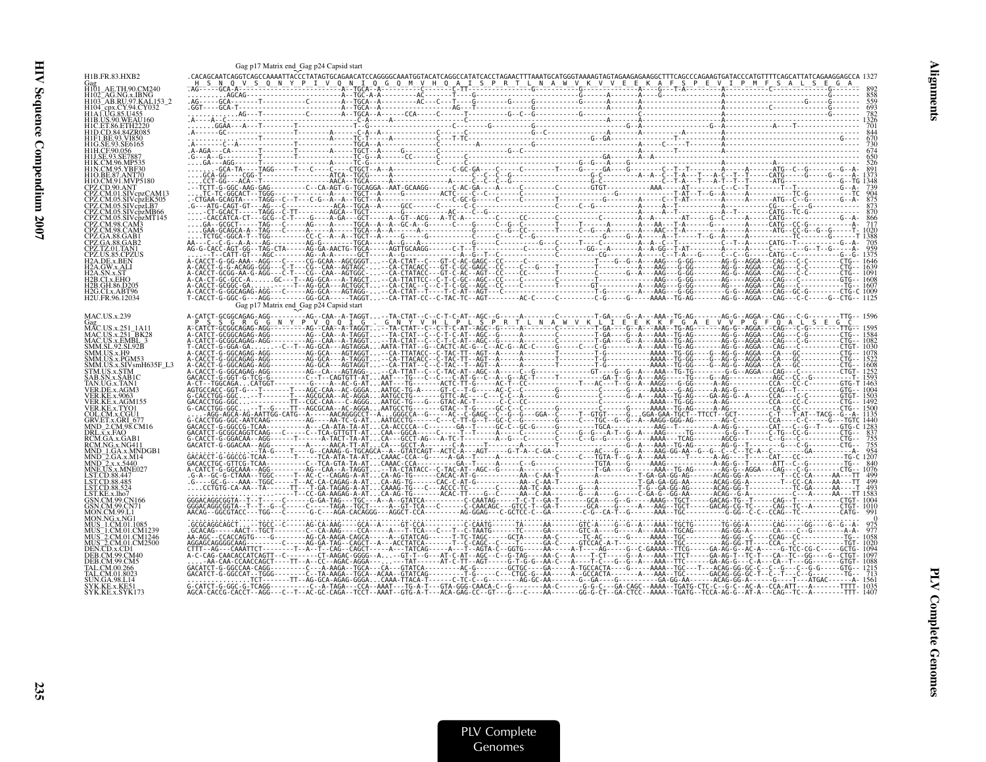|                                      | Gag p17 Matrix end Gag p24 Capsid start |  |  |  |
|--------------------------------------|-----------------------------------------|--|--|--|
| H1B.FR.83.HXB2                       |                                         |  |  |  |
|                                      |                                         |  |  |  |
| 1102_AG.NG.x.IBNG                    |                                         |  |  |  |
|                                      |                                         |  |  |  |
| 11B.US.90.WEAU160                    |                                         |  |  |  |
|                                      |                                         |  |  |  |
|                                      |                                         |  |  |  |
|                                      |                                         |  |  |  |
|                                      |                                         |  |  |  |
|                                      |                                         |  |  |  |
|                                      |                                         |  |  |  |
|                                      |                                         |  |  |  |
|                                      |                                         |  |  |  |
|                                      |                                         |  |  |  |
|                                      |                                         |  |  |  |
|                                      |                                         |  |  |  |
|                                      |                                         |  |  |  |
|                                      |                                         |  |  |  |
|                                      |                                         |  |  |  |
|                                      |                                         |  |  |  |
| I2B.GH.86.D205                       |                                         |  |  |  |
| I2G.CLx.ABT96<br>H2U.FR.96.12034     |                                         |  |  |  |
|                                      | Gag p17 Matrix end Gag p24 Capsid start |  |  |  |
| MAC.US.x.239                         |                                         |  |  |  |
| Gag<br>MAC.US.x.251_1A11<br>251_RK2  |                                         |  |  |  |
| MAC.US.x.251_BK28<br>MAC.US.x.EMBL_3 |                                         |  |  |  |
| MM.SL.92.SL92B                       |                                         |  |  |  |
| MM.US.x.H9<br>1M.US.x.PGM53          |                                         |  |  |  |
| IM.US.x.SIVsmH635F_L3<br>TM.US.x.STM |                                         |  |  |  |
|                                      |                                         |  |  |  |
|                                      |                                         |  |  |  |
|                                      |                                         |  |  |  |
|                                      |                                         |  |  |  |
| COL.CM.x.CGU1<br>RV ET x GRI-67      |                                         |  |  |  |
|                                      |                                         |  |  |  |
|                                      |                                         |  |  |  |
|                                      |                                         |  |  |  |
|                                      |                                         |  |  |  |
|                                      |                                         |  |  |  |
|                                      |                                         |  |  |  |
|                                      |                                         |  |  |  |
|                                      |                                         |  |  |  |
|                                      |                                         |  |  |  |
|                                      |                                         |  |  |  |
|                                      |                                         |  |  |  |
|                                      |                                         |  |  |  |
|                                      |                                         |  |  |  |
|                                      |                                         |  |  |  |
|                                      |                                         |  |  |  |
|                                      |                                         |  |  |  |
|                                      |                                         |  |  |  |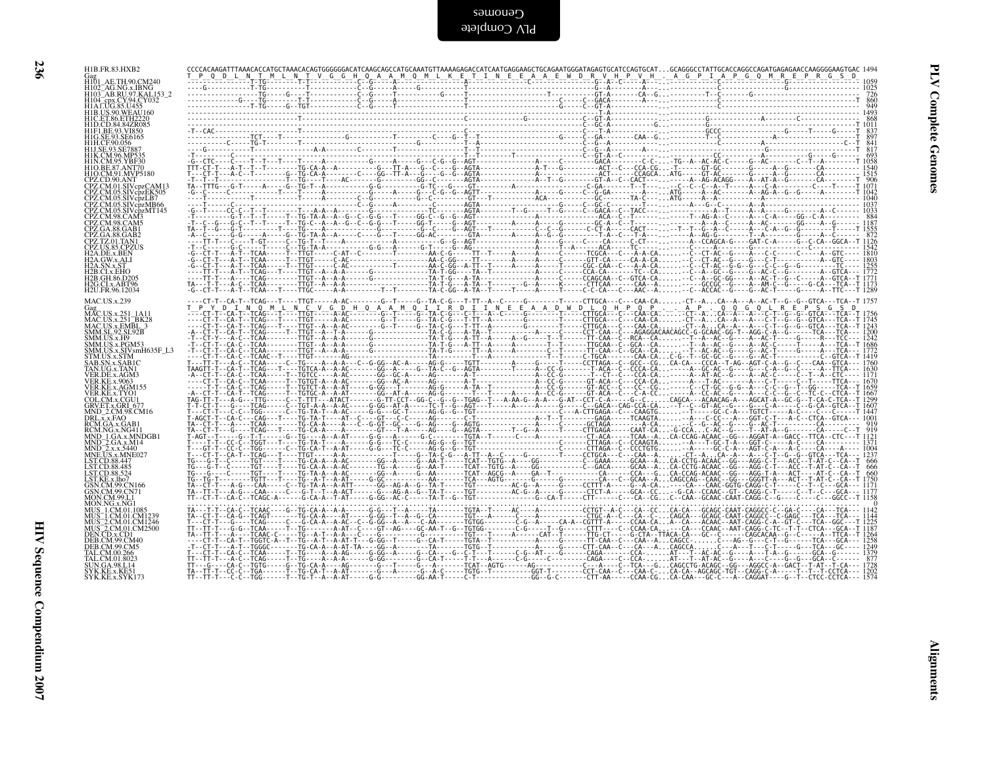| I |  |
|---|--|

| Gag<br>H101_AE.TH.90.CM240<br>H102_AG.NG.x.IBNG<br>H103_AB.RU.97.KAL.153_2<br>H104_asv.c v 94.CY032<br>H104_cpx.CY.94.CY032<br>H104_cpx.CY.94.CY032<br><b>H1B.US.90.WEAU160</b>                                                                                    |  |  |  |  |  |  |
|--------------------------------------------------------------------------------------------------------------------------------------------------------------------------------------------------------------------------------------------------------------------|--|--|--|--|--|--|
| HIB.US.90.WEAU<br>10 EET.86.ETH2220<br>HID.CD.84.84ZR085<br>HIF.I.BE.93.VI850<br>HIH.CF.90.056<br>HIH.CF.90.056<br>HIJ.SE.93.SE7887                                                                                                                                |  |  |  |  |  |  |
| H1K.CM.96.MP535<br>H1N.CM.95.YBF30<br>H1O.BE.87.ANT70<br>H1O.CM.91.MVP5180                                                                                                                                                                                         |  |  |  |  |  |  |
|                                                                                                                                                                                                                                                                    |  |  |  |  |  |  |
|                                                                                                                                                                                                                                                                    |  |  |  |  |  |  |
| HIO.CM.91.MVP5180<br>CPZ.CM.91.MVP5180<br>CPZ.CM.01.SIVcpzEK505<br>CPZ.CM.05.SIVcpzLR7<br>CPZ.CM.05.SIVcpzMF145<br>CPZ.CM.05.SIVcpzMF145<br>CPZ.CM.98.CAMS<br>CPZ.CM.98.CMM<br>CPZ.CM.98.CMM<br>CPZ.CM.88.GMB1<br>CPZ.CM.88.GMB1<br>CPZ.CM.88.CM2<br>CPZ.CM.88.CM2 |  |  |  |  |  |  |
| H2A.GW.x.ALI<br>H2A.SN.x.ST<br>H2B.CLx.EHO<br>H2B.CLx.EHO<br>H2B.GH.86.D205<br>H2B.GH.86.D205<br>H2U.FR.96.12034                                                                                                                                                   |  |  |  |  |  |  |
| MAC.US.x.239<br>Gag<br>MAC.US.x.251_1A11                                                                                                                                                                                                                           |  |  |  |  |  |  |
| MAC.US.x.251_BK28<br>MAC.US.x.251_BK28<br>MAC.US.x.EMBL_3<br>SMM.SL.92.SL92B                                                                                                                                                                                       |  |  |  |  |  |  |
| SMM.S.L.92.SL92B<br>SMM.US.x.H9<br>SMM.US.x.PGM53<br>SMM.US.x.SIVsmH635F_L3<br>SAB.SN.x.SABIC<br>SAB.SN.x.SABIC<br>VER DE x. TAM3                                                                                                                                  |  |  |  |  |  |  |
| VER.DE.x.AGM3<br><b>VER.KE.x.9063</b>                                                                                                                                                                                                                              |  |  |  |  |  |  |
| VER.KE.x.AGM155<br>VER.KE.x.AGM155<br>COL.CM.x.CGU1<br>GRV.ET.x.GRI_677<br>MND_2.CM.98.CM16                                                                                                                                                                        |  |  |  |  |  |  |
| MND-2.CM.98.CM16<br>DRL.x.x.FAO<br>RCM.GA.x.GAB1<br>MND-1.GA.x.MNDGB1<br>MND-2.GA.x.M14<br>MND-2.x.x.5440<br>MND-2.x.x.5440<br>MNE.US.x.MNE027                                                                                                                     |  |  |  |  |  |  |
| LST.CD.88.447                                                                                                                                                                                                                                                      |  |  |  |  |  |  |
| EST.CD.88.447<br>LST.CD.88.485<br>LST.CD.88.524<br>CSN.CM.99.CN166<br>GSN.CM.99.CN166<br><b>MON.CM.99.L1</b>                                                                                                                                                       |  |  |  |  |  |  |
| MON.NG.x.NG1<br>MUN.NG.X.NG1<br>MUS_1.CM.01.1085<br>MUS_1.CM.01.CM1239<br>MUS_2.CM.01.CM1246<br>MUS_2.CM.01.CD1<br>DEN.CD.x.CD1<br>DEN.CD.x.CD1<br>DER.CM.99.CM40                                                                                                  |  |  |  |  |  |  |
| DEB.CM.99.CM5                                                                                                                                                                                                                                                      |  |  |  |  |  |  |
| DEB.C.W.397.C.W.<br>TAL.C.M.00.266<br>TAL.C.M.01.8023<br>SVK.KE.x.KE51<br>SYK.KE.x.KE51                                                                                                                                                                            |  |  |  |  |  |  |
|                                                                                                                                                                                                                                                                    |  |  |  |  |  |  |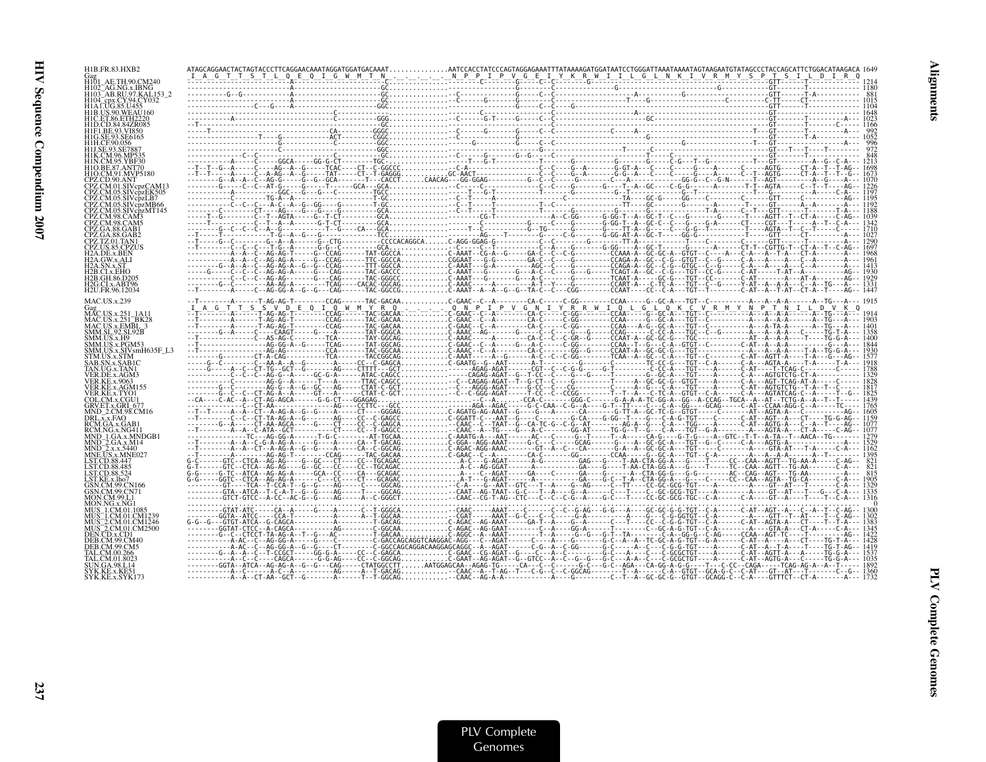Alignments

| H103 <sup>-</sup> AB.RU.97.KAL<br>H1A1.UG.85.U455<br><b>H1B.US.90.WEAU160</b><br><b>H1I SE 93 SE788</b><br>H1K.CM.96.MP535<br>H1O BE 87 ANT70<br>H1O CM 91 MVP5180<br>CPZ.CD.90.ANT<br>CPZ.CM.01.SIVcpzCAM13<br>CPZ.CM.05.SIVcdzEK505<br>CPZ CM 05.SIVcpzLB7<br>CPZ.CM.05.SIVcpzMB66<br>CPZ.CM.98.CAM3<br>CPZ.GA.88.GAB1<br>CPZ.GA.88.GAB2<br>CPZ TZ 01 TAN1<br>CPZ.US.85.CPZUS<br>H <sub>2</sub> A.DE.x.BEN<br>2B.CLx.EHO<br>42B.GH.86.D20<br>H2G.CLx.ABT96<br>H2U.FR.96.12034<br><b>MAC.US.x.239</b><br><b>US.x.251 BK28</b><br>MAC.US.x.EMBL 3<br>SMM.SL.92.SL92B<br>SMM.US.x.H9<br>SMM.US.x.PGM53<br>SMM.US.x.SIVsmH635F_L3<br>STM.US.x.STM<br>SAB.SN.x.SAB1C<br>FAN.UG.x.TAN1<br>VER.DE.x.AGM3<br>/ER.KE.x.TYO1<br>COL.CM.x.CGU1<br>GRV.ET.x.GRI 677<br>MND 2.CM.98.CM16<br>DRL.x.x.FAO<br>RCM.GA.x.GAB1<br>RCM.NG.x.NG411<br>MND 2.GA.x.M14<br>AND <sup>-2</sup> .x.x.5440<br>MNE.US.x.MNE027<br><b>ST.CD.88.447</b><br>ST.CD.88.485<br>T CD 88 524<br>MUS 1.CM.01.CM1239<br>MUS 2.CM.01.CM1246<br>MUS <sup>-2</sup> .CM.01.CM2500<br>DEN CD.x.CD1<br>DER CM 99 CM5 | H1B.FR.83.HXB2  |  |  |
|---------------------------------------------------------------------------------------------------------------------------------------------------------------------------------------------------------------------------------------------------------------------------------------------------------------------------------------------------------------------------------------------------------------------------------------------------------------------------------------------------------------------------------------------------------------------------------------------------------------------------------------------------------------------------------------------------------------------------------------------------------------------------------------------------------------------------------------------------------------------------------------------------------------------------------------------------------------------------------------------------------------------------------------------------------------------------|-----------------|--|--|
|                                                                                                                                                                                                                                                                                                                                                                                                                                                                                                                                                                                                                                                                                                                                                                                                                                                                                                                                                                                                                                                                           |                 |  |  |
| $\begin{array}{l} \textbf{0.69}\footnotesize{\begin{array}{l} \textbf{0.70}\footnotesize{\begin{array}{l} \textbf{0.81}\footnotesize{\begin{array}{l} \textbf{0.92}\footnotesize{\begin{array}{l} \textbf{0.93}\footnotesize{\begin{array}{l} \textbf{0.94}\footnotesize{\begin{array}{l} \textbf{0.95}\footnotesize{\begin{array}{l} \textbf{0.96}\footnotesize{\begin{array}{l} \textbf{0.97}\footnotesize{\begin{array}{l} \textbf{0.98}\footnotesize{\begin{array}{l} \textbf{0.98}\footnotesize{\begin{array}{l} \textbf{$                                                                                                                                                                                                                                                                                                                                                                                                                                                                                                                                           |                 |  |  |
|                                                                                                                                                                                                                                                                                                                                                                                                                                                                                                                                                                                                                                                                                                                                                                                                                                                                                                                                                                                                                                                                           |                 |  |  |
|                                                                                                                                                                                                                                                                                                                                                                                                                                                                                                                                                                                                                                                                                                                                                                                                                                                                                                                                                                                                                                                                           |                 |  |  |
|                                                                                                                                                                                                                                                                                                                                                                                                                                                                                                                                                                                                                                                                                                                                                                                                                                                                                                                                                                                                                                                                           |                 |  |  |
|                                                                                                                                                                                                                                                                                                                                                                                                                                                                                                                                                                                                                                                                                                                                                                                                                                                                                                                                                                                                                                                                           |                 |  |  |
|                                                                                                                                                                                                                                                                                                                                                                                                                                                                                                                                                                                                                                                                                                                                                                                                                                                                                                                                                                                                                                                                           |                 |  |  |
|                                                                                                                                                                                                                                                                                                                                                                                                                                                                                                                                                                                                                                                                                                                                                                                                                                                                                                                                                                                                                                                                           |                 |  |  |
|                                                                                                                                                                                                                                                                                                                                                                                                                                                                                                                                                                                                                                                                                                                                                                                                                                                                                                                                                                                                                                                                           |                 |  |  |
|                                                                                                                                                                                                                                                                                                                                                                                                                                                                                                                                                                                                                                                                                                                                                                                                                                                                                                                                                                                                                                                                           |                 |  |  |
|                                                                                                                                                                                                                                                                                                                                                                                                                                                                                                                                                                                                                                                                                                                                                                                                                                                                                                                                                                                                                                                                           |                 |  |  |
|                                                                                                                                                                                                                                                                                                                                                                                                                                                                                                                                                                                                                                                                                                                                                                                                                                                                                                                                                                                                                                                                           |                 |  |  |
|                                                                                                                                                                                                                                                                                                                                                                                                                                                                                                                                                                                                                                                                                                                                                                                                                                                                                                                                                                                                                                                                           |                 |  |  |
|                                                                                                                                                                                                                                                                                                                                                                                                                                                                                                                                                                                                                                                                                                                                                                                                                                                                                                                                                                                                                                                                           |                 |  |  |
|                                                                                                                                                                                                                                                                                                                                                                                                                                                                                                                                                                                                                                                                                                                                                                                                                                                                                                                                                                                                                                                                           |                 |  |  |
|                                                                                                                                                                                                                                                                                                                                                                                                                                                                                                                                                                                                                                                                                                                                                                                                                                                                                                                                                                                                                                                                           |                 |  |  |
|                                                                                                                                                                                                                                                                                                                                                                                                                                                                                                                                                                                                                                                                                                                                                                                                                                                                                                                                                                                                                                                                           |                 |  |  |
|                                                                                                                                                                                                                                                                                                                                                                                                                                                                                                                                                                                                                                                                                                                                                                                                                                                                                                                                                                                                                                                                           |                 |  |  |
|                                                                                                                                                                                                                                                                                                                                                                                                                                                                                                                                                                                                                                                                                                                                                                                                                                                                                                                                                                                                                                                                           |                 |  |  |
|                                                                                                                                                                                                                                                                                                                                                                                                                                                                                                                                                                                                                                                                                                                                                                                                                                                                                                                                                                                                                                                                           |                 |  |  |
|                                                                                                                                                                                                                                                                                                                                                                                                                                                                                                                                                                                                                                                                                                                                                                                                                                                                                                                                                                                                                                                                           |                 |  |  |
|                                                                                                                                                                                                                                                                                                                                                                                                                                                                                                                                                                                                                                                                                                                                                                                                                                                                                                                                                                                                                                                                           |                 |  |  |
|                                                                                                                                                                                                                                                                                                                                                                                                                                                                                                                                                                                                                                                                                                                                                                                                                                                                                                                                                                                                                                                                           |                 |  |  |
|                                                                                                                                                                                                                                                                                                                                                                                                                                                                                                                                                                                                                                                                                                                                                                                                                                                                                                                                                                                                                                                                           |                 |  |  |
|                                                                                                                                                                                                                                                                                                                                                                                                                                                                                                                                                                                                                                                                                                                                                                                                                                                                                                                                                                                                                                                                           |                 |  |  |
|                                                                                                                                                                                                                                                                                                                                                                                                                                                                                                                                                                                                                                                                                                                                                                                                                                                                                                                                                                                                                                                                           |                 |  |  |
|                                                                                                                                                                                                                                                                                                                                                                                                                                                                                                                                                                                                                                                                                                                                                                                                                                                                                                                                                                                                                                                                           |                 |  |  |
|                                                                                                                                                                                                                                                                                                                                                                                                                                                                                                                                                                                                                                                                                                                                                                                                                                                                                                                                                                                                                                                                           |                 |  |  |
|                                                                                                                                                                                                                                                                                                                                                                                                                                                                                                                                                                                                                                                                                                                                                                                                                                                                                                                                                                                                                                                                           |                 |  |  |
|                                                                                                                                                                                                                                                                                                                                                                                                                                                                                                                                                                                                                                                                                                                                                                                                                                                                                                                                                                                                                                                                           |                 |  |  |
|                                                                                                                                                                                                                                                                                                                                                                                                                                                                                                                                                                                                                                                                                                                                                                                                                                                                                                                                                                                                                                                                           |                 |  |  |
|                                                                                                                                                                                                                                                                                                                                                                                                                                                                                                                                                                                                                                                                                                                                                                                                                                                                                                                                                                                                                                                                           |                 |  |  |
|                                                                                                                                                                                                                                                                                                                                                                                                                                                                                                                                                                                                                                                                                                                                                                                                                                                                                                                                                                                                                                                                           |                 |  |  |
|                                                                                                                                                                                                                                                                                                                                                                                                                                                                                                                                                                                                                                                                                                                                                                                                                                                                                                                                                                                                                                                                           |                 |  |  |
|                                                                                                                                                                                                                                                                                                                                                                                                                                                                                                                                                                                                                                                                                                                                                                                                                                                                                                                                                                                                                                                                           |                 |  |  |
|                                                                                                                                                                                                                                                                                                                                                                                                                                                                                                                                                                                                                                                                                                                                                                                                                                                                                                                                                                                                                                                                           |                 |  |  |
|                                                                                                                                                                                                                                                                                                                                                                                                                                                                                                                                                                                                                                                                                                                                                                                                                                                                                                                                                                                                                                                                           |                 |  |  |
|                                                                                                                                                                                                                                                                                                                                                                                                                                                                                                                                                                                                                                                                                                                                                                                                                                                                                                                                                                                                                                                                           |                 |  |  |
|                                                                                                                                                                                                                                                                                                                                                                                                                                                                                                                                                                                                                                                                                                                                                                                                                                                                                                                                                                                                                                                                           |                 |  |  |
|                                                                                                                                                                                                                                                                                                                                                                                                                                                                                                                                                                                                                                                                                                                                                                                                                                                                                                                                                                                                                                                                           |                 |  |  |
|                                                                                                                                                                                                                                                                                                                                                                                                                                                                                                                                                                                                                                                                                                                                                                                                                                                                                                                                                                                                                                                                           |                 |  |  |
|                                                                                                                                                                                                                                                                                                                                                                                                                                                                                                                                                                                                                                                                                                                                                                                                                                                                                                                                                                                                                                                                           |                 |  |  |
|                                                                                                                                                                                                                                                                                                                                                                                                                                                                                                                                                                                                                                                                                                                                                                                                                                                                                                                                                                                                                                                                           |                 |  |  |
|                                                                                                                                                                                                                                                                                                                                                                                                                                                                                                                                                                                                                                                                                                                                                                                                                                                                                                                                                                                                                                                                           |                 |  |  |
|                                                                                                                                                                                                                                                                                                                                                                                                                                                                                                                                                                                                                                                                                                                                                                                                                                                                                                                                                                                                                                                                           |                 |  |  |
|                                                                                                                                                                                                                                                                                                                                                                                                                                                                                                                                                                                                                                                                                                                                                                                                                                                                                                                                                                                                                                                                           |                 |  |  |
|                                                                                                                                                                                                                                                                                                                                                                                                                                                                                                                                                                                                                                                                                                                                                                                                                                                                                                                                                                                                                                                                           |                 |  |  |
|                                                                                                                                                                                                                                                                                                                                                                                                                                                                                                                                                                                                                                                                                                                                                                                                                                                                                                                                                                                                                                                                           |                 |  |  |
|                                                                                                                                                                                                                                                                                                                                                                                                                                                                                                                                                                                                                                                                                                                                                                                                                                                                                                                                                                                                                                                                           |                 |  |  |
|                                                                                                                                                                                                                                                                                                                                                                                                                                                                                                                                                                                                                                                                                                                                                                                                                                                                                                                                                                                                                                                                           |                 |  |  |
|                                                                                                                                                                                                                                                                                                                                                                                                                                                                                                                                                                                                                                                                                                                                                                                                                                                                                                                                                                                                                                                                           | SYK.KE.x.SYK173 |  |  |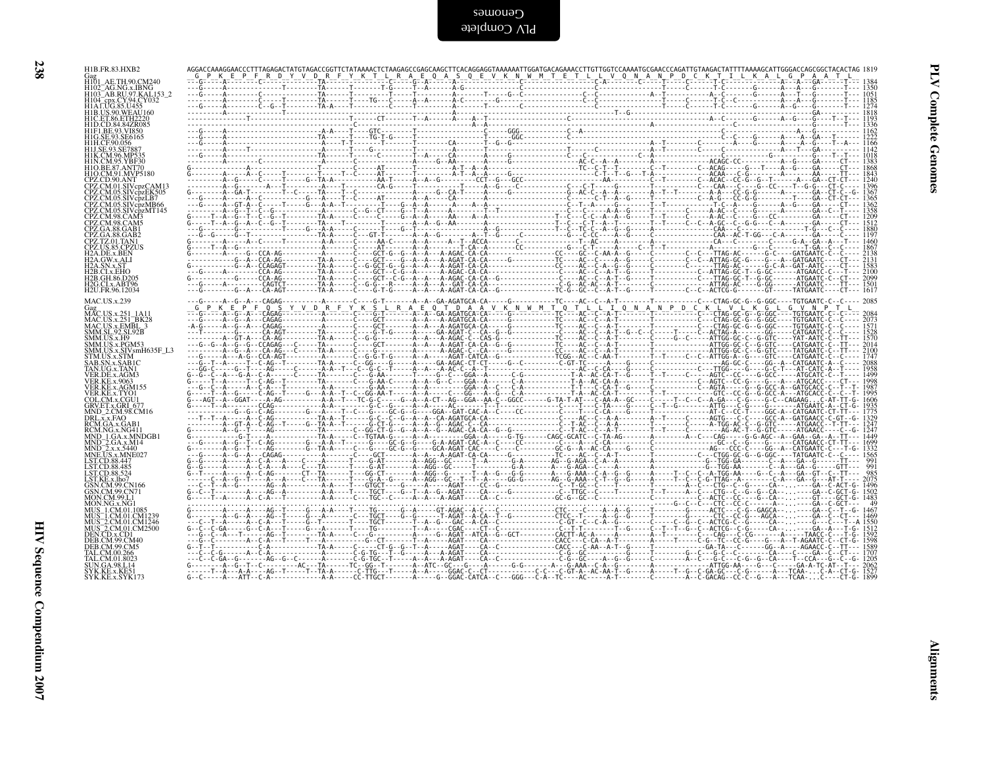| I  |  |
|----|--|
| ۰. |  |

| HIB.US.90.WEAU160<br>HIC.ET.86.ETH2220<br>HID.CD.84.84ZR085<br>HIFI.BE.93.VI850<br>HIG.SE.93.SE6165<br>HIH.CF.90.056<br>H1J.SE.93.SE7887<br>HIK.CM.96.MP535<br>HIK.CM.95.YBF30<br>HIO.BE.87.ANT70<br>HIO.CM.91.MVP5180<br>CPZ.CD.90.ANT<br>CPZ.CD.90.ANT<br>CPZ.CM.01.SIVcpzCAM13<br>CPZ.CM.01.SIVepzCAW11<br>CPZ.CM.05.SIVepzLB7<br>CPZ.CM.05.SIVepzLB7<br>CPZ.CM.05.SIVepzMT145<br>CPZ.CM.98.CAM5<br>CPZ.CM.98.CAM5<br>CPZ.CA.88.GAB1<br>CPZ.GA.88.GAB2<br>CPZ.TZ.01.TAN1<br>CPZ.US.85.CPZUS<br>H2A.DE.x.BEN<br>H2A.QW.x.ALI<br>H2A.SN.x.ST<br>H2B.CI.x.EHO |  |
|---------------------------------------------------------------------------------------------------------------------------------------------------------------------------------------------------------------------------------------------------------------------------------------------------------------------------------------------------------------------------------------------------------------------------------------------------------------------------------------------------------------------------------------------------------------|--|
|                                                                                                                                                                                                                                                                                                                                                                                                                                                                                                                                                               |  |
|                                                                                                                                                                                                                                                                                                                                                                                                                                                                                                                                                               |  |
|                                                                                                                                                                                                                                                                                                                                                                                                                                                                                                                                                               |  |
|                                                                                                                                                                                                                                                                                                                                                                                                                                                                                                                                                               |  |
| MAC.US.x.239                                                                                                                                                                                                                                                                                                                                                                                                                                                                                                                                                  |  |
| SMM.US.x.H9<br>SMM.US.x.H9<br>SMM.US.x.PGM53<br>SMM.US.x.STM<br>STM.US.x.STM<br>SAB.SN.x.SAB1C<br>TAN.UG.x.TAN1<br>VER.DE.x.AGM3                                                                                                                                                                                                                                                                                                                                                                                                                              |  |
| VER.BE.x.AGWE3<br>VER.KE.x.AGM155<br>VER.KE.x.AGM155<br>COL.CM.x.CGU1<br>GRV.E 7.x.GRU5 6741<br>MRV.E 7.x.GRU5 6741<br>MND_2.CM.98.CM16                                                                                                                                                                                                                                                                                                                                                                                                                       |  |
| MND_2CM-98.CM16<br>DRLxx,FAO<br>RCM.NG.x,GAB1<br>RCM.NG.x,NG411<br>RCM.NG.x,SA40<br>MND_2.GA.x,M44<br>MND_2.x,X,SA40<br>NCCX,SA402027<br>LST.CD.88.4452<br>LST.CD.88.4452<br>LST.CD.88.4524<br>LST.CD.88.4524                                                                                                                                                                                                                                                                                                                                                 |  |
| GSN.CM.99.CN166<br>GSN.CM.99.CN71                                                                                                                                                                                                                                                                                                                                                                                                                                                                                                                             |  |
| GSN.CM.99.CN71<br>MON.CM.99.L1<br>MUS_1.CM.01.1085<br>MUS_1.CM.01.1085<br>MUS_2.CM.01.CM1246<br>MUS_2.CM.01.CM2500<br>DEB.CM.99.CM40<br>DEB.CM.99.CM40<br>DEB.CM.99.CM40<br>DEB.CM.99.CM40<br>TAL CM 00.265                                                                                                                                                                                                                                                                                                                                                   |  |
| FAL.CM.00.266<br>TAL.CM.00.266<br>SUN.GA.98.L14<br>SYK.KE.x.KE51                                                                                                                                                                                                                                                                                                                                                                                                                                                                                              |  |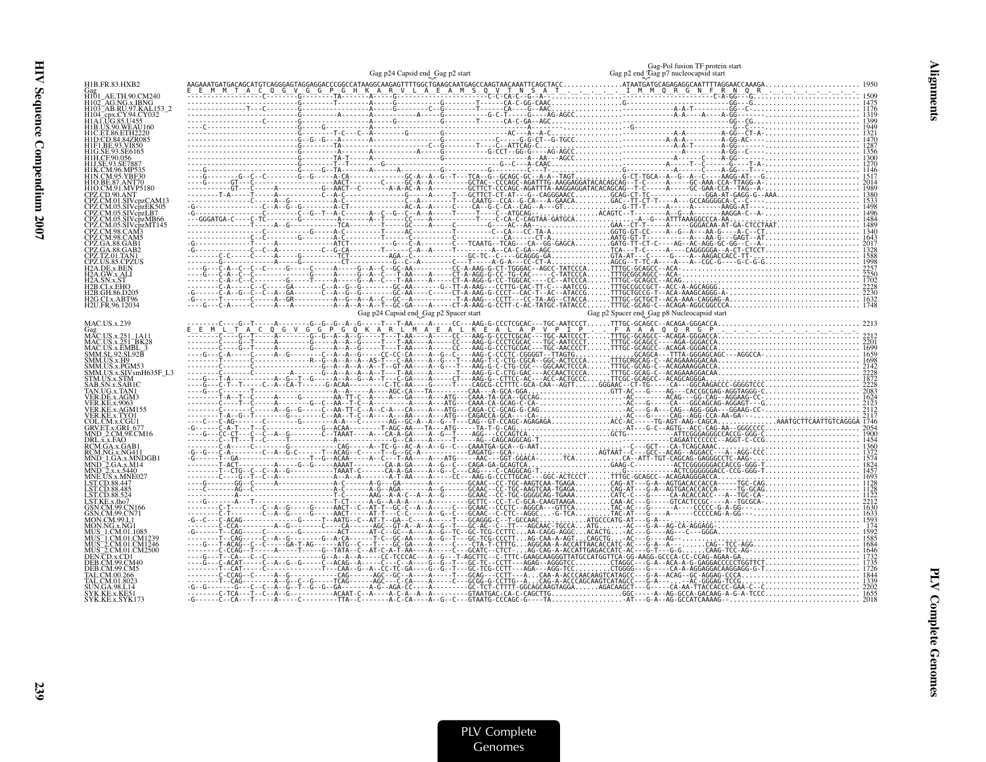|                                                                                                                                                                          | Gag p24 Capsid end_Gag p2 start        | Gag-Pol fusion TF protein start<br>Gag p2 end Gag p7 nucleocapsid start |
|--------------------------------------------------------------------------------------------------------------------------------------------------------------------------|----------------------------------------|-------------------------------------------------------------------------|
| H1B.FR.83.HXB2                                                                                                                                                           |                                        |                                                                         |
| Gag<br>H101_AE.TH.90.CM240                                                                                                                                               |                                        |                                                                         |
|                                                                                                                                                                          |                                        |                                                                         |
|                                                                                                                                                                          |                                        |                                                                         |
|                                                                                                                                                                          |                                        |                                                                         |
|                                                                                                                                                                          |                                        |                                                                         |
|                                                                                                                                                                          |                                        |                                                                         |
|                                                                                                                                                                          |                                        |                                                                         |
|                                                                                                                                                                          |                                        |                                                                         |
|                                                                                                                                                                          |                                        |                                                                         |
|                                                                                                                                                                          |                                        |                                                                         |
|                                                                                                                                                                          |                                        |                                                                         |
|                                                                                                                                                                          |                                        |                                                                         |
|                                                                                                                                                                          |                                        |                                                                         |
|                                                                                                                                                                          |                                        |                                                                         |
|                                                                                                                                                                          |                                        |                                                                         |
|                                                                                                                                                                          |                                        |                                                                         |
| 2G.CLx.ABT96                                                                                                                                                             |                                        |                                                                         |
| H2U.FR.96.12034                                                                                                                                                          |                                        |                                                                         |
| <b>MAC.US.x.239</b>                                                                                                                                                      | Gag p24 Capsid end_Gag p2 Spacer start | Gag p2 Spacer end_Gag p8 Nucleocapsid start                             |
| <b>START CONTRACTS</b><br>MAC.US.x.251_BK28<br>MAC.US.x.251_BK28<br>MAC.US.x.EMBL_3<br>SMM.SL.92.SL92B<br>SMM.US.x.H9<br>SMM.US.x.H9<br>SMM.US.x.PGM53<br>SMM.US.x.PGM53 |                                        |                                                                         |
|                                                                                                                                                                          |                                        |                                                                         |
|                                                                                                                                                                          |                                        |                                                                         |
|                                                                                                                                                                          |                                        |                                                                         |
|                                                                                                                                                                          |                                        |                                                                         |
|                                                                                                                                                                          |                                        |                                                                         |
|                                                                                                                                                                          |                                        |                                                                         |
|                                                                                                                                                                          |                                        |                                                                         |
|                                                                                                                                                                          |                                        |                                                                         |
|                                                                                                                                                                          |                                        |                                                                         |
|                                                                                                                                                                          |                                        |                                                                         |
|                                                                                                                                                                          |                                        |                                                                         |
|                                                                                                                                                                          |                                        |                                                                         |
|                                                                                                                                                                          |                                        |                                                                         |
|                                                                                                                                                                          |                                        |                                                                         |
|                                                                                                                                                                          |                                        |                                                                         |
|                                                                                                                                                                          |                                        |                                                                         |
|                                                                                                                                                                          |                                        |                                                                         |
|                                                                                                                                                                          |                                        |                                                                         |
|                                                                                                                                                                          |                                        |                                                                         |
|                                                                                                                                                                          |                                        |                                                                         |
|                                                                                                                                                                          |                                        |                                                                         |
| SYK.KE.x.SYK173                                                                                                                                                          |                                        |                                                                         |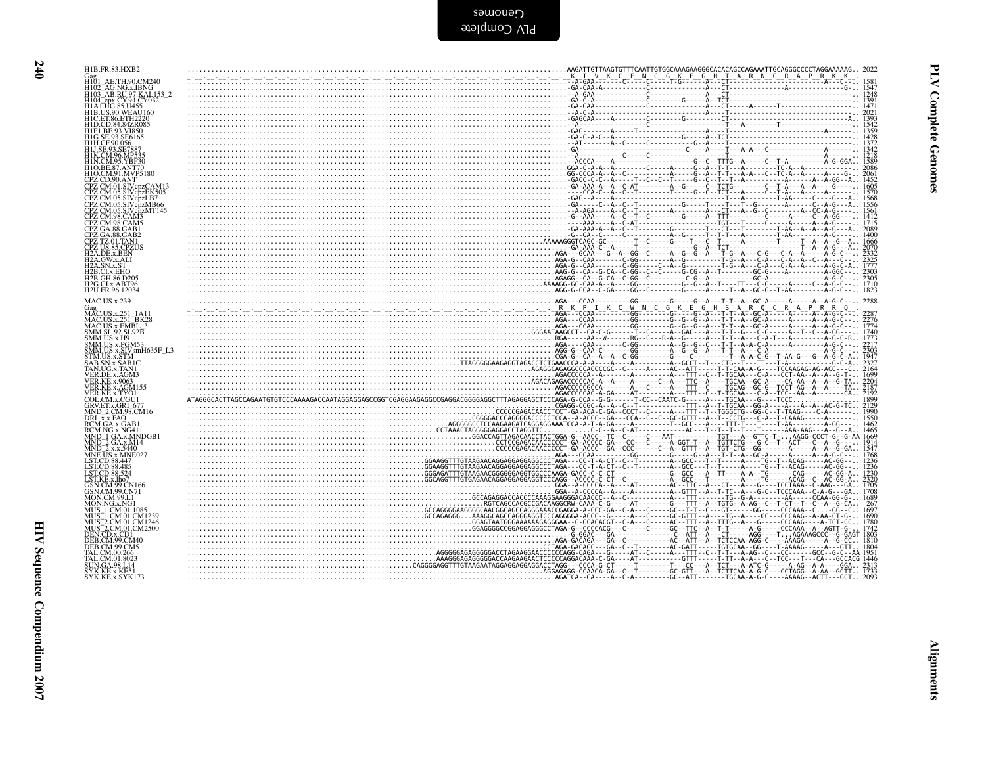Cenomes<br>applete

| H1B.FR.83.HXB2                                                   |                                                                                                                                                                                                                                                                                                                                                                                                                   |
|------------------------------------------------------------------|-------------------------------------------------------------------------------------------------------------------------------------------------------------------------------------------------------------------------------------------------------------------------------------------------------------------------------------------------------------------------------------------------------------------|
| AE.TH.90.CM240                                                   |                                                                                                                                                                                                                                                                                                                                                                                                                   |
| H102 <sup>-</sup> AG.NG.x.IBNG                                   |                                                                                                                                                                                                                                                                                                                                                                                                                   |
| H103 <sup>-</sup> AB.RU.97.KAL153-2<br>H104_cpx.CY.94.CY032      |                                                                                                                                                                                                                                                                                                                                                                                                                   |
| H1A LUG.85.U455                                                  |                                                                                                                                                                                                                                                                                                                                                                                                                   |
| H1B.US.90.WEAU160                                                |                                                                                                                                                                                                                                                                                                                                                                                                                   |
| H1C. ET. 86. ETH 2220<br>H1D.CD.84.84ZR085                       |                                                                                                                                                                                                                                                                                                                                                                                                                   |
| H1F1.BE.93.VI850                                                 |                                                                                                                                                                                                                                                                                                                                                                                                                   |
| H1G.SE.93.SE6165                                                 |                                                                                                                                                                                                                                                                                                                                                                                                                   |
| H1H.CE90.056<br>H1J.SE.93.SE7887                                 |                                                                                                                                                                                                                                                                                                                                                                                                                   |
| H1K.CM.96.MP535                                                  |                                                                                                                                                                                                                                                                                                                                                                                                                   |
| H1N.CM.95.YBF30                                                  |                                                                                                                                                                                                                                                                                                                                                                                                                   |
| H1O.BE.87.ANT70<br>H1O.CM.91.MVP5180                             |                                                                                                                                                                                                                                                                                                                                                                                                                   |
| CPZ.CD.90.ANT                                                    |                                                                                                                                                                                                                                                                                                                                                                                                                   |
| CPZ.CM.01.SIVcpzCAM13<br>CPZ.CM.05.SIVcpzEK505                   |                                                                                                                                                                                                                                                                                                                                                                                                                   |
| CPZ.CM.05.SIVcpzLB7                                              |                                                                                                                                                                                                                                                                                                                                                                                                                   |
| CPZ.CM.05.SIVcpzMB66                                             |                                                                                                                                                                                                                                                                                                                                                                                                                   |
| CPZ.CM.05.SIVcpzMT145<br>CPZ.CM.98.CAM3                          |                                                                                                                                                                                                                                                                                                                                                                                                                   |
| CPZ.CM.98.CAM5                                                   |                                                                                                                                                                                                                                                                                                                                                                                                                   |
| CPZ.GA.88.GAB1<br>CPZ.GA.88.GAB2                                 |                                                                                                                                                                                                                                                                                                                                                                                                                   |
| CPZ.TZ.01.TAN1                                                   | $\frac{1}{666} \cdot \frac{1}{666} \cdot \frac{1}{666} \cdot \frac{1}{666} \cdot \frac{1}{666} \cdot \frac{1}{666} \cdot \frac{1}{666} \cdot \frac{1}{666} \cdot \frac{1}{666} \cdot \frac{1}{666} \cdot \frac{1}{666} \cdot \frac{1}{666} \cdot \frac{1}{666} \cdot \frac{1}{666} \cdot \frac{1}{666} \cdot \frac{1}{666} \cdot \frac{1}{666} \cdot \frac{1}{666} \cdot \frac{1}{666} \cdot \frac{1}{666} \cdot$ |
| CPZ.US.85.CPZUS                                                  |                                                                                                                                                                                                                                                                                                                                                                                                                   |
| H2A.DE.x.BEN<br>H2A.GW.x.ALI                                     |                                                                                                                                                                                                                                                                                                                                                                                                                   |
|                                                                  |                                                                                                                                                                                                                                                                                                                                                                                                                   |
| 42B CLx EHO                                                      |                                                                                                                                                                                                                                                                                                                                                                                                                   |
| H2B.GH.86.D205<br>H2G.CLx.ABT96                                  |                                                                                                                                                                                                                                                                                                                                                                                                                   |
| H2U.FR.96.12034                                                  |                                                                                                                                                                                                                                                                                                                                                                                                                   |
| <b>MAC.US.x.239</b>                                              |                                                                                                                                                                                                                                                                                                                                                                                                                   |
| Gag<br>MAC.US.x.251                                              |                                                                                                                                                                                                                                                                                                                                                                                                                   |
|                                                                  |                                                                                                                                                                                                                                                                                                                                                                                                                   |
| MAC.US.x.251_BK28<br>MAC.US.x.EMBL_3                             |                                                                                                                                                                                                                                                                                                                                                                                                                   |
| SMM.SL.92.SL92B                                                  |                                                                                                                                                                                                                                                                                                                                                                                                                   |
| SMM.US.x.H9<br>SMM.US.x.PGM53                                    |                                                                                                                                                                                                                                                                                                                                                                                                                   |
| SMM.US.x.SIVsmH635F_L3                                           |                                                                                                                                                                                                                                                                                                                                                                                                                   |
| STM.US.x.STM                                                     |                                                                                                                                                                                                                                                                                                                                                                                                                   |
| SAB.SN.x.SAB1C<br>TAN.UG.x.TAN1                                  |                                                                                                                                                                                                                                                                                                                                                                                                                   |
| VER.DE.x.AGM3                                                    |                                                                                                                                                                                                                                                                                                                                                                                                                   |
| <b>VER.KE.x.9063</b><br>VER.KE.x.AGM155                          |                                                                                                                                                                                                                                                                                                                                                                                                                   |
| VER.KE.x.TYO1<br>COL.CM.x.CGU1                                   |                                                                                                                                                                                                                                                                                                                                                                                                                   |
| GRV.ET.x.GRI 677                                                 |                                                                                                                                                                                                                                                                                                                                                                                                                   |
| MND_2.CM.98.CM16                                                 |                                                                                                                                                                                                                                                                                                                                                                                                                   |
| DRL.x.x.FAQ                                                      |                                                                                                                                                                                                                                                                                                                                                                                                                   |
| RCM.GA.x.GAB1<br>RCM.NG.x.NG411                                  |                                                                                                                                                                                                                                                                                                                                                                                                                   |
| MND 1.GA.x.MNDGB1                                                |                                                                                                                                                                                                                                                                                                                                                                                                                   |
| MND <sup>-2</sup> .GA.x.M14<br>MND-2.x.x.5440<br>MNE.US.x.MNE027 |                                                                                                                                                                                                                                                                                                                                                                                                                   |
|                                                                  |                                                                                                                                                                                                                                                                                                                                                                                                                   |
| LST.CD.88.447                                                    |                                                                                                                                                                                                                                                                                                                                                                                                                   |
| LST.CD.88.485<br>LST.CD.88.524                                   |                                                                                                                                                                                                                                                                                                                                                                                                                   |
| LST.KE.x.lho7                                                    |                                                                                                                                                                                                                                                                                                                                                                                                                   |
| GSN.CM.99.CN166<br>GSN.CM.99.CN71                                |                                                                                                                                                                                                                                                                                                                                                                                                                   |
| MON.CM.99.L1                                                     |                                                                                                                                                                                                                                                                                                                                                                                                                   |
| MON.NG.x.NG1                                                     |                                                                                                                                                                                                                                                                                                                                                                                                                   |
| MUS 1.CM.01.1085<br>MUS¯1.CM.01.CM1239                           |                                                                                                                                                                                                                                                                                                                                                                                                                   |
|                                                                  |                                                                                                                                                                                                                                                                                                                                                                                                                   |
| MUS 2.CM.01.CM1246<br>MUS 2.CM.01.CM2500<br>DEN.CD.x.CD1         |                                                                                                                                                                                                                                                                                                                                                                                                                   |
| DEB.CM.99.CM40                                                   |                                                                                                                                                                                                                                                                                                                                                                                                                   |
| DEB.CM.99.CM5                                                    |                                                                                                                                                                                                                                                                                                                                                                                                                   |
| TAL.CM.00.266<br>TAL.CM.01.8023                                  |                                                                                                                                                                                                                                                                                                                                                                                                                   |
| UN.GA.98.L14                                                     |                                                                                                                                                                                                                                                                                                                                                                                                                   |
| ¦YK.KE.x.KE5<br>SYK.KE.x.SYK173                                  | AGATCA--GA----A--C-A---------GC--ATT-------TGCAA-A-G-C----AAAAG--ACTT---GCT2093                                                                                                                                                                                                                                                                                                                                   |
|                                                                  |                                                                                                                                                                                                                                                                                                                                                                                                                   |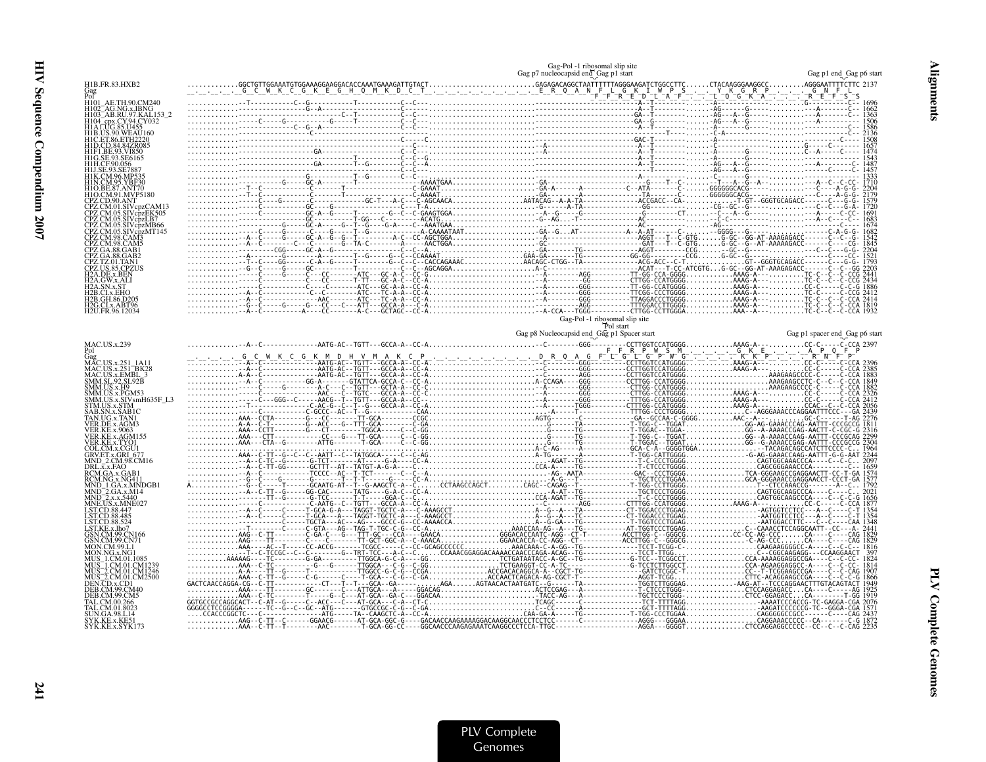| H1B.FR.83.HXB2                                                                   |                                             |  |                                |
|----------------------------------------------------------------------------------|---------------------------------------------|--|--------------------------------|
|                                                                                  |                                             |  |                                |
| H101_AE.1H.yo.com<br>H102_AG.NG.x.IBNG<br>H103_AB.RU.97.KAL.153_2<br>CY.94.CY032 |                                             |  |                                |
|                                                                                  |                                             |  |                                |
|                                                                                  |                                             |  |                                |
|                                                                                  |                                             |  |                                |
|                                                                                  |                                             |  |                                |
|                                                                                  |                                             |  |                                |
|                                                                                  |                                             |  |                                |
|                                                                                  |                                             |  |                                |
|                                                                                  |                                             |  |                                |
|                                                                                  |                                             |  |                                |
|                                                                                  |                                             |  |                                |
|                                                                                  |                                             |  |                                |
|                                                                                  |                                             |  |                                |
|                                                                                  |                                             |  |                                |
|                                                                                  |                                             |  |                                |
| G.CLx.ABT96                                                                      |                                             |  |                                |
| I2U FR 96 12034                                                                  |                                             |  |                                |
|                                                                                  | Gag-Pol -1 ribosomal slip site<br>Pol start |  |                                |
|                                                                                  | Gag p8 Nucleocapsid end_Gag p1 Spacer start |  | Gag p1 spacer end_Gag p6 start |
| MAC.US.x.239<br>Pol                                                              |                                             |  |                                |
| Fol<br>MAC.US.x.251_1A11<br>MAC.US.x.251_BK28<br>MAC.US.x.EMBL_3                 |                                             |  |                                |
| SMM.SL.92.SL92B                                                                  |                                             |  |                                |
| MM.US.x.H9                                                                       |                                             |  |                                |
|                                                                                  |                                             |  |                                |
|                                                                                  |                                             |  |                                |
|                                                                                  |                                             |  |                                |
|                                                                                  |                                             |  |                                |
|                                                                                  |                                             |  |                                |
|                                                                                  |                                             |  |                                |
|                                                                                  |                                             |  |                                |
|                                                                                  |                                             |  |                                |
|                                                                                  |                                             |  |                                |
|                                                                                  |                                             |  |                                |
|                                                                                  |                                             |  |                                |
|                                                                                  |                                             |  |                                |
|                                                                                  |                                             |  |                                |
|                                                                                  |                                             |  |                                |
|                                                                                  |                                             |  |                                |
|                                                                                  |                                             |  |                                |
|                                                                                  |                                             |  |                                |
|                                                                                  |                                             |  |                                |

Alignments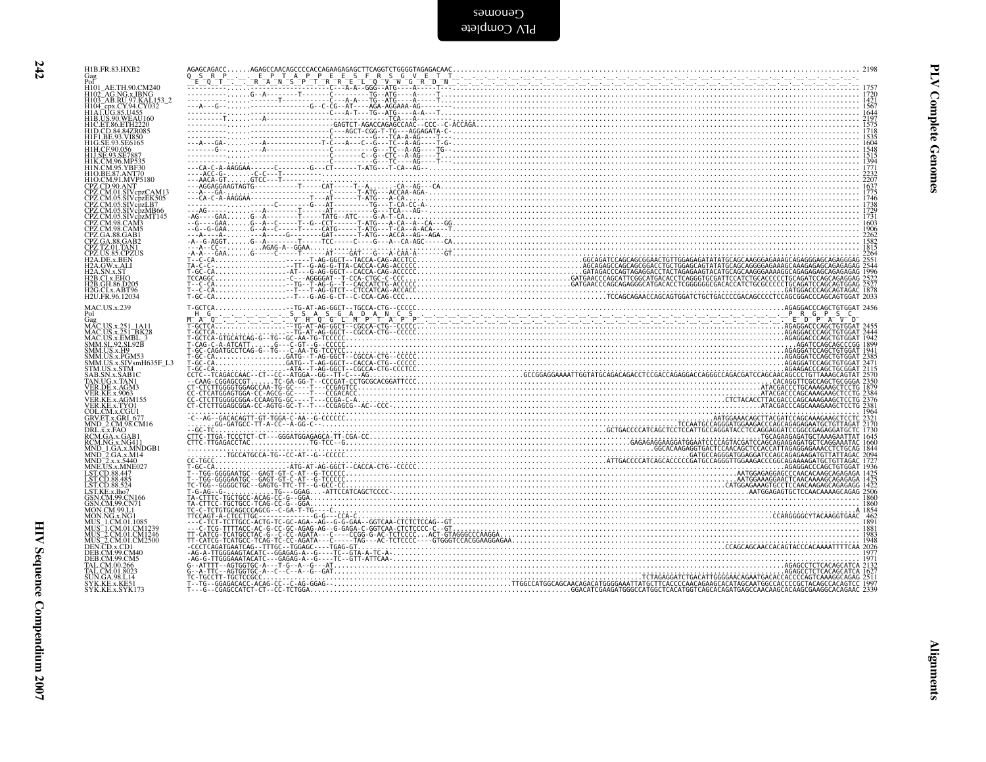|  | Gag (1971)<br>For Hold AE.TH.90,CM240<br>H101 AE.TH.90,CM240<br>H102 AG.NG.x.IBNG<br>H104 Cpx.CY.94,CY.032<br>H104 Cpx.CY.94,CY.032<br>H104 Cpx.CY.94,CY.032<br>H10. CD.84,34/ZR085<br>H11,CE.93, NESS<br>H10. SE.93, NESS<br>H10. SE.93, NESS<br>H10. SE.93, N       |
|--|-----------------------------------------------------------------------------------------------------------------------------------------------------------------------------------------------------------------------------------------------------------------------|
|  | H2A.GW.x.ALI<br>H2A.GW.x.ALI<br>112A.S.N.X.ST<br>H2B.CI.x.EHO<br>H2B.GH.86.D205<br>H2G.CI.x.ABT96<br>H2U.FR.96.12034                                                                                                                                                  |
|  | MAC.US.x.239<br>Pol<br>Gag<br>MAC.US.x.251_BK28<br>MAC.US.x.251_BK28<br>MAC.US.x.PGBL_3<br>SMM.US.x.PGM33<br>SMM.US.x.SIV.smH635F_L3<br>SMM.US.x.SIV.smH635F_L3<br>STM.US.x.SIV.smH635F_L3<br>STM.US.x.SIV.smH635F_L3                                                 |
|  | STMUSS.STM<br>SAB.SN.x.SABIC<br>TANUG.x.TANI<br>VER.KE.x.9063<br>VER.KE.x.4GM155<br>VER.KE.x.TYO1<br>CRV.ET.x.GRI_677<br>GRV.ET.x.GRI_677<br>MND_2.CM.98.CM16<br>NRI_x_FA0                                                                                            |
|  |                                                                                                                                                                                                                                                                       |
|  |                                                                                                                                                                                                                                                                       |
|  | NNNE 2, CMG8C/M<br>REALXX: FAQ, BRIT<br>REMARK: FAQ, BRIT<br>REMARK: NORMAN<br>REMARK: NORMAN<br>REMARK: NORMAN<br>REMARK: NORMAN<br>NNNE 2, XX: SAMP<br>LIST CD 88, 485<br>LIST CD 88, 485<br>LIST CD 88, 485<br>LIST CD 88, 485<br>LIST CD 88, 485<br>DIST CORMAN C |
|  | DEB.C.W.39.C.W.<br>TAL.C.M.00.266<br>TAL.C.M.01.8023<br>SYK.KE.x.KE51<br>SYK.KE.x.SYK173                                                                                                                                                                              |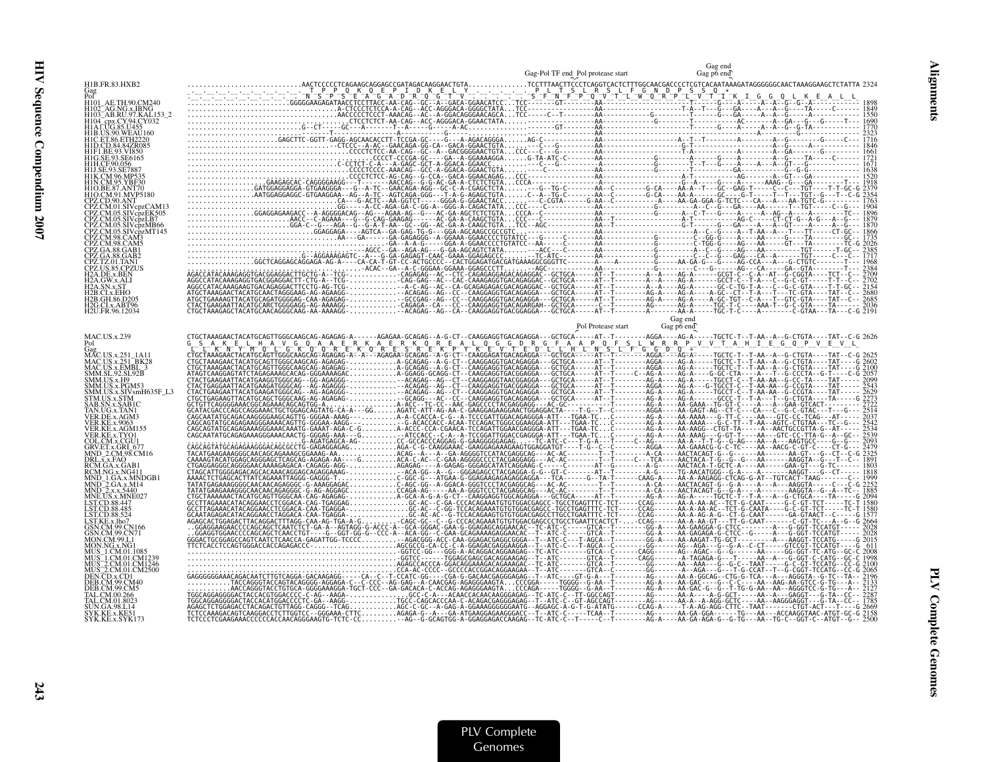|                                                                                                | Gag-Pol TF end Pol protease start |         | Gag p6 end |
|------------------------------------------------------------------------------------------------|-----------------------------------|---------|------------|
| H1B.FR.83.HXB2                                                                                 |                                   |         |            |
| H101 AE.TH.90.CM240                                                                            |                                   |         |            |
| AG.NG.x.IBNG<br>H103 AB.RU.97.KAL153 2                                                         |                                   |         |            |
| H104_cpx.CY.94.CY032<br>H1ALUG.85.U455                                                         |                                   |         |            |
| 11B.US.90.WEAU160<br>HIC.ET.86.ETH2220                                                         |                                   |         |            |
|                                                                                                |                                   |         |            |
|                                                                                                |                                   |         |            |
|                                                                                                |                                   |         |            |
| H1O.BE.87.ANT70                                                                                |                                   |         |            |
| 11O.CM.91.MVP5180<br>PZ.CD.90.ANT                                                              |                                   |         |            |
| PZ.CM.01.SIVcpzCAM13<br>CPZ.CM.05.SIVcpzEK505<br>CPZ.CM.05.SIVcpzLB7                           |                                   |         |            |
| PZ.CM.05.SIVcpzMB66                                                                            |                                   |         |            |
| CPZ.CM.05.SIVcpzMT145<br>CPZ.CM.98.CAM3                                                        |                                   |         |            |
| PZ.CM.98.CAM5                                                                                  |                                   |         |            |
| PZ TZ 01 TAN1                                                                                  |                                   |         |            |
| 2A.DE.x.BEN                                                                                    |                                   |         |            |
| 2A.GW.x.ALI                                                                                    |                                   |         |            |
| 2B.CLx.EHO<br>I2B.GH.86.D205                                                                   |                                   |         |            |
| I2G.CLx.ABT96<br>H2U.FR.96.12034                                                               |                                   |         |            |
|                                                                                                |                                   | Gag end |            |
| <b>MAC.US.x.239</b>                                                                            |                                   |         |            |
|                                                                                                |                                   |         |            |
| Gag<br>MAC.US.x.251_1A11<br>MAC.US.x.251_BK28<br>MAC.US.x.EMBL_3<br>SMM.US.x.H9<br>SMM.US.x.H9 |                                   |         |            |
|                                                                                                |                                   |         |            |
| MM.US.x.SIVsmH635F L3                                                                          |                                   |         |            |
| TM.US.x.STM<br>SAB.SN.x.SAB1C                                                                  |                                   |         |            |
| <b>FAN.UG.x.TAN1</b><br>/ER.DE.x.AGM3                                                          |                                   |         |            |
| VER.KE.x.9063<br>VER.KE.x.AGM155                                                               |                                   |         |            |
| VER.KE.x.TYO1                                                                                  |                                   |         |            |
| COL.CM.x.CGU1<br>GRV.ET.x.GRI 677<br>MND 2.CM.98.CM16                                          |                                   |         |            |
| DRL.x̃.x.FAO<br>RCM.GA.x.GAB                                                                   |                                   |         |            |
| RCM.NG.x.NG411<br>(IND 1.GA.x.MNDGB1                                                           |                                   |         |            |
| $AND^-$ 2.GA.x.M14<br>MND_2.x.x.5440<br>MNE.US.x.MNE027                                        |                                   |         |            |
| ST.CD.88.447                                                                                   |                                   |         |            |
| ST.CD.88.485                                                                                   |                                   |         |            |
| $STKEx$ lho <sub>7</sub><br>GSN.CM.99.CN166                                                    |                                   |         |            |
| SN.CM.99.CN71<br><b>ION.CM.99.L1</b>                                                           |                                   |         |            |
|                                                                                                |                                   |         |            |
| JS <sup>--</sup> 1.CM.01.CM1239<br>IS 2.CM.01.CM1246                                           |                                   |         |            |
| MUS <sup>-2</sup> .CM.01.CM2500<br><b>DEN.CD.x.CD1</b>                                         |                                   |         |            |
| ER CM 99 CM5                                                                                   |                                   |         |            |
| . CM 00 266                                                                                    |                                   |         |            |
| JN.GA.98.L14<br>SYK.KE.x.KE51                                                                  |                                   |         |            |
| SYK.KE.x.SYK173                                                                                |                                   |         |            |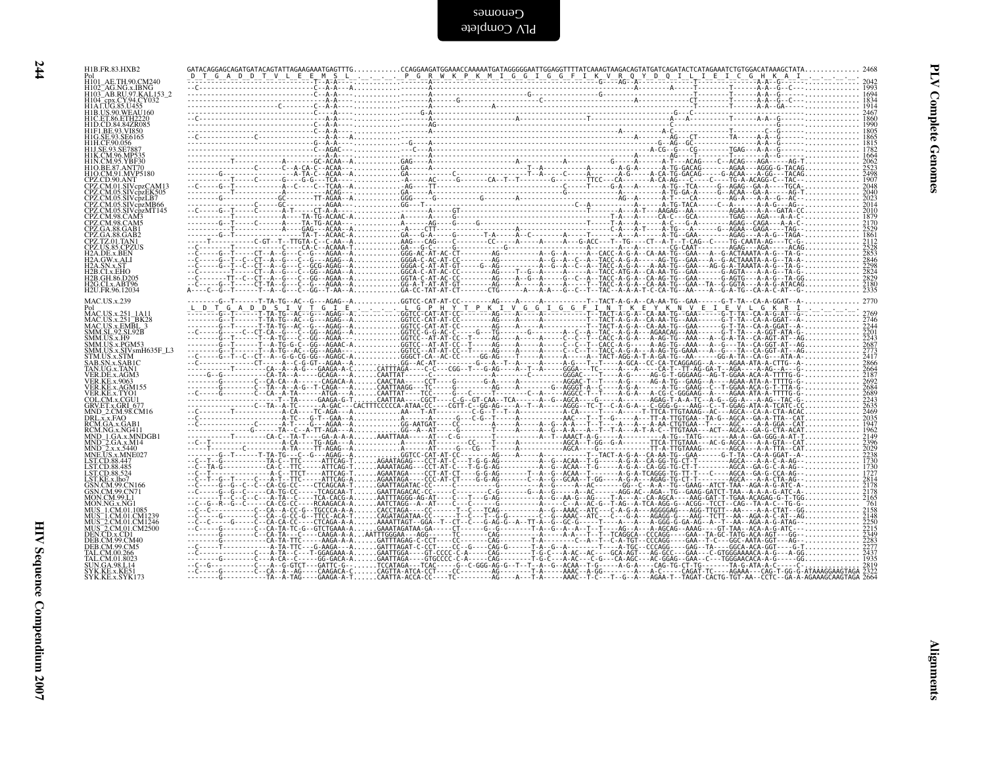| H1B.FR.83.HXB2                                                                                                                                                                                                                                                  |  |  |  |       |
|-----------------------------------------------------------------------------------------------------------------------------------------------------------------------------------------------------------------------------------------------------------------|--|--|--|-------|
| H101 AE.TH.90.CM240<br>H102_AG.NG.x.IBNG<br>H103_AB.RU.97.KAL153_2                                                                                                                                                                                              |  |  |  |       |
|                                                                                                                                                                                                                                                                 |  |  |  |       |
| H104_epx.CY.94.CY032<br>H1A1.UG.85.U455<br>H1A1.UG.85.U455<br>H1D.US.90.WEAU160<br>H1D.CD.84.84ZR085                                                                                                                                                            |  |  |  | duno; |
|                                                                                                                                                                                                                                                                 |  |  |  |       |
| HIP:CD:84:842K08<br>HIF1.BE.93.VI850<br>HIG.SE.93.SE6165<br>HIH.CF.90.056<br>HIJ.SE.93.SE7887                                                                                                                                                                   |  |  |  |       |
|                                                                                                                                                                                                                                                                 |  |  |  |       |
| HIK.CM.96.MP535<br>HIN.CM.95.YBF30<br>HIO.BE.87.ANT70<br>HIO.CM.91.MVP5180<br>CPZ.CD.90.ANT                                                                                                                                                                     |  |  |  |       |
| CPZ.CM.01.SIVcpzCAM13                                                                                                                                                                                                                                           |  |  |  |       |
| CPZ.CM.05.SIVcpzEK505                                                                                                                                                                                                                                           |  |  |  |       |
|                                                                                                                                                                                                                                                                 |  |  |  |       |
| CPZ.CM.05.SIVcpzLB7<br>CPZ.CM.05.SIVcpzLB7<br>CPZ.CM.05.SIVcpzMB66<br>CPZ.CM.05.SIVcpzMT145<br>CPZ.CM.98.CAM5<br>CPZ.GA.88.GAB1<br>CPZ.GA.88.GAB1                                                                                                               |  |  |  |       |
| CPZ.GA.88.GAB2<br>CPZ.TZ.01.TAN1<br>CPZ.US.85.CPZUS                                                                                                                                                                                                             |  |  |  |       |
| H <sub>2</sub> A.DE.x.BEN<br>H <sub>2</sub> A.GW.x.ALI                                                                                                                                                                                                          |  |  |  |       |
|                                                                                                                                                                                                                                                                 |  |  |  |       |
| H2A.SN.x.AH<br>H2A.SN.x.ST<br>H2B.CLx.EHO<br>H2B.GH.86.D205<br>H2G.CLx.ABT96<br>H2U.FR.96.12034                                                                                                                                                                 |  |  |  |       |
| <b>MAC.US.x.239</b>                                                                                                                                                                                                                                             |  |  |  |       |
| MAC.US.x.251 1A11                                                                                                                                                                                                                                               |  |  |  |       |
| MAC.US.x.251_1A11<br>MAC.US.x.251_BK28<br>MAC.US.x.EMBL_3<br>SMM.SL.92.SL.92B<br>SMM.US.x.Pd<br>SMM.US.x.Pd<br>SMM.US.x.SIV.smH635F_L3<br>STM.US.x.SIV.smH635F_L3<br>STM.US.x.SIV.smH635F_L3<br>STM.US.x.SIV.smH635F_L3                                         |  |  |  |       |
|                                                                                                                                                                                                                                                                 |  |  |  |       |
|                                                                                                                                                                                                                                                                 |  |  |  |       |
| SAB.SN.x.SAB1C                                                                                                                                                                                                                                                  |  |  |  |       |
| TAN.UG.x.TANI<br>VER.DE.x.AGM3<br>VER.KE.x.9063                                                                                                                                                                                                                 |  |  |  |       |
| VER.KE.x.AGM155                                                                                                                                                                                                                                                 |  |  |  |       |
| VER.KE.x.TYO1<br>COL.CM.x.CGU1<br>GRV.ET.x.GRI_677<br>MND_2.CM.98.CM16                                                                                                                                                                                          |  |  |  |       |
| DRL.x.x.FAO<br>RCM.GA.x.GAB1                                                                                                                                                                                                                                    |  |  |  |       |
| RCM.NG.x.NG411                                                                                                                                                                                                                                                  |  |  |  |       |
| NND_1.GA.x.MNDGB1<br>MND_2.GA.x.MNDGB1<br>MND_2.x.x.5440<br>MNE.US.x.MNE027<br>LST.CD.88.447                                                                                                                                                                    |  |  |  |       |
| LST.CD.88.485<br>LST.CD.88.524                                                                                                                                                                                                                                  |  |  |  |       |
|                                                                                                                                                                                                                                                                 |  |  |  |       |
|                                                                                                                                                                                                                                                                 |  |  |  |       |
|                                                                                                                                                                                                                                                                 |  |  |  |       |
|                                                                                                                                                                                                                                                                 |  |  |  |       |
| ESTCD.88,524<br>ESTCD.88,524<br>GSN.CM.99,CN70<br>MON.CM.99,CN70<br>MON.CM.99,CN70<br>MON.CM.200,CN70<br>MUS_2.CM.01.CM1239<br>MUS_2.CM.01.CM1246<br>DEN.CD.3.CD101.CM1246<br>DEN.CD.3.CD101.CM1246<br>DEN.CD.3.CD101.CM2500<br>DEB.CM.99.CM40<br>TAL.CM.00.266 |  |  |  |       |
|                                                                                                                                                                                                                                                                 |  |  |  |       |
| TAL.CM.00.266<br>TAL.CM.01.8023<br>SUN.GA.98.L14<br>SYK.KE.x.KE51                                                                                                                                                                                               |  |  |  |       |
| SYK.KE.x.SYK173                                                                                                                                                                                                                                                 |  |  |  |       |
|                                                                                                                                                                                                                                                                 |  |  |  |       |
|                                                                                                                                                                                                                                                                 |  |  |  |       |
|                                                                                                                                                                                                                                                                 |  |  |  |       |
|                                                                                                                                                                                                                                                                 |  |  |  |       |
|                                                                                                                                                                                                                                                                 |  |  |  |       |
|                                                                                                                                                                                                                                                                 |  |  |  |       |
|                                                                                                                                                                                                                                                                 |  |  |  |       |
|                                                                                                                                                                                                                                                                 |  |  |  |       |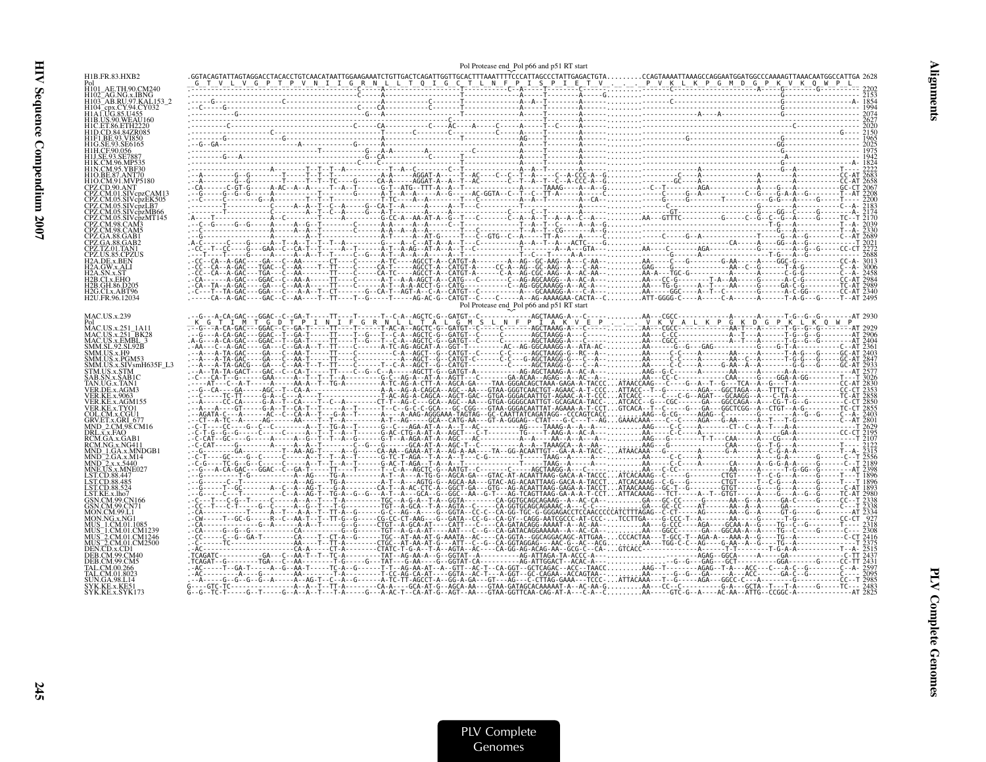|                                                         | Pol Protease end Pol p66 and p51 RT start                                                                                                                                                                                                                                                                                                                                                                                             |  |
|---------------------------------------------------------|---------------------------------------------------------------------------------------------------------------------------------------------------------------------------------------------------------------------------------------------------------------------------------------------------------------------------------------------------------------------------------------------------------------------------------------|--|
|                                                         |                                                                                                                                                                                                                                                                                                                                                                                                                                       |  |
| H101                                                    |                                                                                                                                                                                                                                                                                                                                                                                                                                       |  |
| H102 AG.NG.x.IBNG                                       |                                                                                                                                                                                                                                                                                                                                                                                                                                       |  |
| H103 AB.RU.97.KAL153 2                                  |                                                                                                                                                                                                                                                                                                                                                                                                                                       |  |
| H104_cpx.CY.94.CY032<br>H1A1.UG.85.U455                 |                                                                                                                                                                                                                                                                                                                                                                                                                                       |  |
| <b>H1B.US.90.WEAU160</b>                                |                                                                                                                                                                                                                                                                                                                                                                                                                                       |  |
|                                                         |                                                                                                                                                                                                                                                                                                                                                                                                                                       |  |
|                                                         |                                                                                                                                                                                                                                                                                                                                                                                                                                       |  |
|                                                         |                                                                                                                                                                                                                                                                                                                                                                                                                                       |  |
|                                                         |                                                                                                                                                                                                                                                                                                                                                                                                                                       |  |
|                                                         |                                                                                                                                                                                                                                                                                                                                                                                                                                       |  |
| 410 CM 91 MVP5180                                       |                                                                                                                                                                                                                                                                                                                                                                                                                                       |  |
|                                                         |                                                                                                                                                                                                                                                                                                                                                                                                                                       |  |
|                                                         |                                                                                                                                                                                                                                                                                                                                                                                                                                       |  |
| CPZ.CM.05.SIVcpzLB7                                     |                                                                                                                                                                                                                                                                                                                                                                                                                                       |  |
| CPZ.CM.05.SIVcpzMB66                                    |                                                                                                                                                                                                                                                                                                                                                                                                                                       |  |
|                                                         |                                                                                                                                                                                                                                                                                                                                                                                                                                       |  |
|                                                         |                                                                                                                                                                                                                                                                                                                                                                                                                                       |  |
|                                                         |                                                                                                                                                                                                                                                                                                                                                                                                                                       |  |
|                                                         |                                                                                                                                                                                                                                                                                                                                                                                                                                       |  |
|                                                         |                                                                                                                                                                                                                                                                                                                                                                                                                                       |  |
| 2A.GW.x.AL                                              |                                                                                                                                                                                                                                                                                                                                                                                                                                       |  |
|                                                         |                                                                                                                                                                                                                                                                                                                                                                                                                                       |  |
| H2B.GH.86.D205                                          |                                                                                                                                                                                                                                                                                                                                                                                                                                       |  |
| H <sub>2G.CI.x</sub> .ABT96                             |                                                                                                                                                                                                                                                                                                                                                                                                                                       |  |
| H <sub>2</sub> U.FR.96.12034                            |                                                                                                                                                                                                                                                                                                                                                                                                                                       |  |
|                                                         | Pol Protease end Pol p66 and p51 RT start                                                                                                                                                                                                                                                                                                                                                                                             |  |
| <b>MAC.US.x.239</b>                                     |                                                                                                                                                                                                                                                                                                                                                                                                                                       |  |
| MAC.US.x.251 1A11                                       |                                                                                                                                                                                                                                                                                                                                                                                                                                       |  |
| MAC.US.x.251_BK28<br>MAC.US.x.EMBL_3<br>SMM.SL_92.SL92B |                                                                                                                                                                                                                                                                                                                                                                                                                                       |  |
|                                                         |                                                                                                                                                                                                                                                                                                                                                                                                                                       |  |
| SMM.US.x.H9<br>SMM.US.x.PGM53                           |                                                                                                                                                                                                                                                                                                                                                                                                                                       |  |
| SMM.US.x.SIVsmH635F L3                                  |                                                                                                                                                                                                                                                                                                                                                                                                                                       |  |
| STM.US.x.STM                                            |                                                                                                                                                                                                                                                                                                                                                                                                                                       |  |
| SAB.SN.x.SAB1C<br>TAN UG x TAN1                         |                                                                                                                                                                                                                                                                                                                                                                                                                                       |  |
| VER DE x AGM3                                           |                                                                                                                                                                                                                                                                                                                                                                                                                                       |  |
| VER.KE.x.9063<br>VER.KE.x.AGM155                        |                                                                                                                                                                                                                                                                                                                                                                                                                                       |  |
| VER KE x TYO1                                           |                                                                                                                                                                                                                                                                                                                                                                                                                                       |  |
| COL.CM.x.CGU1                                           |                                                                                                                                                                                                                                                                                                                                                                                                                                       |  |
| GRV.ET.x.GRI 677<br>MND 2.CM.98.CM16                    |                                                                                                                                                                                                                                                                                                                                                                                                                                       |  |
| DRL.x.x.FAO                                             |                                                                                                                                                                                                                                                                                                                                                                                                                                       |  |
| RCM.GA.x.GAB1                                           |                                                                                                                                                                                                                                                                                                                                                                                                                                       |  |
|                                                         |                                                                                                                                                                                                                                                                                                                                                                                                                                       |  |
| MND 2.GA.x.M14                                          |                                                                                                                                                                                                                                                                                                                                                                                                                                       |  |
|                                                         |                                                                                                                                                                                                                                                                                                                                                                                                                                       |  |
| LST.CD.88.447<br>LST.CD.88.485                          |                                                                                                                                                                                                                                                                                                                                                                                                                                       |  |
| LST.CD.88.524                                           |                                                                                                                                                                                                                                                                                                                                                                                                                                       |  |
| LST.KE.x.lho7                                           |                                                                                                                                                                                                                                                                                                                                                                                                                                       |  |
|                                                         |                                                                                                                                                                                                                                                                                                                                                                                                                                       |  |
| MON CM 99 I                                             |                                                                                                                                                                                                                                                                                                                                                                                                                                       |  |
|                                                         |                                                                                                                                                                                                                                                                                                                                                                                                                                       |  |
|                                                         |                                                                                                                                                                                                                                                                                                                                                                                                                                       |  |
| MUS <sup>-2</sup> .CM.01.CM1246                         |                                                                                                                                                                                                                                                                                                                                                                                                                                       |  |
|                                                         |                                                                                                                                                                                                                                                                                                                                                                                                                                       |  |
|                                                         |                                                                                                                                                                                                                                                                                                                                                                                                                                       |  |
|                                                         |                                                                                                                                                                                                                                                                                                                                                                                                                                       |  |
| FAL CM 01 8023                                          |                                                                                                                                                                                                                                                                                                                                                                                                                                       |  |
| SUN.GA.98.L14<br>SYK.KE.x.KE5                           |                                                                                                                                                                                                                                                                                                                                                                                                                                       |  |
| SYK.KE.x.SYK173                                         | $\label{eq:3.1} \begin{small} \begin{bmatrix} \mathbf{r}_1 & \mathbf{r}_2 & \mathbf{r}_3 & \mathbf{r}_4 & \mathbf{r}_5 & \mathbf{r}_6 & \mathbf{r}_7 & \mathbf{r}_8 & \mathbf{r}_7 & \mathbf{r}_8 & \mathbf{r}_8 & \mathbf{r}_9 & \mathbf{r}_9 & \mathbf{r}_9 & \mathbf{r}_9 & \mathbf{r}_9 & \mathbf{r}_9 & \mathbf{r}_9 & \mathbf{r}_9 & \mathbf{r}_9 & \mathbf{r}_9 & \mathbf{r}_9 & \mathbf{r}_9 & \mathbf{r}_9 & \mathbf{r}_9 &$ |  |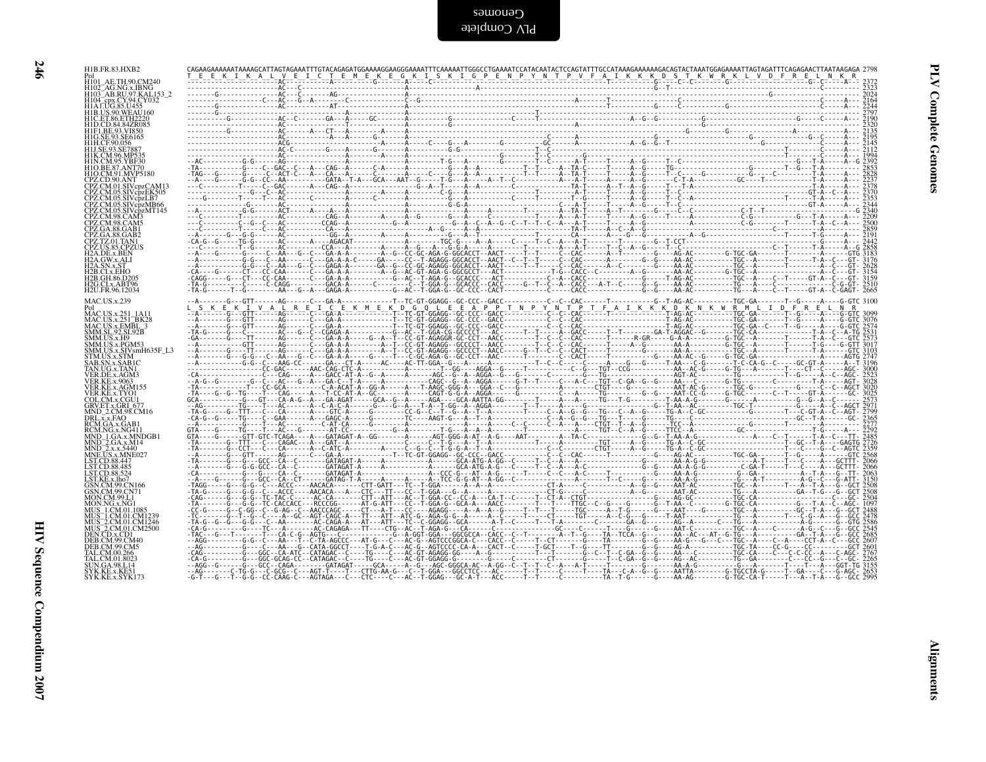| ۰.<br>٧      |  |
|--------------|--|
|              |  |
| ×<br>۰.<br>× |  |

| HIB.US.90.WEAU160<br>HIC.ET.86.ETH2220<br>HID.CD.84.84ZR085<br>HIF1.BE.93.VI850<br>HIG.SE.93.SE6165<br>HIH.CF.90.056<br>HIH.CF.90.056<br>HIJ.SE.93.SE7887<br>HIK.CM.96.MP535<br>HIN.CM.95.YBF30<br>HIN.CM.95.YBF30<br>HIO.CM.91.MVP5180<br>CPZ.CD.90.ANT<br>CPZ.CD.90.AN1<br>CPZ.CM.01.SIVcpzCAM13<br>CPZ.CM.05.SIVcpzEK505<br>CPZ.CM.05.SIVcpzMB66<br>CPZ.CM.05.SIVcpzMT145<br>CPZ.CM.08.CAM3<br>CPZ.CM.98.CAM3<br>CPZ.CM.98.CAM5<br>CPZ.GA.88.GAB1<br>CPZ.GA.88.GAB2<br>CPZ.TZ.01.TAN1<br>CPZ.US.85.CPZUS<br>H2A.GW.x.ALI<br>H2A.GW.x.ALI<br>H2A.SN.x.ST<br>H2A.SN.x.ST<br>H2B.CI.x.EHO<br>H2B.GH.86.D205<br>H2G.CI.x.ABT96<br>H2G.CI.x.ABT96<br>MAC.US.x.239<br>Pol<br>MAC.US.x.251_1A11<br>MAC.US.x.251_BK28<br>MAC.US.x.EMBL_3<br>SMM.SL.92.SL.92B<br>SMM.US.x.H9<br>SMM.US.x.PGM53<br>SMM.US.x.SIVsmH635F_L3<br>STM.US.x.STM<br>SAB.SN.x.SAB1C<br>TAN.UG.x.TAN1<br>TAN.UG.x.TAN1<br>VER.DE.x.AGM3<br><b>VER.KE.x.9063</b> |  |
|---------------------------------------------------------------------------------------------------------------------------------------------------------------------------------------------------------------------------------------------------------------------------------------------------------------------------------------------------------------------------------------------------------------------------------------------------------------------------------------------------------------------------------------------------------------------------------------------------------------------------------------------------------------------------------------------------------------------------------------------------------------------------------------------------------------------------------------------------------------------------------------------------------------------------------|--|
|                                                                                                                                                                                                                                                                                                                                                                                                                                                                                                                                                                                                                                                                                                                                                                                                                                                                                                                                 |  |
|                                                                                                                                                                                                                                                                                                                                                                                                                                                                                                                                                                                                                                                                                                                                                                                                                                                                                                                                 |  |
|                                                                                                                                                                                                                                                                                                                                                                                                                                                                                                                                                                                                                                                                                                                                                                                                                                                                                                                                 |  |
|                                                                                                                                                                                                                                                                                                                                                                                                                                                                                                                                                                                                                                                                                                                                                                                                                                                                                                                                 |  |
|                                                                                                                                                                                                                                                                                                                                                                                                                                                                                                                                                                                                                                                                                                                                                                                                                                                                                                                                 |  |
|                                                                                                                                                                                                                                                                                                                                                                                                                                                                                                                                                                                                                                                                                                                                                                                                                                                                                                                                 |  |
|                                                                                                                                                                                                                                                                                                                                                                                                                                                                                                                                                                                                                                                                                                                                                                                                                                                                                                                                 |  |
| VER KE'X 9063<br>VER KE'X 9063<br>VER KE'X 4 (YOU)<br>GRUEL AT CHA COU<br>GRUEL AT CHA COU<br>GRUEL AT CHA COU<br>DRUEL AT CHA COU<br>NOR NGA X ANGHI<br>NOR NGA X ANGHI<br>MND 2.0 A X MHOOT<br>LSTCD 88.447<br>LSTCD 88.447<br>LSTCD 88.447<br>LSTCD 88.457<br>LSTCD 8                                                                                                                                                                                                                                                                                                                                                                                                                                                                                                                                                                                                                                                        |  |
| MON.NG.x.NG1                                                                                                                                                                                                                                                                                                                                                                                                                                                                                                                                                                                                                                                                                                                                                                                                                                                                                                                    |  |
| MON.NG.x.NG1<br>MUS_1.CM.01.1085<br>MUS_1.CM.01.CM1239<br>MUS_2.CM.01.CM1246<br>MUS_2.CM.01.CM2500<br>DEN.CD.x.CD1<br>DEN.CD.x.CD1<br>DEB.CM.99.CM5                                                                                                                                                                                                                                                                                                                                                                                                                                                                                                                                                                                                                                                                                                                                                                             |  |
| TAL.CM.00.266<br>TAL.CM.01.8023<br>JN.GA.98.L14<br>SYK.KE.x.KE51<br>SYK.KE.x.SYK173                                                                                                                                                                                                                                                                                                                                                                                                                                                                                                                                                                                                                                                                                                                                                                                                                                             |  |
|                                                                                                                                                                                                                                                                                                                                                                                                                                                                                                                                                                                                                                                                                                                                                                                                                                                                                                                                 |  |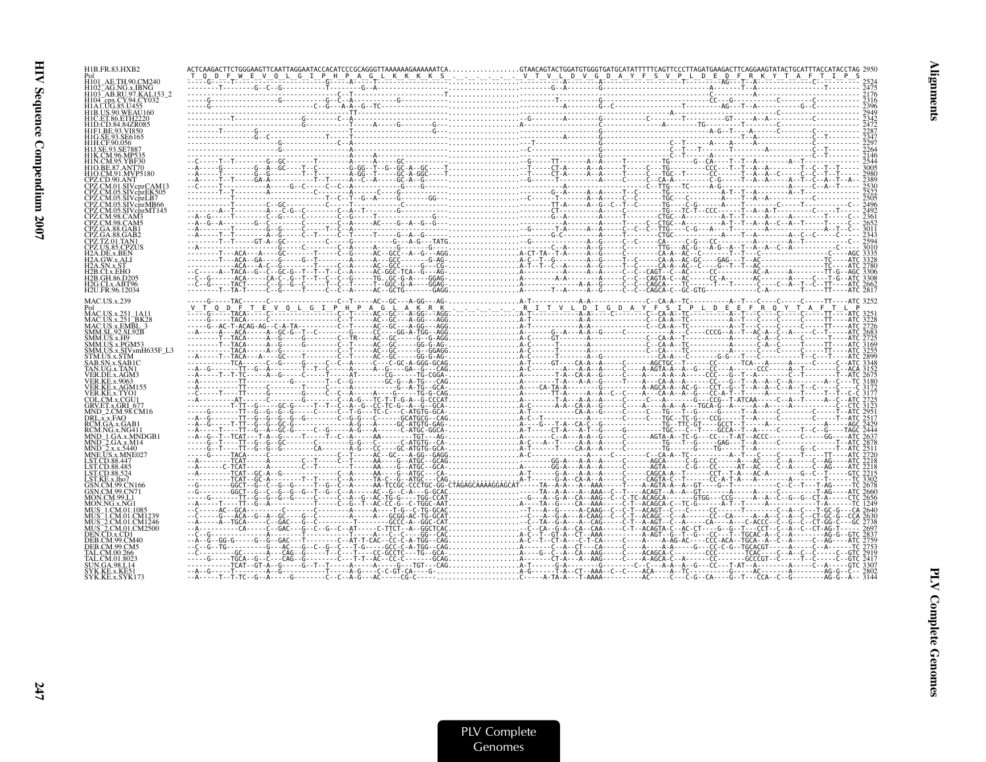| H1B.FR.83.HXB2                                                         |  |  |  |
|------------------------------------------------------------------------|--|--|--|
| H101 AE.TH.90.CM240<br>H102_AG.NG.x.IBNG<br>H103_AB.RU.97.KAL153_2     |  |  |  |
| H <sub>104</sub> cpx.CY.94.CY032                                       |  |  |  |
| H1ALUG.85.U455<br><b>H1B.US.90.WEAU160</b><br>HIC.ET.86.ETH22          |  |  |  |
| H1D.CD.84.84ZR085<br>H1F1.BE.93.VI850                                  |  |  |  |
| H1H.CF.90.056                                                          |  |  |  |
| H1J.SE.93.SE788<br><b>H1K CM 96 MP539</b>                              |  |  |  |
| H1N CM 95 YRF30<br><b>H1O CM 91 MVP5180</b>                            |  |  |  |
| CPZ.CM.01.SIVcpzCAM13                                                  |  |  |  |
| CPZ.CM.05.SIVcpzEK505<br>CPZ.CM.05.SIVcpzLB7                           |  |  |  |
| CPZ.CM.05.SIVcpzMB66                                                   |  |  |  |
|                                                                        |  |  |  |
| CPZ.GA.88.GAB1<br>CPZ.GA.88.GAB2                                       |  |  |  |
| CPZ.TZ.01.TAN1<br>H2A.DE.x.BEN                                         |  |  |  |
| H2A GW.x.ALI                                                           |  |  |  |
| 2B CL x EHO<br>H2B.GH.86.D205                                          |  |  |  |
| H2G CI x ART96<br>H2U.FR.96.12034                                      |  |  |  |
| <b>MAC.US.x.239</b>                                                    |  |  |  |
| $MACUSx$ .251                                                          |  |  |  |
| MAC.US.x.251_BK28<br>MAC.US.x.EMBL_3<br>SMM.SL.92.SL92B<br>SMM.US.x.H9 |  |  |  |
| SMM.US.x.PGM53                                                         |  |  |  |
| SMM.US.x.SIVsmH635F_L3<br>STM.US.x.STM<br>SAR SN x SAR1C               |  |  |  |
| TAN.UG.x.TAN1<br>VER.DE.x.AGM3                                         |  |  |  |
| <b>VER.KE.x.9063</b><br>VER KE x AGM155                                |  |  |  |
| VER.KE.x.TYO1<br>COL CM x CGU1                                         |  |  |  |
| GRV.ET.x.GRI 677<br>MND 2.CM.98.CM16<br>DRL.x.x.FAO                    |  |  |  |
| RCM.GA.x.GAB1<br>RCM.NG.x.NG41                                         |  |  |  |
| MND 1.GA.x.MNDGB1<br>MND_2.GA.x.M14                                    |  |  |  |
| $\overline{M}$ ND <sup>-2</sup> .x.x.5440<br>MNE.US.x.MNE02            |  |  |  |
| -ST CD 88-447<br>LST CD 88 485                                         |  |  |  |
| LST KE x lho7<br>GSN CM 99 CN166                                       |  |  |  |
| GSN.CM.99.CN71<br>MON CM 99 L                                          |  |  |  |
| MON NG x NG1<br>MUS 1.CM.01.10                                         |  |  |  |
| MUS_1.CM.01.CM1239<br>MUS_2.CM.01.CM1246                               |  |  |  |
| MUS <sup>-2</sup> .CM.01.CM2500<br>DEN.CD.x.CD1                        |  |  |  |
| DER CM 99 CMª<br>FAL CM 00 266                                         |  |  |  |
|                                                                        |  |  |  |
|                                                                        |  |  |  |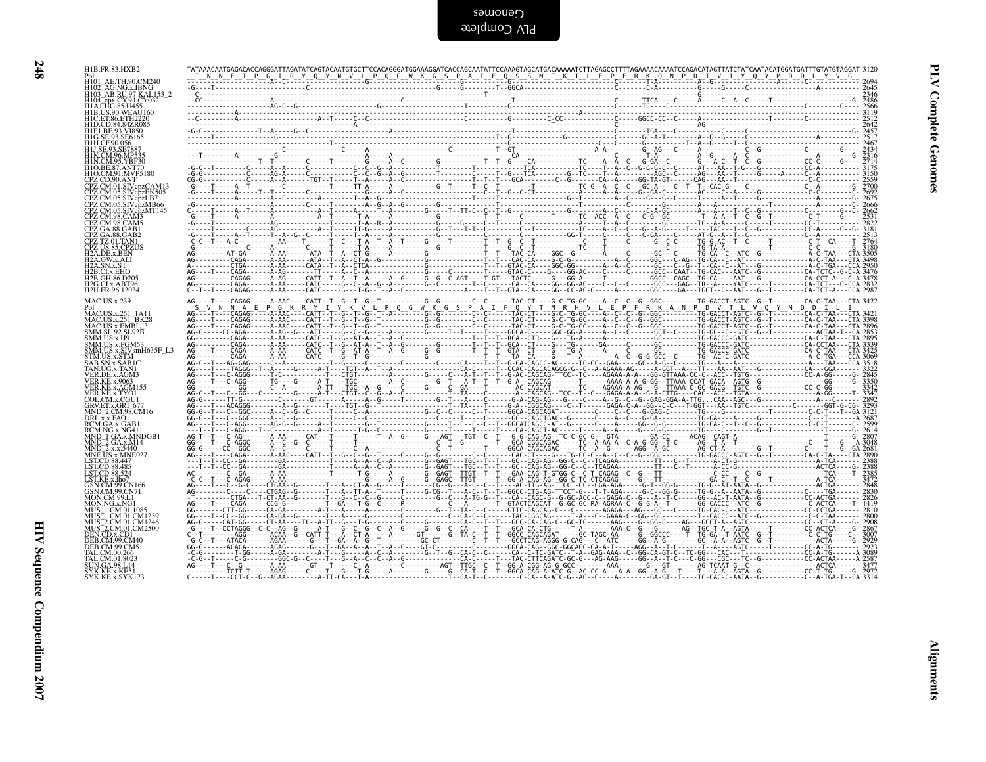PLV Complete SamoneD

| H104 cpx.CY.94.CY032<br>H1ALUG.85.U455                                                                                                                                            |  |  |  |  |  |
|-----------------------------------------------------------------------------------------------------------------------------------------------------------------------------------|--|--|--|--|--|
| HIB.US.90.WEAU160<br>HID.US.90.WEAU160<br>HID.CET.86.ETH2220<br>HID.CD.84.842R085<br>HII.CE.93.SE6165<br>HII.CE.93.SE7887<br>HII.CE.93.SE7887                                     |  |  |  |  |  |
| HIN.C.M.96.MP535<br>HIN.C.M.96.MP535<br>HIN.C.M.95.YBF39<br>HIO.C.M.91.MVP5180<br>CPZ.C.D.90.ANT<br>CPZ.C.M.01.SIVcpzCAM13<br>CPZ.C.M.05.SIV.cpzCAM13<br>CPZ.C.M.05.SIV.cpzLB5955 |  |  |  |  |  |
| CPZ.CM.05.SIVCPZER505<br>CPZ.CM.05.SIVCPZLB7<br>CPZ.CM.05.SIVCPZMB66<br>CPZ.CM.98.CAM3<br>CPZ.CM.98.CAM5                                                                          |  |  |  |  |  |
| CPZ.GA.88.GAB1<br>CPZ.GA.88.GAB2<br>CPZ.TZ.01.TAN1<br>CPZ.US.85.CPZUS                                                                                                             |  |  |  |  |  |
| <b>EFALDER</b><br>H2A.DE.x.BEN<br>H2A.GW.x.ALI<br>H2A.SN.x.ST<br>H2B.CLx.EHO<br>H2B.GH.86.D205<br>H <sub>2G</sub> .CI.x.ABT96<br>H <sub>2</sub> U.FR.96.12034                     |  |  |  |  |  |
| <b>MAC.US.x.239</b><br>Pol<br>MAC.US.x.251_BK28<br>MAC.US.x.251_BK28<br>MAC.US.x.EMBL_3<br>SMM.SL.92.SL.92B                                                                       |  |  |  |  |  |
| SMM.US.x.H9<br>SMM.US.x.PGM53<br>SMM.US.x.SIVsmH635F_L3<br>TM.US.x.STM                                                                                                            |  |  |  |  |  |
| STM.US.X.STM<br>SAB.SN.x.SAB1C<br>TAN.UG.x.TAN1<br>VER.DE.x.AGM3<br>VER.KE.x.9063                                                                                                 |  |  |  |  |  |
| VER.KE.x.9053<br>VER.KE.x.AGM155<br>GOL.CM.x.CGU1<br>GRV.ET.x.GRL<br>MND_2.CM.98.CM16<br>RCM.GA.x.FAO<br>RCM.GA.x.GAB1                                                            |  |  |  |  |  |
| RCM.NG.x.NG411<br>RCM.NG.x.NG411<br>MND_1.GA.x.MNDGB1<br>MND_2.GA.x.M14<br>MND_2.x.x.5440<br>MNE.US.x.MNE027<br>LST.CD.88.447<br>LST.CD.88.485                                    |  |  |  |  |  |
| LST.CD.88.483<br>LST.CD.88.524<br>LST.KE.x.lho7<br>GSN.CM.99.CN71<br>MON.CM.99.L1<br>MON.NG.x.NG1                                                                                 |  |  |  |  |  |
| MON.NO.3.NOI<br>MUS_1.CM.01.CM1239<br>MUS_2.CM.01.CM1239<br>MUS_2.CM.01.CM1240<br>DEN.CD.x.CD1<br>DEN.CM.99.CM40<br>DEB.CM.99.CM40<br>DEB.CM.99.CM5                               |  |  |  |  |  |
|                                                                                                                                                                                   |  |  |  |  |  |
|                                                                                                                                                                                   |  |  |  |  |  |
|                                                                                                                                                                                   |  |  |  |  |  |
| TAL.CM.00.266<br>TAL.CM.01.8023<br>J.GA.98.L14<br>YK.KE.x.KE5<br>SYK.KE.x.SYK173                                                                                                  |  |  |  |  |  |

248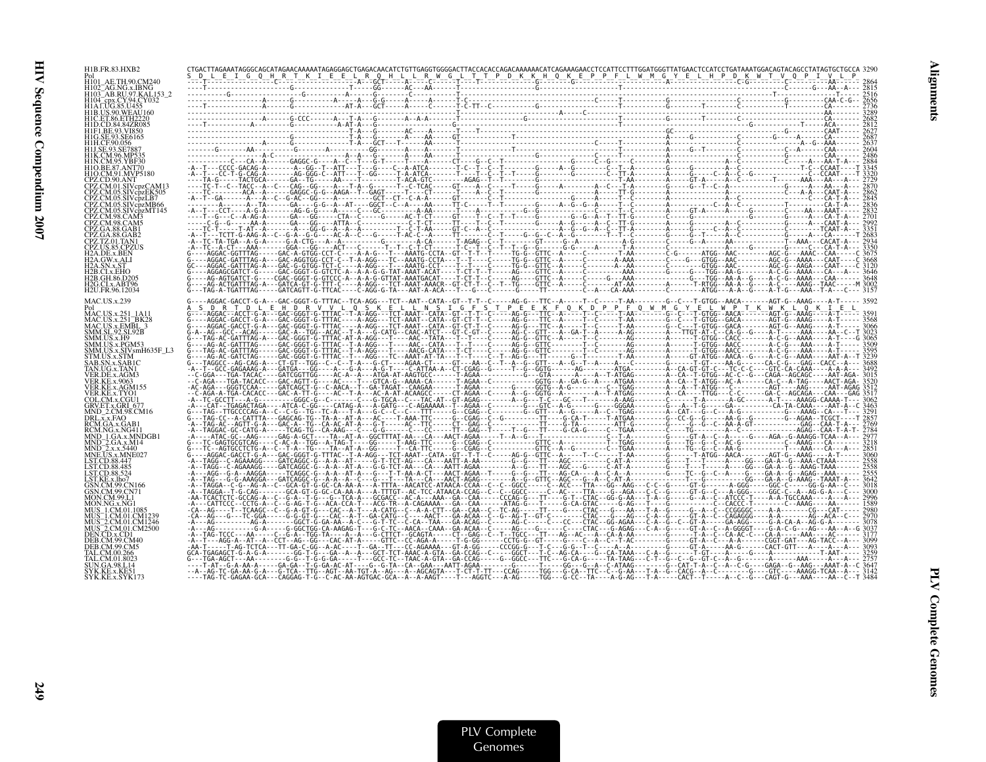| H1B.FR.83.HXB2       | $\begin{smallmatrix} \mathbf{C}^{1} \mathbf{C}^{1} \mathbf{C}^{1} \mathbf{C}^{1} \mathbf{C}^{1} \mathbf{C}^{1} \mathbf{C}^{1} \mathbf{C}^{1} \mathbf{C}^{1} \mathbf{C}^{1} \mathbf{C}^{1} \mathbf{C}^{1} \mathbf{C}^{1} \mathbf{C}^{1} \mathbf{C}^{1} \mathbf{C}^{1} \mathbf{C}^{1} \mathbf{C}^{1} \mathbf{C}^{1} \mathbf{C}^{1} \mathbf{C}^{1} \mathbf{C}^{1} \mathbf{C}^{1} \mathbf{C}^{$                                                                        |  |
|----------------------|--------------------------------------------------------------------------------------------------------------------------------------------------------------------------------------------------------------------------------------------------------------------------------------------------------------------------------------------------------------------------------------------------------------------------------------------------------------------|--|
|                      |                                                                                                                                                                                                                                                                                                                                                                                                                                                                    |  |
|                      |                                                                                                                                                                                                                                                                                                                                                                                                                                                                    |  |
|                      |                                                                                                                                                                                                                                                                                                                                                                                                                                                                    |  |
|                      |                                                                                                                                                                                                                                                                                                                                                                                                                                                                    |  |
|                      |                                                                                                                                                                                                                                                                                                                                                                                                                                                                    |  |
|                      |                                                                                                                                                                                                                                                                                                                                                                                                                                                                    |  |
|                      |                                                                                                                                                                                                                                                                                                                                                                                                                                                                    |  |
|                      |                                                                                                                                                                                                                                                                                                                                                                                                                                                                    |  |
|                      |                                                                                                                                                                                                                                                                                                                                                                                                                                                                    |  |
|                      |                                                                                                                                                                                                                                                                                                                                                                                                                                                                    |  |
|                      |                                                                                                                                                                                                                                                                                                                                                                                                                                                                    |  |
| PZ CM 01 SIVcnzCAM13 |                                                                                                                                                                                                                                                                                                                                                                                                                                                                    |  |
|                      |                                                                                                                                                                                                                                                                                                                                                                                                                                                                    |  |
|                      |                                                                                                                                                                                                                                                                                                                                                                                                                                                                    |  |
|                      |                                                                                                                                                                                                                                                                                                                                                                                                                                                                    |  |
|                      |                                                                                                                                                                                                                                                                                                                                                                                                                                                                    |  |
|                      |                                                                                                                                                                                                                                                                                                                                                                                                                                                                    |  |
|                      |                                                                                                                                                                                                                                                                                                                                                                                                                                                                    |  |
|                      |                                                                                                                                                                                                                                                                                                                                                                                                                                                                    |  |
|                      |                                                                                                                                                                                                                                                                                                                                                                                                                                                                    |  |
|                      |                                                                                                                                                                                                                                                                                                                                                                                                                                                                    |  |
| H2U.FR.96.12034      |                                                                                                                                                                                                                                                                                                                                                                                                                                                                    |  |
|                      |                                                                                                                                                                                                                                                                                                                                                                                                                                                                    |  |
|                      |                                                                                                                                                                                                                                                                                                                                                                                                                                                                    |  |
|                      |                                                                                                                                                                                                                                                                                                                                                                                                                                                                    |  |
|                      |                                                                                                                                                                                                                                                                                                                                                                                                                                                                    |  |
|                      |                                                                                                                                                                                                                                                                                                                                                                                                                                                                    |  |
|                      |                                                                                                                                                                                                                                                                                                                                                                                                                                                                    |  |
|                      |                                                                                                                                                                                                                                                                                                                                                                                                                                                                    |  |
|                      |                                                                                                                                                                                                                                                                                                                                                                                                                                                                    |  |
|                      |                                                                                                                                                                                                                                                                                                                                                                                                                                                                    |  |
|                      |                                                                                                                                                                                                                                                                                                                                                                                                                                                                    |  |
|                      |                                                                                                                                                                                                                                                                                                                                                                                                                                                                    |  |
|                      |                                                                                                                                                                                                                                                                                                                                                                                                                                                                    |  |
|                      |                                                                                                                                                                                                                                                                                                                                                                                                                                                                    |  |
|                      |                                                                                                                                                                                                                                                                                                                                                                                                                                                                    |  |
|                      |                                                                                                                                                                                                                                                                                                                                                                                                                                                                    |  |
|                      |                                                                                                                                                                                                                                                                                                                                                                                                                                                                    |  |
|                      |                                                                                                                                                                                                                                                                                                                                                                                                                                                                    |  |
|                      |                                                                                                                                                                                                                                                                                                                                                                                                                                                                    |  |
|                      |                                                                                                                                                                                                                                                                                                                                                                                                                                                                    |  |
|                      |                                                                                                                                                                                                                                                                                                                                                                                                                                                                    |  |
|                      |                                                                                                                                                                                                                                                                                                                                                                                                                                                                    |  |
|                      |                                                                                                                                                                                                                                                                                                                                                                                                                                                                    |  |
|                      |                                                                                                                                                                                                                                                                                                                                                                                                                                                                    |  |
|                      |                                                                                                                                                                                                                                                                                                                                                                                                                                                                    |  |
|                      |                                                                                                                                                                                                                                                                                                                                                                                                                                                                    |  |
|                      |                                                                                                                                                                                                                                                                                                                                                                                                                                                                    |  |
|                      |                                                                                                                                                                                                                                                                                                                                                                                                                                                                    |  |
|                      | $\begin{smallmatrix} \mathcal{U}_1 & \mathcal{U}_2 & \mathcal{U}_3 & \mathcal{U}_4 & \mathcal{U}_5 & \mathcal{U}_6 & \mathcal{U}_7 & \mathcal{U}_8 & \mathcal{U}_9 & \mathcal{U}_9 & \mathcal{U}_9 & \mathcal{U}_9 & \mathcal{U}_9 & \mathcal{U}_9 & \mathcal{U}_9 & \mathcal{U}_9 & \mathcal{U}_9 & \mathcal{U}_9 & \mathcal{U}_9 & \mathcal{U}_9 & \mathcal{U}_9 & \mathcal{U}_9 & \mathcal{U}_9 & \mathcal{U}_9 & \mathcal{U}_9 & \mathcal{U}_9 & \mathcal{U}_$ |  |
|                      |                                                                                                                                                                                                                                                                                                                                                                                                                                                                    |  |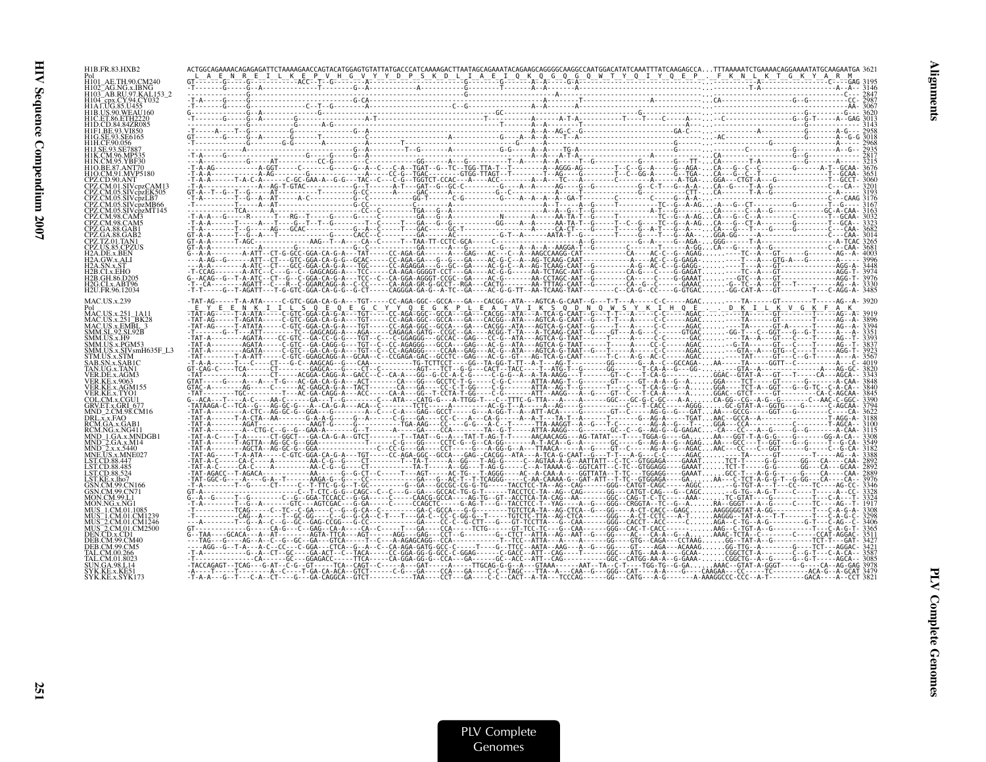| H1B.FR.83.HXB2                 |                                                                                                                                                                      |  |
|--------------------------------|----------------------------------------------------------------------------------------------------------------------------------------------------------------------|--|
|                                |                                                                                                                                                                      |  |
|                                |                                                                                                                                                                      |  |
|                                |                                                                                                                                                                      |  |
|                                |                                                                                                                                                                      |  |
|                                |                                                                                                                                                                      |  |
|                                |                                                                                                                                                                      |  |
|                                |                                                                                                                                                                      |  |
|                                |                                                                                                                                                                      |  |
|                                |                                                                                                                                                                      |  |
|                                |                                                                                                                                                                      |  |
|                                |                                                                                                                                                                      |  |
|                                |                                                                                                                                                                      |  |
|                                |                                                                                                                                                                      |  |
|                                |                                                                                                                                                                      |  |
|                                |                                                                                                                                                                      |  |
|                                |                                                                                                                                                                      |  |
| G.CLx.ABT96<br>12U.FR.96.12034 |                                                                                                                                                                      |  |
|                                | -TAT-AG-_--_T-A-ATA-_--_C-GTC_GGA-CA-G_A-_-TGT-_--_CC-AGA-GGC--GCCA-_-GA--_CACGG_-ATA---AGTCA-G-CAAT--G---T-T---A-----C-C-----AGAC----TA------GT--------T-----AG--A- |  |
|                                |                                                                                                                                                                      |  |
|                                |                                                                                                                                                                      |  |
|                                |                                                                                                                                                                      |  |
|                                |                                                                                                                                                                      |  |
|                                |                                                                                                                                                                      |  |
|                                |                                                                                                                                                                      |  |
|                                |                                                                                                                                                                      |  |
|                                |                                                                                                                                                                      |  |
|                                |                                                                                                                                                                      |  |
|                                |                                                                                                                                                                      |  |
|                                |                                                                                                                                                                      |  |
|                                |                                                                                                                                                                      |  |
|                                |                                                                                                                                                                      |  |
|                                |                                                                                                                                                                      |  |
|                                |                                                                                                                                                                      |  |
|                                |                                                                                                                                                                      |  |
|                                |                                                                                                                                                                      |  |
|                                |                                                                                                                                                                      |  |
|                                |                                                                                                                                                                      |  |
|                                |                                                                                                                                                                      |  |
|                                |                                                                                                                                                                      |  |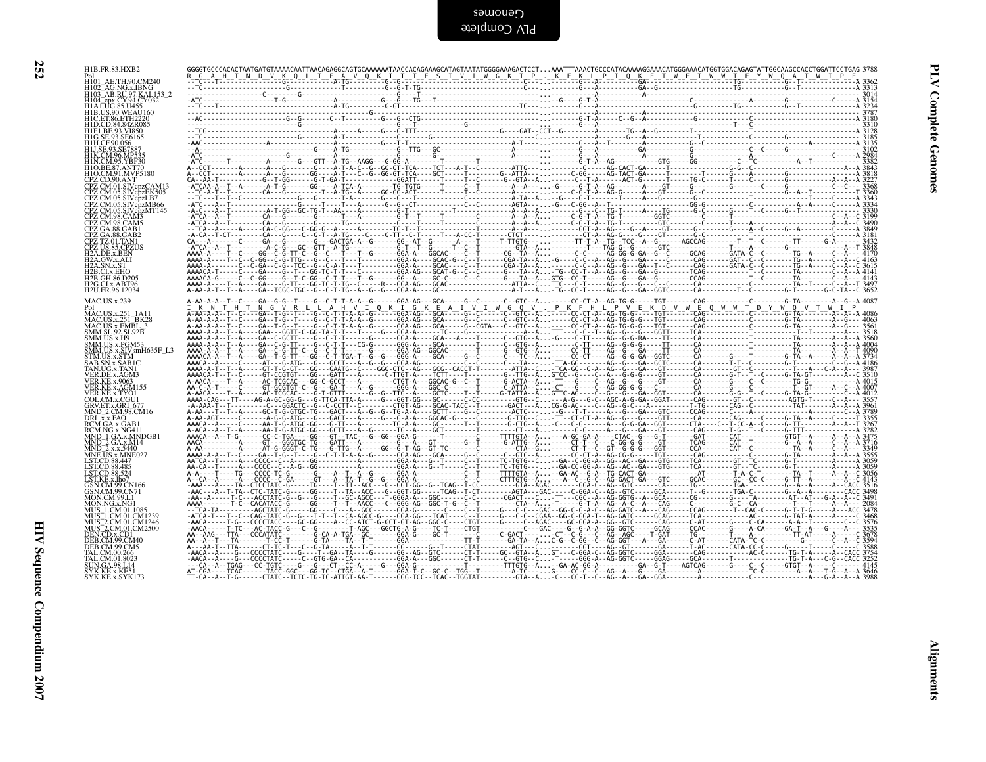| I | I  |
|---|----|
|   |    |
|   | ۰. |

| Pol<br>H101 AE.TH.90.CM240<br>H102_AG.NG.x.EBNG<br>H103_AB.RU.97.KAL153_2<br>H104_cpx.CY.94.CY032<br>H1AT.UG.85.U455                                                                                                                                                  |  |  |  |  |  |  |  |  |  |
|-----------------------------------------------------------------------------------------------------------------------------------------------------------------------------------------------------------------------------------------------------------------------|--|--|--|--|--|--|--|--|--|
|                                                                                                                                                                                                                                                                       |  |  |  |  |  |  |  |  |  |
| HIALUG 85.U45<br>HIB.US.90.WEAU160<br>HID.CD 84.847R085<br>HIF1 BE.93.SE6165<br>HIF1 BE.93.SE6165<br>HILGE.93.SE6165<br>HILSC.90.865<br>HILSC.90.8677<br>HIK.CM.96.MP535<br>HIO.BE.87.ANT70<br>HIO.BE.87.ANT70<br>HIO.BE.87.ANT70<br>HIO.BE.87.ANT70<br>HIO.BE.87.ANT |  |  |  |  |  |  |  |  |  |
| CPZ.CD.90.ANT<br>CPZ.CM.01.SIVcpzCAM13                                                                                                                                                                                                                                |  |  |  |  |  |  |  |  |  |
| CPZ.CM.01.SIVcpzCAM13<br>CPZ.CM.05.SIVcpzEK505<br>CPZ.CM.05.SIVcpzLB7<br>CPZ.CM.05.SIVcpzMB66<br>CPZ.CM.98.CAM3<br>CPZ.CM.98.CAM3                                                                                                                                     |  |  |  |  |  |  |  |  |  |
| CPZ.GA.88.GAB1                                                                                                                                                                                                                                                        |  |  |  |  |  |  |  |  |  |
| CPZ.GA.88.GAB1<br>CPZ.GA.88.GAB2<br>CPZ.TZ.01.TAN1<br>CPZ.US.85.CPZUS<br>H2A.GW.x.ALI<br>H2A.GW.x.ALI<br>H2A.SN.x.ST<br>H2B.CL.x.EHO<br>CH2.CL.REG<br>H2B.GH.86.D205<br>H2G.CLx.ABT96<br>H2U.FR.96.12034                                                              |  |  |  |  |  |  |  |  |  |
| <b>MAC.US.x.239</b>                                                                                                                                                                                                                                                   |  |  |  |  |  |  |  |  |  |
| Pol<br>MAC.US.x.251_1A11<br>MAC.US.x.251_BK28<br>MAC.US.x.EMBL_3<br>SMM.SL.9.2.SL92B<br>SMM.US.x.H9<br>SMM.US.x.PGM53                                                                                                                                                 |  |  |  |  |  |  |  |  |  |
| SMM.US.x.SIVsmH635F_L3<br>STM.US.x.SIVsmH635F_L3<br>STM.US.x.SAB1C<br>TAN.UG.x.TAN1<br>VER.DE.x.AGM3                                                                                                                                                                  |  |  |  |  |  |  |  |  |  |
| <b>VER.KE.x.9063</b><br>VER.KE.x.AGM155                                                                                                                                                                                                                               |  |  |  |  |  |  |  |  |  |
| VERKEX, XAXVIISS<br>VERKEX, XAXVIIIS<br>COLCMX, COLUMB<br>GRVET, XGRI 677<br>DRUX, XAX GRI 677<br>DRUX, XAXGI 68.<br>RCM, NG, XAXGI<br>RCM, NG, XAX, XAXQI<br>MND_2, GAX, XIIIQ<br>MND_2, XAX, XIIIQ<br>IND_2, XAX, XIIIQ<br>IND_2, XAX, XIIIQ<br>IND_2, XAX, XIII    |  |  |  |  |  |  |  |  |  |
|                                                                                                                                                                                                                                                                       |  |  |  |  |  |  |  |  |  |
|                                                                                                                                                                                                                                                                       |  |  |  |  |  |  |  |  |  |
| MON.NG.x.NG1<br>MON.MG.X.NG1.1085<br>MUS_1.CM.01.1085<br>MUS_1.CM.01.CM1239<br>MUS_2.CM.01.CM1246<br>MUS_2.CM.01.CM2500<br>DEN.CD.x.CD1<br>DER.CM.29.CM40                                                                                                             |  |  |  |  |  |  |  |  |  |
| DEB.CM.99.CM5<br>TAL.CM.00.266                                                                                                                                                                                                                                        |  |  |  |  |  |  |  |  |  |
| TAL.CM.01.8023<br>SUN.GA.98.L14<br>SYK.KE.x.KE51<br>SYK.KE.x.SYK173                                                                                                                                                                                                   |  |  |  |  |  |  |  |  |  |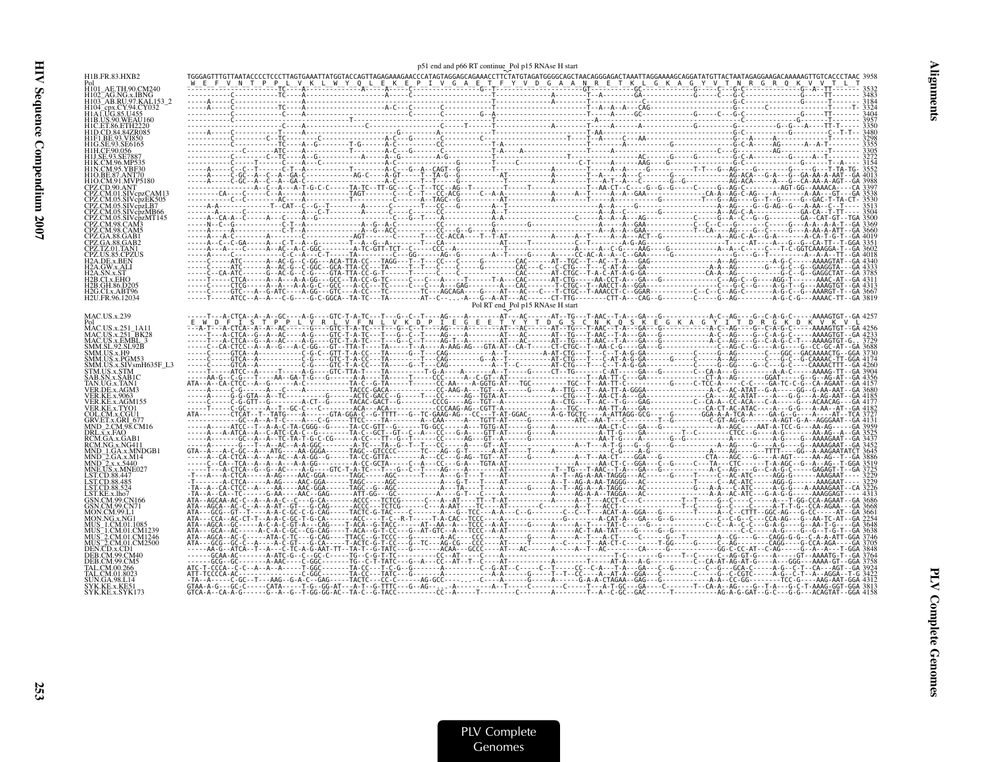| H1B.FR.83.HXB2                            |  |                                  |  |
|-------------------------------------------|--|----------------------------------|--|
| H101_AE.TH.90.CM240                       |  |                                  |  |
| H103 AB.RU.97.KAL153 2                    |  |                                  |  |
|                                           |  |                                  |  |
| H1B.US.90.WEAU160                         |  |                                  |  |
|                                           |  |                                  |  |
|                                           |  |                                  |  |
|                                           |  |                                  |  |
|                                           |  |                                  |  |
|                                           |  |                                  |  |
|                                           |  |                                  |  |
|                                           |  |                                  |  |
| CPZ.CM.05.SIVcpzLB7                       |  |                                  |  |
| CPZ.CM.05.SIVcpzMB66                      |  |                                  |  |
|                                           |  |                                  |  |
|                                           |  |                                  |  |
| 2PZ.TZ.01.TAN1                            |  |                                  |  |
|                                           |  |                                  |  |
|                                           |  |                                  |  |
|                                           |  |                                  |  |
| H2G.CLx.ABT96                             |  |                                  |  |
| H2U.FR.96.12034                           |  |                                  |  |
|                                           |  | Pol RT end Pol p15 RNAse H start |  |
| MAC.US.x.239                              |  |                                  |  |
| MAC.US.x.251 1A11<br>MAC.US.x.251 BK28    |  |                                  |  |
| MAC.US.x.EMBL 3<br><b>SMM.SL.92.SL92B</b> |  |                                  |  |
| SMM.US.x.H9                               |  |                                  |  |
| SMM HS x PGM5?                            |  |                                  |  |
| STM HS x STM                              |  |                                  |  |
|                                           |  |                                  |  |
|                                           |  |                                  |  |
| VER KE x TYOI                             |  |                                  |  |
|                                           |  |                                  |  |
|                                           |  |                                  |  |
|                                           |  |                                  |  |
|                                           |  |                                  |  |
|                                           |  |                                  |  |
|                                           |  |                                  |  |
|                                           |  |                                  |  |
|                                           |  |                                  |  |
| 3SN.CM.99.CN166                           |  |                                  |  |
|                                           |  |                                  |  |
|                                           |  |                                  |  |
|                                           |  |                                  |  |
| MUS 2.CM.01.CM1246<br>AUS 2.CM.01.CM2500  |  |                                  |  |
|                                           |  |                                  |  |
|                                           |  |                                  |  |
|                                           |  |                                  |  |
|                                           |  |                                  |  |
| SYK KE x SYK 173                          |  |                                  |  |

p51 end and p66 RT continue Pol <sup>p</sup><sup>15</sup> RNAse <sup>H</sup> start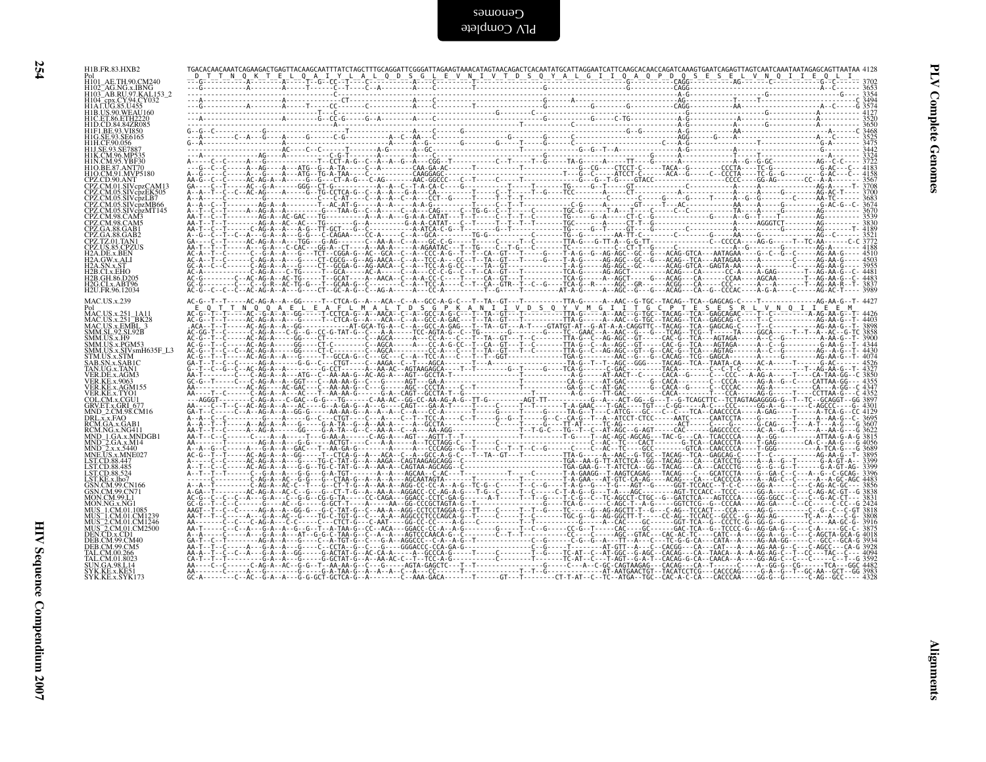PLV Complete SamoneD

| ٠ |                                                                                                                                                                                                                                                                                                                                                                                                                                                      | ۰. | f, |
|---|------------------------------------------------------------------------------------------------------------------------------------------------------------------------------------------------------------------------------------------------------------------------------------------------------------------------------------------------------------------------------------------------------------------------------------------------------|----|----|
|   |                                                                                                                                                                                                                                                                                                                                                                                                                                                      |    |    |
|   |                                                                                                                                                                                                                                                                                                                                                                                                                                                      |    |    |
|   |                                                                                                                                                                                                                                                                                                                                                                                                                                                      |    |    |
|   |                                                                                                                                                                                                                                                                                                                                                                                                                                                      |    |    |
|   |                                                                                                                                                                                                                                                                                                                                                                                                                                                      |    |    |
|   |                                                                                                                                                                                                                                                                                                                                                                                                                                                      |    |    |
|   |                                                                                                                                                                                                                                                                                                                                                                                                                                                      |    |    |
|   |                                                                                                                                                                                                                                                                                                                                                                                                                                                      |    |    |
|   |                                                                                                                                                                                                                                                                                                                                                                                                                                                      |    |    |
|   |                                                                                                                                                                                                                                                                                                                                                                                                                                                      |    |    |
|   |                                                                                                                                                                                                                                                                                                                                                                                                                                                      |    |    |
|   |                                                                                                                                                                                                                                                                                                                                                                                                                                                      |    |    |
|   |                                                                                                                                                                                                                                                                                                                                                                                                                                                      |    |    |
|   |                                                                                                                                                                                                                                                                                                                                                                                                                                                      |    |    |
|   |                                                                                                                                                                                                                                                                                                                                                                                                                                                      |    |    |
|   |                                                                                                                                                                                                                                                                                                                                                                                                                                                      |    |    |
|   |                                                                                                                                                                                                                                                                                                                                                                                                                                                      |    |    |
|   |                                                                                                                                                                                                                                                                                                                                                                                                                                                      |    |    |
|   |                                                                                                                                                                                                                                                                                                                                                                                                                                                      |    |    |
|   |                                                                                                                                                                                                                                                                                                                                                                                                                                                      |    |    |
|   |                                                                                                                                                                                                                                                                                                                                                                                                                                                      |    |    |
|   |                                                                                                                                                                                                                                                                                                                                                                                                                                                      |    |    |
|   |                                                                                                                                                                                                                                                                                                                                                                                                                                                      |    |    |
|   |                                                                                                                                                                                                                                                                                                                                                                                                                                                      |    |    |
|   |                                                                                                                                                                                                                                                                                                                                                                                                                                                      |    |    |
|   |                                                                                                                                                                                                                                                                                                                                                                                                                                                      |    |    |
|   |                                                                                                                                                                                                                                                                                                                                                                                                                                                      |    |    |
|   |                                                                                                                                                                                                                                                                                                                                                                                                                                                      |    |    |
|   |                                                                                                                                                                                                                                                                                                                                                                                                                                                      |    |    |
|   |                                                                                                                                                                                                                                                                                                                                                                                                                                                      |    |    |
|   |                                                                                                                                                                                                                                                                                                                                                                                                                                                      |    |    |
|   |                                                                                                                                                                                                                                                                                                                                                                                                                                                      |    |    |
|   |                                                                                                                                                                                                                                                                                                                                                                                                                                                      |    |    |
|   | $\begin{tabular}{l} \multicolumn{1}{l}{\begin{tabular}{l} \multicolumn{1}{l}{\begin{tabular}{l} \multicolumn{1}{l}{\textbf{0.0000}}}\\ \multicolumn{1}{l}{\begin{tabular}{l} \multicolumn{1}{l}{\textbf{0.0000}}}\\ \multicolumn{1}{l}{\begin{tabular}{l} \multicolumn{1}{l}{\textbf{0.0000}}}\\ \multicolumn{1}{l}{\textbf{0.0000}}\\ \multicolumn{1}{l}{\textbf{0.0000}}\\ \multicolumn{1}{l}{\textbf{0.0000}}\\ \multicolumn{1}{l}{\textbf{0.000$ |    |    |
|   |                                                                                                                                                                                                                                                                                                                                                                                                                                                      |    |    |
|   |                                                                                                                                                                                                                                                                                                                                                                                                                                                      |    |    |
|   |                                                                                                                                                                                                                                                                                                                                                                                                                                                      |    |    |

| H1B.FR.83.HXB2<br>Pol<br>H101_AE.TH.90.CM240                                                                                                                                                                                                     |  |  |  |                 |
|--------------------------------------------------------------------------------------------------------------------------------------------------------------------------------------------------------------------------------------------------|--|--|--|-----------------|
| H102_AG.NG.x.IBNG<br>H103_AB.RU.97.KAL153_2<br>H104 - cpx.CY.94.CY032<br>H1A LUG.85.U455                                                                                                                                                         |  |  |  |                 |
| HIB.US.90.WEAU160<br>HIC.ET.86.ETH2220<br>HID.CD.84.84ZR085<br>HIF1.BE.93.VI850<br>H1G.SE.93.SE6165                                                                                                                                              |  |  |  | Complete        |
| H1H.CF.90.056<br>H1J.SE.93.SE7887<br>H1K.CM.96.MP535<br>H1N.CM.95.YBF30                                                                                                                                                                          |  |  |  |                 |
| HIO.BE.87.ANT70<br>HIO.CM.91.MVP5180<br>CPZ.CD.90.ANT<br>CPZ.CM.01.SIVcpzCAM13                                                                                                                                                                   |  |  |  |                 |
| CPZ.CM.05.SIVcpzEK505<br>CPZ.CM.05.SIVcpzLB7<br>CPZ.CM.05.SIVcpzMB66<br>CPZ.CM.05.SIVcpzMT145<br>CPZ.CM.98.CAM3<br>CPZ.CM.98.CAM5                                                                                                                |  |  |  |                 |
| CPZ.GA.88.GAB1                                                                                                                                                                                                                                   |  |  |  |                 |
| CPZ.GA.88.GAB1<br>CPZ.CA.88.GAB2<br>CPZ.TZ.01.TAN1<br>CPZ.US.85.CPZUS<br>H2A.DE.x.BEN<br>H2A.SN.x.ST<br>H2A.SN.x.ST<br>H2B.CLx.EHO                                                                                                               |  |  |  |                 |
| H <sub>2</sub> B.GH.86.D <sub>205</sub><br>H <sub>2G.CL</sub> x.ABT96<br>H2U.FR.96.12034                                                                                                                                                         |  |  |  |                 |
| <b>MAC.US.x.239</b><br>MAC.US.x.251_1A11                                                                                                                                                                                                         |  |  |  |                 |
| MAC.US.x.251 - IA11<br>MAC.US.x.251 - BK28<br>MAC.US.x.EMBL. 3<br>SMM.US.x.H9<br>SMM.US.x.H9<br>SMM.US.x.PGM53<br>SMM.US.x.SIVsmH635F_L3<br>STM.US.x.SIVsmH635F_L3<br>STM.US.x.SIVsmH635F_L3                                                     |  |  |  |                 |
|                                                                                                                                                                                                                                                  |  |  |  |                 |
| STM.US.x.STM<br>SAB.SN.x.SABIC<br>TAN.UG.x.TANI<br>VER.DE.x.AGM3<br>VER.KE.x.9063<br>VER.KE.x.AGM155<br>VER.KE.x.TYOI<br>COL.CM.x.CGU1<br>CDLCM.x.CGU1                                                                                           |  |  |  |                 |
| COLLCM.x.CGUI<br>GRUET.x.GRI_677<br>INND_2.CM.98.CM16<br>RCM.GA.x.GAB1<br>RCM.GA.x.GAB1<br>RCM.NG.x.MG411<br>MND_1.GA.x.MNDGB1<br>MND_1.GA.x.MNDGB1<br>MND_2.x.x.5440<br>MND_2.x.x.5440<br>INND_2.x.x.5440<br>INND_2.x.x.5440<br>INND_2.x.x.5440 |  |  |  |                 |
|                                                                                                                                                                                                                                                  |  |  |  |                 |
| LST.CD.88.447<br>LST.CD.88.485<br>LST.CD.88.524                                                                                                                                                                                                  |  |  |  |                 |
| LST.KE.x.lho7<br>GSN.CM.99.CN166<br>GSN.CM.99.CN71<br>MON.CM.99.L1                                                                                                                                                                               |  |  |  |                 |
| MON.NG.x.NG1<br>MUS_1.CM.01.1085<br>MUS_1.CM.01.CM1239<br>MUS_2.CM.01.CM1239<br>MUS_2.CM.01.CM1246<br>MUS_2.CM.01.CM2500<br>DEB.CM.99.CM40                                                                                                       |  |  |  |                 |
| DEB.CM.99.CM5<br>TAL.CM.00.266                                                                                                                                                                                                                   |  |  |  |                 |
| TAL.CM.01.8023<br>UN.GA.98.L14<br>SYK.KE.x.KE51<br>SYK.KE.x.SYK173                                                                                                                                                                               |  |  |  |                 |
|                                                                                                                                                                                                                                                  |  |  |  |                 |
|                                                                                                                                                                                                                                                  |  |  |  |                 |
|                                                                                                                                                                                                                                                  |  |  |  |                 |
|                                                                                                                                                                                                                                                  |  |  |  | <b>Mgnments</b> |
|                                                                                                                                                                                                                                                  |  |  |  |                 |

254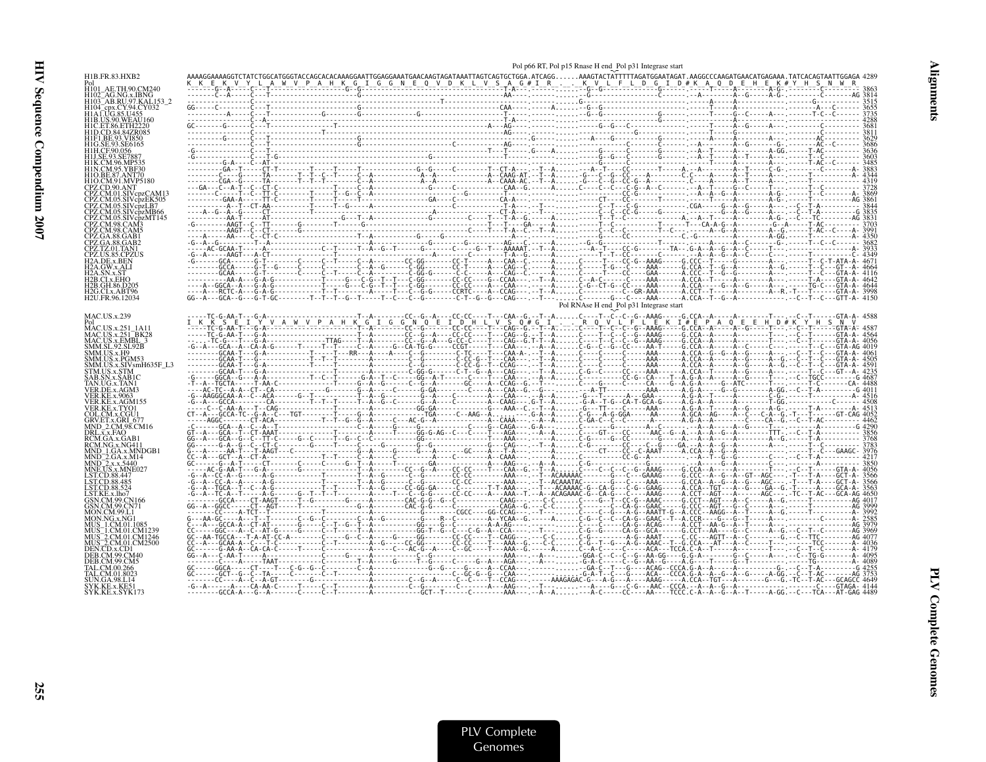|                                               |                                                                                                                                                                                                                                                                                                                                                                                                                                         |  | Pol p66 RT, Pol p15 Rnase H end Pol p31 Integrase start |  |  |  |
|-----------------------------------------------|-----------------------------------------------------------------------------------------------------------------------------------------------------------------------------------------------------------------------------------------------------------------------------------------------------------------------------------------------------------------------------------------------------------------------------------------|--|---------------------------------------------------------|--|--|--|
|                                               |                                                                                                                                                                                                                                                                                                                                                                                                                                         |  |                                                         |  |  |  |
|                                               |                                                                                                                                                                                                                                                                                                                                                                                                                                         |  |                                                         |  |  |  |
|                                               |                                                                                                                                                                                                                                                                                                                                                                                                                                         |  |                                                         |  |  |  |
|                                               |                                                                                                                                                                                                                                                                                                                                                                                                                                         |  |                                                         |  |  |  |
|                                               |                                                                                                                                                                                                                                                                                                                                                                                                                                         |  |                                                         |  |  |  |
|                                               |                                                                                                                                                                                                                                                                                                                                                                                                                                         |  |                                                         |  |  |  |
|                                               |                                                                                                                                                                                                                                                                                                                                                                                                                                         |  |                                                         |  |  |  |
|                                               |                                                                                                                                                                                                                                                                                                                                                                                                                                         |  |                                                         |  |  |  |
|                                               |                                                                                                                                                                                                                                                                                                                                                                                                                                         |  |                                                         |  |  |  |
|                                               |                                                                                                                                                                                                                                                                                                                                                                                                                                         |  |                                                         |  |  |  |
|                                               |                                                                                                                                                                                                                                                                                                                                                                                                                                         |  |                                                         |  |  |  |
|                                               |                                                                                                                                                                                                                                                                                                                                                                                                                                         |  |                                                         |  |  |  |
|                                               |                                                                                                                                                                                                                                                                                                                                                                                                                                         |  |                                                         |  |  |  |
|                                               |                                                                                                                                                                                                                                                                                                                                                                                                                                         |  |                                                         |  |  |  |
|                                               |                                                                                                                                                                                                                                                                                                                                                                                                                                         |  |                                                         |  |  |  |
|                                               |                                                                                                                                                                                                                                                                                                                                                                                                                                         |  |                                                         |  |  |  |
|                                               |                                                                                                                                                                                                                                                                                                                                                                                                                                         |  |                                                         |  |  |  |
|                                               |                                                                                                                                                                                                                                                                                                                                                                                                                                         |  |                                                         |  |  |  |
|                                               |                                                                                                                                                                                                                                                                                                                                                                                                                                         |  |                                                         |  |  |  |
|                                               |                                                                                                                                                                                                                                                                                                                                                                                                                                         |  |                                                         |  |  |  |
|                                               |                                                                                                                                                                                                                                                                                                                                                                                                                                         |  |                                                         |  |  |  |
|                                               |                                                                                                                                                                                                                                                                                                                                                                                                                                         |  |                                                         |  |  |  |
| 42B GH 86 D205                                |                                                                                                                                                                                                                                                                                                                                                                                                                                         |  |                                                         |  |  |  |
| H2G.CLx.ABT96<br>H <sub>2</sub> U.FR.96.12034 |                                                                                                                                                                                                                                                                                                                                                                                                                                         |  |                                                         |  |  |  |
|                                               |                                                                                                                                                                                                                                                                                                                                                                                                                                         |  |                                                         |  |  |  |
| MAC.US.x.239                                  |                                                                                                                                                                                                                                                                                                                                                                                                                                         |  |                                                         |  |  |  |
| Pol<br>MAC.US.x.251-1A11<br>PK2               |                                                                                                                                                                                                                                                                                                                                                                                                                                         |  |                                                         |  |  |  |
| MAC.US.x.251_BK28<br>MAC.US.x.EMBL_3          |                                                                                                                                                                                                                                                                                                                                                                                                                                         |  |                                                         |  |  |  |
| SMM.SL.92.SL92B                               |                                                                                                                                                                                                                                                                                                                                                                                                                                         |  |                                                         |  |  |  |
| MM.US.x.H9                                    |                                                                                                                                                                                                                                                                                                                                                                                                                                         |  |                                                         |  |  |  |
| AM.US.x.PGM53                                 |                                                                                                                                                                                                                                                                                                                                                                                                                                         |  |                                                         |  |  |  |
| 5TM.US.x.STM                                  |                                                                                                                                                                                                                                                                                                                                                                                                                                         |  |                                                         |  |  |  |
|                                               |                                                                                                                                                                                                                                                                                                                                                                                                                                         |  |                                                         |  |  |  |
|                                               |                                                                                                                                                                                                                                                                                                                                                                                                                                         |  |                                                         |  |  |  |
|                                               |                                                                                                                                                                                                                                                                                                                                                                                                                                         |  |                                                         |  |  |  |
| OL.CM.x.CGU1                                  |                                                                                                                                                                                                                                                                                                                                                                                                                                         |  |                                                         |  |  |  |
|                                               |                                                                                                                                                                                                                                                                                                                                                                                                                                         |  |                                                         |  |  |  |
|                                               |                                                                                                                                                                                                                                                                                                                                                                                                                                         |  |                                                         |  |  |  |
|                                               |                                                                                                                                                                                                                                                                                                                                                                                                                                         |  |                                                         |  |  |  |
|                                               |                                                                                                                                                                                                                                                                                                                                                                                                                                         |  |                                                         |  |  |  |
|                                               |                                                                                                                                                                                                                                                                                                                                                                                                                                         |  |                                                         |  |  |  |
|                                               |                                                                                                                                                                                                                                                                                                                                                                                                                                         |  |                                                         |  |  |  |
|                                               |                                                                                                                                                                                                                                                                                                                                                                                                                                         |  |                                                         |  |  |  |
|                                               |                                                                                                                                                                                                                                                                                                                                                                                                                                         |  |                                                         |  |  |  |
|                                               |                                                                                                                                                                                                                                                                                                                                                                                                                                         |  |                                                         |  |  |  |
|                                               |                                                                                                                                                                                                                                                                                                                                                                                                                                         |  |                                                         |  |  |  |
|                                               |                                                                                                                                                                                                                                                                                                                                                                                                                                         |  |                                                         |  |  |  |
|                                               |                                                                                                                                                                                                                                                                                                                                                                                                                                         |  |                                                         |  |  |  |
|                                               |                                                                                                                                                                                                                                                                                                                                                                                                                                         |  |                                                         |  |  |  |
|                                               |                                                                                                                                                                                                                                                                                                                                                                                                                                         |  |                                                         |  |  |  |
|                                               |                                                                                                                                                                                                                                                                                                                                                                                                                                         |  |                                                         |  |  |  |
|                                               |                                                                                                                                                                                                                                                                                                                                                                                                                                         |  |                                                         |  |  |  |
|                                               |                                                                                                                                                                                                                                                                                                                                                                                                                                         |  |                                                         |  |  |  |
|                                               | $\begin{small} \begin{smallmatrix} \textbf{1} & \textbf{0} & \textbf{0} & \textbf{0} & \textbf{0} & \textbf{0} & \textbf{0} & \textbf{0} & \textbf{0} & \textbf{0} & \textbf{0} & \textbf{0} & \textbf{0} & \textbf{0} & \textbf{0} & \textbf{0} & \textbf{0} & \textbf{0} & \textbf{0} & \textbf{0} & \textbf{0} & \textbf{0} & \textbf{0} & \textbf{0} & \textbf{0} & \textbf{0} & \textbf{0} & \textbf{0} & \textbf{0} & \textbf{0}$ |  |                                                         |  |  |  |
|                                               |                                                                                                                                                                                                                                                                                                                                                                                                                                         |  |                                                         |  |  |  |
|                                               |                                                                                                                                                                                                                                                                                                                                                                                                                                         |  |                                                         |  |  |  |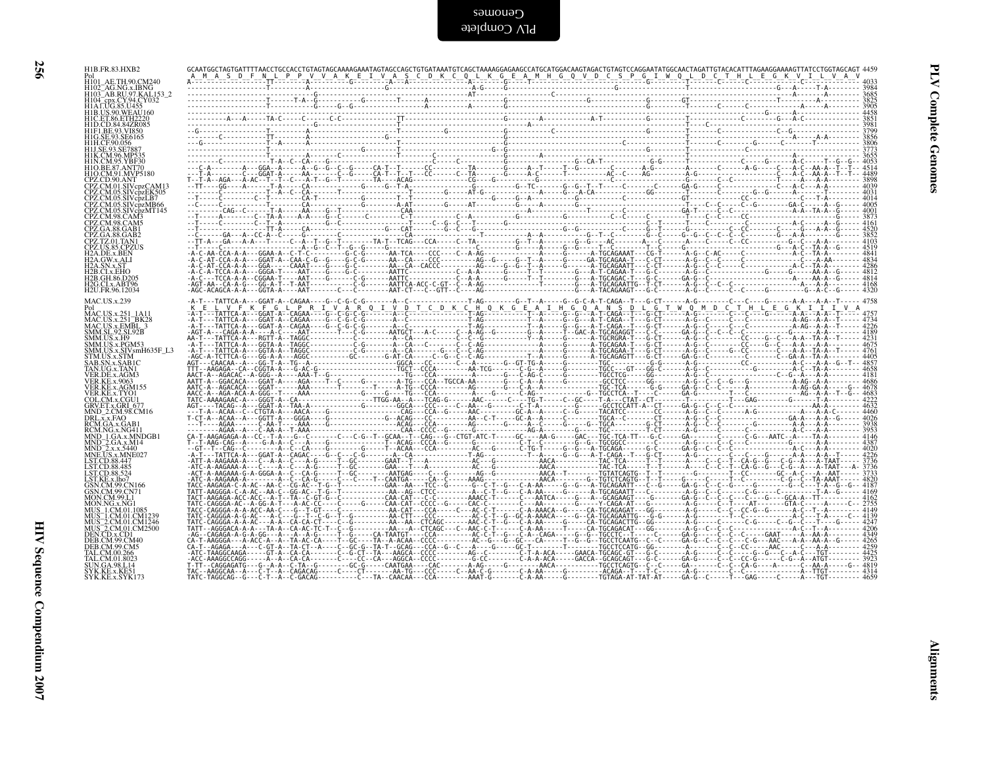| F01<br>H101_AE.TH.90.CM240<br>H102_AG.NG.x.IBNG<br>H103_AB.RU.97.KAL.153_2                                                                                                                                                     |                                                                                                                                                                                                                                                                                                                                                                                                                                         |  |  |  |  |  |  |  |
|--------------------------------------------------------------------------------------------------------------------------------------------------------------------------------------------------------------------------------|-----------------------------------------------------------------------------------------------------------------------------------------------------------------------------------------------------------------------------------------------------------------------------------------------------------------------------------------------------------------------------------------------------------------------------------------|--|--|--|--|--|--|--|
| H104_cpx.CY.94.CY032<br>H104_cpx.CY.94.CY032<br>H1B.US.90.WEAU160                                                                                                                                                              |                                                                                                                                                                                                                                                                                                                                                                                                                                         |  |  |  |  |  |  |  |
| H1C.ET.86.ETH2220<br>H1D.CD.84.84ZR085<br>H1F1.BE.93.VI850<br>H1G.SE.93.SE6165                                                                                                                                                 |                                                                                                                                                                                                                                                                                                                                                                                                                                         |  |  |  |  |  |  |  |
| H1H.CF.90.056<br>H1J.SE.93.SE7887<br>H1K.CM.96.MP535<br>H1N.CM.95.YBF30                                                                                                                                                        |                                                                                                                                                                                                                                                                                                                                                                                                                                         |  |  |  |  |  |  |  |
| H1O.BE.87.ANT70<br>H1O.CM.91.MVP5180                                                                                                                                                                                           |                                                                                                                                                                                                                                                                                                                                                                                                                                         |  |  |  |  |  |  |  |
|                                                                                                                                                                                                                                |                                                                                                                                                                                                                                                                                                                                                                                                                                         |  |  |  |  |  |  |  |
|                                                                                                                                                                                                                                |                                                                                                                                                                                                                                                                                                                                                                                                                                         |  |  |  |  |  |  |  |
| HIO.CM.91.MVP5180<br>CPZ.CM.91.MVP5180<br>CPZ.CM.05.SIVcpzEK505<br>CPZ.CM.05.SIVcpzEK505<br>CPZ.CM.05.SIVcpzMF145<br>CPZ.CM.98.CMX<br>CPZ.CM.98.CAM3<br>CPZ.CA.88.CAB1<br>CPZ.CA.88.CAB1<br>CPZ.CA.88.CAB1<br>CPZ.TLS.85.CPZUS |                                                                                                                                                                                                                                                                                                                                                                                                                                         |  |  |  |  |  |  |  |
| CPZ. IZ.01. IANI<br>CPZ.US.85.CPZUS<br>H2A.DE.x.BEN<br>H2A.GW.x.ALI<br>H2A.SN.x.ST<br>H2B.CLx.EHO<br>H2B.GH.86.D205<br>H2B.CH.x.ABT96<br>H2B.CLX.ABT96<br>H2CLX.ABT96                                                          |                                                                                                                                                                                                                                                                                                                                                                                                                                         |  |  |  |  |  |  |  |
| H <sub>2</sub> U.FR.96.12034                                                                                                                                                                                                   |                                                                                                                                                                                                                                                                                                                                                                                                                                         |  |  |  |  |  |  |  |
| MAC.US.x.239<br>MAC.US.x.251 1A11                                                                                                                                                                                              | $\begin{small} \begin{smallmatrix} \textbf{1} & \textbf{1} & \textbf{1} & \textbf{1} & \textbf{1} & \textbf{1} & \textbf{1} & \textbf{1} & \textbf{1} & \textbf{1} & \textbf{1} & \textbf{1} & \textbf{1} & \textbf{1} & \textbf{1} & \textbf{1} & \textbf{1} & \textbf{1} & \textbf{1} & \textbf{1} & \textbf{1} & \textbf{1} & \textbf{1} & \textbf{1} & \textbf{1} & \textbf{1} & \textbf{1} & \textbf{1} & \textbf{1} & \textbf{1}$ |  |  |  |  |  |  |  |
| MAC.US.x.251_1A11<br>MAC.US.x.251_BK28<br>MAC.US.x.EMBL_3<br>SMM.US.x.F9<br>SMM.US.x.F9<br>SMM.US.x.F9M53<br>SMM.US.x.SIV.smH635F_L3<br>STM.US.x.SIV.smH635F_L3<br>SAB.SN.x.SAB1C<br>TAR.UG.x.TAN1<br>VER DE x AGM3            |                                                                                                                                                                                                                                                                                                                                                                                                                                         |  |  |  |  |  |  |  |
|                                                                                                                                                                                                                                |                                                                                                                                                                                                                                                                                                                                                                                                                                         |  |  |  |  |  |  |  |
| VER.DE.x.AGM3                                                                                                                                                                                                                  |                                                                                                                                                                                                                                                                                                                                                                                                                                         |  |  |  |  |  |  |  |
| VER.KE.x.9063<br>VER.KE.x.2007<br>VER.KE.x.AGM155<br>COL.CM.x.CGU1<br>GRV.ET.x.GRI_677<br>MND_2.CM.98.CM16                                                                                                                     |                                                                                                                                                                                                                                                                                                                                                                                                                                         |  |  |  |  |  |  |  |
|                                                                                                                                                                                                                                |                                                                                                                                                                                                                                                                                                                                                                                                                                         |  |  |  |  |  |  |  |
| MIND_2.CM.38.CM16<br>DRL.x.x.FAO<br>RCM.GA.x.GAB11<br>MND_1.GA.x.MNDGB1<br>MND_2.GA.x.M14<br>MND_2.x.x.5440<br>MND_2.x.x.5440<br>LET.CD.xx.MPE027                                                                              |                                                                                                                                                                                                                                                                                                                                                                                                                                         |  |  |  |  |  |  |  |
| LST.CD.88.447                                                                                                                                                                                                                  |                                                                                                                                                                                                                                                                                                                                                                                                                                         |  |  |  |  |  |  |  |
| LST.CD.88.485<br>LST.CD.88.524<br>LST.CD.88.524<br>CSN.CM.99.CN166                                                                                                                                                             |                                                                                                                                                                                                                                                                                                                                                                                                                                         |  |  |  |  |  |  |  |
| GSN.CM.99.CN71<br><b>MON.CM.99.L1</b><br>MON.NG.x.NG1                                                                                                                                                                          |                                                                                                                                                                                                                                                                                                                                                                                                                                         |  |  |  |  |  |  |  |
| MUN.NG.X.NG1<br>MUS_1.CM.01.CM1239<br>MUS_1.CM.01.CM1239<br>MUS_2.CM.01.CM1246<br>MUS_2.CM.01.CM2500<br>DEN.CD.x.CD1<br>DER.CM.99.CM40                                                                                         |                                                                                                                                                                                                                                                                                                                                                                                                                                         |  |  |  |  |  |  |  |
| DEB.CM.99.CM5                                                                                                                                                                                                                  |                                                                                                                                                                                                                                                                                                                                                                                                                                         |  |  |  |  |  |  |  |
| ELEM.09.266<br>TAL.CM.00.266<br>TAL.CM.01.8023<br>SVK.KE.x.KE51<br>SYK.KE.x.SYK173                                                                                                                                             |                                                                                                                                                                                                                                                                                                                                                                                                                                         |  |  |  |  |  |  |  |
|                                                                                                                                                                                                                                |                                                                                                                                                                                                                                                                                                                                                                                                                                         |  |  |  |  |  |  |  |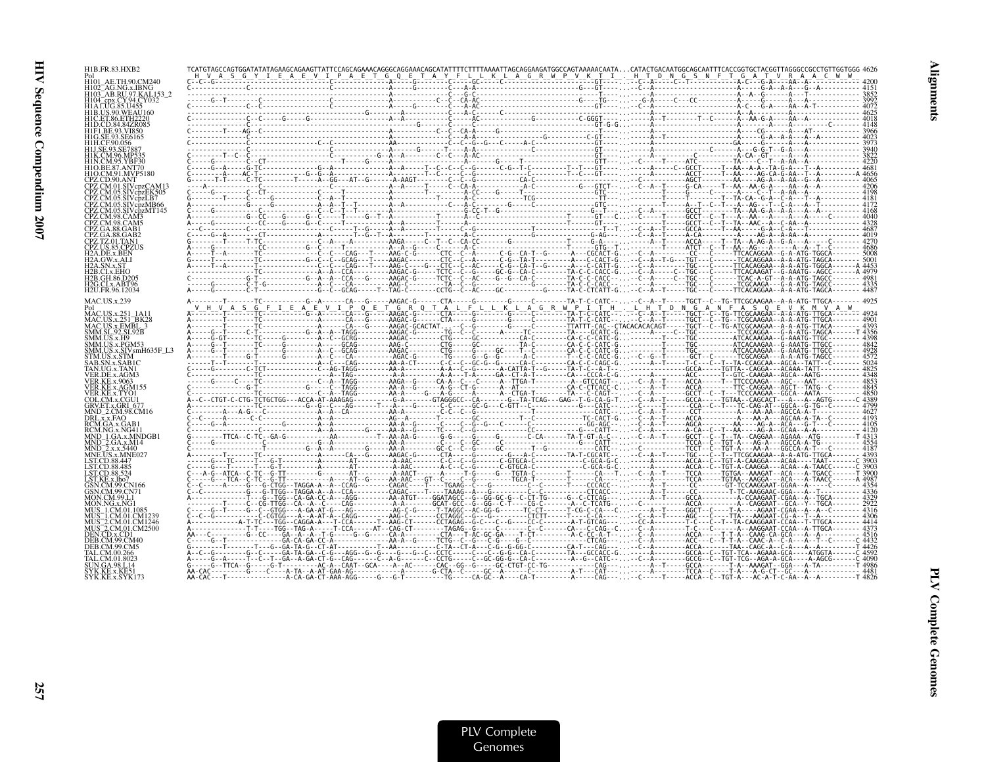| H1B.FR.83.HXB2                       |  | $\begin{smallmatrix} \mathbf{r}_1 \\ \mathbf{r}_2 \\ \mathbf{r}_3 \\ \mathbf{r}_4 \\ \mathbf{r}_5 \\ \mathbf{r}_6 \\ \mathbf{r}_7 \\ \mathbf{r}_8 \\ \mathbf{r}_9 \\ \mathbf{r}_9 \\ \mathbf{r}_9 \\ \mathbf{r}_9 \\ \mathbf{r}_9 \\ \mathbf{r}_9 \\ \mathbf{r}_9 \\ \mathbf{r}_9 \\ \mathbf{r}_9 \\ \mathbf{r}_9 \\ \mathbf{r}_9 \\ \mathbf{r}_9 \\ \mathbf{r}_9 \\ \mathbf{r}_9 \\ \mathbf{r}_9 \\ \mathbf{r}_9 \\ \mathbf{r}_9 \\ \mathbf{r}_9 \\ \mathbf{r}_$ |  |  |
|--------------------------------------|--|-------------------------------------------------------------------------------------------------------------------------------------------------------------------------------------------------------------------------------------------------------------------------------------------------------------------------------------------------------------------------------------------------------------------------------------------------------------------|--|--|
|                                      |  |                                                                                                                                                                                                                                                                                                                                                                                                                                                                   |  |  |
| H103 AB.RU.97.KAL                    |  |                                                                                                                                                                                                                                                                                                                                                                                                                                                                   |  |  |
|                                      |  |                                                                                                                                                                                                                                                                                                                                                                                                                                                                   |  |  |
|                                      |  |                                                                                                                                                                                                                                                                                                                                                                                                                                                                   |  |  |
|                                      |  |                                                                                                                                                                                                                                                                                                                                                                                                                                                                   |  |  |
|                                      |  |                                                                                                                                                                                                                                                                                                                                                                                                                                                                   |  |  |
|                                      |  |                                                                                                                                                                                                                                                                                                                                                                                                                                                                   |  |  |
|                                      |  |                                                                                                                                                                                                                                                                                                                                                                                                                                                                   |  |  |
|                                      |  |                                                                                                                                                                                                                                                                                                                                                                                                                                                                   |  |  |
|                                      |  |                                                                                                                                                                                                                                                                                                                                                                                                                                                                   |  |  |
|                                      |  |                                                                                                                                                                                                                                                                                                                                                                                                                                                                   |  |  |
|                                      |  |                                                                                                                                                                                                                                                                                                                                                                                                                                                                   |  |  |
|                                      |  |                                                                                                                                                                                                                                                                                                                                                                                                                                                                   |  |  |
|                                      |  |                                                                                                                                                                                                                                                                                                                                                                                                                                                                   |  |  |
|                                      |  |                                                                                                                                                                                                                                                                                                                                                                                                                                                                   |  |  |
|                                      |  |                                                                                                                                                                                                                                                                                                                                                                                                                                                                   |  |  |
|                                      |  |                                                                                                                                                                                                                                                                                                                                                                                                                                                                   |  |  |
| H2B C'Ex-EHO                         |  |                                                                                                                                                                                                                                                                                                                                                                                                                                                                   |  |  |
| H2B.GH.86.D205<br>H2G.CI.x.ABT96     |  |                                                                                                                                                                                                                                                                                                                                                                                                                                                                   |  |  |
| H <sub>2</sub> U.FR.96.12034         |  |                                                                                                                                                                                                                                                                                                                                                                                                                                                                   |  |  |
| <b>MAC.US.x.239</b>                  |  |                                                                                                                                                                                                                                                                                                                                                                                                                                                                   |  |  |
| MAC.US.x.251 1A11                    |  |                                                                                                                                                                                                                                                                                                                                                                                                                                                                   |  |  |
| MAC.US.x.EMBL 3<br>SMM.SL.92.SL92B   |  |                                                                                                                                                                                                                                                                                                                                                                                                                                                                   |  |  |
| SMM.US.x.H9<br>SMM US x PGM53        |  |                                                                                                                                                                                                                                                                                                                                                                                                                                                                   |  |  |
|                                      |  |                                                                                                                                                                                                                                                                                                                                                                                                                                                                   |  |  |
|                                      |  |                                                                                                                                                                                                                                                                                                                                                                                                                                                                   |  |  |
|                                      |  |                                                                                                                                                                                                                                                                                                                                                                                                                                                                   |  |  |
|                                      |  |                                                                                                                                                                                                                                                                                                                                                                                                                                                                   |  |  |
|                                      |  |                                                                                                                                                                                                                                                                                                                                                                                                                                                                   |  |  |
|                                      |  |                                                                                                                                                                                                                                                                                                                                                                                                                                                                   |  |  |
| DRL.x.x.FAO                          |  |                                                                                                                                                                                                                                                                                                                                                                                                                                                                   |  |  |
| RCM.GA.x.GAB                         |  |                                                                                                                                                                                                                                                                                                                                                                                                                                                                   |  |  |
|                                      |  |                                                                                                                                                                                                                                                                                                                                                                                                                                                                   |  |  |
|                                      |  |                                                                                                                                                                                                                                                                                                                                                                                                                                                                   |  |  |
| LST.CD.88.447                        |  |                                                                                                                                                                                                                                                                                                                                                                                                                                                                   |  |  |
|                                      |  |                                                                                                                                                                                                                                                                                                                                                                                                                                                                   |  |  |
|                                      |  |                                                                                                                                                                                                                                                                                                                                                                                                                                                                   |  |  |
|                                      |  |                                                                                                                                                                                                                                                                                                                                                                                                                                                                   |  |  |
|                                      |  |                                                                                                                                                                                                                                                                                                                                                                                                                                                                   |  |  |
|                                      |  |                                                                                                                                                                                                                                                                                                                                                                                                                                                                   |  |  |
| 2.CM.01.CM1246<br>$-2$ .CM.01.CM2500 |  |                                                                                                                                                                                                                                                                                                                                                                                                                                                                   |  |  |
| DEN CD v CD1                         |  |                                                                                                                                                                                                                                                                                                                                                                                                                                                                   |  |  |
|                                      |  |                                                                                                                                                                                                                                                                                                                                                                                                                                                                   |  |  |
|                                      |  |                                                                                                                                                                                                                                                                                                                                                                                                                                                                   |  |  |
|                                      |  |                                                                                                                                                                                                                                                                                                                                                                                                                                                                   |  |  |
|                                      |  |                                                                                                                                                                                                                                                                                                                                                                                                                                                                   |  |  |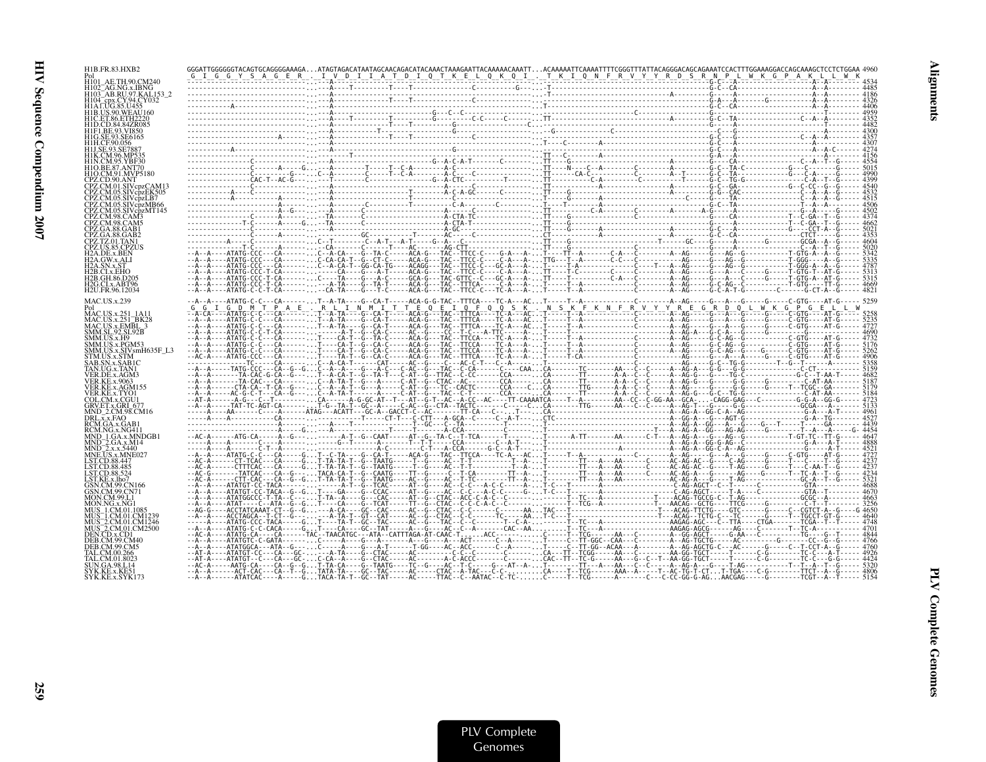| H1B.FR.83.HXB2                         |  |  |  |  |  |
|----------------------------------------|--|--|--|--|--|
|                                        |  |  |  |  |  |
| H103 AB.RU.97.KAL153 2                 |  |  |  |  |  |
|                                        |  |  |  |  |  |
|                                        |  |  |  |  |  |
|                                        |  |  |  |  |  |
|                                        |  |  |  |  |  |
|                                        |  |  |  |  |  |
| H1O.CM.91.MVP5180                      |  |  |  |  |  |
| CPZ.CD.90.ANT<br>CPZ.CM.01.SIVcpzCAM13 |  |  |  |  |  |
| 05.SIVcpzEK505                         |  |  |  |  |  |
| CPZ.CM.05.SIVcpzMB66                   |  |  |  |  |  |
|                                        |  |  |  |  |  |
|                                        |  |  |  |  |  |
|                                        |  |  |  |  |  |
| 2A DE x REN                            |  |  |  |  |  |
|                                        |  |  |  |  |  |
| H2B.GH.86.D205<br>H2G.CLx.ABT96        |  |  |  |  |  |
| H2U.FR.96.12034                        |  |  |  |  |  |
| MAC.US.x.239                           |  |  |  |  |  |
| MAC.US.x.251 1A1<br>MAC.US.x.251_BK28  |  |  |  |  |  |
| MAC.US.x.EMBL<br>SMM.SL.92.SL92B       |  |  |  |  |  |
| SMM.US.x.H9<br>SMM.US.x.PGM53          |  |  |  |  |  |
| SMM.US.x.SIVsmH635F_L3<br>STM US x STM |  |  |  |  |  |
| I'AN.UG.x.TAN1                         |  |  |  |  |  |
| /ER.DE.x.AGM3<br>VER KE x 9063         |  |  |  |  |  |
| VER KE x AGM155                        |  |  |  |  |  |
| COL CM x CGH1<br>GRV.ET.x.GRI 67       |  |  |  |  |  |
| MND 2.CM.98.CM16<br>DRL.x.x.FAO        |  |  |  |  |  |
| RCM.GA.x.GAB1<br>RCM NG x NG41         |  |  |  |  |  |
| MND 1.GA.x.MNDGB                       |  |  |  |  |  |
|                                        |  |  |  |  |  |
| I ST CD 88.485                         |  |  |  |  |  |
|                                        |  |  |  |  |  |
| 99 CN166                               |  |  |  |  |  |
| MON.CM.99.L<br>MON NG x NG1            |  |  |  |  |  |
|                                        |  |  |  |  |  |
| 2.CM.01.CM1246<br>2.CM.01.CM2500       |  |  |  |  |  |
| DEN CD x CD1                           |  |  |  |  |  |
|                                        |  |  |  |  |  |
|                                        |  |  |  |  |  |
|                                        |  |  |  |  |  |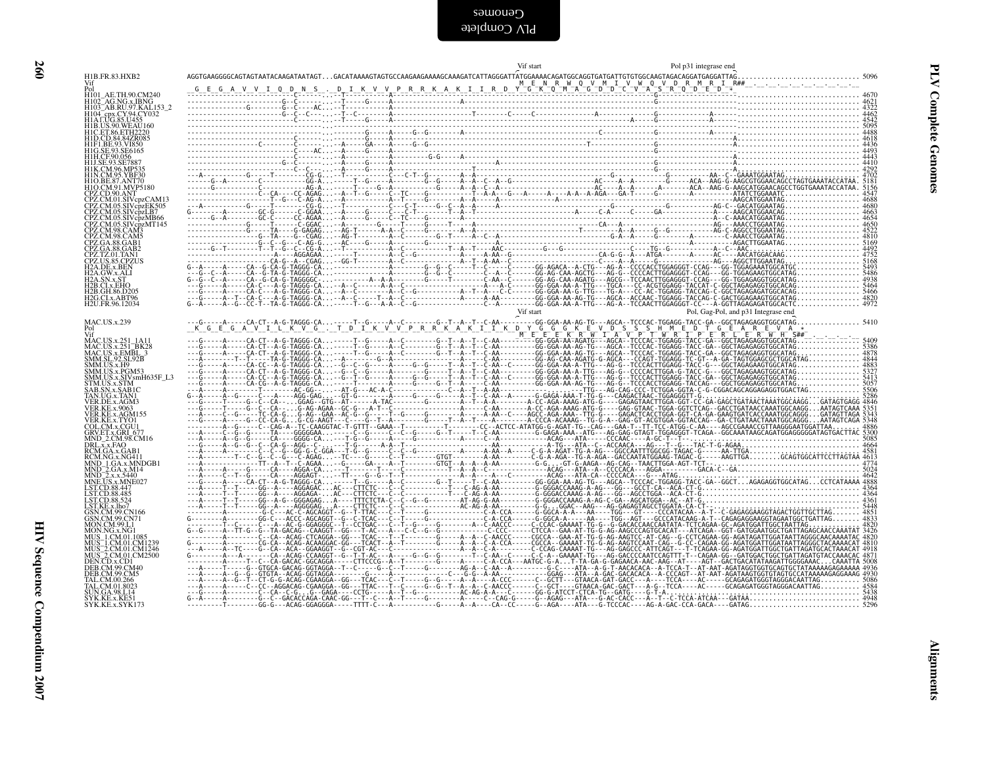| H104_cpx.CY.94.CY032<br>H104_cpx.CY.94.CY032<br>H1AT.UG.85.U455<br>H1B.US.90.WEAU160<br>H1C.ET.86.ETH2220<br>H1D.CD.84.84ZR085<br>CPZ.CM.05.SIVcpzEK505<br>CPZ.CM.05.SIVepzLB7<br>CPZ.CM.05.SIVepzMB66<br>CPZ.CM.05.SIVepzMT145<br>CPZ.CM.98.CAM3<br>CPZ.CM.98.CAM5<br>Vif start<br>Pol, Gag-Pol, and p31 Integrase end<br>MAC.US.x.251-BK28<br>MAC.US.x.251-BK28<br>MAC.US.x.EMBL_3<br>SMM.US.x.H9<br>SMM.US.x.H9<br>SMM.US.x.PGM53<br>NIND_2.CM: 95.CM10<br>RCM.GA.x.GAB1<br>RCM.NG.x.NG411<br>MND_1.GA.x.MNDGB1<br>MND_2.GA.x.MNDGB1<br>MND_2.x.x.MNE027<br>NNE.US.x.MNE027<br>NNE.US.x.MNE027<br>GSN.CM-99.CM<br>MON.CM-99.L1<br>MON.NG.x.NG1<br>MUS_1.CM.01.CM1239<br>MUS_2.CM.01.CM1246<br>MUS_2.CM.01.CM2500<br>DEN.CD.x.CD1.CM2500<br>DEN.CD.x.CD1.002500 |                                                                                      | Pol p31 integrase end |  |
|-------------------------------------------------------------------------------------------------------------------------------------------------------------------------------------------------------------------------------------------------------------------------------------------------------------------------------------------------------------------------------------------------------------------------------------------------------------------------------------------------------------------------------------------------------------------------------------------------------------------------------------------------------------------------------------------------------------------------------------------------------------------|--------------------------------------------------------------------------------------|-----------------------|--|
|                                                                                                                                                                                                                                                                                                                                                                                                                                                                                                                                                                                                                                                                                                                                                                   | H1B.FR.83.HXB2                                                                       |                       |  |
|                                                                                                                                                                                                                                                                                                                                                                                                                                                                                                                                                                                                                                                                                                                                                                   | FU<br>H101_AE.TH.90.CM240<br>H102_AG.NG.x.IBNG<br>H103_AB.RU.97.KAL153_2             |                       |  |
|                                                                                                                                                                                                                                                                                                                                                                                                                                                                                                                                                                                                                                                                                                                                                                   |                                                                                      |                       |  |
|                                                                                                                                                                                                                                                                                                                                                                                                                                                                                                                                                                                                                                                                                                                                                                   |                                                                                      |                       |  |
|                                                                                                                                                                                                                                                                                                                                                                                                                                                                                                                                                                                                                                                                                                                                                                   |                                                                                      |                       |  |
|                                                                                                                                                                                                                                                                                                                                                                                                                                                                                                                                                                                                                                                                                                                                                                   | HIFLBE.93.VI850<br>HIG.SE.93.SE6165<br>HIH.CF.90.056<br>HIJ.SE.93.SE7887             |                       |  |
|                                                                                                                                                                                                                                                                                                                                                                                                                                                                                                                                                                                                                                                                                                                                                                   | H1K.CM.96.MP535<br>H1N.CM.95.YBF30<br>H1O.BE.87.ANT70                                |                       |  |
|                                                                                                                                                                                                                                                                                                                                                                                                                                                                                                                                                                                                                                                                                                                                                                   | H1O.CM.91.MVP5180                                                                    |                       |  |
|                                                                                                                                                                                                                                                                                                                                                                                                                                                                                                                                                                                                                                                                                                                                                                   | CPZ.CD.90.ANT<br>CPZ.CM.01.SIVcpzCAM13                                               |                       |  |
|                                                                                                                                                                                                                                                                                                                                                                                                                                                                                                                                                                                                                                                                                                                                                                   |                                                                                      |                       |  |
|                                                                                                                                                                                                                                                                                                                                                                                                                                                                                                                                                                                                                                                                                                                                                                   |                                                                                      |                       |  |
|                                                                                                                                                                                                                                                                                                                                                                                                                                                                                                                                                                                                                                                                                                                                                                   | CPZ.GA.88.GAB1<br>CPZ.GA.88.GAB2                                                     |                       |  |
|                                                                                                                                                                                                                                                                                                                                                                                                                                                                                                                                                                                                                                                                                                                                                                   |                                                                                      |                       |  |
|                                                                                                                                                                                                                                                                                                                                                                                                                                                                                                                                                                                                                                                                                                                                                                   | CPZ.TZ.01.TAN1<br>CPZ.US.85.CPZUS<br>H2A.DE.x.BEN<br>H2A.QW.x.ALI                    |                       |  |
|                                                                                                                                                                                                                                                                                                                                                                                                                                                                                                                                                                                                                                                                                                                                                                   | H <sub>2</sub> A.SN.x.ST<br>H2B.CI.x.EHO<br>H2B.GH.86.D205                           |                       |  |
|                                                                                                                                                                                                                                                                                                                                                                                                                                                                                                                                                                                                                                                                                                                                                                   | H2G.CI.x.ABT96<br>H2U.FR.96.12034                                                    |                       |  |
|                                                                                                                                                                                                                                                                                                                                                                                                                                                                                                                                                                                                                                                                                                                                                                   |                                                                                      |                       |  |
|                                                                                                                                                                                                                                                                                                                                                                                                                                                                                                                                                                                                                                                                                                                                                                   | <b>MAC.US.x.239</b>                                                                  |                       |  |
|                                                                                                                                                                                                                                                                                                                                                                                                                                                                                                                                                                                                                                                                                                                                                                   | MAC.US.x.251_1A11                                                                    |                       |  |
|                                                                                                                                                                                                                                                                                                                                                                                                                                                                                                                                                                                                                                                                                                                                                                   |                                                                                      |                       |  |
|                                                                                                                                                                                                                                                                                                                                                                                                                                                                                                                                                                                                                                                                                                                                                                   | SMM.US.x.SIVsmH635F L3                                                               |                       |  |
|                                                                                                                                                                                                                                                                                                                                                                                                                                                                                                                                                                                                                                                                                                                                                                   | STM.US.x.STM<br>SAB.SN.x.SAB1C                                                       |                       |  |
|                                                                                                                                                                                                                                                                                                                                                                                                                                                                                                                                                                                                                                                                                                                                                                   | TAN.UG.x.TAN1<br>VER.DE.x.AGM3<br>VER.KE.x.9063                                      |                       |  |
|                                                                                                                                                                                                                                                                                                                                                                                                                                                                                                                                                                                                                                                                                                                                                                   | VER.KE.x.AGM155<br>VER.KE.x.TYO1                                                     |                       |  |
|                                                                                                                                                                                                                                                                                                                                                                                                                                                                                                                                                                                                                                                                                                                                                                   | COL.CM.x.CGU1<br>GRV.ET.x.GRI_677<br>MND_2.CM.98.CM16                                |                       |  |
|                                                                                                                                                                                                                                                                                                                                                                                                                                                                                                                                                                                                                                                                                                                                                                   |                                                                                      |                       |  |
|                                                                                                                                                                                                                                                                                                                                                                                                                                                                                                                                                                                                                                                                                                                                                                   |                                                                                      |                       |  |
|                                                                                                                                                                                                                                                                                                                                                                                                                                                                                                                                                                                                                                                                                                                                                                   |                                                                                      |                       |  |
|                                                                                                                                                                                                                                                                                                                                                                                                                                                                                                                                                                                                                                                                                                                                                                   | LST.CD.88.447                                                                        |                       |  |
|                                                                                                                                                                                                                                                                                                                                                                                                                                                                                                                                                                                                                                                                                                                                                                   | LST.CD.88.524<br>LST.KE.x.lho7                                                       |                       |  |
|                                                                                                                                                                                                                                                                                                                                                                                                                                                                                                                                                                                                                                                                                                                                                                   | GSN.CM.99.CN166<br>GSN.CM.99.CN71                                                    |                       |  |
|                                                                                                                                                                                                                                                                                                                                                                                                                                                                                                                                                                                                                                                                                                                                                                   |                                                                                      |                       |  |
|                                                                                                                                                                                                                                                                                                                                                                                                                                                                                                                                                                                                                                                                                                                                                                   |                                                                                      |                       |  |
|                                                                                                                                                                                                                                                                                                                                                                                                                                                                                                                                                                                                                                                                                                                                                                   |                                                                                      |                       |  |
|                                                                                                                                                                                                                                                                                                                                                                                                                                                                                                                                                                                                                                                                                                                                                                   | DEB.CM.99.CM40<br>DEB.CM.99.CM5                                                      |                       |  |
|                                                                                                                                                                                                                                                                                                                                                                                                                                                                                                                                                                                                                                                                                                                                                                   |                                                                                      |                       |  |
|                                                                                                                                                                                                                                                                                                                                                                                                                                                                                                                                                                                                                                                                                                                                                                   |                                                                                      |                       |  |
|                                                                                                                                                                                                                                                                                                                                                                                                                                                                                                                                                                                                                                                                                                                                                                   |                                                                                      |                       |  |
|                                                                                                                                                                                                                                                                                                                                                                                                                                                                                                                                                                                                                                                                                                                                                                   | TAL.CM.00.266<br>TAL.CM.01.8023<br>SUN.GA.98.L14<br>SYK.KE.x.KE51<br>SYK.KE.x.SYK173 |                       |  |
|                                                                                                                                                                                                                                                                                                                                                                                                                                                                                                                                                                                                                                                                                                                                                                   |                                                                                      |                       |  |
|                                                                                                                                                                                                                                                                                                                                                                                                                                                                                                                                                                                                                                                                                                                                                                   |                                                                                      |                       |  |
|                                                                                                                                                                                                                                                                                                                                                                                                                                                                                                                                                                                                                                                                                                                                                                   |                                                                                      |                       |  |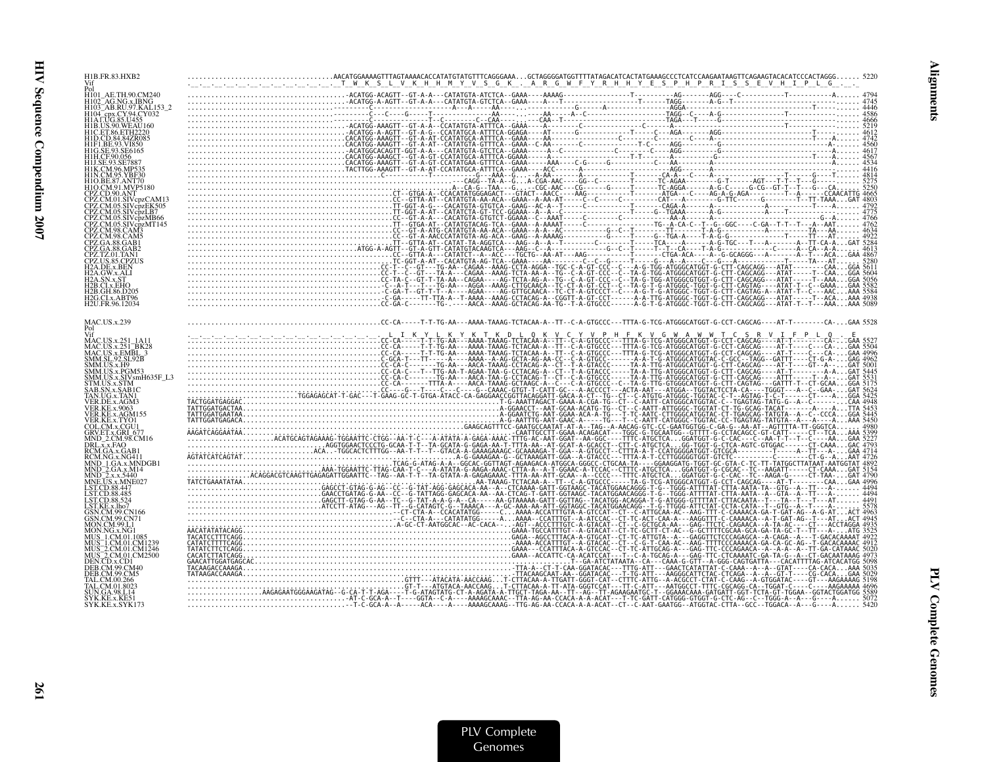| H1B.FR.83.HXB2<br>Vif                                                                         | AACATGGAAAAGTTTAGTAAAACACCATATGTATGTTTCAGGGAAAGCTAGGGGATGGTTTTATAGACATGCATAGCACCAGAGATAAGTTCAGAAGTACACCCACTAGGG 5220<br>-_--_-_-_-_-_-_-_-_-_-_-__T__W_K_S_L_V_K_H_H_M_Y_V_S_G_K_._A_R_G_ |
|-----------------------------------------------------------------------------------------------|-------------------------------------------------------------------------------------------------------------------------------------------------------------------------------------------|
| H101 AE.TH.90.CM240                                                                           |                                                                                                                                                                                           |
| 41R LIS 90 WEAL1160                                                                           |                                                                                                                                                                                           |
| <b>11F1 BE 93 VI850</b><br>1H.CF.90.056                                                       |                                                                                                                                                                                           |
| H1O.CM.91.MVP5180<br>CPZ.CD.90.ANT                                                            |                                                                                                                                                                                           |
| CPZ.CM.01.SIVcpzCAM13<br>CPZ.CM.05.SIVcpzEK505<br>CPZ.CM.05.SIVcpzLB7<br>PZ.CM.05.SIVcpzMB66  |                                                                                                                                                                                           |
| CPZ.CM.05.SIVcpzMT145<br>CPZ.CM.98.CAM3<br>CPZ.CM.98.CAM5                                     |                                                                                                                                                                                           |
| CPZ US 85 CPZUS<br>12A.DE.x.BEN<br>[2A.GW.x.ALI                                               |                                                                                                                                                                                           |
| 2B.CI.x.EHO<br>2B.GH.86.D205<br>2G.CI.x.ABT96<br>H2U.FR.96.12034                              |                                                                                                                                                                                           |
| MAC.US.x.239<br>Pol                                                                           |                                                                                                                                                                                           |
| MAC.US.x.251_1A11<br>MAC.US.x.251_BK28<br>MAC.US.x.EMBL_3<br>SMM.SL.92.SL92B                  |                                                                                                                                                                                           |
| SMM.US.x.H9<br>SMM.US.x.PGM53<br>SMM.US.x.SIVsmH635F_L3<br>GTM.US.x.STM                       |                                                                                                                                                                                           |
| AB.SN.x.SAB1C<br>TAN.UG.x.TAN1<br>VER.DE.x.AGM3<br>/ER.KE.x.9063<br>VER.KE.x.AGM155           |                                                                                                                                                                                           |
| VER.KE.x.TYO1<br>COL.CM.x.CGU1<br>GRV.ET.x.GRI 677<br>MND 2.CM.98.CM16                        |                                                                                                                                                                                           |
| DRL.x.x.FAO<br>RCM.GA.x.GAB1<br>RCM.NG.x.NG411<br>MND 1.GA.x.MNDGB1<br>AND 2.GA.x.M14         |                                                                                                                                                                                           |
| MD <sub>2.x.x.5440</sub><br>MNE.US.x.MNE027<br>ST.CD.88.447<br>LST.CD.88.485<br>LST.CD.88.524 |                                                                                                                                                                                           |
| LST.KE.x.lho7<br>SN.CM.99.CN166<br>GSN.CM.99.CN71<br>MON.CM.99.L1                             |                                                                                                                                                                                           |
| MHS 1 CM 01 1085<br>AUS 1.CM.01.CM1239<br>2.CM.01.CM1246<br>AUS 2.CM.01.CM2500                |                                                                                                                                                                                           |
| DEN.CD.x.CD1<br>)ER CM 99 CM40                                                                |                                                                                                                                                                                           |
| FAL.CM.01.8023<br>N GA 98 L 14<br>SYK.KE.x.KE51<br>SYK.KE.x.SYK173                            |                                                                                                                                                                                           |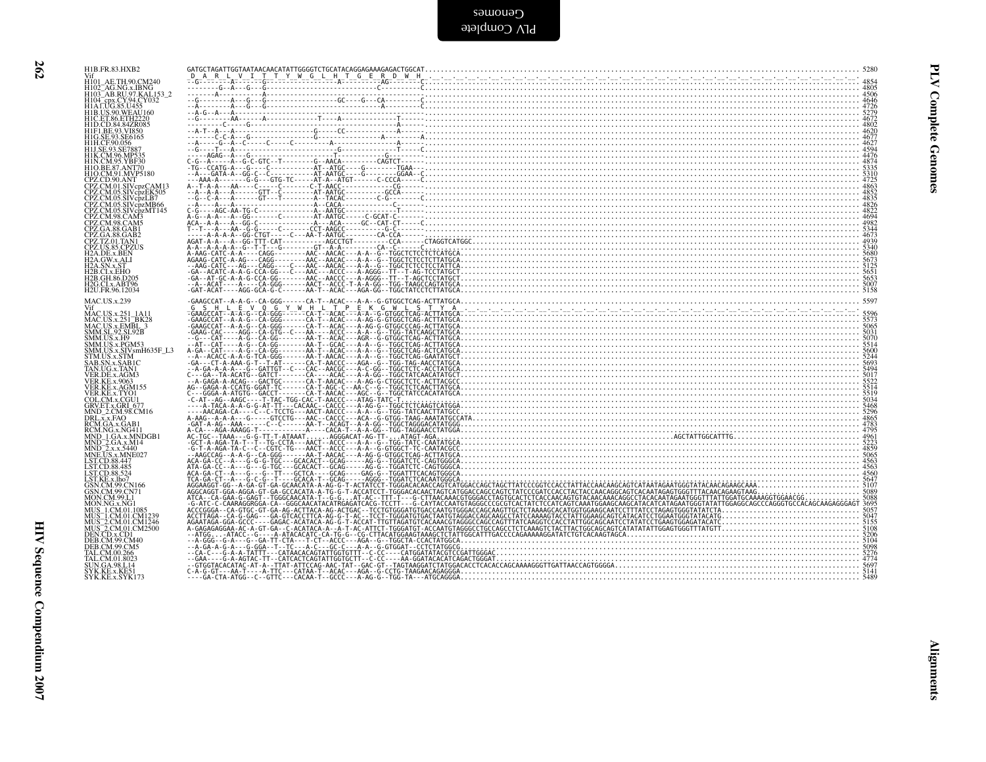| Vif<br>H101_AE.TH.90.CM240<br>H102_AG.NG.x.IBNG<br>H103_AB.RU.97.KAL.153_2<br>H104_cpx.CY.94.CY032<br>H1AT.UG.85.U455<br>H1B.US.99.WEAU.160                                                                                                                                           |  |
|---------------------------------------------------------------------------------------------------------------------------------------------------------------------------------------------------------------------------------------------------------------------------------------|--|
|                                                                                                                                                                                                                                                                                       |  |
| HIB.US.290.WEAU160<br>HID.CD.84.84ZR085<br>HID.CD.84.84ZR085<br>HIF.I.BE.93.SU850<br>HII.C.E.93.SE7887<br>HILSE.93.SE7887<br>HILSE.93.SE7887<br>HILS.CM.96.MP535<br>HIN.CM.96.MP535<br>HIN.CM.96.MP535<br>HIN.CM.95.YBF30                                                             |  |
| H1O.BE.87.ANT70                                                                                                                                                                                                                                                                       |  |
|                                                                                                                                                                                                                                                                                       |  |
|                                                                                                                                                                                                                                                                                       |  |
|                                                                                                                                                                                                                                                                                       |  |
|                                                                                                                                                                                                                                                                                       |  |
| HIO BE 87 ANT70<br>HIO CM 91 ANYT70<br>CPZ CM 01 SIV cpzCAM13<br>CPZ CM 05 SIV cpzCAM13<br>CPZ CM 05 SIV cpzCAM13<br>CPZ CM 05 SIV cpzMH66<br>CPZ CM 03 SIV cp2MH66<br>CPZ CM 98 CAM3<br>CPZ CM 98 CAM3<br>CPZ CM 98 CAM3<br>CPZ CM 98 CAM3<br>CPZ CA 88 GAB2<br>C                    |  |
| H2B.GH.86.D205<br>H2G.CLx.ABT96<br>H2U.FR.96.12034                                                                                                                                                                                                                                    |  |
| MAC.US.x.239<br>MAC.US.x.239<br>VHAC.US.x.231<br>MAC.US.x.251_1A11<br>MAC.US.x.251_BRC28<br>SMM.US.x.251_BBC2<br>SMM.US.x.250_BBC3<br>SMM.US.x.250_BBC3<br>SMM.US.x.250_BBC3<br>STM.US.x.57MH635F_L3<br>STM.US.x.57MH6355<br>TAN.UG.x.TAN<br>VER.KE.x.4004<br>VER.KE.x.2003<br>VER.KE |  |
|                                                                                                                                                                                                                                                                                       |  |
|                                                                                                                                                                                                                                                                                       |  |
|                                                                                                                                                                                                                                                                                       |  |
|                                                                                                                                                                                                                                                                                       |  |
|                                                                                                                                                                                                                                                                                       |  |
|                                                                                                                                                                                                                                                                                       |  |
|                                                                                                                                                                                                                                                                                       |  |
|                                                                                                                                                                                                                                                                                       |  |
|                                                                                                                                                                                                                                                                                       |  |
| LST.CD.88.524<br>LST.KE.x.lho7<br>GSN.CM.99.CN71<br>MON.CM.99.CN71<br>MON.CM.99.CN71<br>MUS_1.CM.01.CM1239<br>MUS_1.CM.01.CM1230<br>MUS_2.CM.01.CM12300<br>NEN.CLM.01.CM2200<br>DEB.CM.99.CM40<br>DEB.CM.99.CM40                                                                      |  |
|                                                                                                                                                                                                                                                                                       |  |
| DEB.CM.99.CM5<br>TAL.CM.00.266<br>TAL.CM.00.200<br>SUN.GA.98.L14<br>SYK.KE.x.KE51<br>SYK.KE.x.SYK173                                                                                                                                                                                  |  |
|                                                                                                                                                                                                                                                                                       |  |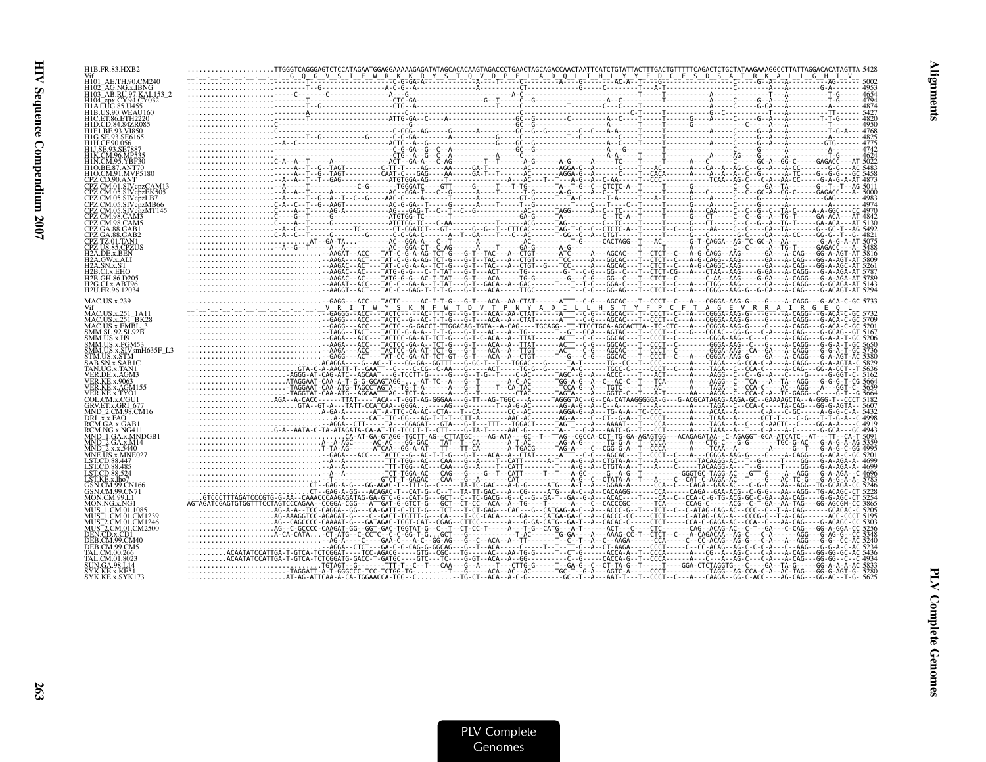| H1B.FR.83.HXB2                                         |                                                                                                                                                                                                                                                                                                                                                                                                                    |  |  |
|--------------------------------------------------------|--------------------------------------------------------------------------------------------------------------------------------------------------------------------------------------------------------------------------------------------------------------------------------------------------------------------------------------------------------------------------------------------------------------------|--|--|
|                                                        |                                                                                                                                                                                                                                                                                                                                                                                                                    |  |  |
| H103 AB.RU.97.KAL153 2<br>1104 cpx.CY.94.CY032         |                                                                                                                                                                                                                                                                                                                                                                                                                    |  |  |
| H1B.US.90.WEAU160                                      |                                                                                                                                                                                                                                                                                                                                                                                                                    |  |  |
|                                                        |                                                                                                                                                                                                                                                                                                                                                                                                                    |  |  |
| 11F1 RE 93 VI850<br>I1G.SE.93.SE6165                   |                                                                                                                                                                                                                                                                                                                                                                                                                    |  |  |
|                                                        |                                                                                                                                                                                                                                                                                                                                                                                                                    |  |  |
|                                                        |                                                                                                                                                                                                                                                                                                                                                                                                                    |  |  |
| HTO.CM.91.MVP5180                                      |                                                                                                                                                                                                                                                                                                                                                                                                                    |  |  |
|                                                        |                                                                                                                                                                                                                                                                                                                                                                                                                    |  |  |
|                                                        |                                                                                                                                                                                                                                                                                                                                                                                                                    |  |  |
|                                                        |                                                                                                                                                                                                                                                                                                                                                                                                                    |  |  |
|                                                        |                                                                                                                                                                                                                                                                                                                                                                                                                    |  |  |
|                                                        |                                                                                                                                                                                                                                                                                                                                                                                                                    |  |  |
|                                                        |                                                                                                                                                                                                                                                                                                                                                                                                                    |  |  |
|                                                        |                                                                                                                                                                                                                                                                                                                                                                                                                    |  |  |
| I2B GH 86 D20.                                         |                                                                                                                                                                                                                                                                                                                                                                                                                    |  |  |
| H2G.CI.x.ABT96<br>H2U.FR.96.12034                      |                                                                                                                                                                                                                                                                                                                                                                                                                    |  |  |
| <b>MAC.US.x.239</b>                                    |                                                                                                                                                                                                                                                                                                                                                                                                                    |  |  |
| MAC.US.x.251                                           |                                                                                                                                                                                                                                                                                                                                                                                                                    |  |  |
| MAC.US.x.EMBL<br><b>SMM.SL.92.SL92B</b>                |                                                                                                                                                                                                                                                                                                                                                                                                                    |  |  |
| SMM.US.x.H9<br>SMM.US.x.PGM53                          |                                                                                                                                                                                                                                                                                                                                                                                                                    |  |  |
| MM.US.x.SIVsmH635F_L3                                  |                                                                                                                                                                                                                                                                                                                                                                                                                    |  |  |
|                                                        |                                                                                                                                                                                                                                                                                                                                                                                                                    |  |  |
| /ER.DE.x.AGM3                                          |                                                                                                                                                                                                                                                                                                                                                                                                                    |  |  |
| VER KE x AGM155<br>VER.KE.x.TYO1                       |                                                                                                                                                                                                                                                                                                                                                                                                                    |  |  |
| COL.CM.x.CGU1<br>GRV.ET.x.GRI-67                       |                                                                                                                                                                                                                                                                                                                                                                                                                    |  |  |
| MND 2.CM.98.CM16<br>DRL.x.x.FAO                        |                                                                                                                                                                                                                                                                                                                                                                                                                    |  |  |
| RCM.GA.x.GAB1<br>RCM.NG.x.NG411<br>0 MND 1.GA.x.MNDGB1 |                                                                                                                                                                                                                                                                                                                                                                                                                    |  |  |
|                                                        |                                                                                                                                                                                                                                                                                                                                                                                                                    |  |  |
| JS.x.MNE027<br>LST.CD.88.447                           |                                                                                                                                                                                                                                                                                                                                                                                                                    |  |  |
| LST.CD.88.485<br>ST.CD.88.524                          |                                                                                                                                                                                                                                                                                                                                                                                                                    |  |  |
| $STKE \times$ lho <sub>7</sub><br>ESN CM 99 CN166      |                                                                                                                                                                                                                                                                                                                                                                                                                    |  |  |
| MON CM 99 L.                                           |                                                                                                                                                                                                                                                                                                                                                                                                                    |  |  |
|                                                        |                                                                                                                                                                                                                                                                                                                                                                                                                    |  |  |
| 4US 1.CM.01.CM123<br>MUS 2.CM.01.CM1246                |                                                                                                                                                                                                                                                                                                                                                                                                                    |  |  |
| 2.CM.01.CM2500<br>DEN.CD.x.CD1                         |                                                                                                                                                                                                                                                                                                                                                                                                                    |  |  |
| DEB.CM.99.CM5                                          |                                                                                                                                                                                                                                                                                                                                                                                                                    |  |  |
|                                                        |                                                                                                                                                                                                                                                                                                                                                                                                                    |  |  |
| SYK.KE.x.SYK173                                        | $\label{eq:R16} \begin{pmatrix} \mathbf{1}_{11} & \mathbf{1}_{22} & \mathbf{1}_{33} & \mathbf{1}_{34} & \mathbf{1}_{35} & \mathbf{1}_{36} & \mathbf{1}_{37} & \mathbf{1}_{38} & \mathbf{1}_{39} & \mathbf{1}_{30} & \mathbf{1}_{30} & \mathbf{1}_{30} & \mathbf{1}_{30} & \mathbf{1}_{30} & \mathbf{1}_{30} & \mathbf{1}_{30} & \mathbf{1}_{30} & \mathbf{1}_{30} & \mathbf{1}_{30} & \mathbf{1}_{30} & \mathbf{1$ |  |  |
|                                                        |                                                                                                                                                                                                                                                                                                                                                                                                                    |  |  |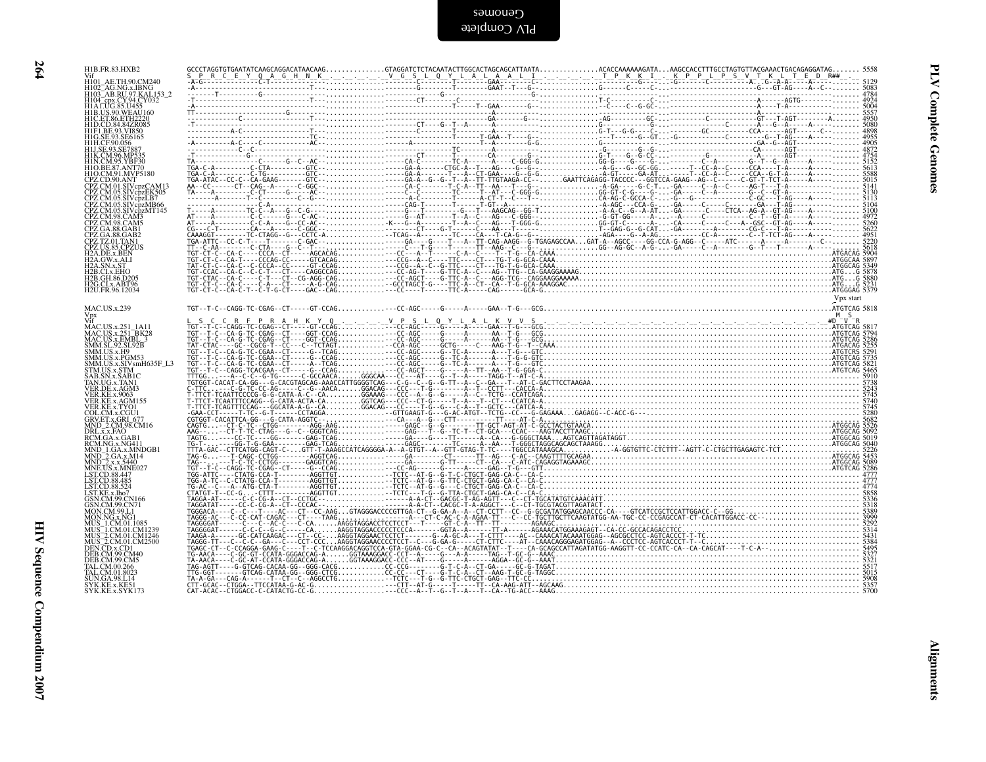| I | I |
|---|---|
| × |   |
|   |   |

| Vif<br>H101 AE.TH.90.CM240                                                                                                                                                                                                                                      |  |           |
|-----------------------------------------------------------------------------------------------------------------------------------------------------------------------------------------------------------------------------------------------------------------|--|-----------|
| H102_AG.NG.x.IBNG<br>H102_AG.NG.x.IBNG<br>H103_AB.RU.97.KAL153_2                                                                                                                                                                                                |  |           |
| HI02-AG-NG-XIBNG<br>HI03-AB-RU/37, KALI 53<br>HIA LUG SS U455<br>HIA LUG SS U455<br>HIA LUG SS U455<br>HIC LET 86, KIHA220<br>HIC LET 86, KIHA220<br>HIC LET 86, KIHA220<br>HIC LET 86, KIHA220<br>HIC LET 86, KIHA230<br>HIL CET 86, KIHA20<br>HIL CET 86, KIH |  |           |
|                                                                                                                                                                                                                                                                 |  |           |
|                                                                                                                                                                                                                                                                 |  |           |
|                                                                                                                                                                                                                                                                 |  |           |
|                                                                                                                                                                                                                                                                 |  |           |
|                                                                                                                                                                                                                                                                 |  |           |
|                                                                                                                                                                                                                                                                 |  |           |
|                                                                                                                                                                                                                                                                 |  |           |
|                                                                                                                                                                                                                                                                 |  |           |
| H2B.CI.x.EHO<br>H2B.GH.86.D205                                                                                                                                                                                                                                  |  |           |
| H2G.CI.x.ABT96<br>H2U.FR.96.12034                                                                                                                                                                                                                               |  | Vpx start |
| <b>MAC.US.x.239</b>                                                                                                                                                                                                                                             |  |           |
| VII<br>MAC.US.x.251_1A11<br>MAC.US.x.251_BK28<br>MAC.US.x.EMBL_3<br>SMM.SL.92.SL92B                                                                                                                                                                             |  |           |
| SMM.US.x.H9                                                                                                                                                                                                                                                     |  |           |
| SMM.US.x.PGM53<br>SMM.US.x.SIVsmH635F_L3<br>STM.US.x.STM                                                                                                                                                                                                        |  |           |
| STM.OS.x.STM<br>SAB.SN.x.SAB1C<br>TAN.UG.x.TAN1<br>VER.DE.x.AGM3<br>VER.KE.x.9063                                                                                                                                                                               |  |           |
| VER.KE.x.AGM155                                                                                                                                                                                                                                                 |  |           |
| VER.KE.X.AGMI35<br>COL.CM.x.CGU1<br>GRV.ET.x.GRI_677<br>MND_2.CM.98.CM16<br>DRL.x.x.FAO<br>RCM.GA.x.GAB1                                                                                                                                                        |  |           |
|                                                                                                                                                                                                                                                                 |  |           |
| RCMIGAX.GABI<br>RCMIGAX.GABI<br>MND_IGAX.MVGB1<br>MND_2GAX.M14<br>MND_2GAX.M14<br>MNEUSX.MVG027<br>LSTCD.88.485<br>LSTCD.88.485<br>LSTCD.88.485<br>LSTCD.88.485<br>MUS 1.CM.09.CN166<br>GSN.CM.99.CN166<br>GSN.CM.99.CN166<br>MUS 1.CM.01.00111<br>MON.NG.x.NG1 |  |           |
|                                                                                                                                                                                                                                                                 |  |           |
|                                                                                                                                                                                                                                                                 |  |           |
|                                                                                                                                                                                                                                                                 |  |           |
|                                                                                                                                                                                                                                                                 |  |           |
| MUS_I.CM.01.1085<br>MUS_I.CM.01.CM1239<br>MUS_2.CM.01.CM1246<br>MUS_2.CM.01.CM2500<br>DEB.CM.99.CM40<br>DEB.CM.99.CM40<br>TAL.CM.00.266<br>TAL.CM.00.266<br>STN.CM.00.266                                                                                       |  |           |
|                                                                                                                                                                                                                                                                 |  |           |
| N.GA.98.L14                                                                                                                                                                                                                                                     |  |           |
| SYK.KE.x.KE51<br>SYK.KE.x.SYK173                                                                                                                                                                                                                                |  |           |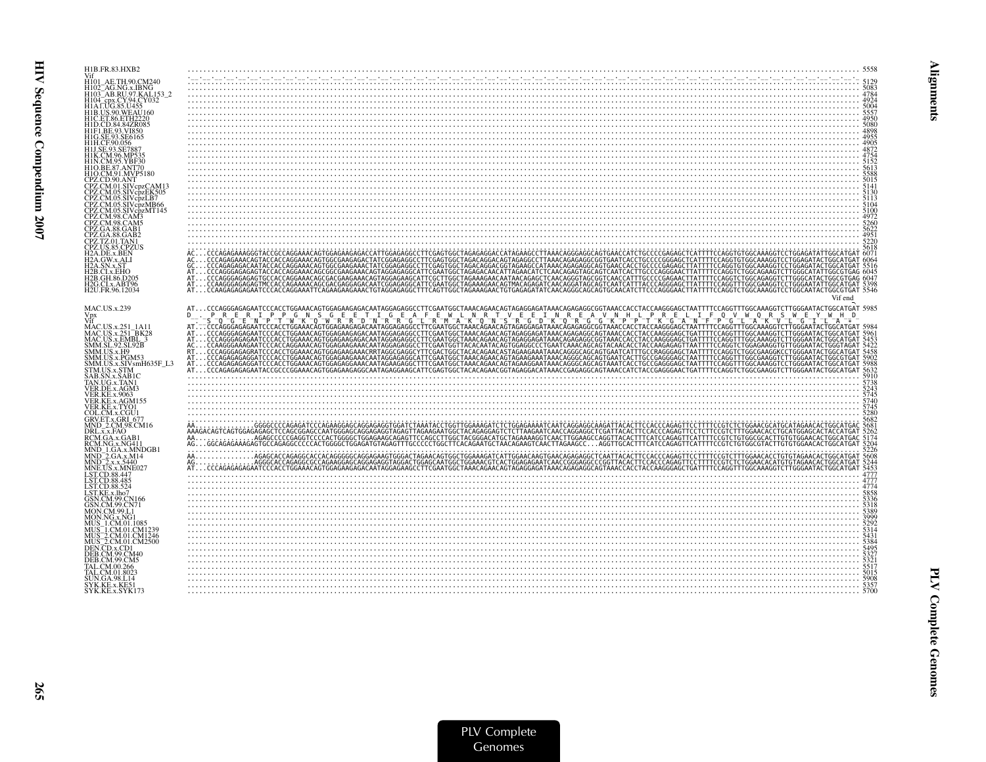| H1B.FR.83.HXB2                                                                                                                  |                                                                                                                                                                                                                                                                                                                                                                                                                                           |                      |
|---------------------------------------------------------------------------------------------------------------------------------|-------------------------------------------------------------------------------------------------------------------------------------------------------------------------------------------------------------------------------------------------------------------------------------------------------------------------------------------------------------------------------------------------------------------------------------------|----------------------|
| AE.TH.90.CM240                                                                                                                  | $\begin{minipage}{0.99\textwidth} \begin{tabular}{ c c c c c } \hline & \multicolumn{1}{ c }{0.99\textwidth} \begin{tabular}{ c c c } \hline \multicolumn{1}{ c }{0.99\textwidth} \begin{tabular}{ c c c } \hline \multicolumn{1}{ c }{0.99\textwidth} \begin{tabular}{ c c c } \hline \multicolumn{1}{ c }{0.99\textwidth} \begin{tabular}{ c c c } \hline \multicolumn{1}{ c }{0.99\textwidth} \begin{tabular}{ c c c } \hline \multic$ |                      |
| H101–AE. H1.90.CM2440<br>H102–AG.NG.x.IBNG<br>H103–AB.RU.97.KAL153_2<br>H1A LUG.85.U455<br>H1A LUG.85.U455<br>H1B.US.90.WEAU160 |                                                                                                                                                                                                                                                                                                                                                                                                                                           |                      |
|                                                                                                                                 |                                                                                                                                                                                                                                                                                                                                                                                                                                           |                      |
| H1C.ET.86.ETH2220                                                                                                               |                                                                                                                                                                                                                                                                                                                                                                                                                                           |                      |
| H1D.CD.84.84ZR085<br>HIF1.BE.93.VI850<br>HIG.SE.93.SE6165                                                                       |                                                                                                                                                                                                                                                                                                                                                                                                                                           |                      |
| H1H.CF.90.056<br>H1H.CF.90.056<br>H1K.CM.96.MP535                                                                               | $\frac{4988}{4822}$                                                                                                                                                                                                                                                                                                                                                                                                                       |                      |
| 11N.CM.95.YBF30                                                                                                                 |                                                                                                                                                                                                                                                                                                                                                                                                                                           |                      |
| HIO.BE.87.ANT70<br>H1O.CM.91.MVP5180                                                                                            |                                                                                                                                                                                                                                                                                                                                                                                                                                           |                      |
| CPZ.CD.90.ANT<br>CPZ.CM.01.SIVcpzCAM13                                                                                          |                                                                                                                                                                                                                                                                                                                                                                                                                                           |                      |
| PZ.CM.05.SIVcpzEK505<br>PZ.CM.05.SIVcpzLB7                                                                                      |                                                                                                                                                                                                                                                                                                                                                                                                                                           |                      |
| PZ.CM.05.SIVcpzMB66<br>PZ.CM.05.SIVcpzMT145                                                                                     |                                                                                                                                                                                                                                                                                                                                                                                                                                           |                      |
| PZ.CM.98.CAM3<br>PZ.CM.98.CAM5<br>PZ.GA.88.GAB1                                                                                 |                                                                                                                                                                                                                                                                                                                                                                                                                                           |                      |
| CPZ.GA.88.GAB2<br>CPZ.TZ.01.TAN1<br>CPZ.TZ.01.TAN1<br>CPZ.US.85.CPZUS                                                           |                                                                                                                                                                                                                                                                                                                                                                                                                                           | 4951<br>5220<br>5618 |
| H2A.DE.x.BEN<br>H2A.GW.x.ALI                                                                                                    |                                                                                                                                                                                                                                                                                                                                                                                                                                           |                      |
|                                                                                                                                 |                                                                                                                                                                                                                                                                                                                                                                                                                                           |                      |
| 42B.CI.x.EHO<br>42B.GH.86.D205                                                                                                  |                                                                                                                                                                                                                                                                                                                                                                                                                                           |                      |
| H <sub>2G.CLx.ABT96</sub><br>H2U.FR.96.12034                                                                                    |                                                                                                                                                                                                                                                                                                                                                                                                                                           |                      |
| MAC.US.x.239                                                                                                                    | Vif end                                                                                                                                                                                                                                                                                                                                                                                                                                   |                      |
| Vpx                                                                                                                             |                                                                                                                                                                                                                                                                                                                                                                                                                                           |                      |
| MAC.US.x.251_1A11<br>MAC.US.x.251_BK28<br>MAC.US.x.EMBL_3<br>SMM.SL.92.SL92B                                                    |                                                                                                                                                                                                                                                                                                                                                                                                                                           |                      |
|                                                                                                                                 |                                                                                                                                                                                                                                                                                                                                                                                                                                           |                      |
| MM.US.x.H9<br>SMM.US.x.PGM53<br>SMM.US.x.SIVsmH635F_L3                                                                          |                                                                                                                                                                                                                                                                                                                                                                                                                                           |                      |
| STM.US.x.STM<br>AB.SN.x.SAB1C                                                                                                   |                                                                                                                                                                                                                                                                                                                                                                                                                                           |                      |
| FAN.UG.x.TAN1<br>VER.DE.x.AGM3                                                                                                  |                                                                                                                                                                                                                                                                                                                                                                                                                                           |                      |
| <b>VER.KE.x.9063</b><br>VER.KE.x.AGM155                                                                                         |                                                                                                                                                                                                                                                                                                                                                                                                                                           | 5745<br>5740         |
| VER.KE.x.TYO1<br>COL.CM.x.CGU1                                                                                                  |                                                                                                                                                                                                                                                                                                                                                                                                                                           | 5745<br>5280         |
| GOU.c.wi.a.c.vo +<br>MND_2.CM.98.CM16<br>DRL.x.x.FAO<br>RCM.GA.x.GAB1                                                           |                                                                                                                                                                                                                                                                                                                                                                                                                                           |                      |
|                                                                                                                                 |                                                                                                                                                                                                                                                                                                                                                                                                                                           |                      |
| RCM.NG.x.NG411<br>MND_1.GA.x.MNDGB1                                                                                             |                                                                                                                                                                                                                                                                                                                                                                                                                                           |                      |
| MND_2.GA.x.M14<br>MND_2.x.x.5440<br>MNE.US.x.MNE027                                                                             |                                                                                                                                                                                                                                                                                                                                                                                                                                           |                      |
| LST.CD.88.447<br>LST.CD.88.485<br>LST.CD.88.524                                                                                 | $\set{ \begin{smallmatrix} 2860 \\ 2860 \\ 2860 \\ 2860 \\ 2860 \\ 2860 \\ 2860 \\ 2860 \\ 2860 \\ 2860 \\ 2860 \\ 2860 \\ 2860 \\ 2860 \\ 2860 \\ 2860 \\ 2860 \\ 2860 \\ 2860 \\ 2860 \\ 2860 \\ 2860 \\ 2860 \\ 2860 \\ 2860 \\ 2860 \\ 2860 \\ 2860 \\ 2860 \\ 2860 \\ 2860 \\ 2860 \\ 2860 \\ 2860 \\ 2860 \\ $                                                                                                                      |                      |
| LST.KE.x.lho7                                                                                                                   | $\frac{1774}{3338}$                                                                                                                                                                                                                                                                                                                                                                                                                       |                      |
| GSN.CM.99.CN166<br>GSN.CM.99.CN71<br>MON.CM.99.L1                                                                               |                                                                                                                                                                                                                                                                                                                                                                                                                                           |                      |
| AON.NG.x.NG1<br>AUS_1.CM.01.1085                                                                                                |                                                                                                                                                                                                                                                                                                                                                                                                                                           |                      |
|                                                                                                                                 |                                                                                                                                                                                                                                                                                                                                                                                                                                           |                      |
|                                                                                                                                 |                                                                                                                                                                                                                                                                                                                                                                                                                                           | 5431                 |
| DEB.CM.99.CM40<br>DEB.CM.99.CM5                                                                                                 |                                                                                                                                                                                                                                                                                                                                                                                                                                           |                      |
| TAL.CM.00.266<br>TAL.CM.01.8023                                                                                                 |                                                                                                                                                                                                                                                                                                                                                                                                                                           |                      |
| SUN.GA.98.L14<br>SYK.KE.x.KE51                                                                                                  | $\frac{3321}{3221}$                                                                                                                                                                                                                                                                                                                                                                                                                       | 5700                 |
| SYK.KE.x.SYK173                                                                                                                 |                                                                                                                                                                                                                                                                                                                                                                                                                                           |                      |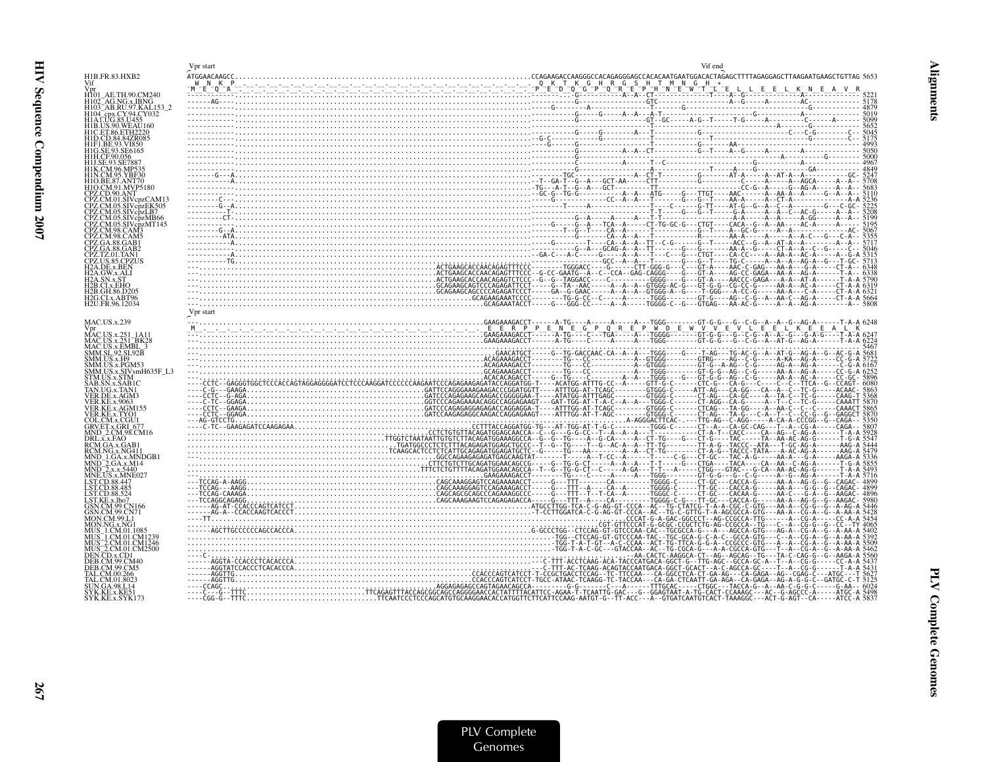| $\frac{\sum_{i=1}^{n} a_i a_i} {\sum_{i=1}^{n} a_i a_i} = \frac{a_i}{a_i} = \frac{a_i}{a_i} = \frac{a_i}{a_i} = \frac{a_i}{a_i} = \frac{a_i}{a_i} = \frac{a_i}{a_i} = \frac{a_i}{a_i} = \frac{a_i}{a_i} = \frac{a_i}{a_i} = \frac{a_i}{a_i} = \frac{a_i}{a_i} = \frac{a_i}{a_i} = \frac{a_i}{a_i} = \frac{a_i}{a_i} = \frac{a_i}{a_i} = \frac{a_i}{a_i} = \frac{a_i}{a_i} = \frac{a_i}{a_i} = \frac{a_i}{a$<br>H1B.FR.83.HXB2<br>Vif<br>H101 AE.TH.90.CM240<br>H102 AG.NG.x.IBNG<br>H103 AB.RU.97.KAL153 2<br>H104 <sup>-</sup> cpx.CY.94.CY032<br>H1A LUG.85.U455<br>H1B.US.90.WEAU160<br>H1C.ET.86.ETH2220<br>H1D.CD.84.84ZR085<br>H1F1.BE.93.VI850<br>H1G.SE.93.SE6165<br>H1H.CF.90.056<br>H1J.SE.93.SE7887<br>H1O.BE.87.ANT70<br>H1O.CM.91.MVP5180<br>CPZ.CD.90.ANT<br>CPZ.CM.01.SIVcpzCAM13<br>CPZ.CM.05.SIVcp̀zEK505<br>CPZ.CM.05.SIVcpzLB7<br>CPZ.CM.05.SIVcpzMB66<br>PZ.CM.05.SIVcbzMT145<br>CPZ.CM.98.CAM3<br>CPZ.CM.98.CAM5<br>CPZ.GA.88.GAB1<br>CPZ.GA.88.GAB2<br>CPZ.TZ.01.TAN1<br>CPZ.US.85.CPZUS<br>H2A.DE.x.BEN<br>H <sub>2</sub> A.GW.x.ALI<br>H2B.CI.x.EHO<br>H2B.GH.86.D205<br>H2G.CI.x.ABT96<br>H2U.FR.96.12034<br>Vpr start<br><b>MAC.US.x.239</b><br>Vpr<br>MAC.US.x.251 1A11<br>MAC.US.x.251_BK28<br>MAC.US.x.EMBL_3<br>SMM.SL.92.SL92B<br>SMM.US.x.H9<br>SMM.US.x.PGM53<br>SMM.US.x.SIVsmH635F L3<br>STM.US.x.STM<br>AB.SN.x.SAB1C<br>TAN.UG.x.TAN1<br>/ER.DE.x.AGM3<br>VER.KE.x.9063<br>VER.KE.x.AGM155<br>VER.KE.x.TYO1<br>COL.CM.x.CGU1<br>GRV.ET.x.GRI_677<br>MND 2.CM.98.CM16<br>DRL, x, x, FAQ<br>RCM.GA.x.GAB<br>RCM.NG.x.NG411<br>MND_1.GA.x.MNDGB1<br>MND_2.GA.x.M14<br>MND_2.x.x.5440<br>MNE.US.x.MNE027<br>LST.CD.88.447<br>LST.CD.88.485<br>LST.CD.88.524<br>LST.KE.x.lho7<br>GSN.CM.99.CN166<br><b>SN.CM.99.CN71</b><br>MON.CM.99.L1<br>MON.NG.x.NG1<br>MUS 1.CM.01.108<br>MUS_1.CM.01.CM1239<br>MUS_2.CM.01.CM1246<br>MUS_2.CM.01.CM2500<br>DEN CD.x.CD1<br>DER CM 99 CM40<br>DEB.CM.99.CM5<br>`AL CM 00 266<br>AL.CM.01.8023<br>UN.GA.98.L14<br>SYK.KE.x.KE51<br>SYK.KE.x.SYK173 | Vpr start | Vif end |
|------------------------------------------------------------------------------------------------------------------------------------------------------------------------------------------------------------------------------------------------------------------------------------------------------------------------------------------------------------------------------------------------------------------------------------------------------------------------------------------------------------------------------------------------------------------------------------------------------------------------------------------------------------------------------------------------------------------------------------------------------------------------------------------------------------------------------------------------------------------------------------------------------------------------------------------------------------------------------------------------------------------------------------------------------------------------------------------------------------------------------------------------------------------------------------------------------------------------------------------------------------------------------------------------------------------------------------------------------------------------------------------------------------------------------------------------------------------------------------------------------------------------------------------------------------------------------------------------------------------------------------------------------------------------------------------------------------------------------------------------------------------------------------------------------------------------------------------------------------------------------------------------------------------------------------------------------------------------------------------------------------------------|-----------|---------|
|                                                                                                                                                                                                                                                                                                                                                                                                                                                                                                                                                                                                                                                                                                                                                                                                                                                                                                                                                                                                                                                                                                                                                                                                                                                                                                                                                                                                                                                                                                                                                                                                                                                                                                                                                                                                                                                                                                                                                                                                                        |           |         |
|                                                                                                                                                                                                                                                                                                                                                                                                                                                                                                                                                                                                                                                                                                                                                                                                                                                                                                                                                                                                                                                                                                                                                                                                                                                                                                                                                                                                                                                                                                                                                                                                                                                                                                                                                                                                                                                                                                                                                                                                                        |           |         |
|                                                                                                                                                                                                                                                                                                                                                                                                                                                                                                                                                                                                                                                                                                                                                                                                                                                                                                                                                                                                                                                                                                                                                                                                                                                                                                                                                                                                                                                                                                                                                                                                                                                                                                                                                                                                                                                                                                                                                                                                                        |           |         |
|                                                                                                                                                                                                                                                                                                                                                                                                                                                                                                                                                                                                                                                                                                                                                                                                                                                                                                                                                                                                                                                                                                                                                                                                                                                                                                                                                                                                                                                                                                                                                                                                                                                                                                                                                                                                                                                                                                                                                                                                                        |           |         |
|                                                                                                                                                                                                                                                                                                                                                                                                                                                                                                                                                                                                                                                                                                                                                                                                                                                                                                                                                                                                                                                                                                                                                                                                                                                                                                                                                                                                                                                                                                                                                                                                                                                                                                                                                                                                                                                                                                                                                                                                                        |           |         |
|                                                                                                                                                                                                                                                                                                                                                                                                                                                                                                                                                                                                                                                                                                                                                                                                                                                                                                                                                                                                                                                                                                                                                                                                                                                                                                                                                                                                                                                                                                                                                                                                                                                                                                                                                                                                                                                                                                                                                                                                                        |           |         |
|                                                                                                                                                                                                                                                                                                                                                                                                                                                                                                                                                                                                                                                                                                                                                                                                                                                                                                                                                                                                                                                                                                                                                                                                                                                                                                                                                                                                                                                                                                                                                                                                                                                                                                                                                                                                                                                                                                                                                                                                                        |           |         |
|                                                                                                                                                                                                                                                                                                                                                                                                                                                                                                                                                                                                                                                                                                                                                                                                                                                                                                                                                                                                                                                                                                                                                                                                                                                                                                                                                                                                                                                                                                                                                                                                                                                                                                                                                                                                                                                                                                                                                                                                                        |           |         |
|                                                                                                                                                                                                                                                                                                                                                                                                                                                                                                                                                                                                                                                                                                                                                                                                                                                                                                                                                                                                                                                                                                                                                                                                                                                                                                                                                                                                                                                                                                                                                                                                                                                                                                                                                                                                                                                                                                                                                                                                                        |           |         |
|                                                                                                                                                                                                                                                                                                                                                                                                                                                                                                                                                                                                                                                                                                                                                                                                                                                                                                                                                                                                                                                                                                                                                                                                                                                                                                                                                                                                                                                                                                                                                                                                                                                                                                                                                                                                                                                                                                                                                                                                                        |           |         |
|                                                                                                                                                                                                                                                                                                                                                                                                                                                                                                                                                                                                                                                                                                                                                                                                                                                                                                                                                                                                                                                                                                                                                                                                                                                                                                                                                                                                                                                                                                                                                                                                                                                                                                                                                                                                                                                                                                                                                                                                                        |           |         |
|                                                                                                                                                                                                                                                                                                                                                                                                                                                                                                                                                                                                                                                                                                                                                                                                                                                                                                                                                                                                                                                                                                                                                                                                                                                                                                                                                                                                                                                                                                                                                                                                                                                                                                                                                                                                                                                                                                                                                                                                                        |           |         |
|                                                                                                                                                                                                                                                                                                                                                                                                                                                                                                                                                                                                                                                                                                                                                                                                                                                                                                                                                                                                                                                                                                                                                                                                                                                                                                                                                                                                                                                                                                                                                                                                                                                                                                                                                                                                                                                                                                                                                                                                                        |           |         |
|                                                                                                                                                                                                                                                                                                                                                                                                                                                                                                                                                                                                                                                                                                                                                                                                                                                                                                                                                                                                                                                                                                                                                                                                                                                                                                                                                                                                                                                                                                                                                                                                                                                                                                                                                                                                                                                                                                                                                                                                                        |           |         |
|                                                                                                                                                                                                                                                                                                                                                                                                                                                                                                                                                                                                                                                                                                                                                                                                                                                                                                                                                                                                                                                                                                                                                                                                                                                                                                                                                                                                                                                                                                                                                                                                                                                                                                                                                                                                                                                                                                                                                                                                                        |           |         |
|                                                                                                                                                                                                                                                                                                                                                                                                                                                                                                                                                                                                                                                                                                                                                                                                                                                                                                                                                                                                                                                                                                                                                                                                                                                                                                                                                                                                                                                                                                                                                                                                                                                                                                                                                                                                                                                                                                                                                                                                                        |           |         |
|                                                                                                                                                                                                                                                                                                                                                                                                                                                                                                                                                                                                                                                                                                                                                                                                                                                                                                                                                                                                                                                                                                                                                                                                                                                                                                                                                                                                                                                                                                                                                                                                                                                                                                                                                                                                                                                                                                                                                                                                                        |           |         |
|                                                                                                                                                                                                                                                                                                                                                                                                                                                                                                                                                                                                                                                                                                                                                                                                                                                                                                                                                                                                                                                                                                                                                                                                                                                                                                                                                                                                                                                                                                                                                                                                                                                                                                                                                                                                                                                                                                                                                                                                                        |           |         |
|                                                                                                                                                                                                                                                                                                                                                                                                                                                                                                                                                                                                                                                                                                                                                                                                                                                                                                                                                                                                                                                                                                                                                                                                                                                                                                                                                                                                                                                                                                                                                                                                                                                                                                                                                                                                                                                                                                                                                                                                                        |           |         |
|                                                                                                                                                                                                                                                                                                                                                                                                                                                                                                                                                                                                                                                                                                                                                                                                                                                                                                                                                                                                                                                                                                                                                                                                                                                                                                                                                                                                                                                                                                                                                                                                                                                                                                                                                                                                                                                                                                                                                                                                                        |           |         |
|                                                                                                                                                                                                                                                                                                                                                                                                                                                                                                                                                                                                                                                                                                                                                                                                                                                                                                                                                                                                                                                                                                                                                                                                                                                                                                                                                                                                                                                                                                                                                                                                                                                                                                                                                                                                                                                                                                                                                                                                                        |           |         |
|                                                                                                                                                                                                                                                                                                                                                                                                                                                                                                                                                                                                                                                                                                                                                                                                                                                                                                                                                                                                                                                                                                                                                                                                                                                                                                                                                                                                                                                                                                                                                                                                                                                                                                                                                                                                                                                                                                                                                                                                                        |           |         |
|                                                                                                                                                                                                                                                                                                                                                                                                                                                                                                                                                                                                                                                                                                                                                                                                                                                                                                                                                                                                                                                                                                                                                                                                                                                                                                                                                                                                                                                                                                                                                                                                                                                                                                                                                                                                                                                                                                                                                                                                                        |           |         |
|                                                                                                                                                                                                                                                                                                                                                                                                                                                                                                                                                                                                                                                                                                                                                                                                                                                                                                                                                                                                                                                                                                                                                                                                                                                                                                                                                                                                                                                                                                                                                                                                                                                                                                                                                                                                                                                                                                                                                                                                                        |           |         |
|                                                                                                                                                                                                                                                                                                                                                                                                                                                                                                                                                                                                                                                                                                                                                                                                                                                                                                                                                                                                                                                                                                                                                                                                                                                                                                                                                                                                                                                                                                                                                                                                                                                                                                                                                                                                                                                                                                                                                                                                                        |           |         |
|                                                                                                                                                                                                                                                                                                                                                                                                                                                                                                                                                                                                                                                                                                                                                                                                                                                                                                                                                                                                                                                                                                                                                                                                                                                                                                                                                                                                                                                                                                                                                                                                                                                                                                                                                                                                                                                                                                                                                                                                                        |           |         |
|                                                                                                                                                                                                                                                                                                                                                                                                                                                                                                                                                                                                                                                                                                                                                                                                                                                                                                                                                                                                                                                                                                                                                                                                                                                                                                                                                                                                                                                                                                                                                                                                                                                                                                                                                                                                                                                                                                                                                                                                                        |           |         |
|                                                                                                                                                                                                                                                                                                                                                                                                                                                                                                                                                                                                                                                                                                                                                                                                                                                                                                                                                                                                                                                                                                                                                                                                                                                                                                                                                                                                                                                                                                                                                                                                                                                                                                                                                                                                                                                                                                                                                                                                                        |           |         |
|                                                                                                                                                                                                                                                                                                                                                                                                                                                                                                                                                                                                                                                                                                                                                                                                                                                                                                                                                                                                                                                                                                                                                                                                                                                                                                                                                                                                                                                                                                                                                                                                                                                                                                                                                                                                                                                                                                                                                                                                                        |           |         |
|                                                                                                                                                                                                                                                                                                                                                                                                                                                                                                                                                                                                                                                                                                                                                                                                                                                                                                                                                                                                                                                                                                                                                                                                                                                                                                                                                                                                                                                                                                                                                                                                                                                                                                                                                                                                                                                                                                                                                                                                                        |           |         |
|                                                                                                                                                                                                                                                                                                                                                                                                                                                                                                                                                                                                                                                                                                                                                                                                                                                                                                                                                                                                                                                                                                                                                                                                                                                                                                                                                                                                                                                                                                                                                                                                                                                                                                                                                                                                                                                                                                                                                                                                                        |           |         |
|                                                                                                                                                                                                                                                                                                                                                                                                                                                                                                                                                                                                                                                                                                                                                                                                                                                                                                                                                                                                                                                                                                                                                                                                                                                                                                                                                                                                                                                                                                                                                                                                                                                                                                                                                                                                                                                                                                                                                                                                                        |           |         |
|                                                                                                                                                                                                                                                                                                                                                                                                                                                                                                                                                                                                                                                                                                                                                                                                                                                                                                                                                                                                                                                                                                                                                                                                                                                                                                                                                                                                                                                                                                                                                                                                                                                                                                                                                                                                                                                                                                                                                                                                                        |           |         |
|                                                                                                                                                                                                                                                                                                                                                                                                                                                                                                                                                                                                                                                                                                                                                                                                                                                                                                                                                                                                                                                                                                                                                                                                                                                                                                                                                                                                                                                                                                                                                                                                                                                                                                                                                                                                                                                                                                                                                                                                                        |           |         |
|                                                                                                                                                                                                                                                                                                                                                                                                                                                                                                                                                                                                                                                                                                                                                                                                                                                                                                                                                                                                                                                                                                                                                                                                                                                                                                                                                                                                                                                                                                                                                                                                                                                                                                                                                                                                                                                                                                                                                                                                                        |           |         |
|                                                                                                                                                                                                                                                                                                                                                                                                                                                                                                                                                                                                                                                                                                                                                                                                                                                                                                                                                                                                                                                                                                                                                                                                                                                                                                                                                                                                                                                                                                                                                                                                                                                                                                                                                                                                                                                                                                                                                                                                                        |           |         |
|                                                                                                                                                                                                                                                                                                                                                                                                                                                                                                                                                                                                                                                                                                                                                                                                                                                                                                                                                                                                                                                                                                                                                                                                                                                                                                                                                                                                                                                                                                                                                                                                                                                                                                                                                                                                                                                                                                                                                                                                                        |           |         |
|                                                                                                                                                                                                                                                                                                                                                                                                                                                                                                                                                                                                                                                                                                                                                                                                                                                                                                                                                                                                                                                                                                                                                                                                                                                                                                                                                                                                                                                                                                                                                                                                                                                                                                                                                                                                                                                                                                                                                                                                                        |           |         |
|                                                                                                                                                                                                                                                                                                                                                                                                                                                                                                                                                                                                                                                                                                                                                                                                                                                                                                                                                                                                                                                                                                                                                                                                                                                                                                                                                                                                                                                                                                                                                                                                                                                                                                                                                                                                                                                                                                                                                                                                                        |           |         |
|                                                                                                                                                                                                                                                                                                                                                                                                                                                                                                                                                                                                                                                                                                                                                                                                                                                                                                                                                                                                                                                                                                                                                                                                                                                                                                                                                                                                                                                                                                                                                                                                                                                                                                                                                                                                                                                                                                                                                                                                                        |           |         |
|                                                                                                                                                                                                                                                                                                                                                                                                                                                                                                                                                                                                                                                                                                                                                                                                                                                                                                                                                                                                                                                                                                                                                                                                                                                                                                                                                                                                                                                                                                                                                                                                                                                                                                                                                                                                                                                                                                                                                                                                                        |           |         |
|                                                                                                                                                                                                                                                                                                                                                                                                                                                                                                                                                                                                                                                                                                                                                                                                                                                                                                                                                                                                                                                                                                                                                                                                                                                                                                                                                                                                                                                                                                                                                                                                                                                                                                                                                                                                                                                                                                                                                                                                                        |           |         |
|                                                                                                                                                                                                                                                                                                                                                                                                                                                                                                                                                                                                                                                                                                                                                                                                                                                                                                                                                                                                                                                                                                                                                                                                                                                                                                                                                                                                                                                                                                                                                                                                                                                                                                                                                                                                                                                                                                                                                                                                                        |           |         |
|                                                                                                                                                                                                                                                                                                                                                                                                                                                                                                                                                                                                                                                                                                                                                                                                                                                                                                                                                                                                                                                                                                                                                                                                                                                                                                                                                                                                                                                                                                                                                                                                                                                                                                                                                                                                                                                                                                                                                                                                                        |           |         |
|                                                                                                                                                                                                                                                                                                                                                                                                                                                                                                                                                                                                                                                                                                                                                                                                                                                                                                                                                                                                                                                                                                                                                                                                                                                                                                                                                                                                                                                                                                                                                                                                                                                                                                                                                                                                                                                                                                                                                                                                                        |           |         |
|                                                                                                                                                                                                                                                                                                                                                                                                                                                                                                                                                                                                                                                                                                                                                                                                                                                                                                                                                                                                                                                                                                                                                                                                                                                                                                                                                                                                                                                                                                                                                                                                                                                                                                                                                                                                                                                                                                                                                                                                                        |           |         |
|                                                                                                                                                                                                                                                                                                                                                                                                                                                                                                                                                                                                                                                                                                                                                                                                                                                                                                                                                                                                                                                                                                                                                                                                                                                                                                                                                                                                                                                                                                                                                                                                                                                                                                                                                                                                                                                                                                                                                                                                                        |           |         |
|                                                                                                                                                                                                                                                                                                                                                                                                                                                                                                                                                                                                                                                                                                                                                                                                                                                                                                                                                                                                                                                                                                                                                                                                                                                                                                                                                                                                                                                                                                                                                                                                                                                                                                                                                                                                                                                                                                                                                                                                                        |           |         |
|                                                                                                                                                                                                                                                                                                                                                                                                                                                                                                                                                                                                                                                                                                                                                                                                                                                                                                                                                                                                                                                                                                                                                                                                                                                                                                                                                                                                                                                                                                                                                                                                                                                                                                                                                                                                                                                                                                                                                                                                                        |           |         |
|                                                                                                                                                                                                                                                                                                                                                                                                                                                                                                                                                                                                                                                                                                                                                                                                                                                                                                                                                                                                                                                                                                                                                                                                                                                                                                                                                                                                                                                                                                                                                                                                                                                                                                                                                                                                                                                                                                                                                                                                                        |           |         |
|                                                                                                                                                                                                                                                                                                                                                                                                                                                                                                                                                                                                                                                                                                                                                                                                                                                                                                                                                                                                                                                                                                                                                                                                                                                                                                                                                                                                                                                                                                                                                                                                                                                                                                                                                                                                                                                                                                                                                                                                                        |           |         |
|                                                                                                                                                                                                                                                                                                                                                                                                                                                                                                                                                                                                                                                                                                                                                                                                                                                                                                                                                                                                                                                                                                                                                                                                                                                                                                                                                                                                                                                                                                                                                                                                                                                                                                                                                                                                                                                                                                                                                                                                                        |           |         |
|                                                                                                                                                                                                                                                                                                                                                                                                                                                                                                                                                                                                                                                                                                                                                                                                                                                                                                                                                                                                                                                                                                                                                                                                                                                                                                                                                                                                                                                                                                                                                                                                                                                                                                                                                                                                                                                                                                                                                                                                                        |           |         |
|                                                                                                                                                                                                                                                                                                                                                                                                                                                                                                                                                                                                                                                                                                                                                                                                                                                                                                                                                                                                                                                                                                                                                                                                                                                                                                                                                                                                                                                                                                                                                                                                                                                                                                                                                                                                                                                                                                                                                                                                                        |           |         |
|                                                                                                                                                                                                                                                                                                                                                                                                                                                                                                                                                                                                                                                                                                                                                                                                                                                                                                                                                                                                                                                                                                                                                                                                                                                                                                                                                                                                                                                                                                                                                                                                                                                                                                                                                                                                                                                                                                                                                                                                                        |           |         |
|                                                                                                                                                                                                                                                                                                                                                                                                                                                                                                                                                                                                                                                                                                                                                                                                                                                                                                                                                                                                                                                                                                                                                                                                                                                                                                                                                                                                                                                                                                                                                                                                                                                                                                                                                                                                                                                                                                                                                                                                                        |           |         |
|                                                                                                                                                                                                                                                                                                                                                                                                                                                                                                                                                                                                                                                                                                                                                                                                                                                                                                                                                                                                                                                                                                                                                                                                                                                                                                                                                                                                                                                                                                                                                                                                                                                                                                                                                                                                                                                                                                                                                                                                                        |           |         |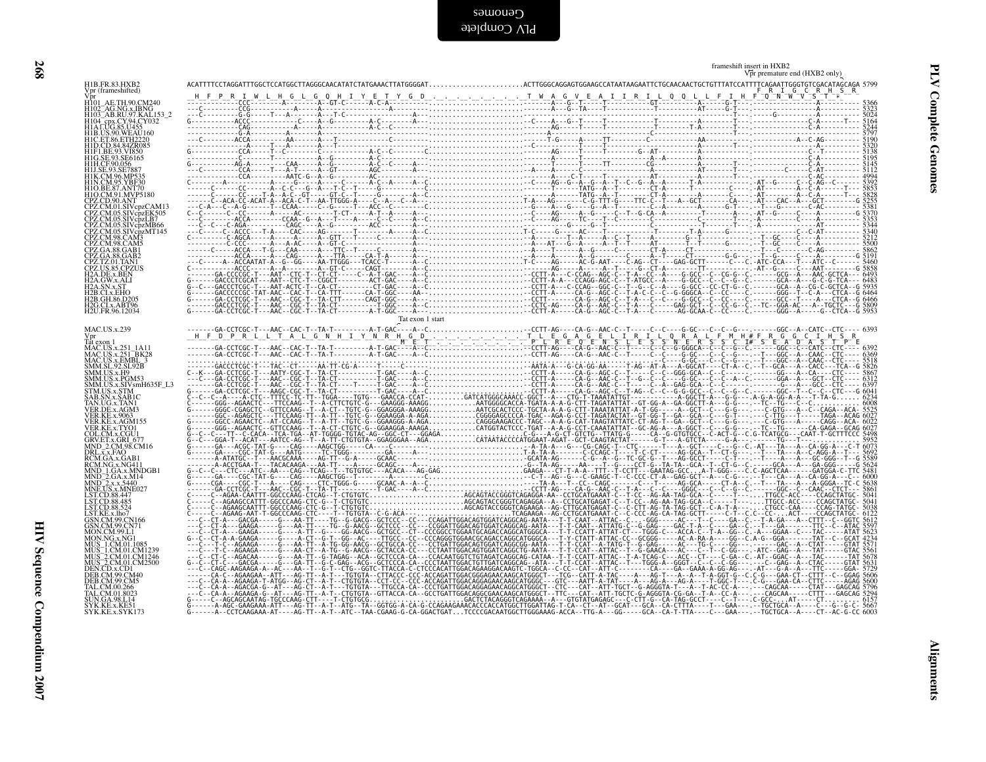|  |  |  |  |  |  |  |  |  |  |  | ACTTGGGCAGGAGTGGAAGCCATA                         |  |  |  |  |  |  |  |
|--|--|--|--|--|--|--|--|--|--|--|--------------------------------------------------|--|--|--|--|--|--|--|
|  |  |  |  |  |  |  |  |  |  |  |                                                  |  |  |  |  |  |  |  |
|  |  |  |  |  |  |  |  |  |  |  | . - - - - - - - A - - - G - - TA - - - - T - - - |  |  |  |  |  |  |  |
|  |  |  |  |  |  |  |  |  |  |  | $\sim$ $\sim$ $\sim$ $\sim$ $\sim$ $\sim$ $\sim$ |  |  |  |  |  |  |  |

| H1B.FR.83.HXB2                                                                                                                                                                                                                                                              |                  | Vpr premature end (HXB2 only) |
|-----------------------------------------------------------------------------------------------------------------------------------------------------------------------------------------------------------------------------------------------------------------------------|------------------|-------------------------------|
| Vpr (frameshifted)                                                                                                                                                                                                                                                          |                  |                               |
| , µ<br>H101_AE.TH.90.CM240<br>H102_AB.RU.97.KAL153_2<br>H104_opx.CV.04.CV.0153_2                                                                                                                                                                                            |                  |                               |
| H104 - cpx.CY.94.CY032<br>H1A LUG.85.U455                                                                                                                                                                                                                                   |                  |                               |
| HIB.US.90.WEAU160<br>HIC.ET.86.ETH2220                                                                                                                                                                                                                                      |                  |                               |
|                                                                                                                                                                                                                                                                             |                  |                               |
| HID.CD.84.842220<br>HIP.CD.84.842R085<br>HIF1.BE.93.VI850<br>HIH.CF.90.056<br>HIJ.SE.93.SE7887<br>HIJ.SE.93.SE7887<br>HIK.CM.05.VDE30                                                                                                                                       |                  |                               |
|                                                                                                                                                                                                                                                                             |                  |                               |
| H1N.CM.95.YBF30                                                                                                                                                                                                                                                             |                  |                               |
| HINCRESS, IBE-30<br>H1O.BE.87, ANT70<br>CPZ.CD.90.ANT<br>CPZ.CM.01.SIVepzCAM13<br>CPZ.CM.05.SIVepzEK505<br>CPZ.CM.05.SIVepzEK505<br>CPZ.CM.05.SIVepzLB7                                                                                                                     |                  |                               |
|                                                                                                                                                                                                                                                                             |                  |                               |
|                                                                                                                                                                                                                                                                             |                  |                               |
|                                                                                                                                                                                                                                                                             |                  |                               |
|                                                                                                                                                                                                                                                                             |                  |                               |
| CPZ.CM.05.SIVcpZB7<br>CPZ.CM.05.SIVcpzMB66<br>CPZ.CM.05.SIVcpzMT145<br>CPZ.CM.98.CAM5<br>CPZ.CM.98.CAM5<br>CPZ.GA.88.GAB2<br>CPZ.GA.88.GAB2<br>CPZ.T2.01.TAN1<br>CPZ.US.85.CPZUS<br>H7A.DE.x BS.CPZUS<br>H7A.DE.x BEN                                                       |                  |                               |
| H <sub>2</sub> A.GW.x.ALI                                                                                                                                                                                                                                                   |                  |                               |
| H <sub>2</sub> A.SN.x.ST                                                                                                                                                                                                                                                    |                  |                               |
| H2B.CI.x.EHO<br>H2B.CI.x.EHO<br>H2G.CI.x.ABT96<br>H2G.CI.x.ABT96                                                                                                                                                                                                            |                  |                               |
| H2U.FR.96.12034                                                                                                                                                                                                                                                             | Tat exon 1 start |                               |
| MAC.US.x.239                                                                                                                                                                                                                                                                |                  |                               |
|                                                                                                                                                                                                                                                                             |                  |                               |
|                                                                                                                                                                                                                                                                             |                  |                               |
| Vpr<br>Tat exon 1<br>MAC.US.x.251_BK28<br>MAC.US.x.251_BK28<br>SMM.SL.92.SL.92B<br>SMM.US.x.H9<br>SMM.US.x.FOM533<br>SMM.US.x.SIV.smH635F_L3<br>STM.US.x.SIV.smH635F_L3<br>STM.US.x.SIV.smH635F_L3<br>STM.US.x.SIV.smH635F_L3                                               |                  |                               |
|                                                                                                                                                                                                                                                                             |                  |                               |
| SAB.SN.x.SAB1C                                                                                                                                                                                                                                                              |                  |                               |
| TAN.UG.x.TAN1<br>VER.DE.x.AGM3<br>VER.KE.x.9063                                                                                                                                                                                                                             |                  |                               |
|                                                                                                                                                                                                                                                                             |                  |                               |
|                                                                                                                                                                                                                                                                             |                  |                               |
|                                                                                                                                                                                                                                                                             |                  |                               |
|                                                                                                                                                                                                                                                                             |                  |                               |
|                                                                                                                                                                                                                                                                             |                  |                               |
| VER KE x 9063<br>VER KE x AGM 155<br>VER KE x TYOU<br>GRUCH x GRU 677<br>GRUCH x GRU 677<br>DRL x x FAO<br>RCM X x AGM<br>RCM NG x MGH<br>NND 2 x x M44<br>MND 2 x x 3440<br>MND 2 x x 3440<br>LSTCD 88 445<br>LSTCD 88 445<br>LSTCD 88 445<br>LSTCD 88 445<br>LSTCD 88 445 |                  |                               |
|                                                                                                                                                                                                                                                                             |                  |                               |
| LST.KE.x.lho7                                                                                                                                                                                                                                                               |                  |                               |
| GSN.CM.99.CN166<br>GSN.CM.99.CN166<br>GSN.CM.99.CN71<br>MON.CM.99.CN71<br>MON.NG.x.NG1<br>MUS_1.CM.01.1085<br>MUS_2.CM.01.CM1246<br>MUS_2.CM.01.CM1246<br>DEB.CD.x.CD1<br>DEB.CM.99 CM4<br>DEB.CM.99 CM4                                                                    |                  |                               |
|                                                                                                                                                                                                                                                                             |                  |                               |
|                                                                                                                                                                                                                                                                             |                  |                               |
|                                                                                                                                                                                                                                                                             |                  |                               |
|                                                                                                                                                                                                                                                                             |                  |                               |
| DEB.CM.99.CM5<br>TAL.CM.00.266<br>TAL.CM.01.8023                                                                                                                                                                                                                            |                  |                               |
| SUN.GA.98.L14<br>SYK.KE.x.KE51<br>SYK.KE.x.SYK173                                                                                                                                                                                                                           |                  |                               |
|                                                                                                                                                                                                                                                                             |                  |                               |
|                                                                                                                                                                                                                                                                             |                  |                               |
|                                                                                                                                                                                                                                                                             |                  |                               |
|                                                                                                                                                                                                                                                                             |                  |                               |
|                                                                                                                                                                                                                                                                             |                  |                               |
|                                                                                                                                                                                                                                                                             |                  |                               |
|                                                                                                                                                                                                                                                                             |                  |                               |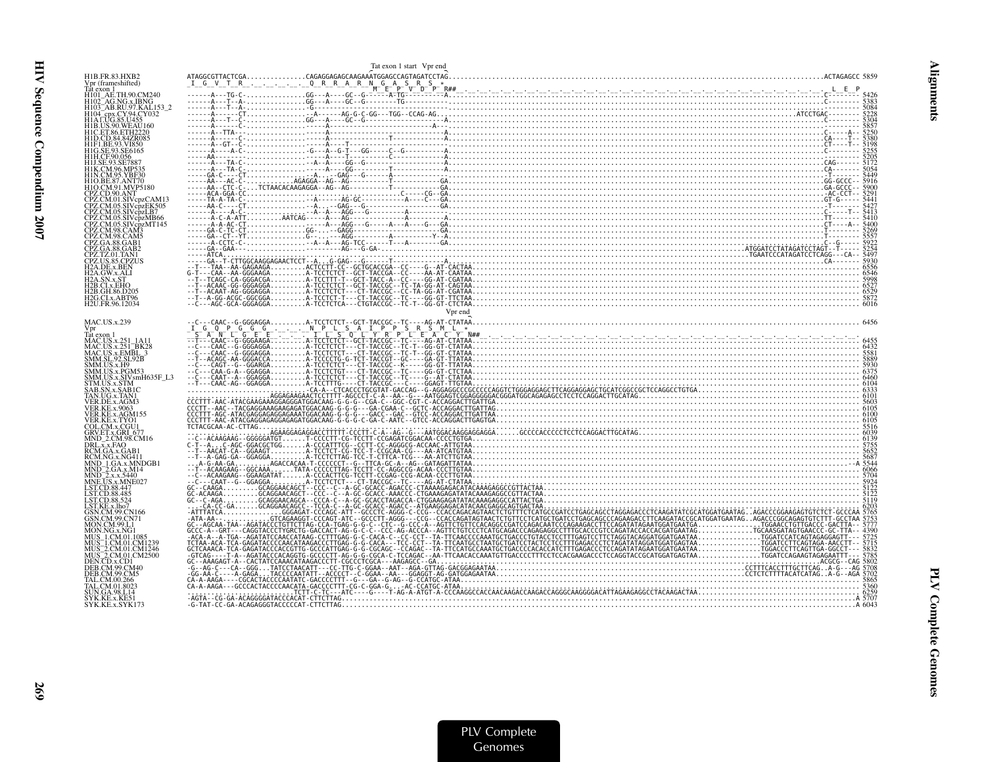|                                                                                           | Tat exon 1 start Vpr end                                                                                                                                                                                                                                                                                                                                                                          |  |
|-------------------------------------------------------------------------------------------|---------------------------------------------------------------------------------------------------------------------------------------------------------------------------------------------------------------------------------------------------------------------------------------------------------------------------------------------------------------------------------------------------|--|
| H1B.FR.83.HXB2<br>Vpr (frameshifted)                                                      |                                                                                                                                                                                                                                                                                                                                                                                                   |  |
|                                                                                           |                                                                                                                                                                                                                                                                                                                                                                                                   |  |
| HI 01_AE.TH.90.CM240<br>H102_AG.NG.x.IBNG<br>H102_AG.NG.x.IBNG<br>H103_AB.RU.97.KAL.153_2 |                                                                                                                                                                                                                                                                                                                                                                                                   |  |
|                                                                                           |                                                                                                                                                                                                                                                                                                                                                                                                   |  |
|                                                                                           |                                                                                                                                                                                                                                                                                                                                                                                                   |  |
|                                                                                           |                                                                                                                                                                                                                                                                                                                                                                                                   |  |
|                                                                                           |                                                                                                                                                                                                                                                                                                                                                                                                   |  |
|                                                                                           |                                                                                                                                                                                                                                                                                                                                                                                                   |  |
|                                                                                           |                                                                                                                                                                                                                                                                                                                                                                                                   |  |
|                                                                                           |                                                                                                                                                                                                                                                                                                                                                                                                   |  |
|                                                                                           |                                                                                                                                                                                                                                                                                                                                                                                                   |  |
|                                                                                           |                                                                                                                                                                                                                                                                                                                                                                                                   |  |
|                                                                                           |                                                                                                                                                                                                                                                                                                                                                                                                   |  |
|                                                                                           |                                                                                                                                                                                                                                                                                                                                                                                                   |  |
|                                                                                           |                                                                                                                                                                                                                                                                                                                                                                                                   |  |
|                                                                                           |                                                                                                                                                                                                                                                                                                                                                                                                   |  |
|                                                                                           |                                                                                                                                                                                                                                                                                                                                                                                                   |  |
| 12B.GH.86.D205                                                                            |                                                                                                                                                                                                                                                                                                                                                                                                   |  |
| H2U.FR.96.12034                                                                           | Vpr end                                                                                                                                                                                                                                                                                                                                                                                           |  |
| <b>MAC.US.x.239</b>                                                                       |                                                                                                                                                                                                                                                                                                                                                                                                   |  |
| Tât exon 1                                                                                |                                                                                                                                                                                                                                                                                                                                                                                                   |  |
| MAC.US.x.251_1A11<br>MAC.US.x.251_BK28                                                    |                                                                                                                                                                                                                                                                                                                                                                                                   |  |
| 4AC.US.x.EMBL 3<br>MM.SL.92.SL92B<br>MM.US.x.H9                                           |                                                                                                                                                                                                                                                                                                                                                                                                   |  |
| AM.US.x.PGM53                                                                             |                                                                                                                                                                                                                                                                                                                                                                                                   |  |
| 1M.US.x.SIVsmH635F_L3                                                                     |                                                                                                                                                                                                                                                                                                                                                                                                   |  |
|                                                                                           |                                                                                                                                                                                                                                                                                                                                                                                                   |  |
|                                                                                           |                                                                                                                                                                                                                                                                                                                                                                                                   |  |
| ER.KE.x.AGM155/                                                                           |                                                                                                                                                                                                                                                                                                                                                                                                   |  |
| GRV.ET.x.GRI 677<br>IND 2.CM.98.CM16                                                      |                                                                                                                                                                                                                                                                                                                                                                                                   |  |
| <b>DRL.x.x.FAO</b>                                                                        |                                                                                                                                                                                                                                                                                                                                                                                                   |  |
|                                                                                           |                                                                                                                                                                                                                                                                                                                                                                                                   |  |
|                                                                                           |                                                                                                                                                                                                                                                                                                                                                                                                   |  |
|                                                                                           |                                                                                                                                                                                                                                                                                                                                                                                                   |  |
| ST.CD.88.485.<br>ST.CD.88.524                                                             |                                                                                                                                                                                                                                                                                                                                                                                                   |  |
|                                                                                           |                                                                                                                                                                                                                                                                                                                                                                                                   |  |
|                                                                                           |                                                                                                                                                                                                                                                                                                                                                                                                   |  |
|                                                                                           |                                                                                                                                                                                                                                                                                                                                                                                                   |  |
|                                                                                           |                                                                                                                                                                                                                                                                                                                                                                                                   |  |
|                                                                                           |                                                                                                                                                                                                                                                                                                                                                                                                   |  |
|                                                                                           |                                                                                                                                                                                                                                                                                                                                                                                                   |  |
|                                                                                           |                                                                                                                                                                                                                                                                                                                                                                                                   |  |
| SYK.KE.x.SYK173                                                                           | $\begin{tabular}{ c c c c c c c c} \hline \multicolumn{3}{ c c c c c c} \hline \multicolumn{3}{ c c c c c} \hline \multicolumn{3}{ c c c c} \hline \multicolumn{3}{ c c c c} \hline \multicolumn{3}{ c c c c} \hline \multicolumn{3}{ c c c c} \hline \multicolumn{3}{ c c c c} \hline \multicolumn{3}{ c c c} \hline \multicolumn{3}{ c c c} \hline \multicolumn{3}{ c c c} \hline \multicolumn$ |  |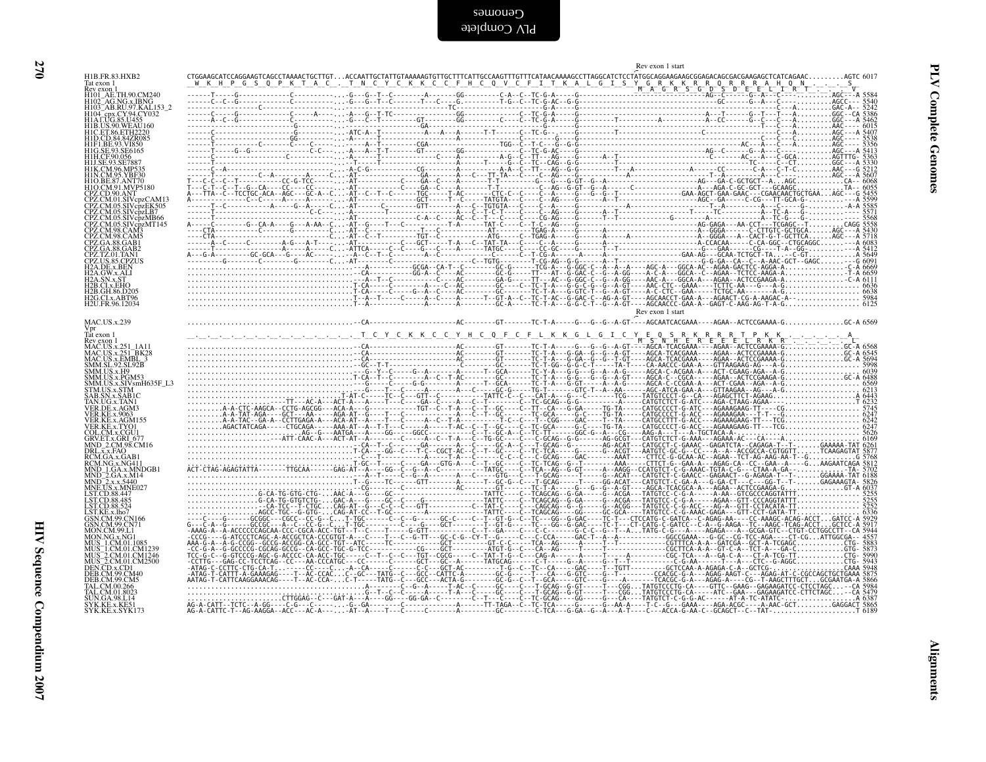|                                                                                                                                                                                                                                                                          |  | Rev exon 1 start |  |
|--------------------------------------------------------------------------------------------------------------------------------------------------------------------------------------------------------------------------------------------------------------------------|--|------------------|--|
| H1B.FR.83.HXB2<br>Tat exon 1<br>Rev exon 1                                                                                                                                                                                                                               |  |                  |  |
| Rev exon 1<br>H101_AE.TH.90.CM240<br>H102_AG.NG.x.IBNG<br>H103_AB.RU.97.KAL.153_2<br>H104_cpx.CY.94.CY032<br>H1A.LUG.85.U455                                                                                                                                             |  |                  |  |
|                                                                                                                                                                                                                                                                          |  |                  |  |
| HIAL.0G.85.0455<br>HIB.US.90.WEAU160<br>HID.CD.84.84ZR085<br>HIFL.BE.93.VR850<br>HIFL.BE.93.SE6165<br>HILGE.93.SE6165<br>HILGE.90.0566                                                                                                                                   |  |                  |  |
|                                                                                                                                                                                                                                                                          |  |                  |  |
| H1J.SE.93.SE7887                                                                                                                                                                                                                                                         |  |                  |  |
| H1K.CM.96.MP535<br>H1N.CM.95.YBF30<br>H1O.BE.87.ANT70                                                                                                                                                                                                                    |  |                  |  |
| H1O.CM.91. WYP5180<br>CPZ.CD.90.ANT<br>CPZ.CM.01.SIVcpzCAM13<br>CPZ.CM.05.SIVcpzEK505                                                                                                                                                                                    |  |                  |  |
|                                                                                                                                                                                                                                                                          |  |                  |  |
| CPZ.CM.05.SIVcpzLR505<br>CPZ.CM.05.SIVcpzLB7<br>CPZ.CM.05.SIVcpzMB66<br>CPZ.CM.05.SIVcpzMT145                                                                                                                                                                            |  |                  |  |
|                                                                                                                                                                                                                                                                          |  |                  |  |
| <b>CPZ.CM.98.CAM3<br/>CPZ.CM.98.CAM3<br/>CPZ.GA.88.GAM3<br/>CPZ.GA.88.GAB1<br/>CPZ.CA.88.GAB2<br/>CPZ.TZ.01.TAN1<br/>CPZ.US.85.CPZUS<br/>H2A.DE.x.BEN</b>                                                                                                                |  |                  |  |
| H2A.GW.x.ALI                                                                                                                                                                                                                                                             |  |                  |  |
| H <sub>2</sub> B.CI.x.EHO                                                                                                                                                                                                                                                |  |                  |  |
| H2B.GH.86.D205<br>H2G.CI.x.ABT96<br>H2U.FR.96.12034                                                                                                                                                                                                                      |  |                  |  |
|                                                                                                                                                                                                                                                                          |  | Rev exon 1 start |  |
| <b>MAC.US.x.239</b>                                                                                                                                                                                                                                                      |  |                  |  |
| Tat exon 1<br><b>Facebool</b><br>Rev exon 1<br>MAC.US.x.251_1A11<br>MAC.US.x.251_BK28<br>MAC.US.x.EMBL_3<br>SMM.SL.92.SL92B<br>SMM.US.x.H9                                                                                                                               |  |                  |  |
|                                                                                                                                                                                                                                                                          |  |                  |  |
|                                                                                                                                                                                                                                                                          |  |                  |  |
|                                                                                                                                                                                                                                                                          |  |                  |  |
| SMM.US.x.H9<br>SMM.US.x.FGM53<br>SMM.US.x.SIVsmH635F_L3<br>STM.US.x.SIVsmH635F_L3<br>SAB.SN.x.SABIC<br>TAN.UG.x.TAN1<br>VER.DE.x.AGM3<br>VER.RE.x.9063                                                                                                                   |  |                  |  |
| VER.KE.x.AGM155                                                                                                                                                                                                                                                          |  |                  |  |
| VER.KE.x.TYO1                                                                                                                                                                                                                                                            |  |                  |  |
| COL.CM.x.CGU1<br>GRV.ET.x.GRI_677<br>MND_2.CM.98.CM16<br>DRL.x.x.FAQ                                                                                                                                                                                                     |  |                  |  |
| RCM.GA.x.GAB1                                                                                                                                                                                                                                                            |  |                  |  |
|                                                                                                                                                                                                                                                                          |  |                  |  |
| RCM.NG.x.NG411<br>RCM.NG.x.NG411<br>MND_1.GA.x.MNDGB1<br>MND_2.x.x.5440<br>MNE.US.x.MNE027<br>LST.CD.88.447                                                                                                                                                              |  |                  |  |
| LST.CD.88.485                                                                                                                                                                                                                                                            |  |                  |  |
|                                                                                                                                                                                                                                                                          |  |                  |  |
|                                                                                                                                                                                                                                                                          |  |                  |  |
|                                                                                                                                                                                                                                                                          |  |                  |  |
|                                                                                                                                                                                                                                                                          |  |                  |  |
| LSTCD.88.524<br>GSTCD.88.524<br>GSN.CM.99.CN70<br>MON.CM.99.CN70<br>MON.CM.99.CN70<br>MON.CM.COM<br>MUS_1.CM.01.CM1239<br>MUS_2.CM.01.CM1234<br>MUS_2.CM.01.CM1246<br>DEN.CD.x.CD1<br>DER.CM.99.CM40<br>DEB.CM.99.CM40<br>DEB.CM.99.CM40<br>TAL.CM.00.266<br>SUN.GO.3251 |  |                  |  |
|                                                                                                                                                                                                                                                                          |  |                  |  |
| JN.GA.98.L14<br>YK.KE.x.KE51                                                                                                                                                                                                                                             |  |                  |  |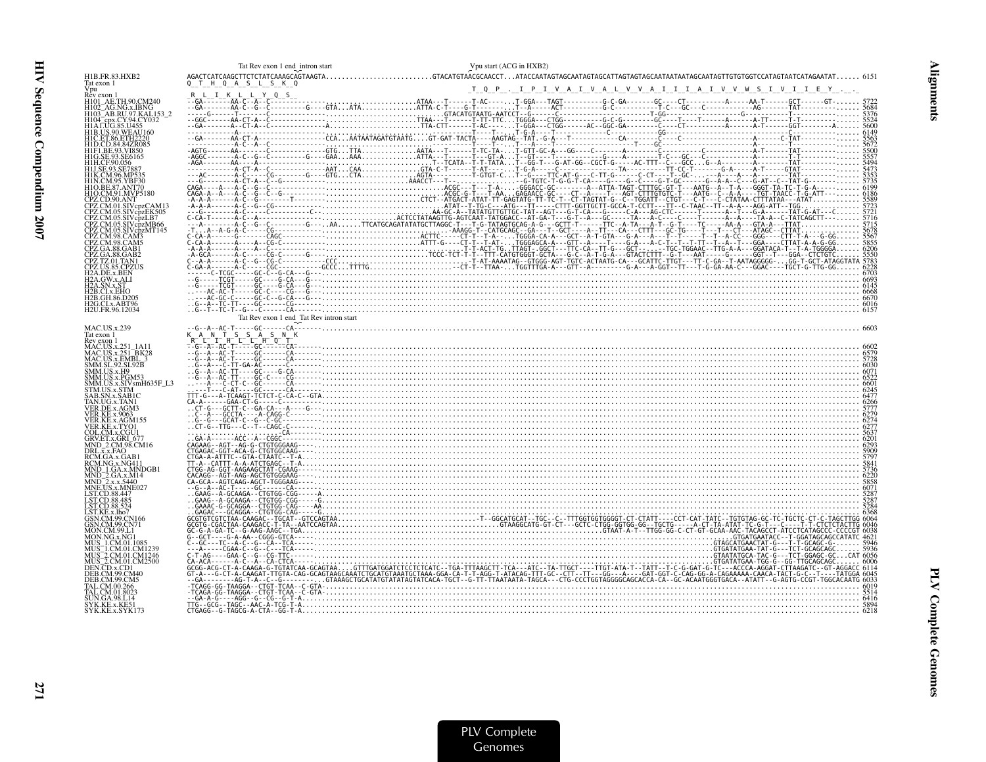| 32                                                                            |                                           |
|-------------------------------------------------------------------------------|-------------------------------------------|
| 155<br>ÄŬ160<br> 2220<br> R085<br>}50<br>165                                  | ).CM240<br>.IBNG<br>7.KAL153_2<br>4.CY032 |
| 87<br>535<br>F30<br>I70<br>!P5180<br>r<br> cpzCAM13<br> cpzEK505<br> cpzEK505 |                                           |

Tat Rev exon 1 end\_intron start

| H1B.FR.83.HXB2<br>Tat exon 1                        |                                         |                                                               |
|-----------------------------------------------------|-----------------------------------------|---------------------------------------------------------------|
| Vpu<br>Rev exon 1                                   |                                         | T Q P . I P I V A I V A L V V A I I I A I V V W S I V I I E Y |
|                                                     |                                         |                                                               |
| H104 <sup>-</sup> cpx.CY.94.CY032                   |                                         |                                                               |
|                                                     |                                         |                                                               |
| <b>H1C. ET.86. ETH2220</b>                          |                                         |                                                               |
|                                                     |                                         |                                                               |
| H1H.CE90.056                                        |                                         |                                                               |
|                                                     |                                         |                                                               |
| H1O.CM.91.MVP5180                                   |                                         |                                                               |
| CPZ.CD.90.ANT                                       |                                         |                                                               |
| CPZ.CM.05.SIVcpzEK505                               |                                         |                                                               |
| PZ.CM.05.SIVcpzMB66                                 |                                         |                                                               |
| CPZ.CM.05.SIVcpzMT145                               |                                         |                                                               |
| CPZ.GA.88.GAB1                                      |                                         |                                                               |
|                                                     |                                         |                                                               |
| H2A.DE.x.BEN                                        |                                         |                                                               |
| 2A.GW.x.ALI<br>H <sub>2</sub> A.SN.x.ST             |                                         |                                                               |
| 2B.CI.x.EHO                                         |                                         |                                                               |
| H2B.GH.86.D205<br>H2G.CI.x.ABT96<br>H2U.FR.96.12034 |                                         |                                                               |
|                                                     | Tat Rev exon 1 end_Tat Rev intron start |                                                               |
| <b>MAC.US.x.239</b><br>Tat exon 1                   |                                         |                                                               |
| Rev exon 1<br>MAC.US.x.251 1A11                     |                                         |                                                               |
| MAC.US.x.EMBL_3                                     |                                         |                                                               |
| SMM.SL.92.SL92B<br>SMM.US.x.H9<br>SMM.US.x.PGM53    |                                         |                                                               |
| SMM.US.x.SIVsmH635F_L3                              |                                         |                                                               |
| STM.US.x.STM<br>AB.SN.x.SAB1C                       |                                         |                                                               |
| /ER.DE.x.AGM?                                       |                                         |                                                               |
| VER.KE.x.AGM155                                     |                                         |                                                               |
| ER.KE.x.TYO1/<br>COL.CM.x.CGU1                      |                                         |                                                               |
| GRV.ET.x.GRI_677<br>MND_2.CM.98.CM16                |                                         |                                                               |
| DRL.x.x.FAQ<br>RCM.GA.x.GAB                         |                                         |                                                               |
| RCM.NG.x.NG411<br>IND 1.GA.x.MNDGB1                 |                                         |                                                               |
| MND_2.GA.x.M14<br>MND_2.x.x.5440<br>MNE.US.x.MNE027 |                                         |                                                               |
| LST.CD.88.447                                       |                                         |                                                               |
| LST.CD.88.485<br>LST.CD.88.524                      |                                         |                                                               |
| GSN.CM.99.CN166                                     |                                         |                                                               |
| GSN.CM.99.CN71<br>MON.CM.99.L                       |                                         |                                                               |
|                                                     |                                         |                                                               |
| AUS_2.CM.01.CM1246<br>AUS_2.CM.01.CM2500            |                                         |                                                               |
| DEN.CD.x.CD1                                        |                                         |                                                               |
| <b>DEB.CM.99.CM40</b><br>DEB.CM.99.CM5              |                                         |                                                               |
|                                                     |                                         |                                                               |
| SYK.KE.x.KE51                                       |                                         |                                                               |
| SYK.KE.x.SYK173                                     |                                         |                                                               |

Vpu start (ACG in HXB2)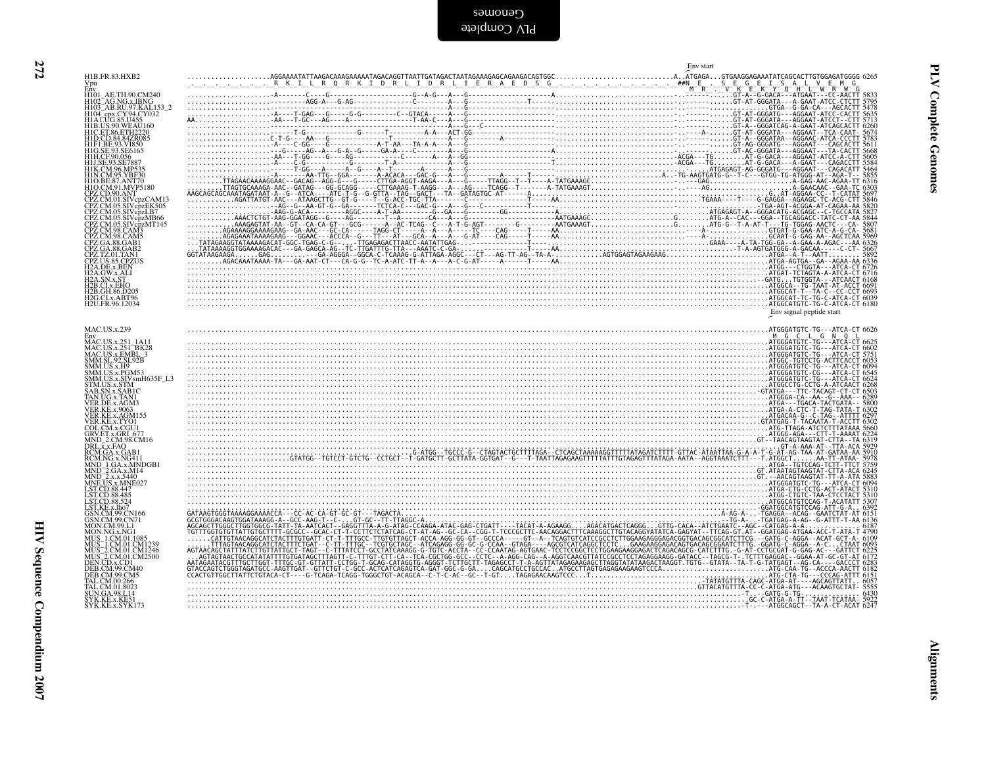| H1B.FR.83.HXB2                                                                                                                                                                                                                                                        | Env start |                          |
|-----------------------------------------------------------------------------------------------------------------------------------------------------------------------------------------------------------------------------------------------------------------------|-----------|--------------------------|
|                                                                                                                                                                                                                                                                       |           |                          |
| ENV<br>H101_AE.TH.90.CM240<br>H102_AG.NG.x.IBNG<br>H104_epx.CY.94.CY032<br>H1A.LUG.85.U455<br>H1A.LUG.85.U455                                                                                                                                                         |           |                          |
| HIAI.UG.85.U455<br>HIB.US.90.WEAU160<br>HIC.ET.86.ETH2220<br>HIP.I.BE.93.VI850<br>HIG.BE.93.SE6165<br>HIH.CE.93.SE6165<br>HIH.CE.93.SE6165                                                                                                                            |           |                          |
|                                                                                                                                                                                                                                                                       |           |                          |
| HILCF:90.056<br>HIK.CM96.MP535<br>HIK.CM.96.MP535<br>HIO.BE.87.ANT70<br>HO.BE.87.ANT70<br>CPZ.CD.90.ANT<br>CPZ.CM.01.SIV.cpzCAM13<br>CPZ.CM.01.SIV.cpzCAM13                                                                                                           |           |                          |
|                                                                                                                                                                                                                                                                       |           |                          |
|                                                                                                                                                                                                                                                                       |           |                          |
| CPZ.CM.01.SIV cpzCAM13<br>CPZ.CM.05.SIV cpzEK505<br>CPZ.CM.05.SIV cpzMT145<br>CPZ.CM.05.SIV cpzMT145<br>CPZ.CM.98.CAM3<br>CPZ CA.88.GAB1<br>CPZ GA.88.GAB1<br>CPZ GA.88.GAB1                                                                                          |           |                          |
|                                                                                                                                                                                                                                                                       |           |                          |
| CPZ.TZ.01.TAN1                                                                                                                                                                                                                                                        |           |                          |
| CPZ.TZ.01.TAN1<br>CPZ.US.85.CPZUS<br>H2A.DE.x.BEN<br>H2A.GW.x.ALI<br>H2A.SN.x.ST<br>H2B.GI.x.BH0<br>H2B.GI.x.ABT96<br>H2G.CL.x.ABT96<br>H2G.CL.x.ABT96                                                                                                                |           |                          |
|                                                                                                                                                                                                                                                                       |           |                          |
|                                                                                                                                                                                                                                                                       |           | Env signal peptide start |
| MAC.US.x.239                                                                                                                                                                                                                                                          |           |                          |
| Emv<br>MAC.US.x.251_1A11<br>MAC.US.x.251_BK28<br>MAC.US.x.EMBL_3<br>SMM.US.x.PGM53<br>SMM.US.x.PGM53<br>SMM.US.x.SIV.MH635F_L3<br>SMM.US.x.SIV.MH635F_L3<br>STM.US.x.SIV.FC                                                                                           |           |                          |
|                                                                                                                                                                                                                                                                       |           |                          |
| AB.SN.x.SAB1C                                                                                                                                                                                                                                                         |           |                          |
| SABESIVEES<br>TAN.UG.x.TAN1<br>VER.DE.x.AGM3<br>VER.KE.x.AGM155<br>VER.KE.x.TYQ1                                                                                                                                                                                      |           |                          |
|                                                                                                                                                                                                                                                                       |           |                          |
| COL.CM.x.CGU1<br>GRV.ET.x.GRI_677<br>MND_2.CM.98.CM16                                                                                                                                                                                                                 |           |                          |
| MND" 2/CM 98 CM16<br>MND" 2/CM 98 CM16<br>RCM GA.x GAB1<br>RCM GA.x GAB1<br>NND - 1 GA.x MNDGB1<br>MND - 2/GA.x MNDGB1<br>MND - 2/GA.x MND27<br>LSTCD 88 447<br>LSTCD 88 452<br>GSN.CM 99 CN166<br>GSN.CM 99 CN166<br>GSN.CM 99 CN166<br>MON NO, 2/116<br>MON CM 99 L |           |                          |
|                                                                                                                                                                                                                                                                       |           |                          |
|                                                                                                                                                                                                                                                                       |           |                          |
|                                                                                                                                                                                                                                                                       |           |                          |
|                                                                                                                                                                                                                                                                       |           |                          |
| MUN.NG.x.NG1<br>MUS_1.CM.01.CM1239<br>MUS_2.CM.01.CM1236<br>MUS_2.CM.01.CM1246<br>DEN.CD.x.CD1<br>DER.CM.99.CM40<br>DER.CM.99.CM40<br>DER.CM.99.CM5                                                                                                                   |           |                          |
| TAL.CM.00.266                                                                                                                                                                                                                                                         |           |                          |
| TAL.CM.01.8023                                                                                                                                                                                                                                                        |           |                          |
| SUN.GA.98.L14<br>SYK.KE.x.KE51                                                                                                                                                                                                                                        |           |                          |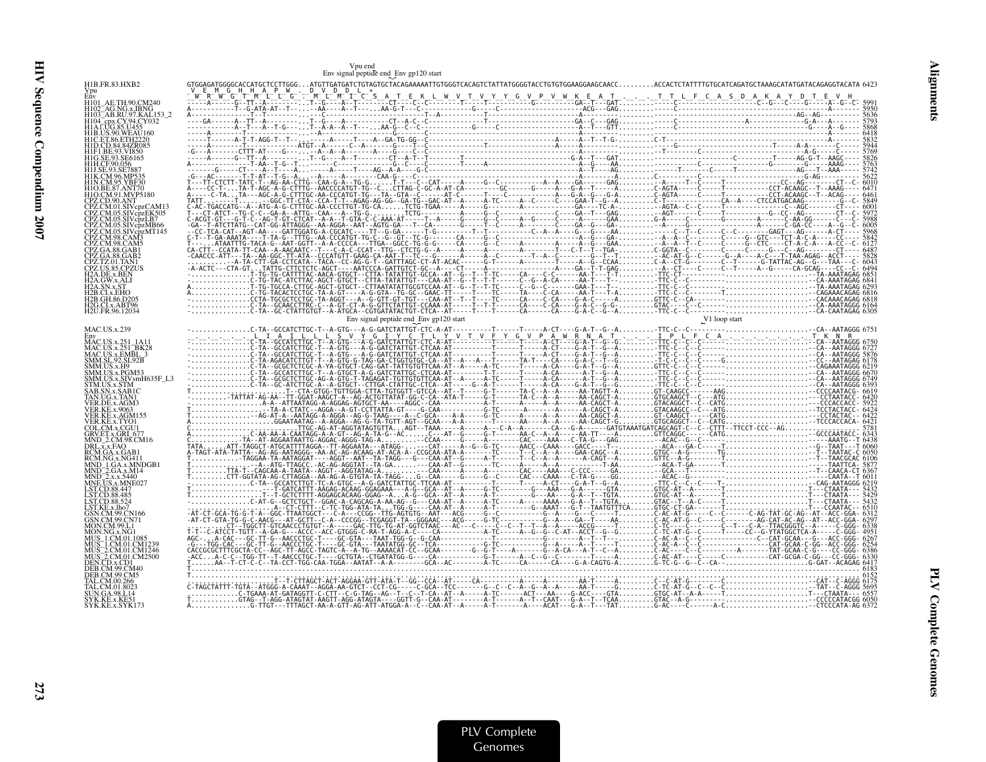|                                                         | Vpu end<br>Env signal peptide end<br>Env gp120 start |  |  |
|---------------------------------------------------------|------------------------------------------------------|--|--|
| H1B.FR.83.HXB2                                          |                                                      |  |  |
|                                                         |                                                      |  |  |
|                                                         |                                                      |  |  |
|                                                         |                                                      |  |  |
|                                                         |                                                      |  |  |
|                                                         |                                                      |  |  |
|                                                         |                                                      |  |  |
|                                                         |                                                      |  |  |
|                                                         |                                                      |  |  |
|                                                         |                                                      |  |  |
|                                                         |                                                      |  |  |
|                                                         |                                                      |  |  |
|                                                         |                                                      |  |  |
|                                                         |                                                      |  |  |
|                                                         |                                                      |  |  |
|                                                         |                                                      |  |  |
| H2U.FR.96.12034                                         |                                                      |  |  |
| <b>MAC.US.x.239</b>                                     |                                                      |  |  |
|                                                         |                                                      |  |  |
| MAC.US.x.251_BK28<br>MAC.US.x.EMBL_3<br>SMM.SL_92.SL92B |                                                      |  |  |
| 4M.US.x.SIVsmH635F_L3                                   |                                                      |  |  |
|                                                         |                                                      |  |  |
|                                                         |                                                      |  |  |
|                                                         |                                                      |  |  |
|                                                         |                                                      |  |  |
| CM.98.CM16                                              |                                                      |  |  |
|                                                         |                                                      |  |  |
|                                                         |                                                      |  |  |
|                                                         |                                                      |  |  |
|                                                         |                                                      |  |  |
|                                                         |                                                      |  |  |
|                                                         |                                                      |  |  |
|                                                         |                                                      |  |  |
|                                                         |                                                      |  |  |
|                                                         |                                                      |  |  |
|                                                         |                                                      |  |  |
|                                                         |                                                      |  |  |

Alignments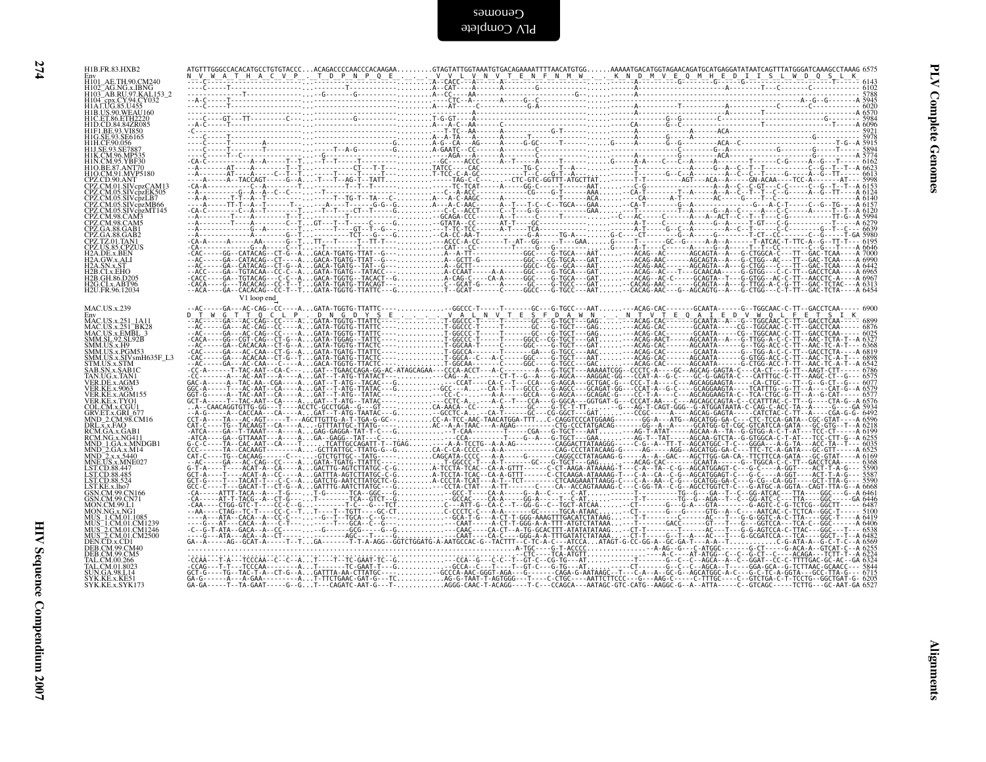| H1B.FR.83.HXB2                                                                                                                                                                                                                                                     |             |                                                                                                                                                                                                                                                                                                                                                                                            |  |  |
|--------------------------------------------------------------------------------------------------------------------------------------------------------------------------------------------------------------------------------------------------------------------|-------------|--------------------------------------------------------------------------------------------------------------------------------------------------------------------------------------------------------------------------------------------------------------------------------------------------------------------------------------------------------------------------------------------|--|--|
| Env<br>H101_AE.TH.90.CM240<br>H102_AG.NG.x.IBNG<br>H102_AG.NG.x.IBNG<br>H103_AB.RU.97.KAL153_2<br>H104_cpx.CY.94.CY032<br>H14.LUG.85.U455<br>H14.LUG.85.U455                                                                                                       |             |                                                                                                                                                                                                                                                                                                                                                                                            |  |  |
|                                                                                                                                                                                                                                                                    |             |                                                                                                                                                                                                                                                                                                                                                                                            |  |  |
| H1A1.UG.85.U455<br>H1B.US.90.WEAU160<br>H1D.CET.86.ETH2220<br>H1F1.BE.93.VI850<br>H1F1.BE.93.VI850<br>H1E.CE.90.056<br>H1J.SE.93.SE6165<br>H1J.SE.93.SE6165<br>H1J.SE.93.SE7887<br>H1J.SE.93.SE7887                                                                |             |                                                                                                                                                                                                                                                                                                                                                                                            |  |  |
|                                                                                                                                                                                                                                                                    |             |                                                                                                                                                                                                                                                                                                                                                                                            |  |  |
| H1K.CM.96.MP535                                                                                                                                                                                                                                                    |             |                                                                                                                                                                                                                                                                                                                                                                                            |  |  |
| HIK.CM/96/MP5378<br>HIN.CM/95.YBF30<br>HIO.EN.ST/ANT70<br>CPZ.CD/90/ANT<br>CPZ.CM/01.SIVepzCAM13<br>CPZ.CM/01.SIVepzEK505<br>CPZ.CM/05.SIVepzIKB66<br>CPZ.CM/95.SIVepzMT145<br>CPZ.CM/95.SIVepzMT145<br>CPZ.CM/98.CAM5<br>CPZ.CM/98.CAM5<br>CPZ.CM/98.CAM5<br>CPZ. |             |                                                                                                                                                                                                                                                                                                                                                                                            |  |  |
|                                                                                                                                                                                                                                                                    |             |                                                                                                                                                                                                                                                                                                                                                                                            |  |  |
|                                                                                                                                                                                                                                                                    |             |                                                                                                                                                                                                                                                                                                                                                                                            |  |  |
|                                                                                                                                                                                                                                                                    |             |                                                                                                                                                                                                                                                                                                                                                                                            |  |  |
| <b>CPZ.GA.88.GAB2<br/>CPZ.GA.88.GAB2<br/>CPZ.US.85.CPZUS<br/>H2A.GW.x.ALI<br/>H2A.GW.x.ALI<br/>H2A.GW.x.ALI<br/>H2B.CLX.EHO</b><br>OP CH V6.D205                                                                                                                   |             |                                                                                                                                                                                                                                                                                                                                                                                            |  |  |
|                                                                                                                                                                                                                                                                    |             |                                                                                                                                                                                                                                                                                                                                                                                            |  |  |
| H2B.GH.86.D205<br>H2G.CLx.ABT96<br>H2U.FR.96.12034                                                                                                                                                                                                                 |             |                                                                                                                                                                                                                                                                                                                                                                                            |  |  |
|                                                                                                                                                                                                                                                                    | V1 loop end |                                                                                                                                                                                                                                                                                                                                                                                            |  |  |
| MAC.US.x.239<br>Env<br>MAC.US.x.251 1A11                                                                                                                                                                                                                           |             |                                                                                                                                                                                                                                                                                                                                                                                            |  |  |
| MAC.US.x.251_IA11<br>MAC.US.x.251_BK28<br>SMM.SL.92.SL.PMBL.3<br>SMM.US.x.EP025<br>SMM.US.x.PGM53<br>SMM.US.x.PGM53<br>STM.US.x.STVSHH635F_L3<br>STM.US.x.STM<br>TAN.US.x.STM<br>TAN.UG.x.AGM3<br>VER.KE.x.4003<br>VER.KE.x.9003<br>VER.KE.x.9003<br>VER.KE.x.9003 |             |                                                                                                                                                                                                                                                                                                                                                                                            |  |  |
|                                                                                                                                                                                                                                                                    |             |                                                                                                                                                                                                                                                                                                                                                                                            |  |  |
|                                                                                                                                                                                                                                                                    |             |                                                                                                                                                                                                                                                                                                                                                                                            |  |  |
|                                                                                                                                                                                                                                                                    |             |                                                                                                                                                                                                                                                                                                                                                                                            |  |  |
|                                                                                                                                                                                                                                                                    |             |                                                                                                                                                                                                                                                                                                                                                                                            |  |  |
| VER.KE.X.ASONIT.3<br>COL.CM.X.CGU1<br>GRV.ET.X.GRU 677<br>MND_2.CM.98.CM16<br>DRL.X.X.FAQ<br>RCM.GA.X.GAB1<br>RCM.GA.X.GAB1<br>RCM.GA.X.GAB1                                                                                                                       |             |                                                                                                                                                                                                                                                                                                                                                                                            |  |  |
|                                                                                                                                                                                                                                                                    |             |                                                                                                                                                                                                                                                                                                                                                                                            |  |  |
| RCMNO.X.NORTH<br>MND_2.GA.x.MNDGB1<br>MND_2.x.x.5440<br>MND_2.x.x.5440<br>LST.CD.88.447<br>LST.CD.88.485<br>LST.CD.88.485<br>LST.CD.88.424                                                                                                                         |             |                                                                                                                                                                                                                                                                                                                                                                                            |  |  |
|                                                                                                                                                                                                                                                                    |             |                                                                                                                                                                                                                                                                                                                                                                                            |  |  |
| LST.KE.x.lho7<br>GSN.CM.99.CN166<br>GSN.CM.99.CN71                                                                                                                                                                                                                 |             |                                                                                                                                                                                                                                                                                                                                                                                            |  |  |
|                                                                                                                                                                                                                                                                    |             |                                                                                                                                                                                                                                                                                                                                                                                            |  |  |
|                                                                                                                                                                                                                                                                    |             |                                                                                                                                                                                                                                                                                                                                                                                            |  |  |
| GSN.CM.99CN71<br>MON.NG.x.NG1<br>MUS_1.CM.01.1085<br>MUS_1.CM.01.1085<br>MUS_2.CM.01.1085<br>MUS_2.CM.01.CM1230<br>MUS_2.CM.01.CM<br>DEB.CM.900140<br>DEB.CM.900140<br>TAL.CM.00.266<br>TAL.CM.00.266<br>SIIN.GA.98.114                                            |             |                                                                                                                                                                                                                                                                                                                                                                                            |  |  |
|                                                                                                                                                                                                                                                                    |             |                                                                                                                                                                                                                                                                                                                                                                                            |  |  |
| N.GA.98.L14<br>SYK.KE.x.KE51<br>SYK.KE.x.SYK173                                                                                                                                                                                                                    |             |                                                                                                                                                                                                                                                                                                                                                                                            |  |  |
|                                                                                                                                                                                                                                                                    |             | $\begin{smallmatrix} \mathbf{0.6} & \mathbf{0.6} & \mathbf{0.6} & \mathbf{0.7} & \mathbf{0.8} & \mathbf{0.9} & \mathbf{0.9} & \mathbf{0.9} & \mathbf{0.9} & \mathbf{0.9} & \mathbf{0.9} & \mathbf{0.9} & \mathbf{0.9} & \mathbf{0.9} & \mathbf{0.9} & \mathbf{0.9} & \mathbf{0.9} & \mathbf{0.9} & \mathbf{0.9} & \mathbf{0.9} & \mathbf{0.9} & \mathbf{0.9} & \mathbf{0.9} & \mathbf{0.9$ |  |  |
|                                                                                                                                                                                                                                                                    |             |                                                                                                                                                                                                                                                                                                                                                                                            |  |  |
|                                                                                                                                                                                                                                                                    |             |                                                                                                                                                                                                                                                                                                                                                                                            |  |  |
|                                                                                                                                                                                                                                                                    |             |                                                                                                                                                                                                                                                                                                                                                                                            |  |  |
|                                                                                                                                                                                                                                                                    |             |                                                                                                                                                                                                                                                                                                                                                                                            |  |  |
|                                                                                                                                                                                                                                                                    |             |                                                                                                                                                                                                                                                                                                                                                                                            |  |  |
|                                                                                                                                                                                                                                                                    |             |                                                                                                                                                                                                                                                                                                                                                                                            |  |  |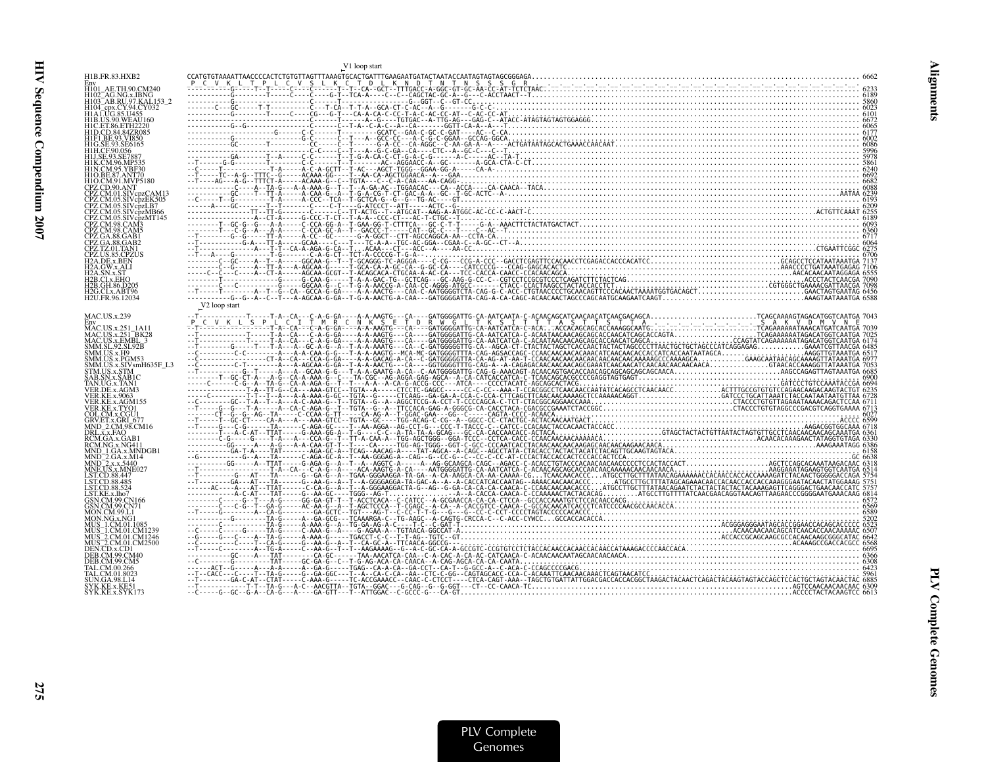|                                                                    | V1 loop start             |  |
|--------------------------------------------------------------------|---------------------------|--|
| H1B.FR.83.HXB2                                                     |                           |  |
|                                                                    |                           |  |
| H101_AE.TH.90.CM240<br>H102_AG.NG.x.IBNG<br>H103_AB.RU.97.KAL153_2 |                           |  |
| H104_cpx.CY.94.CY032                                               |                           |  |
| H1A LUG.85.U455                                                    |                           |  |
| H1B.US.90.WEAU160<br><b>H1C.ET.86.ETH2220</b>                      |                           |  |
| H1D.CD.84.84ZR085                                                  |                           |  |
| H1F1.BE.93.VI850<br>H1G.SE.93.SE6165                               |                           |  |
| H1H.CF.90.056                                                      |                           |  |
| H1J.SE.93.SE7887                                                   |                           |  |
| H1K.CM.96.MP535<br>H1N.CM.95.YBF30                                 |                           |  |
|                                                                    |                           |  |
| H1O.CM.91.MVP5180<br>CPZ.CD.90.ANT                                 |                           |  |
|                                                                    |                           |  |
| CPZ.CM.05.SIVcpzLB7                                                |                           |  |
| CPZ.CM.05.SIVcpzMB66                                               |                           |  |
| CPZ.CM.05.SIVcpzMT145                                              |                           |  |
| CPZ.CM.98.CAM5                                                     |                           |  |
| CPZ.GA.88.GAB1                                                     |                           |  |
| CPZ.GA.88.GAB2<br>CPZ.TZ.01.TAN1                                   |                           |  |
| CPZ US 85 CPZUS                                                    |                           |  |
| 2A.DE.x.BEN<br>[2A.GW.x.ALI                                        |                           |  |
|                                                                    |                           |  |
| I2B.CLx.EHC<br>H2B.GH.86.D205                                      |                           |  |
| H2G.CLx.ABT96                                                      |                           |  |
| H2U.FR.96.12034                                                    |                           |  |
|                                                                    | V <sub>2</sub> loop start |  |
| <b>MAC.US.x.239</b><br>Env                                         |                           |  |
| MAC.US.x.251 1A11                                                  |                           |  |
| MAC.US.x.251_BK28<br>MAC.US.x.EMBL_3                               |                           |  |
| SMM.SL.92.SL92B                                                    |                           |  |
| SMM.US.x.H9<br>SMM.US.x.PGM53                                      |                           |  |
| SMM.US.x.SIVsmH635F L3                                             |                           |  |
| STM.US.x.STM                                                       |                           |  |
| SAB.SN.x.SAB1C<br>TAN.UG.x.TAN1                                    |                           |  |
| VER.DE.x.AGM3                                                      |                           |  |
| VER.KE.x.9063<br>VER.KE.x.AGM155                                   |                           |  |
| VER KE x TYO1                                                      |                           |  |
| COL.CM.x.CGU1                                                      |                           |  |
| GRV.ET.x.GRI_677<br>MND 2.CM.98.CM16                               |                           |  |
| DRL.x.x.FAO                                                        |                           |  |
| RCM.GA.x.GAB1<br>RCM.NG.x.NG411                                    |                           |  |
| MND 1.GA.x.MNDGB1                                                  |                           |  |
| MND_2.GA.x.M14                                                     |                           |  |
| MND_2.x.x.5440<br>MNE.US.x.MNE027                                  |                           |  |
| LST.CD.88.447<br>ST.CD.88.485.                                     |                           |  |
| ST.CD.88.524                                                       |                           |  |
| LST.KE.x.lho7<br>GSN.CM.99.CN166                                   |                           |  |
| GSN.CM.99.CN71                                                     |                           |  |
| AON.CM.99.L1<br>AON NG x NG                                        |                           |  |
|                                                                    |                           |  |
| MUS <sup>-2</sup> .CM.01.CM1246                                    |                           |  |
| MUS <sup>-</sup> 2.CM.01.CM2500                                    |                           |  |
| )EN.CD.x.CD1                                                       |                           |  |
| EB.CM.99.CM40<br>EB.CM.99.CM5                                      |                           |  |
| AL.CM.00.266                                                       |                           |  |
| AL.CM.01.8023<br>JN.GA.98.L14                                      |                           |  |
| SYK.KE.x.KE51                                                      |                           |  |
| SYK.KE.x.SYK173                                                    |                           |  |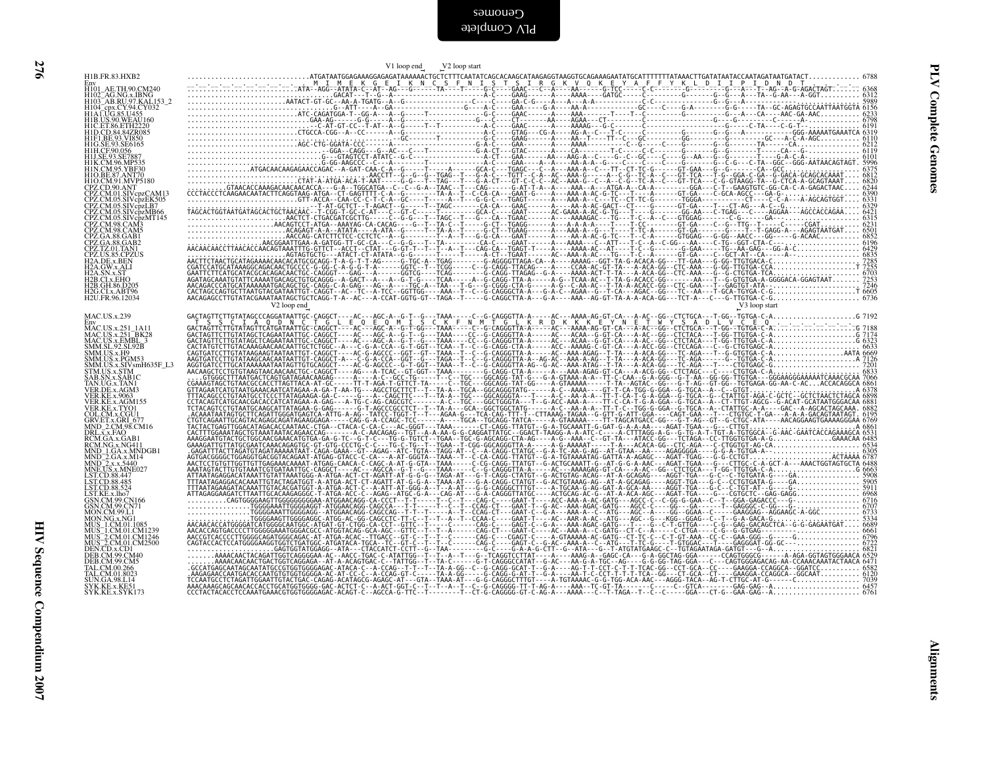| H1B.FR.83.HXB2                                                                                                                                                  | V1 loop end V2 loop start                                                                                                                                                                                                                                                                                                                                                                                                                                                   |
|-----------------------------------------------------------------------------------------------------------------------------------------------------------------|-----------------------------------------------------------------------------------------------------------------------------------------------------------------------------------------------------------------------------------------------------------------------------------------------------------------------------------------------------------------------------------------------------------------------------------------------------------------------------|
|                                                                                                                                                                 |                                                                                                                                                                                                                                                                                                                                                                                                                                                                             |
| Env<br>HI01_AE.TH.90.CM240<br>HI02_AG.NG.x.IBNG<br>HI03_AB.RU.97.KAL.153_2<br>HI04_cpx.CY.94.CY032<br>HIA.LUG.85.U455<br>HIB.US.90.WEAU100<br>HIB.US.90.WEAU100 |                                                                                                                                                                                                                                                                                                                                                                                                                                                                             |
|                                                                                                                                                                 |                                                                                                                                                                                                                                                                                                                                                                                                                                                                             |
|                                                                                                                                                                 |                                                                                                                                                                                                                                                                                                                                                                                                                                                                             |
| HIC.ET.86.ETH2220<br>HID.CD.84.84ZR085<br>HIF1.BE.93.VI850<br>HIG.SE.93.SE6165<br>HIL.CF.90.056                                                                 |                                                                                                                                                                                                                                                                                                                                                                                                                                                                             |
| H1J.SE.93.SE7887                                                                                                                                                |                                                                                                                                                                                                                                                                                                                                                                                                                                                                             |
| H1K.CM.96.MP535<br>H1N.CM.95.YBF30                                                                                                                              |                                                                                                                                                                                                                                                                                                                                                                                                                                                                             |
| H1O.BE.87.ANT70                                                                                                                                                 |                                                                                                                                                                                                                                                                                                                                                                                                                                                                             |
| HIO.DE.87:ANTP5180<br>CPZ.CD.90.ANT<br>CPZ.CM.01.SIVcpzCAM13<br>CPZ.CM.05.SIVcpzEK505<br>CPZ.CM.05.SIVcpzLB7<br>CPZ.CM.05.SIVcpzLB7                             |                                                                                                                                                                                                                                                                                                                                                                                                                                                                             |
|                                                                                                                                                                 |                                                                                                                                                                                                                                                                                                                                                                                                                                                                             |
| CPZ.CM.05.SIVcpzMB66<br>CPZ.CM.05.SIVcpzMT145<br>CPZ.CM.98.CAM3                                                                                                 |                                                                                                                                                                                                                                                                                                                                                                                                                                                                             |
| CPZ.CM.98.CAM5                                                                                                                                                  |                                                                                                                                                                                                                                                                                                                                                                                                                                                                             |
| CPZ.GA.88.GAB1<br>CPZ.GA.88.GAB1<br>CPZ.TZ.01.TAN1<br>CPZ.US.85.CPZUS<br>H2A.DE.x.BEN                                                                           |                                                                                                                                                                                                                                                                                                                                                                                                                                                                             |
|                                                                                                                                                                 |                                                                                                                                                                                                                                                                                                                                                                                                                                                                             |
| H <sub>2</sub> A.GW.x.ALI<br>12A.SN.x.                                                                                                                          |                                                                                                                                                                                                                                                                                                                                                                                                                                                                             |
| H2B.CI.x.EHO<br>H2B.GH.86.D205                                                                                                                                  |                                                                                                                                                                                                                                                                                                                                                                                                                                                                             |
| H2G.CLx.ABT96<br>H2U.FR.96.12034                                                                                                                                |                                                                                                                                                                                                                                                                                                                                                                                                                                                                             |
| <b>MAC.US.x.239</b>                                                                                                                                             | V <sub>2</sub> loop end<br>V3 loop start<br>$\label{eq:R16} \begin{small} \textbf{1} & \textbf{1} & \textbf{1} & \textbf{1} & \textbf{1} & \textbf{1} & \textbf{1} & \textbf{1} & \textbf{1} & \textbf{1} & \textbf{1} & \textbf{1} & \textbf{1} & \textbf{1} & \textbf{1} & \textbf{1} & \textbf{1} & \textbf{1} & \textbf{1} & \textbf{1} & \textbf{1} & \textbf{1} & \textbf{1} & \textbf{1} & \textbf{1} & \textbf{1} & \textbf{1} & \textbf{1} & \textbf{1} & \textbf$ |
| Env<br>HAC.US.x.251_1A11<br>MAC.US.x.251_BK28<br>MAC.US.x.251_BK28<br>MM.US.x.H9<br>SMM.US.x.H9<br>SMM.US.x.PGM53<br>MM.US.x.PGM53                              |                                                                                                                                                                                                                                                                                                                                                                                                                                                                             |
|                                                                                                                                                                 |                                                                                                                                                                                                                                                                                                                                                                                                                                                                             |
|                                                                                                                                                                 |                                                                                                                                                                                                                                                                                                                                                                                                                                                                             |
| SMM.US.x.SIVsmH635F_L3<br>STM.US.x.STM                                                                                                                          |                                                                                                                                                                                                                                                                                                                                                                                                                                                                             |
| SAB.SN.x.SAB1C                                                                                                                                                  |                                                                                                                                                                                                                                                                                                                                                                                                                                                                             |
| TAN.UG.x.TAN1<br>VER.DE.x.AGM3                                                                                                                                  |                                                                                                                                                                                                                                                                                                                                                                                                                                                                             |
| VER.KE.x.9063<br>VER.KE.x.AGM155<br>VER.KE.x.TYO1                                                                                                               |                                                                                                                                                                                                                                                                                                                                                                                                                                                                             |
| COL.CM.x.CGU1<br>GRV.ET.x.GRI_677<br>MND_2.CM.98.CM16                                                                                                           |                                                                                                                                                                                                                                                                                                                                                                                                                                                                             |
| MND_2.CM: 98.CM10<br>RCM.GA.x.GAB1<br>RCM.GA.x.GAB1<br>MND_1.GA.x.MNDGB1<br>MND_2.GA.x.MNDGB1<br>MND_2.x.x.5440<br>MND_2.x.x.5440<br>MNE_US.x.MNE027            |                                                                                                                                                                                                                                                                                                                                                                                                                                                                             |
|                                                                                                                                                                 |                                                                                                                                                                                                                                                                                                                                                                                                                                                                             |
|                                                                                                                                                                 |                                                                                                                                                                                                                                                                                                                                                                                                                                                                             |
| LST.CD.88.447                                                                                                                                                   |                                                                                                                                                                                                                                                                                                                                                                                                                                                                             |
| LST.CD.88.485<br>LST.CD.88.524                                                                                                                                  |                                                                                                                                                                                                                                                                                                                                                                                                                                                                             |
| LST.KE.x.lho7<br>GSN.CM.99.CN166<br>GSN.CM.99.CN71<br>MON.CM.99.L1                                                                                              |                                                                                                                                                                                                                                                                                                                                                                                                                                                                             |
| MON.NG.x.NG1                                                                                                                                                    |                                                                                                                                                                                                                                                                                                                                                                                                                                                                             |
|                                                                                                                                                                 |                                                                                                                                                                                                                                                                                                                                                                                                                                                                             |
| MON.NO.3.NOI<br>MUS_1.CM.01.CM1239<br>MUS_2.CM.01.CM1246<br>MUS_2.CM.01.CM1246<br>DEN.CD.x.CD1<br>DEN.CM.99.CM40<br>DEB.CM.99.CM40<br>DEB.CM.99.CM40            |                                                                                                                                                                                                                                                                                                                                                                                                                                                                             |
|                                                                                                                                                                 |                                                                                                                                                                                                                                                                                                                                                                                                                                                                             |
| TAL.CM.00.266<br>AL.CM.01.8023                                                                                                                                  |                                                                                                                                                                                                                                                                                                                                                                                                                                                                             |
| JN.GA.98.L14<br>SYK.KE.x.KE5                                                                                                                                    |                                                                                                                                                                                                                                                                                                                                                                                                                                                                             |
| SYK.KE.x.SYK173                                                                                                                                                 |                                                                                                                                                                                                                                                                                                                                                                                                                                                                             |
|                                                                                                                                                                 |                                                                                                                                                                                                                                                                                                                                                                                                                                                                             |
|                                                                                                                                                                 |                                                                                                                                                                                                                                                                                                                                                                                                                                                                             |
|                                                                                                                                                                 |                                                                                                                                                                                                                                                                                                                                                                                                                                                                             |
|                                                                                                                                                                 |                                                                                                                                                                                                                                                                                                                                                                                                                                                                             |
|                                                                                                                                                                 |                                                                                                                                                                                                                                                                                                                                                                                                                                                                             |
|                                                                                                                                                                 |                                                                                                                                                                                                                                                                                                                                                                                                                                                                             |
|                                                                                                                                                                 |                                                                                                                                                                                                                                                                                                                                                                                                                                                                             |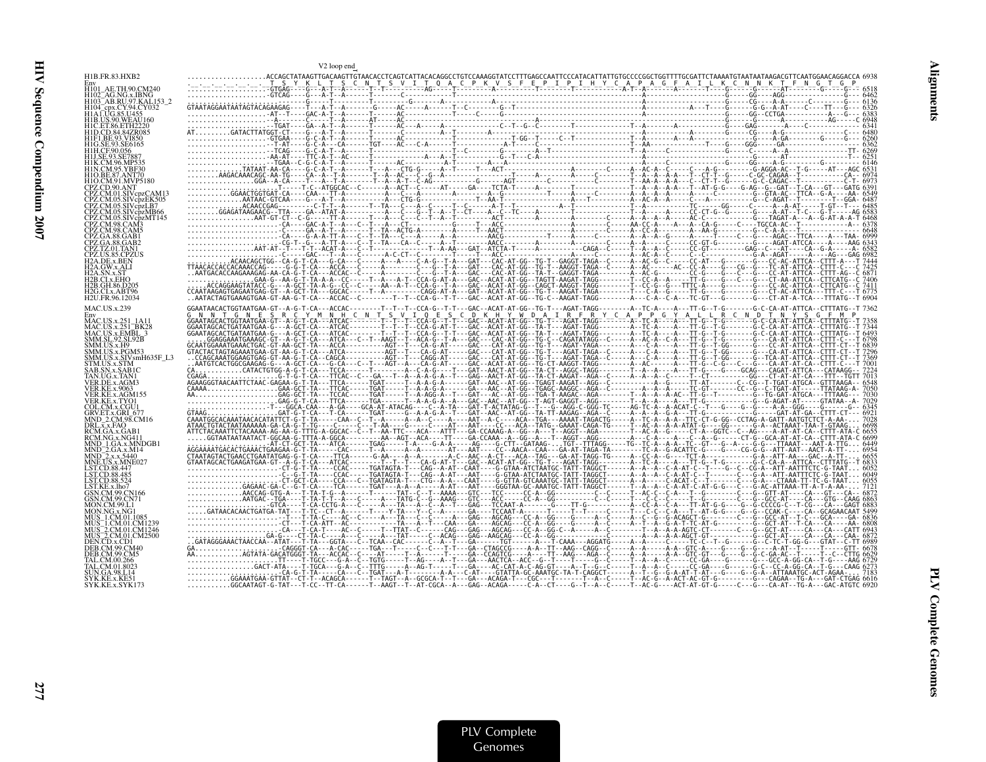|                   | V2 loop end |  |  |
|-------------------|-------------|--|--|
| H1B.FR.83.HXB2    |             |  |  |
|                   |             |  |  |
|                   |             |  |  |
|                   |             |  |  |
|                   |             |  |  |
|                   |             |  |  |
|                   |             |  |  |
|                   |             |  |  |
|                   |             |  |  |
|                   |             |  |  |
| VchzMT145         |             |  |  |
|                   |             |  |  |
|                   |             |  |  |
|                   |             |  |  |
|                   |             |  |  |
|                   |             |  |  |
| I2G.CLx.ABT96     |             |  |  |
| MAC.US.x.239      |             |  |  |
|                   |             |  |  |
|                   |             |  |  |
|                   |             |  |  |
|                   |             |  |  |
|                   |             |  |  |
|                   |             |  |  |
|                   |             |  |  |
|                   |             |  |  |
|                   |             |  |  |
| <b>A.x.MNDGB1</b> |             |  |  |
|                   |             |  |  |
|                   |             |  |  |
|                   |             |  |  |
|                   |             |  |  |
|                   |             |  |  |
|                   |             |  |  |
|                   |             |  |  |
|                   |             |  |  |
|                   |             |  |  |
|                   |             |  |  |
|                   |             |  |  |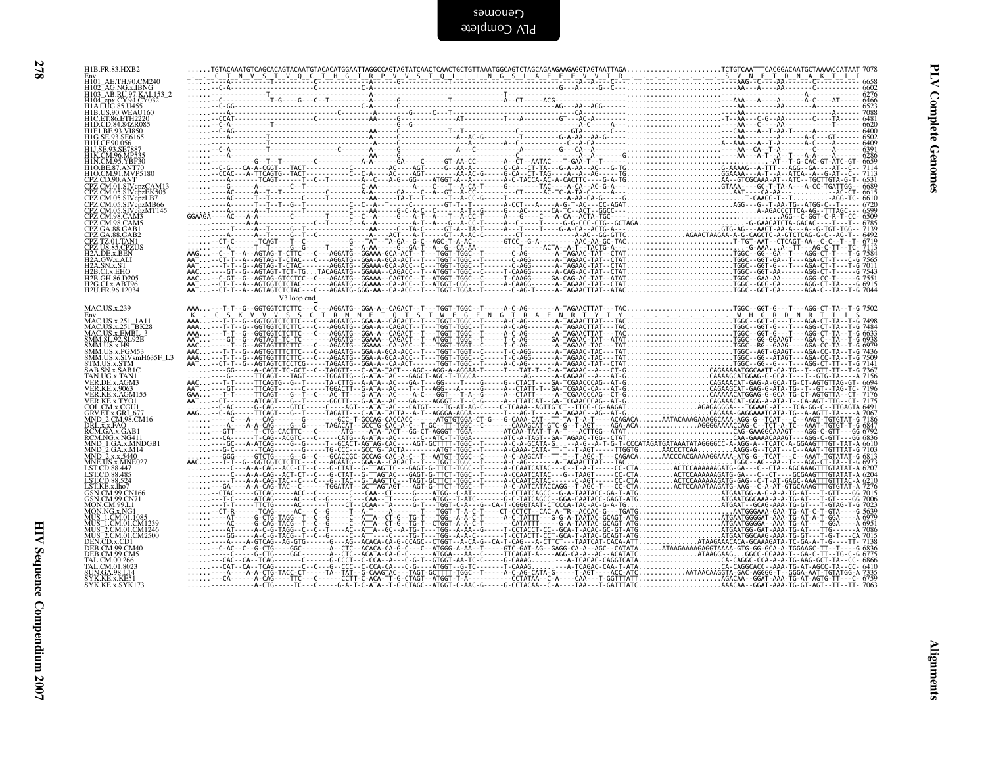| ĸ,<br>۰.<br>., |  |
|----------------|--|
| ×              |  |
|                |  |

| H1B.FR.83.HXB2                                                                                                                                                                                                                                                           |             |  |                                                                                                                                                                                                                                                                                                                                                                                               |
|--------------------------------------------------------------------------------------------------------------------------------------------------------------------------------------------------------------------------------------------------------------------------|-------------|--|-----------------------------------------------------------------------------------------------------------------------------------------------------------------------------------------------------------------------------------------------------------------------------------------------------------------------------------------------------------------------------------------------|
| Env<br>H101_AE.TH.90.CM240<br>H102_AG.NG.x.IBNG<br>H103_AB.RU.97.KAL153_2<br>H103_AB.RU.94.CV032                                                                                                                                                                         |             |  |                                                                                                                                                                                                                                                                                                                                                                                               |
| H104 epx.CY.94.CY032<br>H1A LUG.85.U455                                                                                                                                                                                                                                  |             |  |                                                                                                                                                                                                                                                                                                                                                                                               |
| HIB.US.90.WEAU160<br>HIC.ET.86.ETH2220<br>HID.CD.84.84ZR085<br>HIF1.BE.93.VI850<br>HIG.SE.93.SE6165                                                                                                                                                                      |             |  |                                                                                                                                                                                                                                                                                                                                                                                               |
|                                                                                                                                                                                                                                                                          |             |  |                                                                                                                                                                                                                                                                                                                                                                                               |
| HIH.CF.90.056<br>HIJ.SE.93.SE7887                                                                                                                                                                                                                                        |             |  |                                                                                                                                                                                                                                                                                                                                                                                               |
| HIK.CM.96.MP535<br>HIN.CM.95.YBF30<br>HIO.BE.87.ANT70<br>HIO.CM.91.MVP5180<br>CPZ.CD.90.ANT                                                                                                                                                                              |             |  |                                                                                                                                                                                                                                                                                                                                                                                               |
|                                                                                                                                                                                                                                                                          |             |  |                                                                                                                                                                                                                                                                                                                                                                                               |
| CPZ.CM.01.SIVcpzCAM13<br>CPZ.CM.05.SIVcpzEK505                                                                                                                                                                                                                           |             |  |                                                                                                                                                                                                                                                                                                                                                                                               |
|                                                                                                                                                                                                                                                                          |             |  |                                                                                                                                                                                                                                                                                                                                                                                               |
| CPZ.CM.05.SIVepzLB7<br>CPZ.CM.05.SIVepzLB7<br>CPZ.CM.05.SIVepzMB66<br>CPZ.CM.98.CAM3<br>CPZ.CM.98.CAM5<br>CPZ.GA.88.GAB1<br>CPZ.GA.88.GAB1                                                                                                                               |             |  |                                                                                                                                                                                                                                                                                                                                                                                               |
| CPZ.GA.88.GAB1<br>CPZ.GA.88.GAB2<br>CPZ.TZ.01.TAN1<br>H2A.GW.x.ALI<br>H2A.GW.x.ALI<br>H2A.GW.x.ALI<br>H2A.SN.x.ST                                                                                                                                                        |             |  |                                                                                                                                                                                                                                                                                                                                                                                               |
|                                                                                                                                                                                                                                                                          |             |  |                                                                                                                                                                                                                                                                                                                                                                                               |
| H <sub>2</sub> B.CI.x.EHO                                                                                                                                                                                                                                                |             |  |                                                                                                                                                                                                                                                                                                                                                                                               |
| H2B.GH.86.D205<br>H <sub>2G</sub> .CI.x.ABT96<br>H <sub>2U.FR</sub> .96.12034                                                                                                                                                                                            |             |  |                                                                                                                                                                                                                                                                                                                                                                                               |
|                                                                                                                                                                                                                                                                          | V3 loop end |  | $\label{eq:R11} \begin{small} \mathbf{X}^{T} & \mathbf{X}^{T} & \mathbf{X}^{T} & \mathbf{X}^{T} & \mathbf{X}^{T} & \mathbf{X}^{T} & \mathbf{X}^{T} & \mathbf{X}^{T} & \mathbf{X}^{T} & \mathbf{X}^{T} & \mathbf{X}^{T} & \mathbf{X}^{T} & \mathbf{X}^{T} & \mathbf{X}^{T} & \mathbf{X}^{T} & \mathbf{X}^{T} & \mathbf{X}^{T} & \mathbf{X}^{T} & \mathbf{X}^{T} & \mathbf{X}^{T} & \mathbf{X}$ |
| <b>MAC.US.x.239</b>                                                                                                                                                                                                                                                      |             |  |                                                                                                                                                                                                                                                                                                                                                                                               |
| MAC.US.x.251_1A11                                                                                                                                                                                                                                                        |             |  |                                                                                                                                                                                                                                                                                                                                                                                               |
| MAC.US.x.251_BK28<br>MAC.US.x.251_BK28<br>MM.SL.92.SL92B<br>SMM.US.x.H9<br>SMM.US.x.H9<br>SMM.US.x.PGM53                                                                                                                                                                 |             |  |                                                                                                                                                                                                                                                                                                                                                                                               |
|                                                                                                                                                                                                                                                                          |             |  |                                                                                                                                                                                                                                                                                                                                                                                               |
|                                                                                                                                                                                                                                                                          |             |  |                                                                                                                                                                                                                                                                                                                                                                                               |
| SMM.US.x.SIV5mH635F_L3<br>SMM.US.x.SIV5mH635F_L3<br>STM.US.x.SABIC<br>TAN.UG.x.TANI<br>VER.KE.x.9063<br>VER.KE.x.9063<br>VER.KE.x.9063<br>VER.KE.x.9063                                                                                                                  |             |  |                                                                                                                                                                                                                                                                                                                                                                                               |
|                                                                                                                                                                                                                                                                          |             |  |                                                                                                                                                                                                                                                                                                                                                                                               |
| VER.KE.x.AGMI55<br>VER.KE.x.AGMI55<br>GRV.ET.x.GRI 677<br>GRV.ET.x.GRI 677<br>DRL.x.x.FAO<br>RCM.GA.x.AGMI1<br>RCM.MG.x.NG411<br>MND_2.GA.x.MH4<br>MND_2.GA.x.M44<br>MND_2.GA.x.AG441<br>MND_2.GA.x.M4<br>LST.CD.88.447<br>LST.CD.88.447<br>LST.CD.88.445<br>LST.CD.88.4 |             |  |                                                                                                                                                                                                                                                                                                                                                                                               |
|                                                                                                                                                                                                                                                                          |             |  |                                                                                                                                                                                                                                                                                                                                                                                               |
|                                                                                                                                                                                                                                                                          |             |  |                                                                                                                                                                                                                                                                                                                                                                                               |
|                                                                                                                                                                                                                                                                          |             |  |                                                                                                                                                                                                                                                                                                                                                                                               |
|                                                                                                                                                                                                                                                                          |             |  |                                                                                                                                                                                                                                                                                                                                                                                               |
|                                                                                                                                                                                                                                                                          |             |  |                                                                                                                                                                                                                                                                                                                                                                                               |
| LST.KE.x.lho7<br>GSN.CM.99.CN166<br>GSN.CM.99.CN71<br>MON.CM.99.L1                                                                                                                                                                                                       |             |  |                                                                                                                                                                                                                                                                                                                                                                                               |
|                                                                                                                                                                                                                                                                          |             |  |                                                                                                                                                                                                                                                                                                                                                                                               |
|                                                                                                                                                                                                                                                                          |             |  |                                                                                                                                                                                                                                                                                                                                                                                               |
|                                                                                                                                                                                                                                                                          |             |  |                                                                                                                                                                                                                                                                                                                                                                                               |
| MON/NG/M-90-LI<br>MUS - LCM/01.1085<br>MUS - LCM/01.CM1239<br>MUS - LCM/01.CM1249<br>MUS - LCM/01.CM2500<br>MUS - LCM/01.CM2500<br>DEB/CM/90-CM40<br>DEB/CM/00-CM40<br>TAL/CM/00-2605<br>TAL/CM/00-2605<br>TAL/CM/00-2605<br>SVK RE- v KE51<br>SVK RE - v KE51           |             |  |                                                                                                                                                                                                                                                                                                                                                                                               |
| SYK.KE.x.KE51<br>SYK.KE.x.SYK173                                                                                                                                                                                                                                         |             |  |                                                                                                                                                                                                                                                                                                                                                                                               |
|                                                                                                                                                                                                                                                                          |             |  |                                                                                                                                                                                                                                                                                                                                                                                               |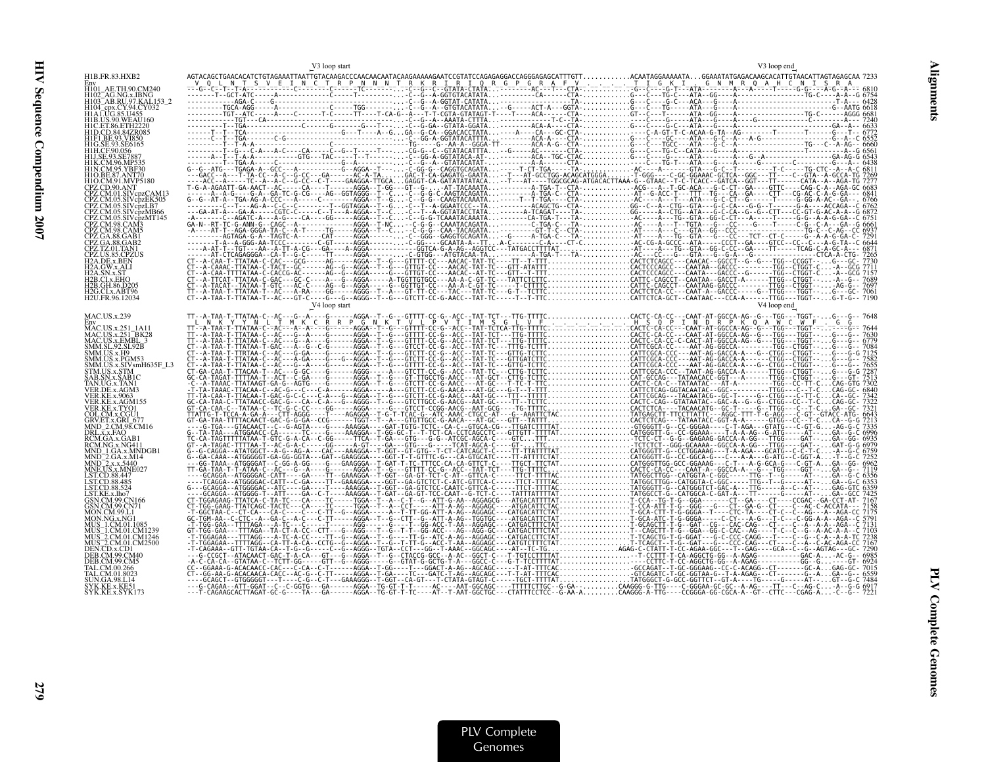| $\begin{smallmatrix} \mathcal{L}_{1} & \mathcal{L}_{2} & \mathcal{L}_{3} & \mathcal{L}_{4} & \mathcal{L}_{5} & \mathcal{L}_{6} & \mathcal{L}_{7} & \mathcal{L}_{8} & \mathcal{L}_{9} & \mathcal{L}_{10} & \mathcal{L}_{11} & \mathcal{L}_{12} & \mathcal{L}_{13} & \mathcal{L}_{14} & \mathcal{L}_{15} & \mathcal{L}_{16} & \mathcal{L}_{17} & \mathcal{L}_{18} & \mathcal{L}_{19} & \mathcal{L}_{10} & \mathcal{L}_{10} & \mathcal{L}_{11} & \mathcal$<br>H1B.FR.83.HXB2 |  |
|---------------------------------------------------------------------------------------------------------------------------------------------------------------------------------------------------------------------------------------------------------------------------------------------------------------------------------------------------------------------------------------------------------------------------------------------------------------------------|--|
|                                                                                                                                                                                                                                                                                                                                                                                                                                                                           |  |
| H101_AE.TH.90.CM240<br>H102 AG.NG.x.IBNG<br>H103_AB.RU.97.KAL153_2                                                                                                                                                                                                                                                                                                                                                                                                        |  |
|                                                                                                                                                                                                                                                                                                                                                                                                                                                                           |  |
| H1B.US.90.WEAU160<br>H1C. ET.86. ETH2220                                                                                                                                                                                                                                                                                                                                                                                                                                  |  |
|                                                                                                                                                                                                                                                                                                                                                                                                                                                                           |  |
|                                                                                                                                                                                                                                                                                                                                                                                                                                                                           |  |
|                                                                                                                                                                                                                                                                                                                                                                                                                                                                           |  |
|                                                                                                                                                                                                                                                                                                                                                                                                                                                                           |  |
|                                                                                                                                                                                                                                                                                                                                                                                                                                                                           |  |
| 'PZ CM 05 SIVcnzI B7                                                                                                                                                                                                                                                                                                                                                                                                                                                      |  |
| CPZ.CM.05.SIVcpzMB66<br>CPZ.CM.05.SIVcpzMT145                                                                                                                                                                                                                                                                                                                                                                                                                             |  |
|                                                                                                                                                                                                                                                                                                                                                                                                                                                                           |  |
|                                                                                                                                                                                                                                                                                                                                                                                                                                                                           |  |
| 2A.DE.x.BEN                                                                                                                                                                                                                                                                                                                                                                                                                                                               |  |
|                                                                                                                                                                                                                                                                                                                                                                                                                                                                           |  |
| I2B.CI.x.EHO<br>I2B GH 86 D205<br>I2G.CI.x.ABT96                                                                                                                                                                                                                                                                                                                                                                                                                          |  |
| H2U.FR.96.12034<br>V4 loop start<br>V4 loop end                                                                                                                                                                                                                                                                                                                                                                                                                           |  |
| <b>MAC.US.x.239</b>                                                                                                                                                                                                                                                                                                                                                                                                                                                       |  |
| MAC.US.x.251 1A11                                                                                                                                                                                                                                                                                                                                                                                                                                                         |  |
| MAC.US.x.251_BK28<br>MAC.US.x.EMBL_3                                                                                                                                                                                                                                                                                                                                                                                                                                      |  |
| SMM.SL.92.SL92B<br>SMM.US.x.H9<br>SMM.US.x.PGM53                                                                                                                                                                                                                                                                                                                                                                                                                          |  |
| 4M.US.x.SIVsmH635F L3                                                                                                                                                                                                                                                                                                                                                                                                                                                     |  |
|                                                                                                                                                                                                                                                                                                                                                                                                                                                                           |  |
|                                                                                                                                                                                                                                                                                                                                                                                                                                                                           |  |
| COL.CM.x.CGU:                                                                                                                                                                                                                                                                                                                                                                                                                                                             |  |
| GRV.ET.x.GRI 677                                                                                                                                                                                                                                                                                                                                                                                                                                                          |  |
| RL .x .x .FAO                                                                                                                                                                                                                                                                                                                                                                                                                                                             |  |
|                                                                                                                                                                                                                                                                                                                                                                                                                                                                           |  |
| ND <sup>-</sup> 2.GA.x.M14<br>INE.US.x.MNE027                                                                                                                                                                                                                                                                                                                                                                                                                             |  |
|                                                                                                                                                                                                                                                                                                                                                                                                                                                                           |  |
| ST KE x lho7                                                                                                                                                                                                                                                                                                                                                                                                                                                              |  |
|                                                                                                                                                                                                                                                                                                                                                                                                                                                                           |  |
|                                                                                                                                                                                                                                                                                                                                                                                                                                                                           |  |
|                                                                                                                                                                                                                                                                                                                                                                                                                                                                           |  |
|                                                                                                                                                                                                                                                                                                                                                                                                                                                                           |  |
|                                                                                                                                                                                                                                                                                                                                                                                                                                                                           |  |
|                                                                                                                                                                                                                                                                                                                                                                                                                                                                           |  |
| SYK.KE.x.SYK173                                                                                                                                                                                                                                                                                                                                                                                                                                                           |  |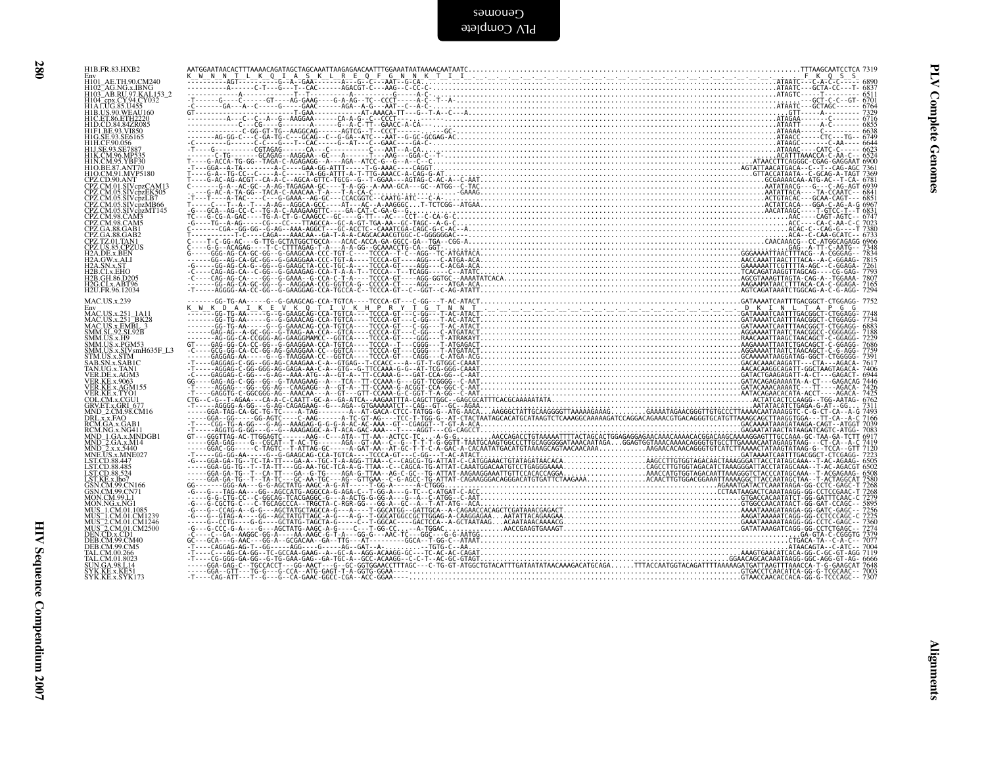| H1B.FR.83.HXB2<br>Env<br>H101_AE.TH.90.CM240<br>H102_AG.NG.x.IBNG<br>H102_AG.NG.y7.KAL153_2<br>H104_cpx.CY.94.CY032<br>H141_UG.85.U455<br>H114_UG.85.U455                                                                                                                         |  |
|-----------------------------------------------------------------------------------------------------------------------------------------------------------------------------------------------------------------------------------------------------------------------------------|--|
|                                                                                                                                                                                                                                                                                   |  |
| HIALOG SSU43<br>HIBLUS SOMEAU160<br>HID CD 84 847200<br>HID CD 84 8472005<br>HIELGE 93 VI850<br>HIG CE 93 056<br>HILS CO 85<br>HILS SOME<br>HILS SOME<br>HILS CO 867<br>HIN COMP535<br>HID COMP535<br>HIN COMP535<br>HIN COMP535<br>HIN COMP535<br>HIN COMP535<br>HIN COMP535<br> |  |
|                                                                                                                                                                                                                                                                                   |  |
| CPZ.CD.90.ANT<br>CPZ.CM.01.SIVcpzCAM13<br>CPZ.CM.05.SIVcpzEK505                                                                                                                                                                                                                   |  |
| CPZ.CM.05.SIVepZEK505<br>CPZ.CM.05.SIVepZLB7<br>CPZ.CM.05.SIVepZMF165<br>CPZ.CM.05.SIVepZMF145<br>CPZ.CM.98.CAM5<br>CPZ.CM.98.CAM5<br>CPZ.CM.98.CAM5<br>CPZ.CA.88.GAB7<br>CPZ.CS.8.CAM5<br>H2A.DE.x.BCMUS<br>H2A.DE.x.BCMUS<br>H2A.OK.X.BUN<br>H2A.OK.X.BUN                       |  |
|                                                                                                                                                                                                                                                                                   |  |
| H2A.SN.x.ST<br>H2B.CI.x.EHO                                                                                                                                                                                                                                                       |  |
| H2B.GH.86.D205<br>H <sub>2G.CL</sub> x.ABT96<br>H <sub>2U.FR.96.12034</sub>                                                                                                                                                                                                       |  |
| <b>MAC.US.x.239</b><br>Env<br>HAC.US.x.251_1A11<br>MAC.US.x.251_BK28<br>MAC.US.x.251_BK28<br>MAC.US.x.EMBL_3<br>SMM.SL.92.SL92B<br>SMM.US.x.H9<br>SMM.US.x.H9                                                                                                                     |  |
|                                                                                                                                                                                                                                                                                   |  |
| SMM.US.x.PGM53<br>SMM.US.x.SIVsmH635F_L3<br>STM.US.x.SIVsmH635F_L3<br>SAB.SN.x.SABIC<br>TAN.UG.x.TAN1<br>VER.DE.x.AGM3<br>VER.RE.x.9063<br>VER.RE.x.9063                                                                                                                          |  |
| VER.KE.x.AGM155<br>VER.KE.x.AGM155<br>COL.CM.x.CGU1                                                                                                                                                                                                                               |  |
| GRV.ET.x.GRI 677<br>MND_2.CM.98.CM16<br>DRL.x.x.FAQ<br>RCM.GA.x.GAB1                                                                                                                                                                                                              |  |
|                                                                                                                                                                                                                                                                                   |  |
| RCM.GA.x.GAB1<br>RCM.GA.x.MG411<br>MND -1 GA.x.MNDGB1<br>MND -2 GA.x.MNDGB1<br>MND -2 x.x.5440<br>MNE.US.x.MNE027<br>LST.CD.88.457<br>LST.CD.88.455<br>LST.CD.88.455<br>LST.CD.88.524<br>CSN.CM.907                                                                               |  |
|                                                                                                                                                                                                                                                                                   |  |
| LST.KE.x.,lho7<br>GSN.CM.99.CN166<br>MON.NG.M99.L1<br>MON.NG.M99.L1<br>MUS_1.CM.01.085<br>MUS_1.CM.01.085<br>MUS_2.CM01.CM12246<br>MUS_2.CM01.CM2246<br>DEB.CM.99.CM40<br>DEB.CM99.CM40<br>DEB.CM99.CM40<br>DEB.CM99.CM40<br>TAL CM90.CM40                                        |  |
|                                                                                                                                                                                                                                                                                   |  |
| TAL.CM.00.266<br>TAL.CM.00.266<br>SUN.GA.98.L14<br>SYK.KE.x.KE51                                                                                                                                                                                                                  |  |
| SYK.KE.x.SYK173                                                                                                                                                                                                                                                                   |  |
|                                                                                                                                                                                                                                                                                   |  |
|                                                                                                                                                                                                                                                                                   |  |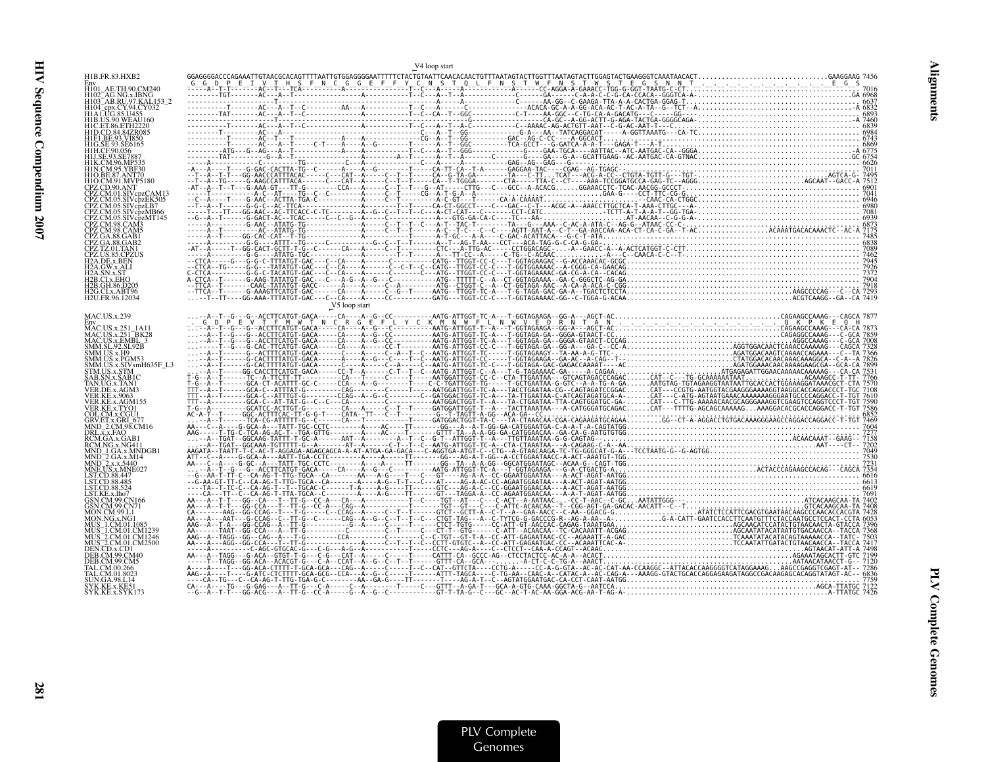|                                                       | V <sub>4</sub> loop start |  |
|-------------------------------------------------------|---------------------------|--|
| H1B.FR.83.HXB2<br>Env                                 |                           |  |
| H101 AE.TH.90.CM240<br>H102 <sup>-</sup> AG.NG.x.IBNG |                           |  |
| H103 <sup>-</sup> AB.RU.97.KAL153 2                   |                           |  |
| 1 A EUG 85 U455<br>H1B.US.90.WEAU160                  |                           |  |
|                                                       |                           |  |
| I1G.SE.93.SE6165                                      |                           |  |
|                                                       |                           |  |
|                                                       |                           |  |
|                                                       |                           |  |
|                                                       |                           |  |
|                                                       |                           |  |
| CPZ.CM.05.SIVcpzLB7<br>CPZ.CM.05.SIVcpzMB66           |                           |  |
| CPZ.CM.05.SIVcpzMT145                                 |                           |  |
|                                                       |                           |  |
|                                                       |                           |  |
| PZ.US.85.CPZUS<br>2A DE x BEN                         |                           |  |
|                                                       |                           |  |
| 2B.CLx.EHO<br>2B.GH.86.D205                           |                           |  |
| H2G.CI.x.ABT96<br>H2U.FR.96.12034                     |                           |  |
|                                                       | V5 loop start             |  |
| <b>MAC.US.x.239</b>                                   |                           |  |
| Env<br>MAC.US.x.251_1A11                              |                           |  |
| MAC.US.x.251_BK28<br>MAC.US.x.EMBL_3                  |                           |  |
| SMM.SL.92.SL92B<br>SMM.US.x.H9                        |                           |  |
| SMM.US.x.PGM53<br>MM.US.x.SIVsmH635F L3               |                           |  |
| STM.US.x.STM<br>SAB.SN.x.SAB1C                        |                           |  |
| TAN.UG.x.TAN1                                         |                           |  |
| VER.KE.x.AGM155                                       |                           |  |
| COL.CM.x.CGU1                                         |                           |  |
| GRV.ET.x.GRI 677<br>MND_2.CM.98.CM16                  |                           |  |
| DRL.x.x.FAO<br>RCM.GA.x.GAB                           |                           |  |
| RCM.NG.x.NG411<br>MND 1.GA.x.MNDGB1                   |                           |  |
| MND <sup>-</sup> 2.GA.x.M14<br>MND 2.x.x.5440         |                           |  |
| MNE.US.x.MNE027                                       |                           |  |
| ST CD 88 485<br>ST.CD.88.524                          |                           |  |
| ST.KE.x.lho7                                          |                           |  |
| <b>ESN.CM.99.CN166</b><br>CM 99 CN71                  |                           |  |
|                                                       |                           |  |
|                                                       |                           |  |
| AUS <sup>-</sup> 2.CM.01.CM2500                       |                           |  |
| DEN CD x CD1                                          |                           |  |
| DER CM 99 CM5                                         |                           |  |
| JN.GA.98.L14                                          |                           |  |
| SYK.KE.x.KE51<br>SYK.KE.x.SYK173                      |                           |  |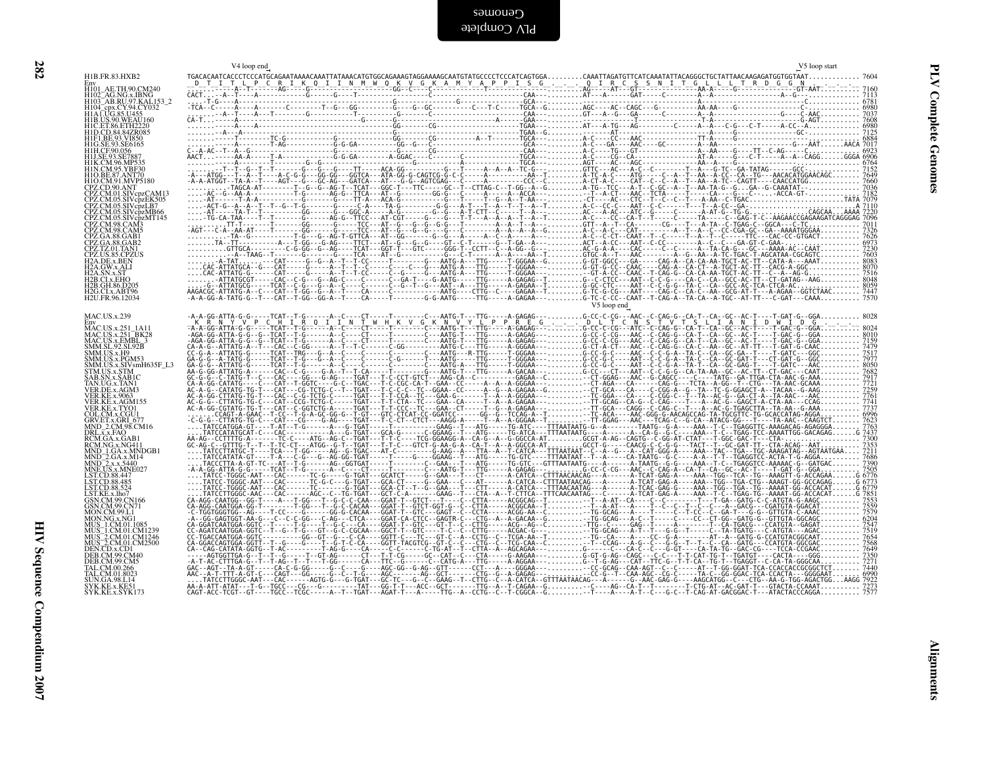| ļ |  |  |  |
|---|--|--|--|
|   |  |  |  |
|   |  |  |  |
|   |  |  |  |

| H101 AE.TH.90.CM240<br>H102_AG.NG.x.IBNG<br>H103_AB.RU.97.KAL153_2                                                                                                                                                              |             |
|---------------------------------------------------------------------------------------------------------------------------------------------------------------------------------------------------------------------------------|-------------|
|                                                                                                                                                                                                                                 |             |
| H104_cpx.CY.94.CY032<br>H104_cpx.CY.94.CY032<br>H1AT.UG.85.U455<br>H1B.US.90.WEAU160<br>H1D.CD.84.84ZR085                                                                                                                       |             |
| H1F1.BE.93.VI850                                                                                                                                                                                                                |             |
| H1G.SE.93.SE6165<br>H1H.CF.90.056<br>H1J.SE.93.SE7887<br>H1K.CM.96.MP535                                                                                                                                                        |             |
| HIN.CM.95.YBF30<br>HIO.BE.87.ANT70<br>HIO.BE.87.ANT70<br>CPZ.CD.90.ANT<br>CPZ.CM.01.SIV.pzCAM13                                                                                                                                 |             |
| CPZ.CM.05.SIVcpzEK505<br>CPZ.CM.05.SIVcpzEK505                                                                                                                                                                                  |             |
|                                                                                                                                                                                                                                 |             |
|                                                                                                                                                                                                                                 |             |
| CPZ.CM.05.SIVepZB7<br>CPZ.CM.05.SIVepzMB66<br>CPZ.CM.05.SIVepzMT145<br>CPZ.CM.98.CAM3<br>CPZ.CM.98.CAM3<br>CPZ.GA.88.GAB1<br>CPZ.TZ.01.TAN1<br>CPZ.TZ.01.TAN1<br>CPZ.TZ.01.TAN1<br>H2A.DE.x.BEN<br>H2A.DE.x.BEN<br>H2A.DE.x.BEN |             |
|                                                                                                                                                                                                                                 |             |
| H2A.SN.x.ST<br>H2A.SN.x.ST<br>H2B.GH.86.D205<br>H2B.GH.86.D205<br>H2G.CLx.ABT96<br>H2G.CLx.ABT96<br>H2U.FR.96.12034                                                                                                             |             |
|                                                                                                                                                                                                                                 | V5 loop end |
| MAC.US.x.239                                                                                                                                                                                                                    |             |
| MAC.US.X.259<br>HM C.US.x.251_1A11<br>MAC.US.x.251_BK28<br>MAC.US.x.251_BK28<br>SMM.SL.92.SL.925<br>SMM.US.x.H9<br>SMM.US.x.PGM53<br>SMM.US.x.STM=H635F_L3<br>STM.IIS.x.STM=H635F_L3                                            |             |
|                                                                                                                                                                                                                                 |             |
| STM.US.x.STM<br>SAB.SN.x.SAB1C                                                                                                                                                                                                  |             |
| TAN.UG.x.TAN1<br>VER.DE.x.AGM3                                                                                                                                                                                                  |             |
| VER.KE.x.9063<br>VER.KE.x.9063<br>VER.KE.x.AGM155<br>COL.CM.x.CGU1<br>GRV.ET.x.GRI_677<br>MND_2.CM.98.CM16                                                                                                                      |             |
|                                                                                                                                                                                                                                 |             |
|                                                                                                                                                                                                                                 |             |
| MND_2.CM.98.CM16<br>DRL.x.x.FAQ<br>RCM.GA.x.GAB1<br>RCM.NG.x.NG4111<br>MND_1.GA.x.MNDGB1<br>MND_2.GA.x.A144<br>MNE.US.x.5440<br>LST.CD.88.447<br>LST.CD.88.447<br>LST.CD.88.455<br>LST.CD.88.455<br>LST.CD.88.524               |             |
| LST.KE.x.lho7                                                                                                                                                                                                                   |             |
| GSN.CM.99.CN166<br>GSN.CM.99.CN71<br>MON.CM.99.L1<br>MON.NG.x.NG1                                                                                                                                                               |             |
|                                                                                                                                                                                                                                 |             |
|                                                                                                                                                                                                                                 |             |
| MON.NG.x.NG1<br>MUS_1.CM.01.1085<br>MUS_1.CM.01.CM1239<br>MUS_2.CM.01.CM1246<br>MUS_2.CM.01.CM2500<br>DEB.CM.99.CM5<br>DEB.CM.99.CM5<br>TAL.CM.00.266<br>TAL.CM.01.8023                                                         |             |
| TAL.CM.001.8023<br>SUN.GA.98.L14                                                                                                                                                                                                |             |
| SYK.KE.x.KE51<br>SYK.KE.x.SYK173                                                                                                                                                                                                |             |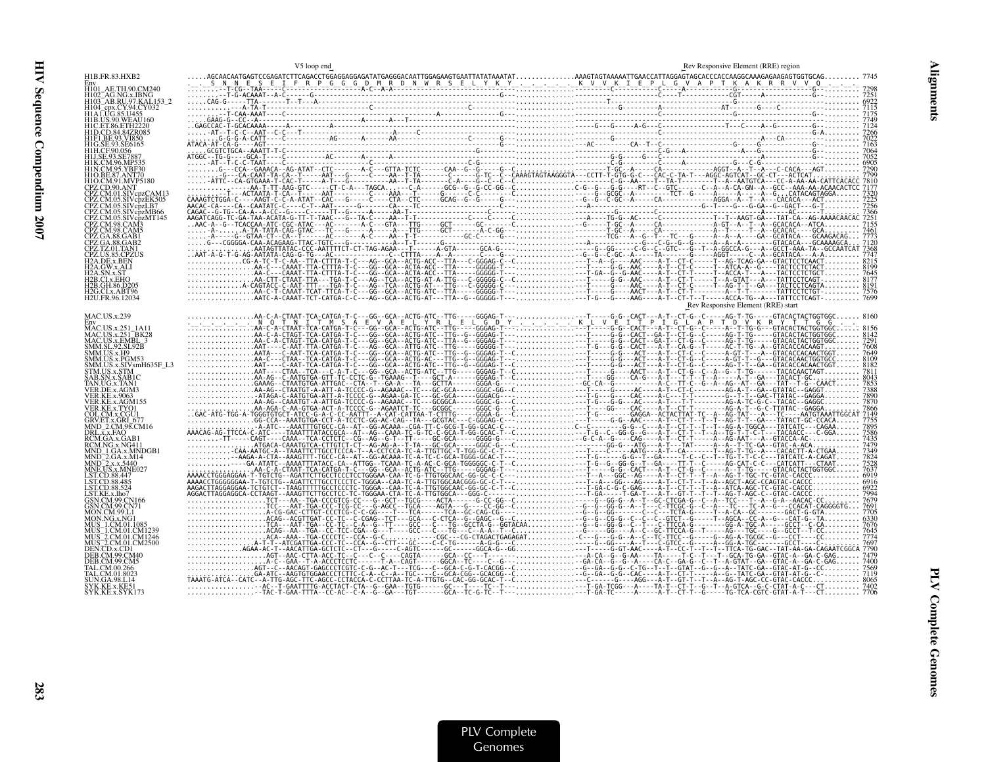|                                                             | V5 loop end                                                                                                                                                                                                                                                                                                                                                                                                                  | Rev Responsive Element (RRE) region |
|-------------------------------------------------------------|------------------------------------------------------------------------------------------------------------------------------------------------------------------------------------------------------------------------------------------------------------------------------------------------------------------------------------------------------------------------------------------------------------------------------|-------------------------------------|
| H1B.FR.83.HXB2                                              |                                                                                                                                                                                                                                                                                                                                                                                                                              |                                     |
| H101 AE.TH.90.CM240<br>H102 AG.NG.x.IBNG                    |                                                                                                                                                                                                                                                                                                                                                                                                                              |                                     |
| H103 AB.RU.97.KAL153 2<br>cpx.CY.94.CY032                   |                                                                                                                                                                                                                                                                                                                                                                                                                              |                                     |
| <b>H1B.US.90.WEAU160</b>                                    |                                                                                                                                                                                                                                                                                                                                                                                                                              |                                     |
| H1C.ET.86.ETH2220                                           |                                                                                                                                                                                                                                                                                                                                                                                                                              |                                     |
|                                                             |                                                                                                                                                                                                                                                                                                                                                                                                                              |                                     |
|                                                             |                                                                                                                                                                                                                                                                                                                                                                                                                              |                                     |
|                                                             |                                                                                                                                                                                                                                                                                                                                                                                                                              |                                     |
| H1O.CM.91.MVP5180                                           |                                                                                                                                                                                                                                                                                                                                                                                                                              |                                     |
|                                                             |                                                                                                                                                                                                                                                                                                                                                                                                                              |                                     |
| PZ.CM.05.SIVcbzLB7<br>CPZ.CM.05.SIVcpzMB66                  |                                                                                                                                                                                                                                                                                                                                                                                                                              |                                     |
| CPZ.CM.05.SIVcpzMT145                                       |                                                                                                                                                                                                                                                                                                                                                                                                                              |                                     |
|                                                             |                                                                                                                                                                                                                                                                                                                                                                                                                              |                                     |
| CPZ.GA.88.GAB2                                              |                                                                                                                                                                                                                                                                                                                                                                                                                              |                                     |
| CPZ US 85 CPZUS<br><b>I2A.DE.x.BEN</b>                      |                                                                                                                                                                                                                                                                                                                                                                                                                              |                                     |
| 2A GW x ALI                                                 |                                                                                                                                                                                                                                                                                                                                                                                                                              |                                     |
| 2B.CLx.EHO<br>H2B.GH.86.D205                                |                                                                                                                                                                                                                                                                                                                                                                                                                              |                                     |
| H <sub>2G</sub> .CI.x.ABT96<br>H <sub>2U.FR.96</sub> .12034 |                                                                                                                                                                                                                                                                                                                                                                                                                              |                                     |
| <b>MAC.US.x.239</b>                                         |                                                                                                                                                                                                                                                                                                                                                                                                                              | Rev Responsive Element (RRE) start  |
| MAC.US.x.251 1A11                                           |                                                                                                                                                                                                                                                                                                                                                                                                                              |                                     |
| MAC.US.x.251_BK28<br>MAC.US.x.EMBL 3                        |                                                                                                                                                                                                                                                                                                                                                                                                                              |                                     |
| SMM.SL.92.SL.92B<br>SMM.US.x.H9<br>SMM.US.x.PGM53           |                                                                                                                                                                                                                                                                                                                                                                                                                              |                                     |
| MM.US.x.SIVsmH635F L3                                       |                                                                                                                                                                                                                                                                                                                                                                                                                              |                                     |
| TM.US.x.STM                                                 |                                                                                                                                                                                                                                                                                                                                                                                                                              |                                     |
|                                                             |                                                                                                                                                                                                                                                                                                                                                                                                                              |                                     |
| ER KE x AGM155                                              |                                                                                                                                                                                                                                                                                                                                                                                                                              |                                     |
| ER.KE.x.TYO1                                                |                                                                                                                                                                                                                                                                                                                                                                                                                              |                                     |
| GRV.ET.x.GRI 677                                            |                                                                                                                                                                                                                                                                                                                                                                                                                              |                                     |
| <b>DRL.x.x.FAO</b><br>RCM.GA.x.GAB                          |                                                                                                                                                                                                                                                                                                                                                                                                                              |                                     |
|                                                             |                                                                                                                                                                                                                                                                                                                                                                                                                              |                                     |
| IND 2.x.x.5440<br>MNE.US.x.MNE027                           |                                                                                                                                                                                                                                                                                                                                                                                                                              |                                     |
| ST.CD.88.485                                                |                                                                                                                                                                                                                                                                                                                                                                                                                              |                                     |
| ECD 88.524                                                  |                                                                                                                                                                                                                                                                                                                                                                                                                              |                                     |
|                                                             |                                                                                                                                                                                                                                                                                                                                                                                                                              |                                     |
|                                                             |                                                                                                                                                                                                                                                                                                                                                                                                                              |                                     |
| AŬŜ_1.CM.01.CM1239<br>AUS _2.CM.01.CM1246                   |                                                                                                                                                                                                                                                                                                                                                                                                                              |                                     |
| AUS <sup>-2</sup> .CM.01.CM2500                             | $\begin{small} \mathcal{L}_{\mathbf{r},\mathbf{r},\mathbf{r},\mathbf{r},\mathbf{r},\mathbf{r},\mathbf{r},\mathbf{r},\mathbf{r},\mathbf{r},\mathbf{r},\mathbf{r},\mathbf{r},\mathbf{r},\mathbf{r},\mathbf{r},\mathbf{r},\mathbf{r},\mathbf{r},\mathbf{r},\mathbf{r},\mathbf{r},\mathbf{r},\mathbf{r},\mathbf{r},\mathbf{r},\mathbf{r},\mathbf{r},\mathbf{r},\mathbf{r},\mathbf{r},\mathbf{r},\mathbf{r},\mathbf{r},\mathbf{r$ |                                     |
|                                                             |                                                                                                                                                                                                                                                                                                                                                                                                                              |                                     |
|                                                             |                                                                                                                                                                                                                                                                                                                                                                                                                              |                                     |
| UN.GA.98.L14                                                |                                                                                                                                                                                                                                                                                                                                                                                                                              |                                     |
| SYK.KE.x.KE51<br>SYK.KE.x.SYK173                            |                                                                                                                                                                                                                                                                                                                                                                                                                              |                                     |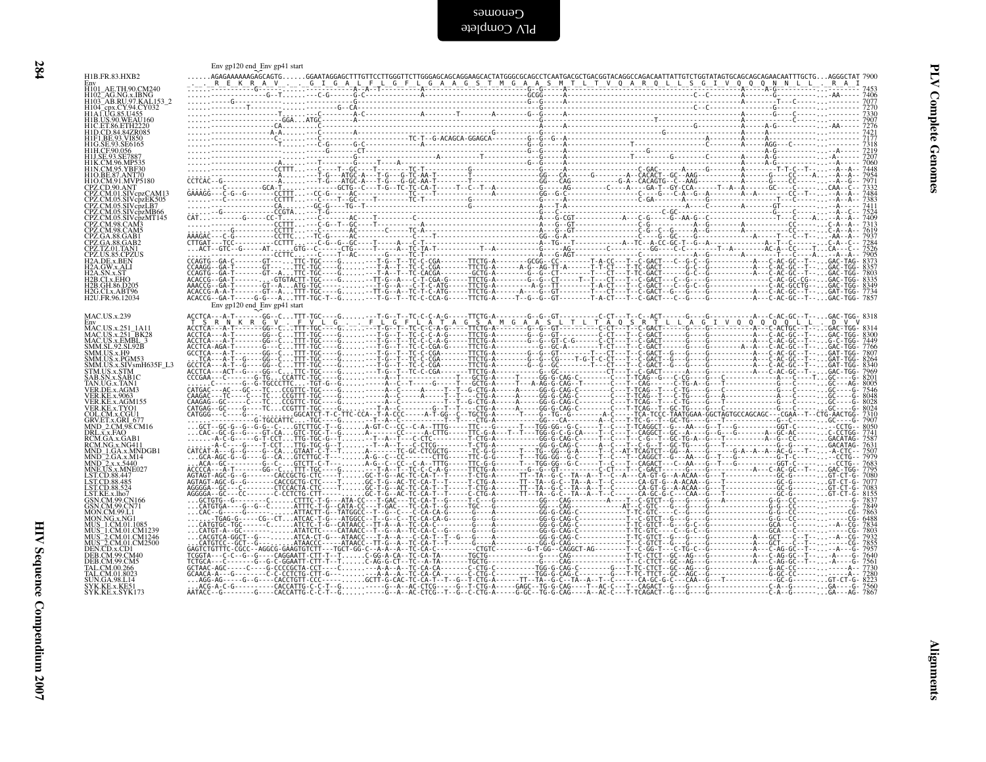|  | Env gp120 end Env gp41 start |  | $\begin{small} &\sum_{i=1}^{n} \frac{1}{2} \left(\begin{array}{c} \frac{1}{2} \left(\begin{array}{c} 1 \end{array}\right) \left(\begin{array}{c} 1 \end{array}\right) \left(\begin{array}{c} 1 \end{array}\right) \left(\begin{array}{c} 1 \end{array}\right) \left(\begin{array}{c} 1 \end{array}\right) \left(\begin{array}{c} 1 \end{array}\right) \left(\begin{array}{c} 1 \end{array}\right) \left(\begin{array}{c} 1 \end{array}\right) \left(\begin{array}{c} 1 \end{array}\right) \left(\begin{array}{c} 1 \end{array}\right) \$ |
|--|------------------------------|--|------------------------------------------------------------------------------------------------------------------------------------------------------------------------------------------------------------------------------------------------------------------------------------------------------------------------------------------------------------------------------------------------------------------------------------------------------------------------------------------------------------------------------------------|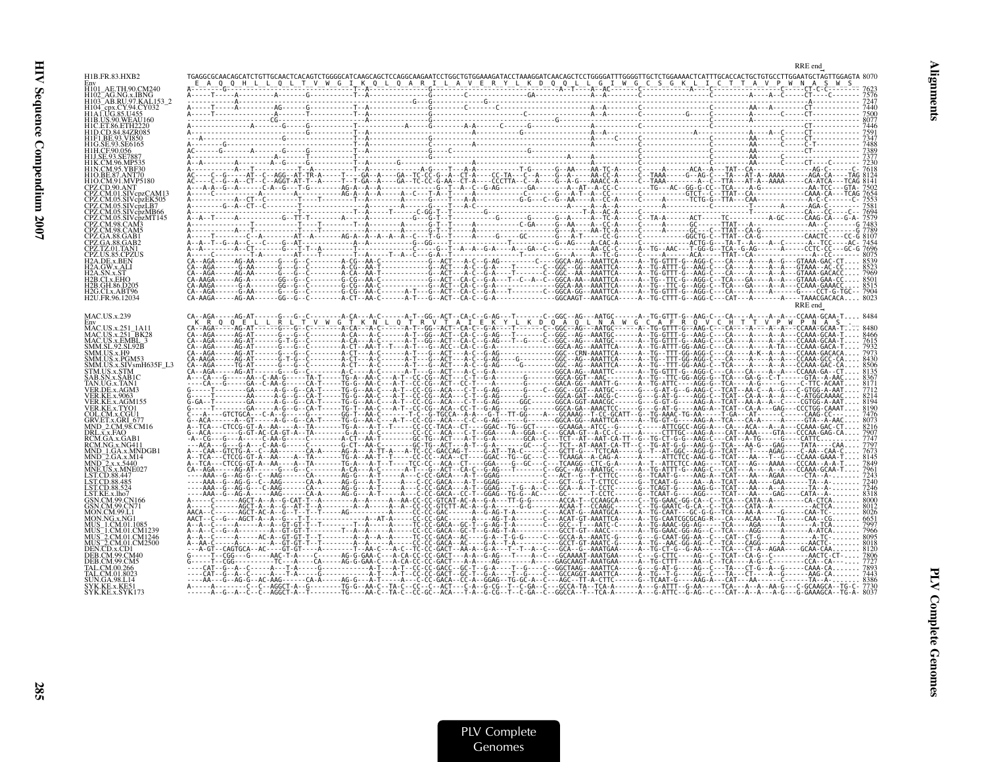|                                                                  | RRE end                                                                                                                                                                                                                                                                                                                     |  |
|------------------------------------------------------------------|-----------------------------------------------------------------------------------------------------------------------------------------------------------------------------------------------------------------------------------------------------------------------------------------------------------------------------|--|
| H1B.FR.83.HXB2<br>Env<br>H101 AE.TH.90.CM240                     |                                                                                                                                                                                                                                                                                                                             |  |
| H102 AG.NG.x.IBNG<br>H103 <sup>-</sup> AB.RU.97.KAL153-2         |                                                                                                                                                                                                                                                                                                                             |  |
|                                                                  |                                                                                                                                                                                                                                                                                                                             |  |
| H1B.US.90.WEAU160<br>H1C. ET.86. ETH2220                         |                                                                                                                                                                                                                                                                                                                             |  |
|                                                                  |                                                                                                                                                                                                                                                                                                                             |  |
|                                                                  |                                                                                                                                                                                                                                                                                                                             |  |
|                                                                  |                                                                                                                                                                                                                                                                                                                             |  |
|                                                                  |                                                                                                                                                                                                                                                                                                                             |  |
| .SIVcpzEK505                                                     |                                                                                                                                                                                                                                                                                                                             |  |
| 05.SIVcpzLB7<br>05 SIVcpzMB66                                    |                                                                                                                                                                                                                                                                                                                             |  |
|                                                                  |                                                                                                                                                                                                                                                                                                                             |  |
|                                                                  |                                                                                                                                                                                                                                                                                                                             |  |
|                                                                  |                                                                                                                                                                                                                                                                                                                             |  |
| 42A.DE.x.BEN                                                     |                                                                                                                                                                                                                                                                                                                             |  |
|                                                                  |                                                                                                                                                                                                                                                                                                                             |  |
| H2B.GH.86.D205<br>H2G.CI.x.ABT96<br>H <sub>2U</sub> .FR.96.12034 |                                                                                                                                                                                                                                                                                                                             |  |
|                                                                  | RRE end                                                                                                                                                                                                                                                                                                                     |  |
| MAC.US.x.239                                                     |                                                                                                                                                                                                                                                                                                                             |  |
| MAC.US.x.251 1A11<br><b>MAC.US.x.251 BK28</b>                    |                                                                                                                                                                                                                                                                                                                             |  |
| MAC.US.x.EMBL 3<br>SMM.SL.92.SL92B<br>SMM.US.x.H9                |                                                                                                                                                                                                                                                                                                                             |  |
| SMM.US.x.PGM53<br>SMM.US.x.SIVsmH635F L3                         |                                                                                                                                                                                                                                                                                                                             |  |
|                                                                  |                                                                                                                                                                                                                                                                                                                             |  |
|                                                                  |                                                                                                                                                                                                                                                                                                                             |  |
|                                                                  |                                                                                                                                                                                                                                                                                                                             |  |
| GRV.ET.x.GRI 677                                                 |                                                                                                                                                                                                                                                                                                                             |  |
| MND 2.CM.98.CM16<br>DRL.x.x.FAO                                  |                                                                                                                                                                                                                                                                                                                             |  |
| CM.GA.x.GAB                                                      |                                                                                                                                                                                                                                                                                                                             |  |
| IND <sup>-2</sup> .GA.x.M14                                      |                                                                                                                                                                                                                                                                                                                             |  |
|                                                                  |                                                                                                                                                                                                                                                                                                                             |  |
|                                                                  |                                                                                                                                                                                                                                                                                                                             |  |
|                                                                  |                                                                                                                                                                                                                                                                                                                             |  |
|                                                                  |                                                                                                                                                                                                                                                                                                                             |  |
|                                                                  |                                                                                                                                                                                                                                                                                                                             |  |
| 2.CM.01.CM1246<br>2.CM.01.CM2500                                 |                                                                                                                                                                                                                                                                                                                             |  |
|                                                                  | $\begin{smallmatrix} \mathbf{a_1.1.161} \mathbf{a_2.1.162} \mathbf{a_3.1.163} \mathbf{a_4.1.161} \mathbf{a_5.1.163} \mathbf{a_6.1.164} \mathbf{a_7.1.161} \mathbf{a_8.1.161} \mathbf{a_9.1.161} \mathbf{a_9.1.161} \mathbf{a_9.1.161} \mathbf{a_9.1.161} \mathbf{a_9.1.161} \mathbf{a_9.1.161} \mathbf{a_9.1.161} \mathbf{$ |  |
|                                                                  |                                                                                                                                                                                                                                                                                                                             |  |
|                                                                  |                                                                                                                                                                                                                                                                                                                             |  |
| SYK.KE.x.SYK173                                                  |                                                                                                                                                                                                                                                                                                                             |  |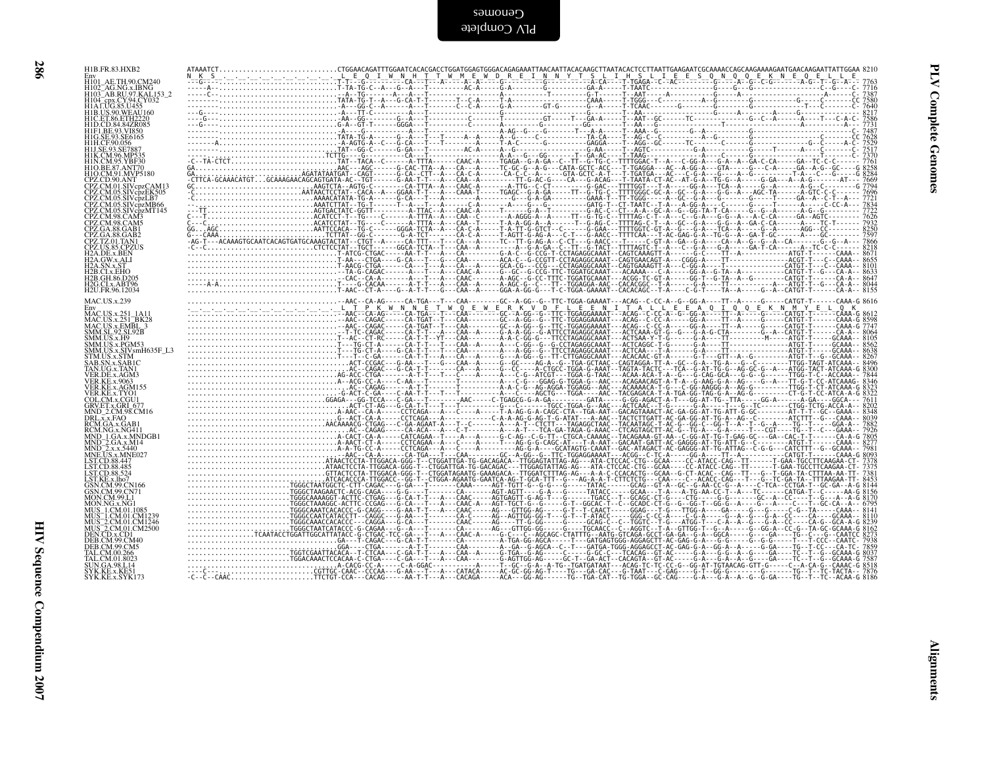| H1B.FR.83.HXB2                                                                                                                                                                                                                               | $\label{eq:3} \begin{small} \mathbf{A}^{(n)} \mathbf{A}^{(n)} \mathbf{A}^{(n)} \mathbf{A}^{(n)} \mathbf{A}^{(n)} \mathbf{A}^{(n)} \mathbf{A}^{(n)} \mathbf{A}^{(n)} \mathbf{A}^{(n)} \mathbf{A}^{(n)} \mathbf{A}^{(n)} \mathbf{A}^{(n)} \mathbf{A}^{(n)} \mathbf{A}^{(n)} \mathbf{A}^{(n)} \mathbf{A}^{(n)} \mathbf{A}^{(n)} \mathbf{A}^{(n)} \mathbf{A}^{(n)} \mathbf{A}^{(n)} \mathbf{A}^{($          |  |  |  |  |                 |
|----------------------------------------------------------------------------------------------------------------------------------------------------------------------------------------------------------------------------------------------|---------------------------------------------------------------------------------------------------------------------------------------------------------------------------------------------------------------------------------------------------------------------------------------------------------------------------------------------------------------------------------------------------------|--|--|--|--|-----------------|
| Env<br>H101_AE.TH.90.CM240                                                                                                                                                                                                                   |                                                                                                                                                                                                                                                                                                                                                                                                         |  |  |  |  |                 |
| H102_AG.NG.x.IBNG<br>H103_AB.RU.97.KAL153_2<br>H104_cpx.CY.94.CY032<br>H1AT.UG.85.U455                                                                                                                                                       |                                                                                                                                                                                                                                                                                                                                                                                                         |  |  |  |  | Complete        |
| H1B.US.90.WEAU160<br>H1C.ET.86.ETH2220                                                                                                                                                                                                       |                                                                                                                                                                                                                                                                                                                                                                                                         |  |  |  |  |                 |
|                                                                                                                                                                                                                                              |                                                                                                                                                                                                                                                                                                                                                                                                         |  |  |  |  |                 |
| HICET: 86.ETH2220<br>HID.CD.84.84ZR085<br>HIG.8E.93.SVR50<br>HIG.8E.93.SVR50<br>HILG.E93.SE7887<br>HILSE.93.SE7887<br>HIM.CM.96.MP535<br>HIO.BE.87.ANT70<br>HIO.CM.91.MYP5180<br>HIO.CM.91.MYP5180<br>HIO.CM.91.MYP5180<br>HIO.CM.91.MYP5180 |                                                                                                                                                                                                                                                                                                                                                                                                         |  |  |  |  |                 |
|                                                                                                                                                                                                                                              |                                                                                                                                                                                                                                                                                                                                                                                                         |  |  |  |  | Genomes         |
| CPZ.CD.90.ANT<br>CPZ.CM.01.SIVcpzCAM13                                                                                                                                                                                                       |                                                                                                                                                                                                                                                                                                                                                                                                         |  |  |  |  |                 |
| CPLCMUS.SIVepzL <del>K</del> N05<br>CPLCMUS.SIVepzLB7<br>CPLCMUS.SIVepzMB66<br>CPLCMUS.SIVepzMB66<br>CPLCMUS.SIVepzMT145<br>CPLCMUS.CAM3<br>CPLCMUS.CAM3<br>CPLCMUS.CAM5<br>CPLCMUS.CAM5                                                     |                                                                                                                                                                                                                                                                                                                                                                                                         |  |  |  |  |                 |
|                                                                                                                                                                                                                                              |                                                                                                                                                                                                                                                                                                                                                                                                         |  |  |  |  |                 |
| CPZ.GA.88.GAB2<br>CPZ.TZ.01.TAN1<br>CPZ.US.85.CPZUS<br>H2A.DE.x.BEN<br>H2A.QW.x.ALI                                                                                                                                                          |                                                                                                                                                                                                                                                                                                                                                                                                         |  |  |  |  |                 |
| H <sub>2</sub> A.SN.x.ST                                                                                                                                                                                                                     |                                                                                                                                                                                                                                                                                                                                                                                                         |  |  |  |  |                 |
| H2B.CI.x.EHO<br>H2B.GH.86.D205<br>H2G.CI.x.ABT96                                                                                                                                                                                             |                                                                                                                                                                                                                                                                                                                                                                                                         |  |  |  |  |                 |
| H2U.FR.96.12034<br><b>MAC.US.x.239</b>                                                                                                                                                                                                       |                                                                                                                                                                                                                                                                                                                                                                                                         |  |  |  |  |                 |
| Env<br>MAC.US.x.251_1A11<br>MAC.US.x.251_BK28<br>MAC.US.x.EMBL_3<br>SMM.SL_92.SL.92B                                                                                                                                                         |                                                                                                                                                                                                                                                                                                                                                                                                         |  |  |  |  |                 |
| SMM.US.x.H9                                                                                                                                                                                                                                  |                                                                                                                                                                                                                                                                                                                                                                                                         |  |  |  |  |                 |
|                                                                                                                                                                                                                                              |                                                                                                                                                                                                                                                                                                                                                                                                         |  |  |  |  |                 |
| SMM.US.x.F9<br>SMM.US.x.FGM53<br>SMM.US.x.SIVsmH635F_L3<br>STM.US.x.SIVsmH635F_L3<br>SAB.SN.x.SABIC<br>TAN.UG.x.TAN1<br>VER.RE.x.9063<br>VER.RE.x.9063                                                                                       |                                                                                                                                                                                                                                                                                                                                                                                                         |  |  |  |  |                 |
| VER.KE.x.AGM155                                                                                                                                                                                                                              |                                                                                                                                                                                                                                                                                                                                                                                                         |  |  |  |  |                 |
| VER.KE.x.AOM<br>COL.CM.x.CGU1<br>GRV.ET.x.GRI_677<br>MND_2.CM.98.CM16                                                                                                                                                                        |                                                                                                                                                                                                                                                                                                                                                                                                         |  |  |  |  |                 |
| DRL.x.x.FAO<br>RCM.GA.x.GAB1                                                                                                                                                                                                                 |                                                                                                                                                                                                                                                                                                                                                                                                         |  |  |  |  |                 |
|                                                                                                                                                                                                                                              |                                                                                                                                                                                                                                                                                                                                                                                                         |  |  |  |  |                 |
|                                                                                                                                                                                                                                              |                                                                                                                                                                                                                                                                                                                                                                                                         |  |  |  |  |                 |
| RCM.GA.x.GAB1<br>RCM.MG.x.NG411<br>MND_1GA.x.MNDGB1<br>MND_2GA.x.M14<br>MND_2x.x.S440<br>MNE.US.x.45447<br>LST.CD.88.447<br>LST.CD.88.447<br>LST.CD.88.447<br>LST.CD.88.424<br>LST.CD.88.424<br>LST.CD.88.254                                |                                                                                                                                                                                                                                                                                                                                                                                                         |  |  |  |  |                 |
| GSN.CM.99.CN71                                                                                                                                                                                                                               |                                                                                                                                                                                                                                                                                                                                                                                                         |  |  |  |  |                 |
| MON.CM.99.L1                                                                                                                                                                                                                                 |                                                                                                                                                                                                                                                                                                                                                                                                         |  |  |  |  |                 |
| MON.NG.x.NG1<br>MUS_1.CM.01.1085<br>MUS_1.CM.01.CM1239<br>MUS_2.CM.01.CM1236<br>MUS_2.CM.01.CM2500<br>DEN.CD.x.CD1<br>DEN.CD.x.OL                                                                                                            |                                                                                                                                                                                                                                                                                                                                                                                                         |  |  |  |  |                 |
| DEB.CM.99.CM40                                                                                                                                                                                                                               |                                                                                                                                                                                                                                                                                                                                                                                                         |  |  |  |  |                 |
| DEB.CM.99.CM5<br>TAL.CM.00.266<br>TAL.CM.01.8023                                                                                                                                                                                             |                                                                                                                                                                                                                                                                                                                                                                                                         |  |  |  |  |                 |
| ŠUN.GA.98.L14<br>SYK.KE.x.KE51<br>SYK.KE.x.SYK173                                                                                                                                                                                            |                                                                                                                                                                                                                                                                                                                                                                                                         |  |  |  |  |                 |
|                                                                                                                                                                                                                                              | $\begin{small} \frac{1}{2} & \frac{1}{2} & \frac{1}{2} & \frac{1}{2} & \frac{1}{2} & \frac{1}{2} & \frac{1}{2} & \frac{1}{2} & \frac{1}{2} & \frac{1}{2} & \frac{1}{2} & \frac{1}{2} & \frac{1}{2} & \frac{1}{2} & \frac{1}{2} & \frac{1}{2} & \frac{1}{2} & \frac{1}{2} & \frac{1}{2} & \frac{1}{2} & \frac{1}{2} & \frac{1}{2} & \frac{1}{2} & \frac{1}{2} & \frac{1}{2} & \frac{1}{2} & \frac{1}{2}$ |  |  |  |  |                 |
|                                                                                                                                                                                                                                              |                                                                                                                                                                                                                                                                                                                                                                                                         |  |  |  |  |                 |
|                                                                                                                                                                                                                                              |                                                                                                                                                                                                                                                                                                                                                                                                         |  |  |  |  |                 |
|                                                                                                                                                                                                                                              |                                                                                                                                                                                                                                                                                                                                                                                                         |  |  |  |  |                 |
|                                                                                                                                                                                                                                              |                                                                                                                                                                                                                                                                                                                                                                                                         |  |  |  |  | $\Delta$ lignme |
|                                                                                                                                                                                                                                              |                                                                                                                                                                                                                                                                                                                                                                                                         |  |  |  |  |                 |
|                                                                                                                                                                                                                                              |                                                                                                                                                                                                                                                                                                                                                                                                         |  |  |  |  |                 |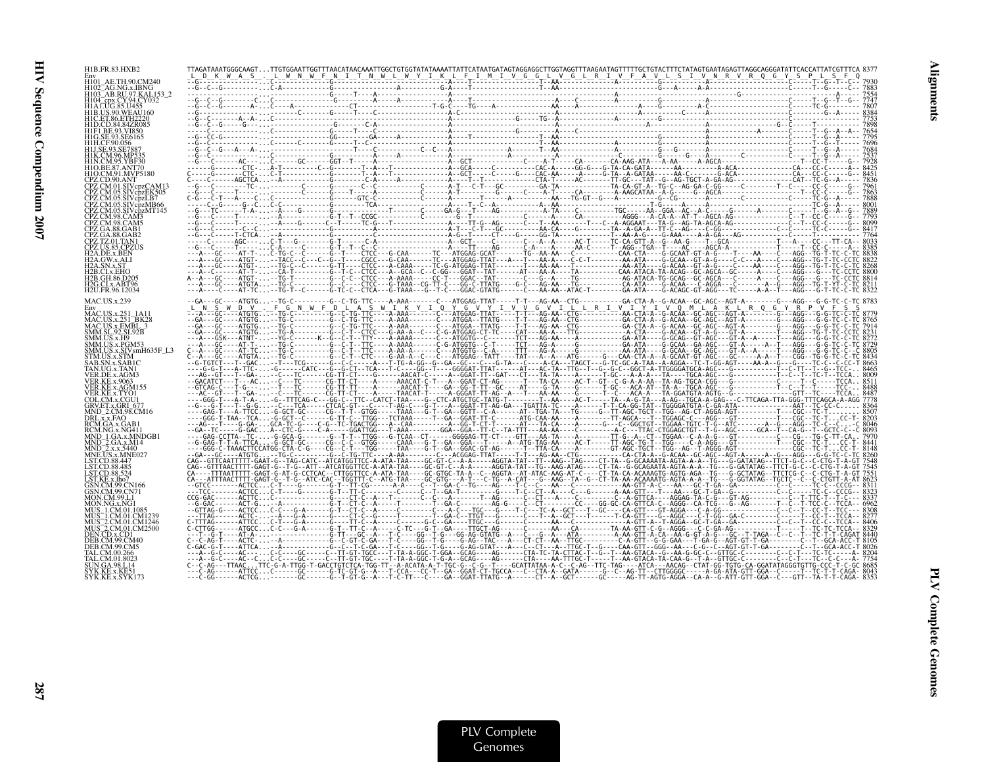| H1B.FR.83.HXB2                                                                        |                                                                                                                                                                                                                                                                                                                                                                                                                                            |  |  |  |  |  |  |  |
|---------------------------------------------------------------------------------------|--------------------------------------------------------------------------------------------------------------------------------------------------------------------------------------------------------------------------------------------------------------------------------------------------------------------------------------------------------------------------------------------------------------------------------------------|--|--|--|--|--|--|--|
| H102 AG.NG.x.IBNG                                                                     |                                                                                                                                                                                                                                                                                                                                                                                                                                            |  |  |  |  |  |  |  |
| H103 <sup>-</sup> AB.RU.97.KAL153-2<br>H104 cpx.CY.94.CY032<br><b>H1A</b> LUG.85.U455 |                                                                                                                                                                                                                                                                                                                                                                                                                                            |  |  |  |  |  |  |  |
| H1B.US.90.WEAU160                                                                     |                                                                                                                                                                                                                                                                                                                                                                                                                                            |  |  |  |  |  |  |  |
|                                                                                       |                                                                                                                                                                                                                                                                                                                                                                                                                                            |  |  |  |  |  |  |  |
|                                                                                       |                                                                                                                                                                                                                                                                                                                                                                                                                                            |  |  |  |  |  |  |  |
|                                                                                       |                                                                                                                                                                                                                                                                                                                                                                                                                                            |  |  |  |  |  |  |  |
|                                                                                       |                                                                                                                                                                                                                                                                                                                                                                                                                                            |  |  |  |  |  |  |  |
| CPZ.CM.01.SIVcpzCAM13                                                                 |                                                                                                                                                                                                                                                                                                                                                                                                                                            |  |  |  |  |  |  |  |
| <b>05.SIVcbzMB66</b>                                                                  |                                                                                                                                                                                                                                                                                                                                                                                                                                            |  |  |  |  |  |  |  |
|                                                                                       |                                                                                                                                                                                                                                                                                                                                                                                                                                            |  |  |  |  |  |  |  |
|                                                                                       |                                                                                                                                                                                                                                                                                                                                                                                                                                            |  |  |  |  |  |  |  |
|                                                                                       |                                                                                                                                                                                                                                                                                                                                                                                                                                            |  |  |  |  |  |  |  |
|                                                                                       |                                                                                                                                                                                                                                                                                                                                                                                                                                            |  |  |  |  |  |  |  |
| 42B GH 86 D205                                                                        |                                                                                                                                                                                                                                                                                                                                                                                                                                            |  |  |  |  |  |  |  |
| H2G.CLx.ABT96<br>H2U.FR.96.12034                                                      |                                                                                                                                                                                                                                                                                                                                                                                                                                            |  |  |  |  |  |  |  |
| <b>MAC.US.x.239</b>                                                                   |                                                                                                                                                                                                                                                                                                                                                                                                                                            |  |  |  |  |  |  |  |
| <b>MAC.US.x.251</b><br>MAC.US.x.251_BK28                                              |                                                                                                                                                                                                                                                                                                                                                                                                                                            |  |  |  |  |  |  |  |
| MAC.US.x.EMBL_3<br>SMM.SL.92.SL92B<br>SMM.US.x.H9                                     |                                                                                                                                                                                                                                                                                                                                                                                                                                            |  |  |  |  |  |  |  |
| SMM.US.x.PGM53                                                                        |                                                                                                                                                                                                                                                                                                                                                                                                                                            |  |  |  |  |  |  |  |
| TM.US.x.STM                                                                           |                                                                                                                                                                                                                                                                                                                                                                                                                                            |  |  |  |  |  |  |  |
| VER.DE.x.AGM3<br>VER.KE.x.9063                                                        |                                                                                                                                                                                                                                                                                                                                                                                                                                            |  |  |  |  |  |  |  |
| VER.KE.x.AGM15:<br>VER.KE.x.TYO1                                                      |                                                                                                                                                                                                                                                                                                                                                                                                                                            |  |  |  |  |  |  |  |
| COL.CM.x.CGU1<br>GRV.ET.x.GRI 677                                                     |                                                                                                                                                                                                                                                                                                                                                                                                                                            |  |  |  |  |  |  |  |
| MND-2.CM.98.CM16<br>DRL.x.x.FAO<br>RCM.GA.x.GAB1                                      |                                                                                                                                                                                                                                                                                                                                                                                                                                            |  |  |  |  |  |  |  |
| RCM NG x NG411                                                                        |                                                                                                                                                                                                                                                                                                                                                                                                                                            |  |  |  |  |  |  |  |
| ND 2.GA.x.M14<br>ANETIS x MNE027                                                      |                                                                                                                                                                                                                                                                                                                                                                                                                                            |  |  |  |  |  |  |  |
| ST CD 88.485                                                                          |                                                                                                                                                                                                                                                                                                                                                                                                                                            |  |  |  |  |  |  |  |
|                                                                                       |                                                                                                                                                                                                                                                                                                                                                                                                                                            |  |  |  |  |  |  |  |
|                                                                                       |                                                                                                                                                                                                                                                                                                                                                                                                                                            |  |  |  |  |  |  |  |
|                                                                                       |                                                                                                                                                                                                                                                                                                                                                                                                                                            |  |  |  |  |  |  |  |
| IS 1 CM 01 CM1239<br>MUS 2.CM.01.CM1246                                               |                                                                                                                                                                                                                                                                                                                                                                                                                                            |  |  |  |  |  |  |  |
| MUS <sup>-2</sup> .CM.01.CM2500<br>CD x CD1                                           | $\begin{bmatrix} \mathbf{0.05 \text{ }\mathbf{0.04 \text{ }\mathbf{0.04 \text{ }\mathbf{0.04 \text{ }\mathbf{0.04 \text{ }\mathbf{0.04 \text{ }\mathbf{0.04 \text{ }\mathbf{0.04 \text{ }\mathbf{0.04 \text{ }\mathbf{0.04 \text{ }\mathbf{0.04 \text{ }\mathbf{0.04 \text{ }\mathbf{0.04 \text{ }\mathbf{0.04 \text{ }\mathbf{0.04 \text{ }\mathbf{0.04 \text{ }\mathbf{0.04 \text{ }\mathbf{0.04 \text{ }\mathbf{0.04 \text{ }\mathbf{0$ |  |  |  |  |  |  |  |
|                                                                                       |                                                                                                                                                                                                                                                                                                                                                                                                                                            |  |  |  |  |  |  |  |
|                                                                                       |                                                                                                                                                                                                                                                                                                                                                                                                                                            |  |  |  |  |  |  |  |
| SYK.KE.x.SYK173                                                                       |                                                                                                                                                                                                                                                                                                                                                                                                                                            |  |  |  |  |  |  |  |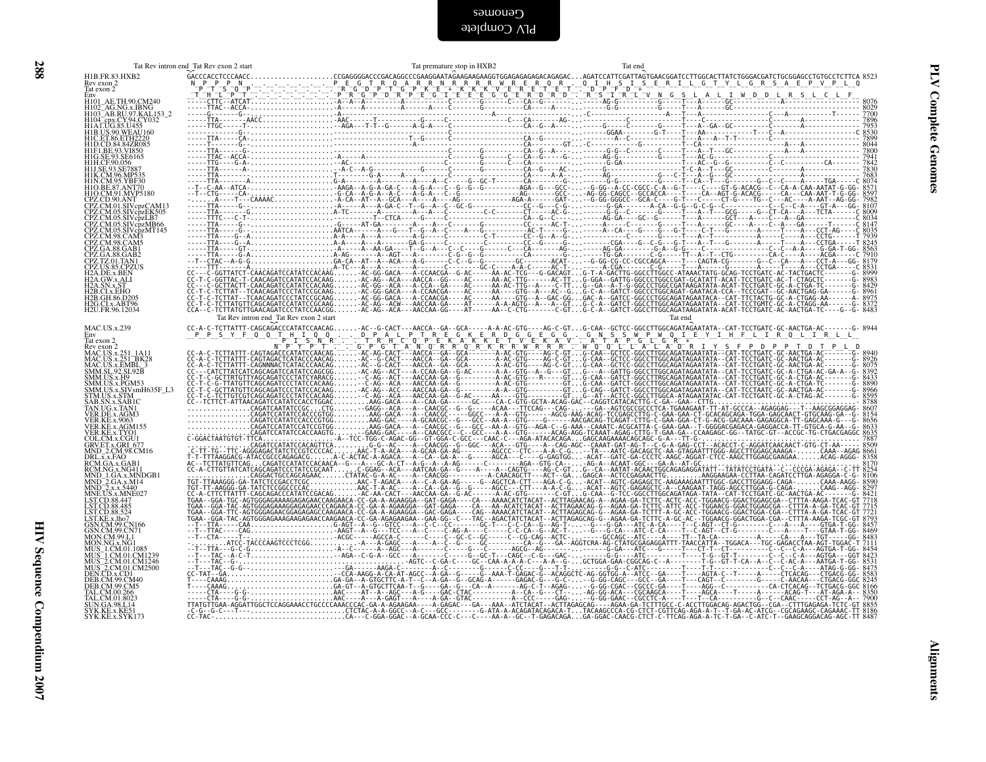|                                                                                                                                                                                                                                                                    | Tat Rev intron end Tat Rev exon 2 start | Tat premature stop in HXB2 | Tat end                                                                                                                                                                                                                                                                                                                                                                                                                           |  |
|--------------------------------------------------------------------------------------------------------------------------------------------------------------------------------------------------------------------------------------------------------------------|-----------------------------------------|----------------------------|-----------------------------------------------------------------------------------------------------------------------------------------------------------------------------------------------------------------------------------------------------------------------------------------------------------------------------------------------------------------------------------------------------------------------------------|--|
| H1B.FR.83.HXB2<br>Rev exon $2$<br>Tat exon 2                                                                                                                                                                                                                       |                                         |                            |                                                                                                                                                                                                                                                                                                                                                                                                                                   |  |
| Env<br>H101_AE.TH.90.CM240<br>H102_AG.NG.X.IBNG<br>H103_AB.RU.97.KAL153_2<br>H1A LUG.85.U455<br>H1A LUG.85.U455<br>H1E LE 86.FTH2220<br>H1E LE 83.V7850<br>H1E LE 83.V7850                                                                                         |                                         |                            |                                                                                                                                                                                                                                                                                                                                                                                                                                   |  |
| H1F1.BE.93.VI850<br>HIF1.BE.95.V1850<br>HIH.CF.90.056<br>HIH.CF.90.056<br>HIK.CM.95.YB87<br>HIK.CM.95.YBF30<br>HIN.CM.95.YBF30<br>HIQ.BE.87.ANT70                                                                                                                  |                                         |                            |                                                                                                                                                                                                                                                                                                                                                                                                                                   |  |
| H1O.CM.91.MVP5180<br>CPZ.CD.90.ANT<br>CPZ.CM.01.SIVcpzCAM13                                                                                                                                                                                                        |                                         |                            |                                                                                                                                                                                                                                                                                                                                                                                                                                   |  |
| CPZ.CM.01.SIVcpzCAM13<br>CPZ.CM.05.SIVcpzEK505<br>CPZ.CM.05.SIVcpzMB66<br>CPZ.CM.05.SIVcpzMB66<br>CPZ.CM.05.SIVcpzMB66<br>CPZ.CM.98.CAM3<br>CPZ.CA.88.GAB1<br>CPZ.GA.88.GAB1<br>CPZ.GA.88.GAB1<br>CPZ.CA.88.GAB1<br>CPZ.CA.88.GAB1<br>H2A.DE.x.BEN<br>H2A.DE.x.BEN |                                         |                            |                                                                                                                                                                                                                                                                                                                                                                                                                                   |  |
| H2A.SN.x.ST                                                                                                                                                                                                                                                        |                                         |                            |                                                                                                                                                                                                                                                                                                                                                                                                                                   |  |
| H2B.CL.x.B1<br>H2B.CL.x.EHO<br>H2B.GH.86.D205<br>H2G.CL.x.ABT96<br>H2U.FR.96.12034                                                                                                                                                                                 | Tat Rev intron end_Tat Rev exon 2 start |                            | Tat end                                                                                                                                                                                                                                                                                                                                                                                                                           |  |
| MAC.US.x.239<br>Env<br>Tat exon 2                                                                                                                                                                                                                                  |                                         |                            |                                                                                                                                                                                                                                                                                                                                                                                                                                   |  |
| fat coni<br>Rev exon 2<br>MAC.US.x.251_1A11<br>MAC.US.x.EMBL_3<br>MAC.US.x.EMBL_3<br>SMM.SL_92.SL.92B                                                                                                                                                              |                                         |                            | $\label{eq:R1} \begin{small} \mathbf{X}_1 & \mathbf{X}_2 & \mathbf{X}_3 & \mathbf{X}_4 & \mathbf{X}_5 & \mathbf{X}_6 & \mathbf{X}_7 & \mathbf{X}_8 & \mathbf{X}_9 & \mathbf{X}_9 & \mathbf{X}_9 & \mathbf{X}_9 & \mathbf{X}_9 & \mathbf{X}_9 & \mathbf{X}_9 & \mathbf{X}_9 & \mathbf{X}_9 & \mathbf{X}_9 & \mathbf{X}_9 & \mathbf{X}_9 & \mathbf{X}_9 & \mathbf{X}_9 & \mathbf{X}_9 & \mathbf{X}_9 & \mathbf{X}_9 & \mathbf{X}_9$ |  |
| SMM.SL.92.SL.92B<br>SMM.US.x.H9<br>SMM.US.x.PGM53<br>SMM.US.x.SIVsmH635F_L3<br>STM.US.x.STM<br>STM.US.x.SABIC<br>TAN.UG.x.TAN1<br>VER.DE.x.AGM3                                                                                                                    |                                         |                            |                                                                                                                                                                                                                                                                                                                                                                                                                                   |  |
| VER.DE.x.AGM3<br>VER.KE.x.9063<br>VER.KE.x.AGM155<br>VER.KE.x.AGM155<br>COL.CM.x.CGU1<br>GRV.ET.x.GRU<br>MCL.x.x.FAO<br>RCM.NG.x NG411<br>RCM.NG.x NG411                                                                                                           |                                         |                            |                                                                                                                                                                                                                                                                                                                                                                                                                                   |  |
| RCM.GA.x.GAB1<br>RCM.GA.x.MG411<br>MND_2.GA.x.MNDGB1<br>MND_2.x.x.S440<br>MND_2.x.x.S440<br>LST.CD.88.487<br>LST.CD.88.487<br>LST.CD.88.524<br>LST.CD.88.524<br>LST.CD.88.524<br>CSN.CM.99 CN166                                                                   |                                         |                            |                                                                                                                                                                                                                                                                                                                                                                                                                                   |  |
|                                                                                                                                                                                                                                                                    |                                         |                            |                                                                                                                                                                                                                                                                                                                                                                                                                                   |  |
|                                                                                                                                                                                                                                                                    |                                         |                            |                                                                                                                                                                                                                                                                                                                                                                                                                                   |  |
| LST.KE, x.lio7<br>CGN.CM, 99.CN166<br>GSN.CM, 99.CN166<br>MON.CM, 99.L1<br>MON.CM, 99.L1<br>MUS 1.CM.01.1085<br>MUS 1.CM.01.CM2500<br>MUS 2.CM.01.CM2500<br>DEB.CM.99.CM5<br>DEB.CM.99.CM5<br>TAL.CM.01.8023<br>SYK.KE.x.KE51<br>SYK.KE.x.KE51<br>SYK.KE.x.KE51    |                                         |                            |                                                                                                                                                                                                                                                                                                                                                                                                                                   |  |
|                                                                                                                                                                                                                                                                    |                                         |                            |                                                                                                                                                                                                                                                                                                                                                                                                                                   |  |
|                                                                                                                                                                                                                                                                    |                                         |                            |                                                                                                                                                                                                                                                                                                                                                                                                                                   |  |
|                                                                                                                                                                                                                                                                    |                                         |                            |                                                                                                                                                                                                                                                                                                                                                                                                                                   |  |
|                                                                                                                                                                                                                                                                    |                                         |                            |                                                                                                                                                                                                                                                                                                                                                                                                                                   |  |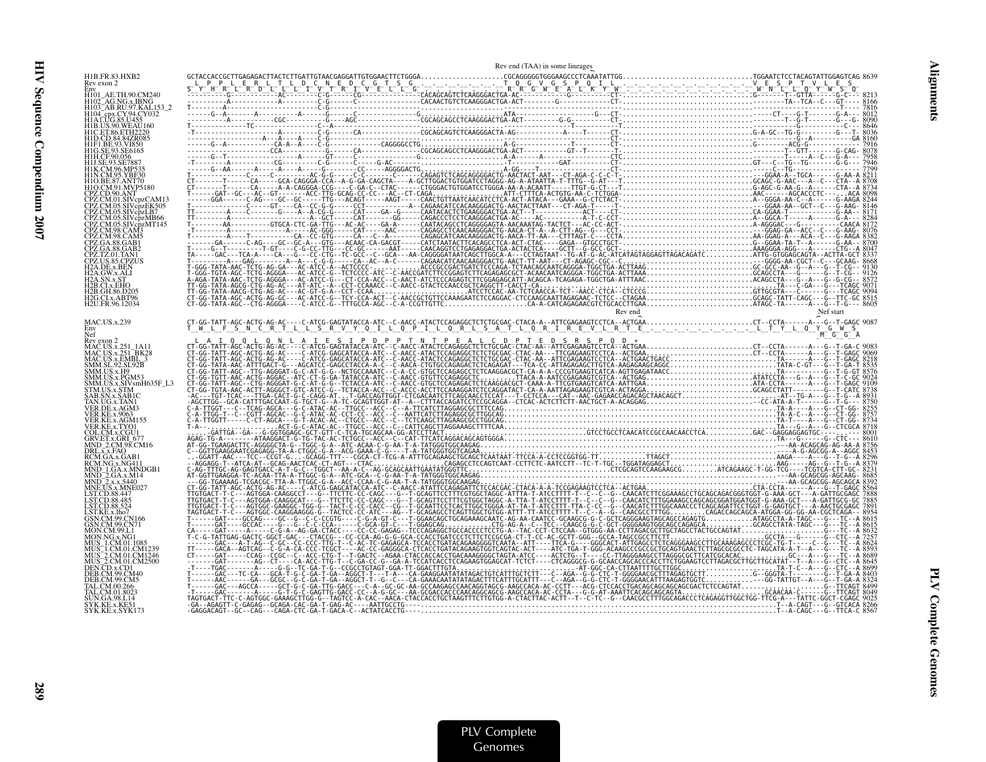| H1B.FR.83.HXB2<br>Rev exon 2<br>MAC.US.x.239<br>Nef<br>x.SIVsmH635F L3 |  | Rev end (TAA) in some lineages |  |
|------------------------------------------------------------------------|--|--------------------------------|--|
|                                                                        |  |                                |  |
|                                                                        |  |                                |  |
|                                                                        |  |                                |  |
|                                                                        |  |                                |  |
|                                                                        |  |                                |  |
|                                                                        |  |                                |  |
|                                                                        |  |                                |  |
|                                                                        |  |                                |  |
|                                                                        |  |                                |  |
|                                                                        |  |                                |  |
|                                                                        |  |                                |  |
|                                                                        |  |                                |  |
|                                                                        |  |                                |  |
|                                                                        |  |                                |  |
|                                                                        |  |                                |  |
|                                                                        |  |                                |  |
|                                                                        |  |                                |  |
|                                                                        |  |                                |  |
|                                                                        |  |                                |  |
|                                                                        |  |                                |  |
|                                                                        |  |                                |  |
|                                                                        |  |                                |  |
|                                                                        |  |                                |  |
|                                                                        |  |                                |  |
|                                                                        |  |                                |  |
|                                                                        |  |                                |  |
|                                                                        |  |                                |  |
|                                                                        |  |                                |  |
|                                                                        |  |                                |  |
|                                                                        |  |                                |  |
|                                                                        |  |                                |  |
|                                                                        |  |                                |  |
|                                                                        |  |                                |  |
|                                                                        |  |                                |  |
|                                                                        |  |                                |  |
|                                                                        |  |                                |  |
|                                                                        |  |                                |  |
|                                                                        |  |                                |  |
|                                                                        |  |                                |  |
|                                                                        |  |                                |  |
|                                                                        |  |                                |  |
|                                                                        |  |                                |  |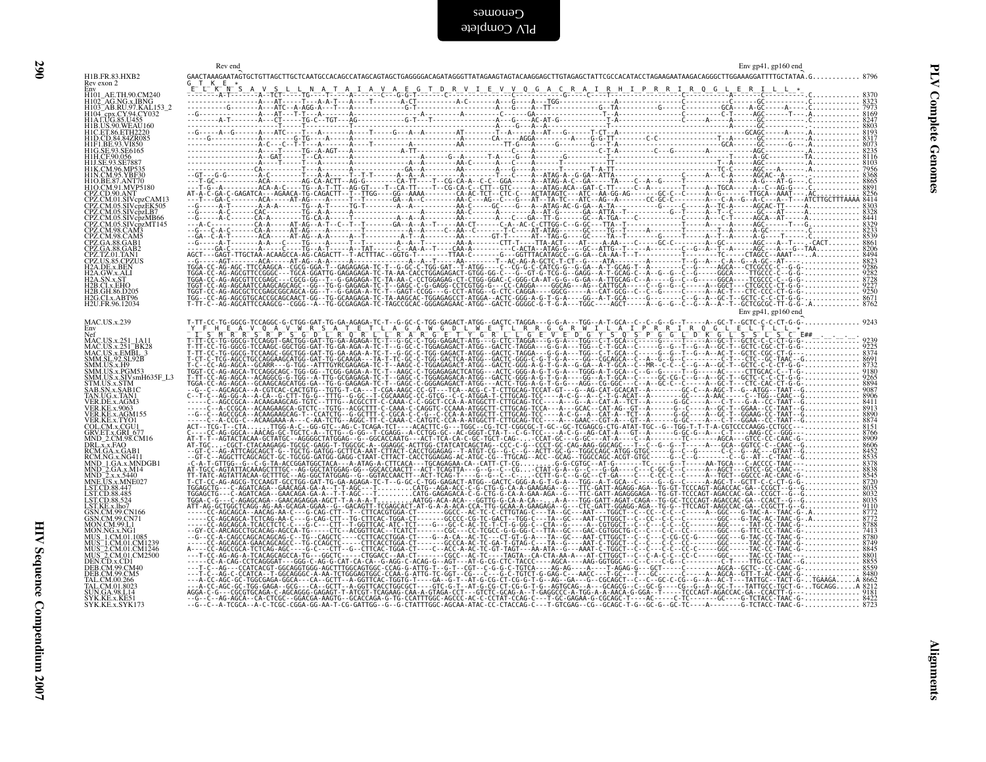|                                                                                                                                                                                                                                                           | Rev end<br>Env gp41, gp160 end |  |
|-----------------------------------------------------------------------------------------------------------------------------------------------------------------------------------------------------------------------------------------------------------|--------------------------------|--|
| H1B.FR.83.HXB2<br>Rev exon 2                                                                                                                                                                                                                              |                                |  |
| H101_AE.TH.90.CM240                                                                                                                                                                                                                                       |                                |  |
| H102_AG.NG.x.IBNG<br>H103_AB.RU.97.KAL153_2<br>H104_cpx.CY.94.CY032<br>H1A1.UG.85.U455                                                                                                                                                                    |                                |  |
|                                                                                                                                                                                                                                                           |                                |  |
| H1B.US.90.WEAU160<br>H1C.ET.86.ETH2220                                                                                                                                                                                                                    |                                |  |
| H1D.CD.84.84ZR085                                                                                                                                                                                                                                         |                                |  |
| H1F1.BE.93.VI850                                                                                                                                                                                                                                          |                                |  |
| HIG.SE.93.SE6165<br>HIH.CF.90.056<br>HIJ.SE.93.SE7887                                                                                                                                                                                                     |                                |  |
| HIJ. CE. 93. SE7887<br>HIN. CM. 96. MP335<br>HIN. CM. 95. VIBT30<br>HIO. CM. 91. MP79180<br>CPZ. CD. 90. ANT<br>CPZ. CM. 01. SIV. pp. CAM13<br>CPZ. CM. 05. SIV. op. 2LB7<br>CPZ. CM. 05. SIV. op. MP66<br>CPZ. CM. 05. SIV. op. MP666<br>CPZ. CM. 98. CA |                                |  |
|                                                                                                                                                                                                                                                           |                                |  |
|                                                                                                                                                                                                                                                           |                                |  |
|                                                                                                                                                                                                                                                           |                                |  |
|                                                                                                                                                                                                                                                           |                                |  |
|                                                                                                                                                                                                                                                           |                                |  |
|                                                                                                                                                                                                                                                           |                                |  |
|                                                                                                                                                                                                                                                           |                                |  |
|                                                                                                                                                                                                                                                           |                                |  |
|                                                                                                                                                                                                                                                           |                                |  |
| <b>CPZ.CM.98.CAM3</b><br>CPZ.CM.98.CAM3<br>CPZ.GA.88.GAB1<br>CPZ.TZ.01.TAN1<br>CPZ.TZ.01.TAN1<br>H2A.CW.x.ALI<br>H2A.CW.x.ALI                                                                                                                             |                                |  |
| H <sub>2</sub> A.SN.x.ST<br>H <sub>2</sub> B.CI.x.EHO                                                                                                                                                                                                     |                                |  |
| H2B.GH.86.D205<br>H2G.CI.x.ABT96                                                                                                                                                                                                                          |                                |  |
| H2U.FR.96.12034                                                                                                                                                                                                                                           |                                |  |
|                                                                                                                                                                                                                                                           | Env gp41, gp160 end            |  |
| <b>MAC.US.x.239</b>                                                                                                                                                                                                                                       |                                |  |
| MAC.US.x.251 1A11                                                                                                                                                                                                                                         |                                |  |
| MAC.US.x.251-BK28<br>MAC.US.x.251-BK28<br>MAC.US.x.EMBL_3<br>SMM.SL.92.SL92B<br>SMM.US.x.PGM53                                                                                                                                                            |                                |  |
|                                                                                                                                                                                                                                                           |                                |  |
|                                                                                                                                                                                                                                                           |                                |  |
|                                                                                                                                                                                                                                                           |                                |  |
|                                                                                                                                                                                                                                                           |                                |  |
|                                                                                                                                                                                                                                                           |                                |  |
| SMM.US.x.PGM53<br>SMM.US.x.SIVsmH635F_L3<br>STM.US.x.SIM<br>DAR.DG.x.TABIC<br>TAR.UG.x.AGM3<br>VER.DE.x.AGM3<br>VER.KE.x.9063<br>VER.KE.x.9063<br>VER.KE.x.TVOI<br>COL.CM.x.CGUI<br>GRV.ET.x.GRI<br>GRV.ET.x.GRI<br>MND_2.CM.95CM16<br>DRLX.x.FAO         |                                |  |
|                                                                                                                                                                                                                                                           |                                |  |
|                                                                                                                                                                                                                                                           |                                |  |
|                                                                                                                                                                                                                                                           |                                |  |
| DRL.x.x.FAO<br>RCM.GA.x.GAB1<br>RCM.NG.x.NG411                                                                                                                                                                                                            |                                |  |
| RUMLD 1.GA.x.MNDGB1<br>MND_2.GA.x.MNDGB1<br>MND_2.GA.x.MNBGB1<br>MNE.US.x.x.5440<br>LST.CD.88.447<br>LST.CD.88.4854                                                                                                                                       |                                |  |
|                                                                                                                                                                                                                                                           |                                |  |
|                                                                                                                                                                                                                                                           |                                |  |
|                                                                                                                                                                                                                                                           |                                |  |
|                                                                                                                                                                                                                                                           |                                |  |
| LST.CD.88.524<br>LST.CD.88.524<br>CSN.CM.99.CN166<br>GSN.CM.99.CN71<br>MON.CM.99.L1                                                                                                                                                                       |                                |  |
| MON.NG.x.NG1                                                                                                                                                                                                                                              |                                |  |
| MUS_1.CM.01.1085                                                                                                                                                                                                                                          |                                |  |
| MUS_1.CM.01.CM1239<br>MUS_2.CM.01.CM1239<br>MUS_2.CM.01.CM1246<br>MUS_2.CM.01.CM2500<br>DEB.CM.99.CM40<br>DEB.CM.99.CM40<br>TAL.CM.00.266                                                                                                                 |                                |  |
|                                                                                                                                                                                                                                                           |                                |  |
|                                                                                                                                                                                                                                                           |                                |  |
|                                                                                                                                                                                                                                                           |                                |  |
| TAL.CM.01.8023<br>SUN.GA.98.L14                                                                                                                                                                                                                           |                                |  |
| SYK.KE.x.KE51<br>SYK.KE.x.SYK173                                                                                                                                                                                                                          |                                |  |
|                                                                                                                                                                                                                                                           |                                |  |
|                                                                                                                                                                                                                                                           |                                |  |
|                                                                                                                                                                                                                                                           |                                |  |
|                                                                                                                                                                                                                                                           |                                |  |
|                                                                                                                                                                                                                                                           |                                |  |
|                                                                                                                                                                                                                                                           |                                |  |
|                                                                                                                                                                                                                                                           |                                |  |
|                                                                                                                                                                                                                                                           |                                |  |
|                                                                                                                                                                                                                                                           |                                |  |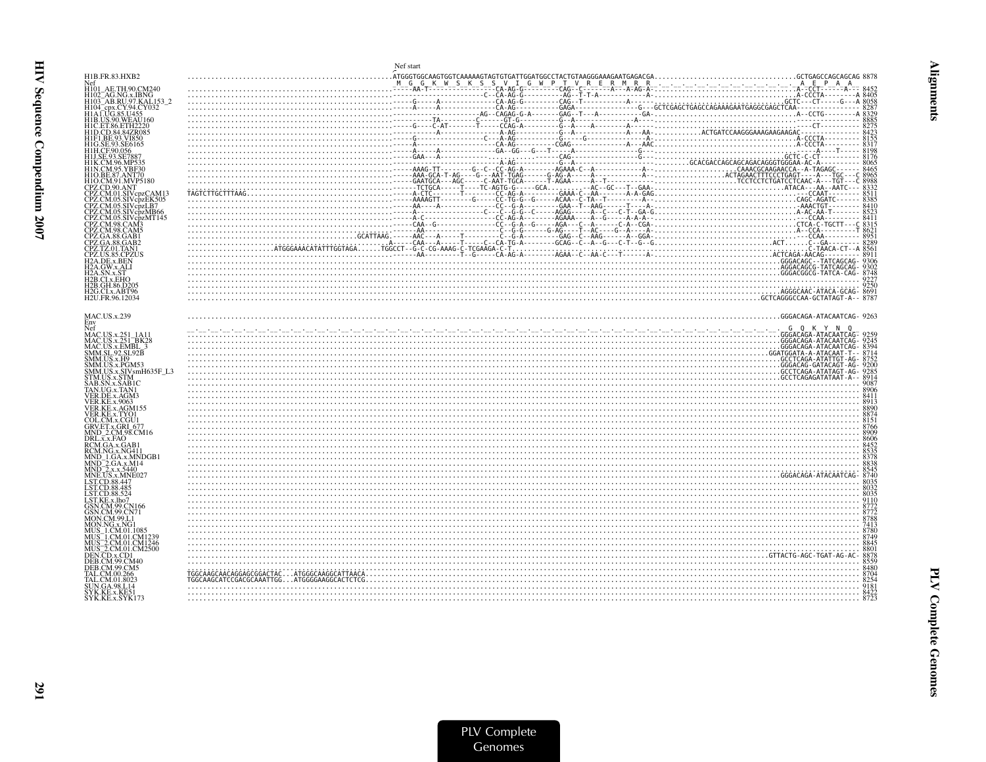|                                                                                                               | Nef start                                                                                                                                                                                                                                                                                                                                                                                       |  |
|---------------------------------------------------------------------------------------------------------------|-------------------------------------------------------------------------------------------------------------------------------------------------------------------------------------------------------------------------------------------------------------------------------------------------------------------------------------------------------------------------------------------------|--|
| H1B.FR.83.HXB2                                                                                                |                                                                                                                                                                                                                                                                                                                                                                                                 |  |
| Nef<br>AE.TH.90.CM240                                                                                         |                                                                                                                                                                                                                                                                                                                                                                                                 |  |
|                                                                                                               |                                                                                                                                                                                                                                                                                                                                                                                                 |  |
| H102_AG.NG.x.IBNG<br>H103_AB.RU.97.KAL153_2                                                                   |                                                                                                                                                                                                                                                                                                                                                                                                 |  |
| H104_cpx.CY.94.CY032<br>H1A1.UG.85.U455                                                                       |                                                                                                                                                                                                                                                                                                                                                                                                 |  |
| H1B.US.90.WEAU160                                                                                             |                                                                                                                                                                                                                                                                                                                                                                                                 |  |
| H1C.ET.86.ETH2220                                                                                             |                                                                                                                                                                                                                                                                                                                                                                                                 |  |
| H1D.CD.84.84ZR085                                                                                             |                                                                                                                                                                                                                                                                                                                                                                                                 |  |
| H1F1.BE.93.VI850                                                                                              |                                                                                                                                                                                                                                                                                                                                                                                                 |  |
|                                                                                                               |                                                                                                                                                                                                                                                                                                                                                                                                 |  |
| H1J SE 93.SE788                                                                                               |                                                                                                                                                                                                                                                                                                                                                                                                 |  |
| H1K.CM.96.MP535<br>H1N.CM.95.YBF30                                                                            |                                                                                                                                                                                                                                                                                                                                                                                                 |  |
|                                                                                                               |                                                                                                                                                                                                                                                                                                                                                                                                 |  |
| H1O.CM.91.MVP5180                                                                                             |                                                                                                                                                                                                                                                                                                                                                                                                 |  |
| CPZ.CD.90.ANT<br>CPZ.CM.01.SIVcpzCAM13                                                                        |                                                                                                                                                                                                                                                                                                                                                                                                 |  |
| CPZ.CM.05.SIVcpzEK505                                                                                         |                                                                                                                                                                                                                                                                                                                                                                                                 |  |
| CPZ.CM.05.SIVcbzLB7                                                                                           |                                                                                                                                                                                                                                                                                                                                                                                                 |  |
| CPZ.CM.05.SIVcpzMB66                                                                                          |                                                                                                                                                                                                                                                                                                                                                                                                 |  |
| 7PZ.CM.98.CAM3                                                                                                |                                                                                                                                                                                                                                                                                                                                                                                                 |  |
| CPZ.CM.98.CAM5                                                                                                |                                                                                                                                                                                                                                                                                                                                                                                                 |  |
| CPZ.GA.88.GAB1                                                                                                |                                                                                                                                                                                                                                                                                                                                                                                                 |  |
| CPZ.GA.88.GAB2<br>CPZ.TZ.01.TAN1                                                                              |                                                                                                                                                                                                                                                                                                                                                                                                 |  |
| <b>PZUS.85.CPZUS</b>                                                                                          |                                                                                                                                                                                                                                                                                                                                                                                                 |  |
| H <sub>2</sub> A.DE.x.BEN                                                                                     |                                                                                                                                                                                                                                                                                                                                                                                                 |  |
| H2A.GW.x.ALI                                                                                                  |                                                                                                                                                                                                                                                                                                                                                                                                 |  |
| H2A.SN.x.ST<br>H2B.CI.x.EHO                                                                                   |                                                                                                                                                                                                                                                                                                                                                                                                 |  |
| H2B.GH.86.D205                                                                                                | $\begin{array}{c} \texttt{256} \\ \texttt{256} \\ \texttt{0.04} \\ \texttt{0.04} \\ \texttt{0.04} \\ \texttt{0.04} \\ \texttt{0.04} \\ \texttt{0.04} \\ \texttt{0.04} \\ \texttt{0.04} \\ \texttt{0.04} \\ \texttt{0.04} \\ \texttt{0.04} \\ \texttt{0.04} \\ \texttt{0.04} \\ \texttt{0.04} \\ \texttt{0.04} \\ \texttt{0.04} \\ \texttt{0.04} \\ \texttt{0.04} \\ \texttt{0.04} \\ \texttt{0$ |  |
| H2G.CI.x.ABT96<br>H <sub>2</sub> U.FR.96.12034                                                                |                                                                                                                                                                                                                                                                                                                                                                                                 |  |
|                                                                                                               |                                                                                                                                                                                                                                                                                                                                                                                                 |  |
|                                                                                                               |                                                                                                                                                                                                                                                                                                                                                                                                 |  |
| <b>MAC.US.x.239</b>                                                                                           |                                                                                                                                                                                                                                                                                                                                                                                                 |  |
| Env<br>Nef                                                                                                    |                                                                                                                                                                                                                                                                                                                                                                                                 |  |
| NAC.US.x.251_1A11<br>MAC.US.x.251_BK28<br>MAC.US.x.EMBL_3<br>SMM.SL.92.SL92B<br>SMM.US.x.H9<br>SMM.US.x.PGM53 |                                                                                                                                                                                                                                                                                                                                                                                                 |  |
|                                                                                                               |                                                                                                                                                                                                                                                                                                                                                                                                 |  |
|                                                                                                               |                                                                                                                                                                                                                                                                                                                                                                                                 |  |
|                                                                                                               |                                                                                                                                                                                                                                                                                                                                                                                                 |  |
|                                                                                                               |                                                                                                                                                                                                                                                                                                                                                                                                 |  |
| SMM.US.x.SIVsmH635F_L3<br>STM.US.x.STM                                                                        |                                                                                                                                                                                                                                                                                                                                                                                                 |  |
|                                                                                                               |                                                                                                                                                                                                                                                                                                                                                                                                 |  |
| SAB.SN.x.SAB1C<br>TAN.UG.x.TAN1                                                                               |                                                                                                                                                                                                                                                                                                                                                                                                 |  |
| VER.DE.x.AGM3                                                                                                 |                                                                                                                                                                                                                                                                                                                                                                                                 |  |
| <b>VER.KE.x.9063</b><br>VER.KE.x.AGM155                                                                       |                                                                                                                                                                                                                                                                                                                                                                                                 |  |
| VER.KE.x.TYO1                                                                                                 |                                                                                                                                                                                                                                                                                                                                                                                                 |  |
| COL.CM.x.CGU1                                                                                                 |                                                                                                                                                                                                                                                                                                                                                                                                 |  |
| GRV.ET.x.GRI 67<br>MND_2.CM.98.CM16                                                                           |                                                                                                                                                                                                                                                                                                                                                                                                 |  |
| DRL.x.x.FAO                                                                                                   |                                                                                                                                                                                                                                                                                                                                                                                                 |  |
| RCM.GA.x.GAB1<br>RCM.NG.x.NG411                                                                               |                                                                                                                                                                                                                                                                                                                                                                                                 |  |
| MND 1.GA.x.MNDGB1                                                                                             |                                                                                                                                                                                                                                                                                                                                                                                                 |  |
| MND_2.GA.x.M14<br>MND_2.x.x.5440                                                                              |                                                                                                                                                                                                                                                                                                                                                                                                 |  |
|                                                                                                               |                                                                                                                                                                                                                                                                                                                                                                                                 |  |
| MNE.US.x.MNE027<br>ST.CD.88.447                                                                               |                                                                                                                                                                                                                                                                                                                                                                                                 |  |
| LST.CD.88.485                                                                                                 |                                                                                                                                                                                                                                                                                                                                                                                                 |  |
| LST.CD.88.524                                                                                                 |                                                                                                                                                                                                                                                                                                                                                                                                 |  |
| LST.KE.x.lho7<br>GSN.CM.99.CN166                                                                              |                                                                                                                                                                                                                                                                                                                                                                                                 |  |
| <b>SN.CM.99.CN71</b>                                                                                          |                                                                                                                                                                                                                                                                                                                                                                                                 |  |
| MON.CM.99.L1                                                                                                  |                                                                                                                                                                                                                                                                                                                                                                                                 |  |
|                                                                                                               |                                                                                                                                                                                                                                                                                                                                                                                                 |  |
| MUS_1.CM.01.CM1239                                                                                            |                                                                                                                                                                                                                                                                                                                                                                                                 |  |
| AUS <sup>-</sup> 2.CM.01.CM1246                                                                               |                                                                                                                                                                                                                                                                                                                                                                                                 |  |
| MUS_2.CM.01.CM2500                                                                                            |                                                                                                                                                                                                                                                                                                                                                                                                 |  |
| DEN.CD.x.CD1<br>DEB.CM.99.CM40                                                                                |                                                                                                                                                                                                                                                                                                                                                                                                 |  |
| DER CM 99 CM5                                                                                                 |                                                                                                                                                                                                                                                                                                                                                                                                 |  |
|                                                                                                               |                                                                                                                                                                                                                                                                                                                                                                                                 |  |
| FAL.CM.01.8023<br>UN.GA.98.L14                                                                                |                                                                                                                                                                                                                                                                                                                                                                                                 |  |
| SYK.KE.x.KE5                                                                                                  |                                                                                                                                                                                                                                                                                                                                                                                                 |  |
| SYK.KE.x.SYK173                                                                                               |                                                                                                                                                                                                                                                                                                                                                                                                 |  |
|                                                                                                               |                                                                                                                                                                                                                                                                                                                                                                                                 |  |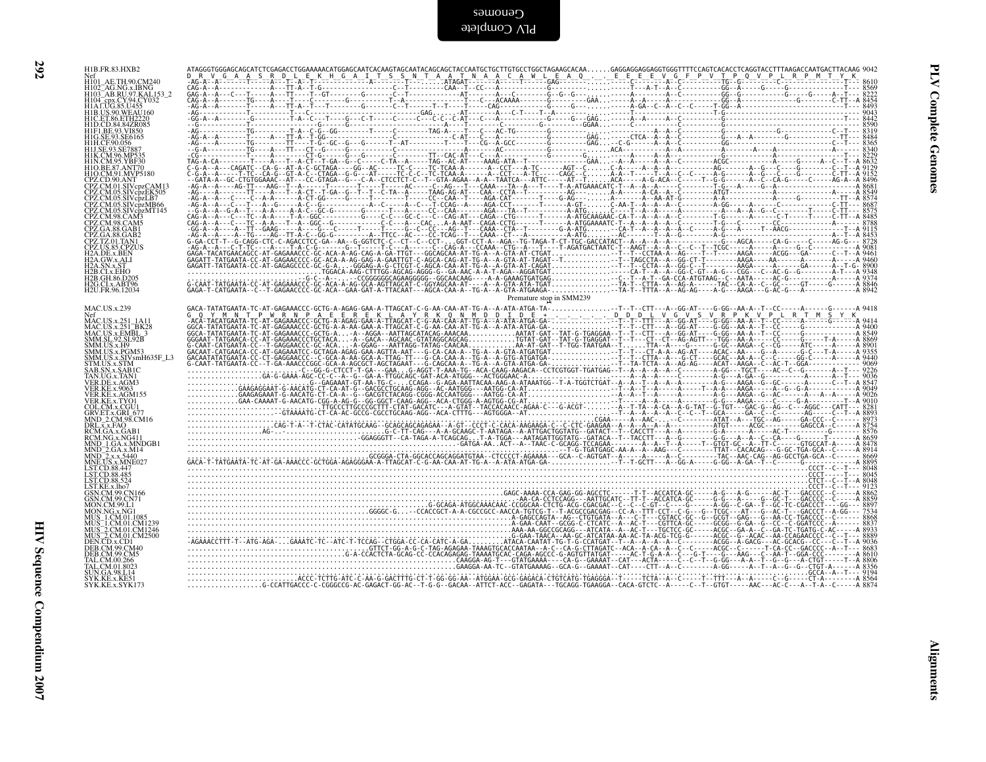| HI01_AE.TH.90.CM240<br>H102_AG.NG.x.IBNG<br>H103_AB.RU.97.KAL153_2<br>H104 - cpx.CY.94.CY032<br>H104 - cpx.CY.94.CY032                                                                                                                            |  |
|---------------------------------------------------------------------------------------------------------------------------------------------------------------------------------------------------------------------------------------------------|--|
| HIB.US.90.WEAU160<br>HIC.ET.86.ETH2220<br>HID.CD.84.84ZR085<br>HIFI.BE.93.VI850<br>HIG.SE.93.SE6165<br>HIH.CF.90.056                                                                                                                              |  |
| H1J.SE.93.SE7887<br>HIJ.SE.99.3E/88/<br>HIN.CM.95.YBF30<br>HIN.CM.95.YBF30<br>HIO.CM.91.MVP5180<br>CPZ.CD.90.ANT<br>CPZ.CM.01.SIV.pzCAM13<br>CPZ.CM.01.SIV.pzCAM13                                                                                |  |
| CPZ.CM.01.SIVepzCAW11<br>CPZ.CM.05.SIVepzLB7.05<br>CPZ.CM.05.SIVepzLB7<br>CPZ.CM.05.SIVepzMT145<br>CPZ.CM.98.CAM5<br>CPZ.CM.98.CAM5<br>CPZ.CM.98.CAM5<br>CPZ.CM.98.CAM5                                                                           |  |
| CPZ.GA.88.GAB2<br>CPZ.TZ.01.TAN1<br>CPZ.US.85.CPZUS<br>H2A.DE.x.BEN<br>H2A.QW.x.ALI<br>H2A.SN.x.ST<br>H2B.CI.x.EHO                                                                                                                                |  |
| H2B.GH.86.D205<br>H2G.CI.x.ABT96<br>H2U.FR.96.12034<br>MAC.US.x.239                                                                                                                                                                               |  |
| Net<br>MAC.US.x.251_1A11<br>MAC.US.x.251_BK28<br>MAC.US.x.EMBL_3<br>SMM.SL.92.SL92B                                                                                                                                                               |  |
| SMM.SL.92.SL.92B<br>SMM.US.x.H9<br>SMM.US.x.PGM53<br>SMM.US.x.SIVsmH635F_L3<br>STM.US.x.STM<br>STM.US.x.SABIC<br>TAN.UG.x.TAN1<br>VER.DE.x.AGM3<br>VER.KE.x.,9063<br>VER.KE.x.,9063<br>VER.KE.x.,AGM155                                           |  |
| VER.KE.x.AGMI55<br>CER.KE.x.AGMI55<br>GRV.ET.x.GRU<br>GRV.ET.x.GRU<br>DRL.x.x.FAO<br>RCM.GA.x.GAO<br>RCM.NG.x.NG411<br>MND_2.GA.x.MHDGB1<br>MND_2.GA.x.MHDGB1<br>MND_2.GA.x.MHDGB1<br>MND_2.GA.x.MHDGB1<br>NND_2.GA.x.MHDO27<br>NND_2.GA.x.MHDO27 |  |
| LST.CD.88.447<br>LST.CD.88.485<br>LST.CD.88.524                                                                                                                                                                                                   |  |
| LST.KE.x.lbo7<br>GSN.CM.99.CN166<br>GSN.CM.99.CN71<br>MON.CM.99.L1<br>MON.CM.99.L1<br>MON.CM.S.NG1<br>MUS_1.CM.01.1085<br>MUS_2.CM.01.CM1239<br>MUS_2.CM.01.CM2500<br>DEN.CD.x.CD1<br>DEN.CD.x.CD1<br>DEN.CM.99.CM40                              |  |
| DEB.CM.99.CM5<br>DEB.C.M.39.C.141<br>TAL.C.M.00.266<br>TAL.C.M.01.8023<br>SVK.KE.x.KE51<br>SYK.KE.x.SYK173                                                                                                                                        |  |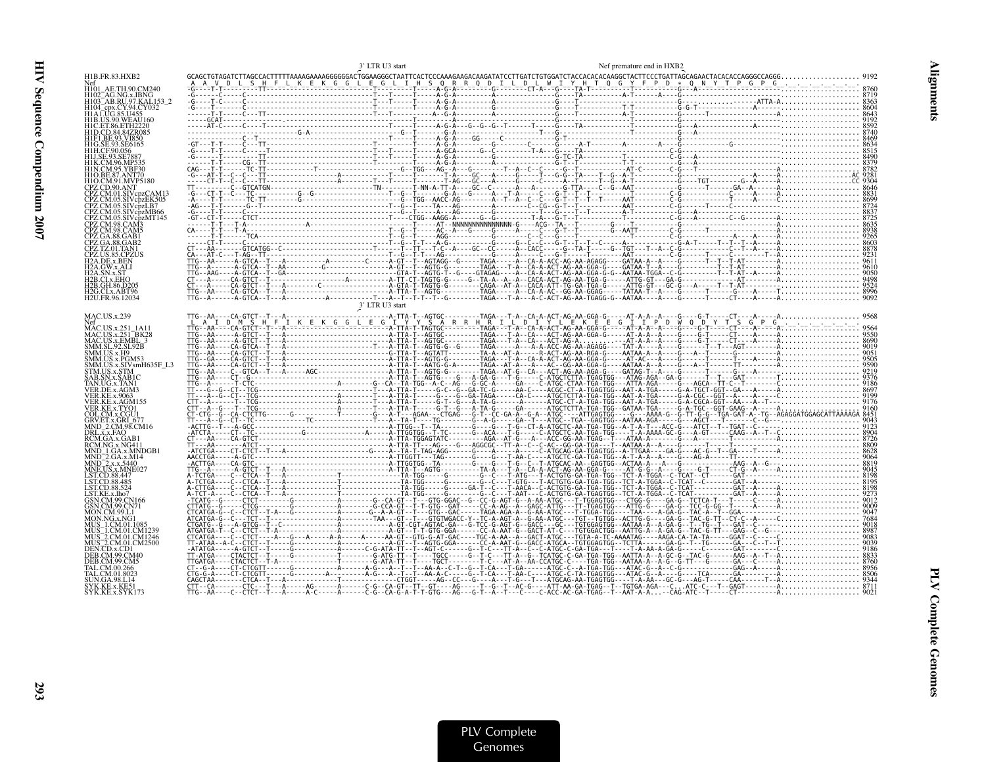| H1B.US.90.WEAU160<br>H1C.ET.86.ETH2220<br>H1O.CM.91.MVP5180<br>CPZ CM 01 SIVenzCAM1′<br>CPZ.CM.05.SIVcħzLB7<br>05.SIVcpzMB66<br>12B CI x FHO<br>H2G.CI.x.ABT96<br>3' LTR U3 start<br>Nef<br>MAC.US.x.251_1A11<br>MAC.US.x.251_BK28<br>MAC.US.x.251_BK28<br>SMM.SL.92.SL92B<br>SMM.US.x.H9<br>SMM.US.x.SIVsmH635F L3<br>SAB.SN.x.SAB1C<br>GRV.ET.x.GRI 677<br>$DRL. \overline{x}. x.FAO$<br>4ND 2.GA.x.M14<br>MND 2.x.x.5440<br>MITS-2.CM.01.CM1246<br><b>FR CM 99 CM5</b> |                                     | 3' LTR U3 start |  | Nef premature end in HXB2 |  |
|---------------------------------------------------------------------------------------------------------------------------------------------------------------------------------------------------------------------------------------------------------------------------------------------------------------------------------------------------------------------------------------------------------------------------------------------------------------------------|-------------------------------------|-----------------|--|---------------------------|--|
|                                                                                                                                                                                                                                                                                                                                                                                                                                                                           | H1B.FR.83.HXB2                      |                 |  |                           |  |
|                                                                                                                                                                                                                                                                                                                                                                                                                                                                           |                                     |                 |  |                           |  |
|                                                                                                                                                                                                                                                                                                                                                                                                                                                                           | H103 <sup>-</sup> AB.RU.97.KAL153 2 |                 |  |                           |  |
|                                                                                                                                                                                                                                                                                                                                                                                                                                                                           |                                     |                 |  |                           |  |
|                                                                                                                                                                                                                                                                                                                                                                                                                                                                           |                                     |                 |  |                           |  |
|                                                                                                                                                                                                                                                                                                                                                                                                                                                                           |                                     |                 |  |                           |  |
|                                                                                                                                                                                                                                                                                                                                                                                                                                                                           |                                     |                 |  |                           |  |
|                                                                                                                                                                                                                                                                                                                                                                                                                                                                           |                                     |                 |  |                           |  |
|                                                                                                                                                                                                                                                                                                                                                                                                                                                                           |                                     |                 |  |                           |  |
|                                                                                                                                                                                                                                                                                                                                                                                                                                                                           |                                     |                 |  |                           |  |
|                                                                                                                                                                                                                                                                                                                                                                                                                                                                           |                                     |                 |  |                           |  |
|                                                                                                                                                                                                                                                                                                                                                                                                                                                                           |                                     |                 |  |                           |  |
|                                                                                                                                                                                                                                                                                                                                                                                                                                                                           |                                     |                 |  |                           |  |
|                                                                                                                                                                                                                                                                                                                                                                                                                                                                           |                                     |                 |  |                           |  |
|                                                                                                                                                                                                                                                                                                                                                                                                                                                                           |                                     |                 |  |                           |  |
|                                                                                                                                                                                                                                                                                                                                                                                                                                                                           |                                     |                 |  |                           |  |
|                                                                                                                                                                                                                                                                                                                                                                                                                                                                           |                                     |                 |  |                           |  |
|                                                                                                                                                                                                                                                                                                                                                                                                                                                                           |                                     |                 |  |                           |  |
| 16 $X = 0.25$ and $X = 0.35$ and $X = 0.35$ and $X = 0.35$ and $X = 0.35$ and $X = 0.35$ and $X = 0.35$ and $X = 0.35$ and $X = 0.35$ and $X = 0.35$ and $X = 0.35$ and $X = 0.35$ and $X = 0.35$ and $X = 0.35$ and $X = 0.35$ and $X = 0.35$                                                                                                                                                                                                                            |                                     |                 |  |                           |  |
|                                                                                                                                                                                                                                                                                                                                                                                                                                                                           | H2B.GH.86.D205                      |                 |  |                           |  |
|                                                                                                                                                                                                                                                                                                                                                                                                                                                                           | H2U.FR.96.12034                     |                 |  |                           |  |
|                                                                                                                                                                                                                                                                                                                                                                                                                                                                           |                                     |                 |  |                           |  |
|                                                                                                                                                                                                                                                                                                                                                                                                                                                                           | <b>MAC.US.x.239</b>                 |                 |  |                           |  |
|                                                                                                                                                                                                                                                                                                                                                                                                                                                                           |                                     |                 |  |                           |  |
|                                                                                                                                                                                                                                                                                                                                                                                                                                                                           |                                     |                 |  |                           |  |
|                                                                                                                                                                                                                                                                                                                                                                                                                                                                           |                                     |                 |  |                           |  |
|                                                                                                                                                                                                                                                                                                                                                                                                                                                                           | SMM.US.x.PGM53                      |                 |  |                           |  |
|                                                                                                                                                                                                                                                                                                                                                                                                                                                                           | STM.US.x.STM                        |                 |  |                           |  |
|                                                                                                                                                                                                                                                                                                                                                                                                                                                                           |                                     |                 |  |                           |  |
|                                                                                                                                                                                                                                                                                                                                                                                                                                                                           |                                     |                 |  |                           |  |
|                                                                                                                                                                                                                                                                                                                                                                                                                                                                           | VER KE x TYO1                       |                 |  |                           |  |
|                                                                                                                                                                                                                                                                                                                                                                                                                                                                           | COL.CM.x.CGU1                       |                 |  |                           |  |
|                                                                                                                                                                                                                                                                                                                                                                                                                                                                           |                                     |                 |  |                           |  |
|                                                                                                                                                                                                                                                                                                                                                                                                                                                                           |                                     |                 |  |                           |  |
|                                                                                                                                                                                                                                                                                                                                                                                                                                                                           |                                     |                 |  |                           |  |
|                                                                                                                                                                                                                                                                                                                                                                                                                                                                           |                                     |                 |  |                           |  |
|                                                                                                                                                                                                                                                                                                                                                                                                                                                                           |                                     |                 |  |                           |  |
|                                                                                                                                                                                                                                                                                                                                                                                                                                                                           |                                     |                 |  |                           |  |
|                                                                                                                                                                                                                                                                                                                                                                                                                                                                           |                                     |                 |  |                           |  |
|                                                                                                                                                                                                                                                                                                                                                                                                                                                                           |                                     |                 |  |                           |  |
|                                                                                                                                                                                                                                                                                                                                                                                                                                                                           |                                     |                 |  |                           |  |
|                                                                                                                                                                                                                                                                                                                                                                                                                                                                           |                                     |                 |  |                           |  |
|                                                                                                                                                                                                                                                                                                                                                                                                                                                                           |                                     |                 |  |                           |  |
|                                                                                                                                                                                                                                                                                                                                                                                                                                                                           | MUS 2.CM.01.CM2500                  |                 |  |                           |  |
|                                                                                                                                                                                                                                                                                                                                                                                                                                                                           |                                     |                 |  |                           |  |
|                                                                                                                                                                                                                                                                                                                                                                                                                                                                           |                                     |                 |  |                           |  |
|                                                                                                                                                                                                                                                                                                                                                                                                                                                                           |                                     |                 |  |                           |  |
|                                                                                                                                                                                                                                                                                                                                                                                                                                                                           | SYK.KE.x.SYK173                     |                 |  |                           |  |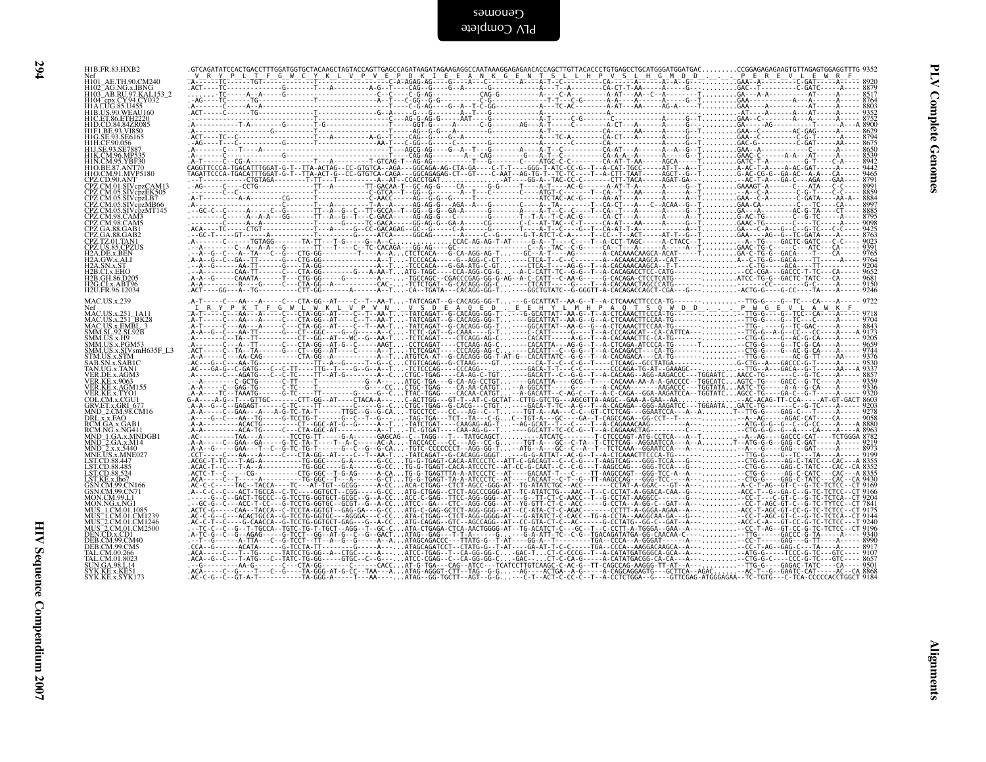| H1B.FR.83.HXB2                                                                                                                                                                                                                                                           |                                                                                                                                                                                                                                                                                                                                                                                                               |
|--------------------------------------------------------------------------------------------------------------------------------------------------------------------------------------------------------------------------------------------------------------------------|---------------------------------------------------------------------------------------------------------------------------------------------------------------------------------------------------------------------------------------------------------------------------------------------------------------------------------------------------------------------------------------------------------------|
| Nef<br>H101_AE.TH.90.CM240<br>H102_AG.NG.x.IBNG<br>H102_AG.NG.x.IBNG<br>H103_AB.RU.97.KAL153_2<br>H104_cpx.CY.94.CY032<br>H1AT.UG.85.U455                                                                                                                                | $\label{eq:R11} \begin{bmatrix} \mathbf{G}^{\mathbf{G}}\mathbf{A}^{\mathbf{G}}\mathbf{B}^{\mathbf{G}}\mathbf{C}^{\mathbf{G}}\mathbf{C}^{\mathbf{G}}\mathbf{C}^{\mathbf{G}}\mathbf{C}^{\mathbf{G}}\mathbf{C}^{\mathbf{G}}\mathbf{C}^{\mathbf{G}}\mathbf{C}^{\mathbf{G}}\mathbf{C}^{\mathbf{G}}\mathbf{C}^{\mathbf{G}}\mathbf{C}^{\mathbf{G}}\mathbf{C}^{\mathbf{G}}\mathbf{C}^{\mathbf{G}}\mathbf{C}^{\mathbf$ |
|                                                                                                                                                                                                                                                                          |                                                                                                                                                                                                                                                                                                                                                                                                               |
| H1B.US.90.WEAŬ160<br>H1C.ET.86.ETH2220<br>H1D.CD.84.84ZR085                                                                                                                                                                                                              |                                                                                                                                                                                                                                                                                                                                                                                                               |
| HIFI.BE.93.VI850<br>HIFI.BE.93.VI850<br>HIG.SE.93.SE6165<br>HIH.CF.90.056                                                                                                                                                                                                |                                                                                                                                                                                                                                                                                                                                                                                                               |
| HIK.CM.96.MP535<br>HIN.CM.95.YBF30                                                                                                                                                                                                                                       |                                                                                                                                                                                                                                                                                                                                                                                                               |
| H1O.BE.87.ANT70<br>H1O.CM.91.MVP5180                                                                                                                                                                                                                                     |                                                                                                                                                                                                                                                                                                                                                                                                               |
| CPZ.CD.90.ANT<br>CPZ.CM.01.SIVcpzCAM13                                                                                                                                                                                                                                   |                                                                                                                                                                                                                                                                                                                                                                                                               |
|                                                                                                                                                                                                                                                                          |                                                                                                                                                                                                                                                                                                                                                                                                               |
|                                                                                                                                                                                                                                                                          |                                                                                                                                                                                                                                                                                                                                                                                                               |
| CPZ.CM.01.SIVepzCAM13<br>CPZ.CM.05.SIVepzEK505<br>CPZ.CM.05.SIVepzAF666<br>CPZ.CM.05.SIVepzMF66<br>CPZ.CM.05.SIVepzMT666<br>CPZ.CM.98.CAM3<br>CPZ.GA.88.GAB1<br>CPZ.GA.88.GAB1<br>CPZ.GA.88.GAB1<br>CPZ.CA.88.GAB1<br>H2A.DE.x.BEN<br>H2A.DE.x.BEN<br>H2A.DE.x.BEN       |                                                                                                                                                                                                                                                                                                                                                                                                               |
|                                                                                                                                                                                                                                                                          |                                                                                                                                                                                                                                                                                                                                                                                                               |
| H <sub>2</sub> A.SN.x.ST                                                                                                                                                                                                                                                 |                                                                                                                                                                                                                                                                                                                                                                                                               |
| H2B.CI.x.EHO<br>H2B.GH.86.D205<br>H2G.CI.x.ABT96                                                                                                                                                                                                                         |                                                                                                                                                                                                                                                                                                                                                                                                               |
| H2U.FR.96.12034<br>MAC.US.x.239                                                                                                                                                                                                                                          |                                                                                                                                                                                                                                                                                                                                                                                                               |
| :Net<br>MAC.US.x.251_1A11<br>MAC.US.x.251_BK28<br>MAC.US.x.EMBL_3<br>SMM.SL.92.SL.92B                                                                                                                                                                                    |                                                                                                                                                                                                                                                                                                                                                                                                               |
|                                                                                                                                                                                                                                                                          |                                                                                                                                                                                                                                                                                                                                                                                                               |
| SMM.US.x.H9                                                                                                                                                                                                                                                              |                                                                                                                                                                                                                                                                                                                                                                                                               |
| SMM.US.x.PGM53<br>SMM.US.x.SIVsmH635F_L3<br>STM.US.x.STM                                                                                                                                                                                                                 |                                                                                                                                                                                                                                                                                                                                                                                                               |
| STM.OS.x.STM<br>SAB.SN.x.SAB1C<br>TAN.UG.x.TAN1<br>VER.DE.x.AGM3<br>VER.KE.x.9063                                                                                                                                                                                        |                                                                                                                                                                                                                                                                                                                                                                                                               |
| VER.KE.x.AGM155                                                                                                                                                                                                                                                          |                                                                                                                                                                                                                                                                                                                                                                                                               |
| VER KE x AGMISS<br>VER KE x AGMI<br>GRUET X COU1<br>GRUET x CRI (677<br>DRLx x FAO 8 CMI6<br>NOD_Z CMOS CMI6<br>RCM CA x CAB<br>NND_1 GA x MNDGB1<br>MND_1 GA x MNDGB1<br>LST CD 88 447<br>LST CD 88 447<br>LST CD 88 445<br>LST CD 88 445<br>LST CD 88 455<br>LST CD 88 |                                                                                                                                                                                                                                                                                                                                                                                                               |
|                                                                                                                                                                                                                                                                          |                                                                                                                                                                                                                                                                                                                                                                                                               |
|                                                                                                                                                                                                                                                                          |                                                                                                                                                                                                                                                                                                                                                                                                               |
|                                                                                                                                                                                                                                                                          |                                                                                                                                                                                                                                                                                                                                                                                                               |
|                                                                                                                                                                                                                                                                          |                                                                                                                                                                                                                                                                                                                                                                                                               |
| GSN.CM.99.CN166                                                                                                                                                                                                                                                          |                                                                                                                                                                                                                                                                                                                                                                                                               |
| GSN.CM.99.CN71<br>MON.CM.99.L1                                                                                                                                                                                                                                           |                                                                                                                                                                                                                                                                                                                                                                                                               |
| MON.CM:99:L1<br>MON.NG.x.NG1<br>MUS_1.CM.01.1085<br>MUS_2.CM.01.CM1234<br>MUS_2.CM.01.CM2500<br>DEN.CM.x.O.D1<br>DEN.CM.x.O.D1                                                                                                                                           |                                                                                                                                                                                                                                                                                                                                                                                                               |
|                                                                                                                                                                                                                                                                          |                                                                                                                                                                                                                                                                                                                                                                                                               |
| DEB.CM.99.CM40<br>DEB.CM.99.CM5                                                                                                                                                                                                                                          |                                                                                                                                                                                                                                                                                                                                                                                                               |
| ELEM.09.266<br>TAL.CM.00.266<br>TAL.CM.01.8023<br>SVK.KE.x.KE51<br>SYK.KE.x.SYK173                                                                                                                                                                                       |                                                                                                                                                                                                                                                                                                                                                                                                               |
|                                                                                                                                                                                                                                                                          |                                                                                                                                                                                                                                                                                                                                                                                                               |
|                                                                                                                                                                                                                                                                          |                                                                                                                                                                                                                                                                                                                                                                                                               |
|                                                                                                                                                                                                                                                                          |                                                                                                                                                                                                                                                                                                                                                                                                               |
|                                                                                                                                                                                                                                                                          |                                                                                                                                                                                                                                                                                                                                                                                                               |
|                                                                                                                                                                                                                                                                          |                                                                                                                                                                                                                                                                                                                                                                                                               |
|                                                                                                                                                                                                                                                                          |                                                                                                                                                                                                                                                                                                                                                                                                               |
|                                                                                                                                                                                                                                                                          |                                                                                                                                                                                                                                                                                                                                                                                                               |
|                                                                                                                                                                                                                                                                          |                                                                                                                                                                                                                                                                                                                                                                                                               |
|                                                                                                                                                                                                                                                                          |                                                                                                                                                                                                                                                                                                                                                                                                               |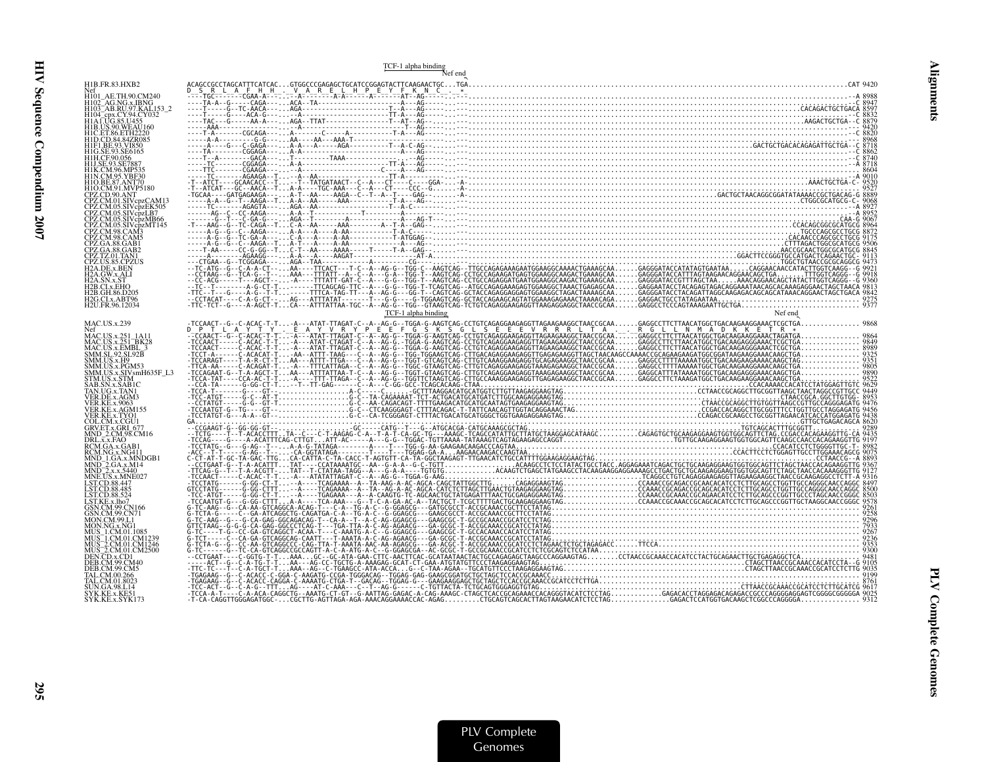|                                                                                              | TCF-1 alpha binding<br>Nef end                                                                                                                                                                                                                                                                                                                                                                                                      |  |
|----------------------------------------------------------------------------------------------|-------------------------------------------------------------------------------------------------------------------------------------------------------------------------------------------------------------------------------------------------------------------------------------------------------------------------------------------------------------------------------------------------------------------------------------|--|
| H1B.FR.83.HXB2                                                                               |                                                                                                                                                                                                                                                                                                                                                                                                                                     |  |
| H101 AE.TH.90.CM240                                                                          |                                                                                                                                                                                                                                                                                                                                                                                                                                     |  |
| H103 <sup>-</sup> AB.RU.97.KAL153-2<br>H104_cpx.CY.94.CY032                                  |                                                                                                                                                                                                                                                                                                                                                                                                                                     |  |
| H1C.ET.86.ETH2220                                                                            |                                                                                                                                                                                                                                                                                                                                                                                                                                     |  |
|                                                                                              |                                                                                                                                                                                                                                                                                                                                                                                                                                     |  |
|                                                                                              |                                                                                                                                                                                                                                                                                                                                                                                                                                     |  |
|                                                                                              |                                                                                                                                                                                                                                                                                                                                                                                                                                     |  |
|                                                                                              |                                                                                                                                                                                                                                                                                                                                                                                                                                     |  |
|                                                                                              |                                                                                                                                                                                                                                                                                                                                                                                                                                     |  |
|                                                                                              |                                                                                                                                                                                                                                                                                                                                                                                                                                     |  |
| CPZ.CM.05.SIVcpzMB66<br>CPZ.CM.05.SIVcpzMT145                                                |                                                                                                                                                                                                                                                                                                                                                                                                                                     |  |
|                                                                                              |                                                                                                                                                                                                                                                                                                                                                                                                                                     |  |
|                                                                                              |                                                                                                                                                                                                                                                                                                                                                                                                                                     |  |
| 2A.GW.x.ALI                                                                                  |                                                                                                                                                                                                                                                                                                                                                                                                                                     |  |
|                                                                                              |                                                                                                                                                                                                                                                                                                                                                                                                                                     |  |
| I2B.GH.86.D205<br>H <sub>2G.CI.x</sub> .ABT96<br>H <sub>2U.FR.96.12034</sub>                 |                                                                                                                                                                                                                                                                                                                                                                                                                                     |  |
|                                                                                              | TCF-1 alpha binding                                                                                                                                                                                                                                                                                                                                                                                                                 |  |
| <b>MAC.US.x.239</b>                                                                          |                                                                                                                                                                                                                                                                                                                                                                                                                                     |  |
| Nef<br>MAC.US.x.251_1A11<br>251_RK2                                                          |                                                                                                                                                                                                                                                                                                                                                                                                                                     |  |
| MAC.US.x.251_BK28<br>MAC.US.x.251_BK28<br>MM.SL.92.SL92B<br>SMM.US.x.PGM53<br>SMM.US.x.PGM53 |                                                                                                                                                                                                                                                                                                                                                                                                                                     |  |
| SMM.US.x.SIVsmH635F_L3<br>STM.US.x.STM                                                       |                                                                                                                                                                                                                                                                                                                                                                                                                                     |  |
| AB.SN.x.SAB1C                                                                                |                                                                                                                                                                                                                                                                                                                                                                                                                                     |  |
| TAN.UG.x.TAN1                                                                                |                                                                                                                                                                                                                                                                                                                                                                                                                                     |  |
| ER KE x AGM155<br>VER.KE.x.TYO1                                                              |                                                                                                                                                                                                                                                                                                                                                                                                                                     |  |
| GRV.ET.x.GRI 677                                                                             |                                                                                                                                                                                                                                                                                                                                                                                                                                     |  |
| MND 2.CM.98.CM16<br>DRL.x.x.FAO                                                              |                                                                                                                                                                                                                                                                                                                                                                                                                                     |  |
|                                                                                              |                                                                                                                                                                                                                                                                                                                                                                                                                                     |  |
| INE.TIS.x.MNE027                                                                             |                                                                                                                                                                                                                                                                                                                                                                                                                                     |  |
| ST.CD.88.485                                                                                 |                                                                                                                                                                                                                                                                                                                                                                                                                                     |  |
| ST.CD.88.524                                                                                 |                                                                                                                                                                                                                                                                                                                                                                                                                                     |  |
|                                                                                              |                                                                                                                                                                                                                                                                                                                                                                                                                                     |  |
|                                                                                              |                                                                                                                                                                                                                                                                                                                                                                                                                                     |  |
|                                                                                              |                                                                                                                                                                                                                                                                                                                                                                                                                                     |  |
| DEN.CD.x.CD1                                                                                 |                                                                                                                                                                                                                                                                                                                                                                                                                                     |  |
|                                                                                              |                                                                                                                                                                                                                                                                                                                                                                                                                                     |  |
| `AL.CM.01.8023                                                                               |                                                                                                                                                                                                                                                                                                                                                                                                                                     |  |
| SYK.KE.x.KE51<br>SYK.KE.x.SYK173                                                             | $\begin{bmatrix} \mathbf{a}_1 & \mathbf{b}_2 & \mathbf{c}_3 & \mathbf{c}_4 & \mathbf{c}_5 & \mathbf{c}_6 & \mathbf{c}_7 & \mathbf{c}_8 & \mathbf{c}_8 & \mathbf{c}_9 & \mathbf{c}_9 & \mathbf{c}_9 & \mathbf{c}_9 & \mathbf{c}_9 & \mathbf{c}_9 & \mathbf{c}_9 & \mathbf{c}_9 & \mathbf{c}_9 & \mathbf{c}_9 & \mathbf{c}_9 & \mathbf{c}_9 & \mathbf{c}_9 & \mathbf{c}_9 & \mathbf{c}_9 & \mathbf{c}_9 & \mathbf{c}_9 & \mathbf{c}_$ |  |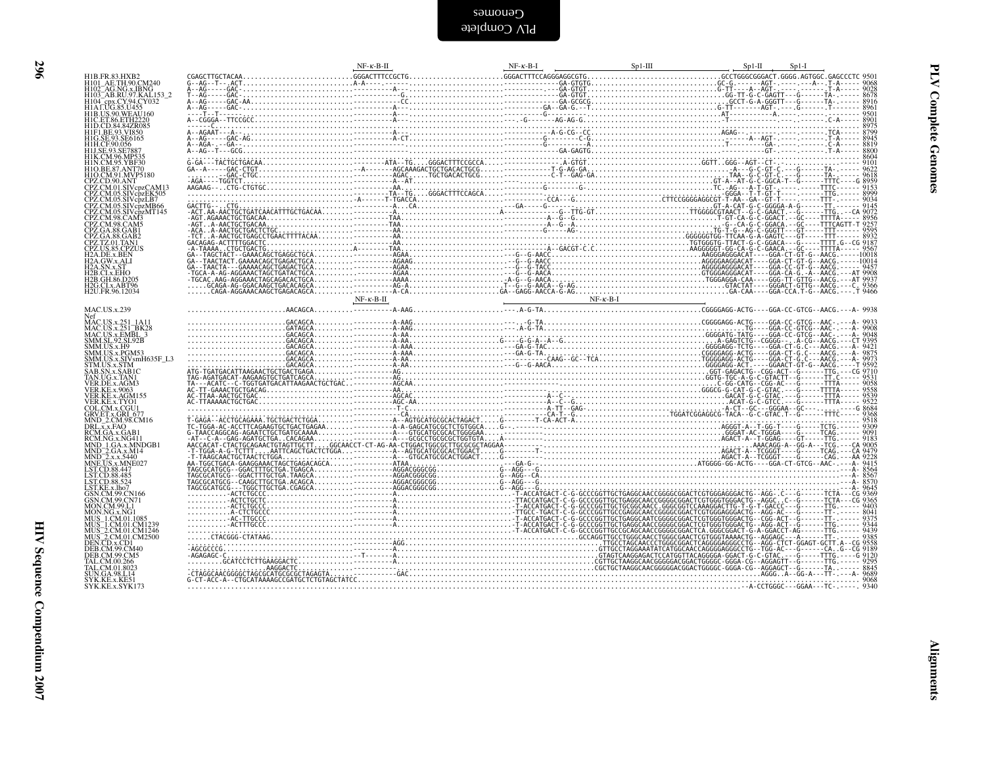| HIB.FR.83,HXB2<br>HIOI_AE.TH.90,CM240<br>HIO2_AG.NG.v.IBNG<br>HIO3_AB.RU.97,KAL153_2<br>HIAC.JG.NG.V.94,CY032<br>HIAC.UG.85,U455<br>HIO.ET.86.ETH2220<br>HID.CD.84,842R085<br>HIF.BE.93.NT850<br>HIEL.ET.90,056<br>HIC.FO.90,556<br>HIC.ET.93.NT850<br>HIEL.ET.90, |  |  |  |  |
|--------------------------------------------------------------------------------------------------------------------------------------------------------------------------------------------------------------------------------------------------------------------|--|--|--|--|
|                                                                                                                                                                                                                                                                    |  |  |  |  |
|                                                                                                                                                                                                                                                                    |  |  |  |  |
|                                                                                                                                                                                                                                                                    |  |  |  |  |
|                                                                                                                                                                                                                                                                    |  |  |  |  |
|                                                                                                                                                                                                                                                                    |  |  |  |  |
|                                                                                                                                                                                                                                                                    |  |  |  |  |
|                                                                                                                                                                                                                                                                    |  |  |  |  |
| HIH.CF90.056<br>HIK.CM96.MP533<br>HIK.CM96.MP533<br>HIN.CM96.MP530<br>HIN.CM9.MPF180<br>CPZ.CD.90.ANT<br>CPZ.CM9.MPT<br>CPZ.CM05.SIVcpzCK905<br>CPZ.CM05.SIVcpzCK905<br>CPZ.CM05.SIVcpzCK905<br>CPZ.CM05.SIVcpzEK505<br>CPZ.CM05.SIVcpzLB7                         |  |  |  |  |
|                                                                                                                                                                                                                                                                    |  |  |  |  |
|                                                                                                                                                                                                                                                                    |  |  |  |  |
|                                                                                                                                                                                                                                                                    |  |  |  |  |
|                                                                                                                                                                                                                                                                    |  |  |  |  |
|                                                                                                                                                                                                                                                                    |  |  |  |  |
| CPZ.CM.05.SIV.cpzLB/<br>CPZ.CM.05.SIV.cpzMT145<br>CPZ.CM.08.CAM3<br>CPZ.CM.98.CAM3<br>CPZ.CM.98.CAM3<br>CPZ.CA.88.GAB1<br>CPZ.TZ.01.TAN1<br>CPZ.TZ.01.TAN1<br>CPZ.TZ.01.TAN1                                                                                       |  |  |  |  |
|                                                                                                                                                                                                                                                                    |  |  |  |  |
|                                                                                                                                                                                                                                                                    |  |  |  |  |
|                                                                                                                                                                                                                                                                    |  |  |  |  |
| <i>CPL.OS.85.CPZO;</i><br>H2A.OW.x.ALI<br>H2A.OW.x.ALI<br>H2A.SN.x.ST<br>H2B.CI.x.EHO<br>H2B.CH.86.D205<br>H2G.CLx.ABT96                                                                                                                                           |  |  |  |  |
| H2U.FR.96.12034                                                                                                                                                                                                                                                    |  |  |  |  |
|                                                                                                                                                                                                                                                                    |  |  |  |  |
| MAC.US.x.239                                                                                                                                                                                                                                                       |  |  |  |  |
| MAC.US.x.239<br>MAC.US.x.251_IA11<br>MAC.US.x.251_BK28<br>SMM.SL.25.251_BK28<br>SMM.SL.25.251_92<br>SMM.US.x.PGM53<br>SMM.US.x.PGM53<br>STM.US.x.STM<br>STM.US.x.STM<br>TAR.UG.x.AGM3<br>VER.KE.x.4003<br>VER.KE.x.9003<br>VER.KE.x.2003<br>VER.KE.x.2003          |  |  |  |  |
|                                                                                                                                                                                                                                                                    |  |  |  |  |
|                                                                                                                                                                                                                                                                    |  |  |  |  |
|                                                                                                                                                                                                                                                                    |  |  |  |  |
|                                                                                                                                                                                                                                                                    |  |  |  |  |
|                                                                                                                                                                                                                                                                    |  |  |  |  |
|                                                                                                                                                                                                                                                                    |  |  |  |  |
|                                                                                                                                                                                                                                                                    |  |  |  |  |
| VER.KE.x.AGMI35<br>COL.CM.x.CGU1<br>GRV.ET.x.GRI_677<br>MND_2.CM_98.CM16<br>DRL.x.x.FAO<br>RCM.GA.x.GAB1<br>RCM.GA.x.GAB1<br>RCM.GA.x.GAB1                                                                                                                         |  |  |  |  |
|                                                                                                                                                                                                                                                                    |  |  |  |  |
|                                                                                                                                                                                                                                                                    |  |  |  |  |
|                                                                                                                                                                                                                                                                    |  |  |  |  |
|                                                                                                                                                                                                                                                                    |  |  |  |  |
| RCM.NG.x.NG411<br>MND-1.GA.x.MNDGB1<br>MND-2.GA.x.M4<br>MND-2.x.x.5440<br>MNE.US.x.MND627<br>LST.CD.88.447<br>LST.CD.88.447<br>LST.CD.88.455<br>LST.CD.88.524<br>CSN.CM.99.CN166<br>GSN.CM.99.CN166                                                                |  |  |  |  |
|                                                                                                                                                                                                                                                                    |  |  |  |  |
|                                                                                                                                                                                                                                                                    |  |  |  |  |
|                                                                                                                                                                                                                                                                    |  |  |  |  |
| GSN.CM.99.CN71                                                                                                                                                                                                                                                     |  |  |  |  |
|                                                                                                                                                                                                                                                                    |  |  |  |  |
|                                                                                                                                                                                                                                                                    |  |  |  |  |
|                                                                                                                                                                                                                                                                    |  |  |  |  |
|                                                                                                                                                                                                                                                                    |  |  |  |  |
|                                                                                                                                                                                                                                                                    |  |  |  |  |
|                                                                                                                                                                                                                                                                    |  |  |  |  |
|                                                                                                                                                                                                                                                                    |  |  |  |  |
| MON.CM, 99,L1<br>MON.NG.x,NG1<br>MUS 1.CM,01.0085<br>MUS 1.CM,01.CM1239<br>MUS 2.CM,01.CM1230<br>MUS 2.CM,01.CM2500<br>DEB.CD,xCD1.<br>DEB.CM,99.CM4<br>TAL.CM,00.266<br>TAL.CM,00.3023<br>SYK.KE.x,KE51<br>SYK.KE.x,KE51<br>SYK.KE.x,KE51                         |  |  |  |  |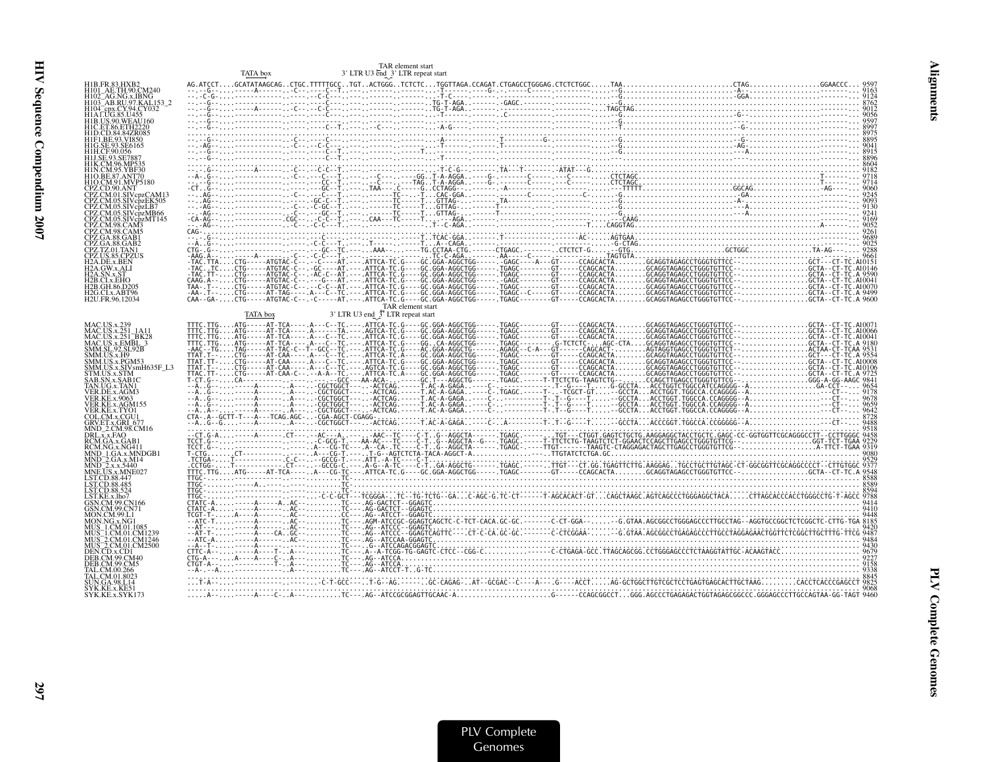| 3' LTR U3 end_3' LTR repeat start<br>H1B.FR.83.HXB2<br>H101 AE.TH.90.CM240<br>H102_AG.NG.x.IBNG<br>H103 AB.RU.97.KAL153 2<br>H104 <sup>-</sup> cpx.CY.94.CY032<br>1B US 90 WEAU160<br>H C. ET. 86. ETH 2220<br>41F1 RE 93 VI850                                                                                                                                                                                                                                                                                                                       |  |
|-------------------------------------------------------------------------------------------------------------------------------------------------------------------------------------------------------------------------------------------------------------------------------------------------------------------------------------------------------------------------------------------------------------------------------------------------------------------------------------------------------------------------------------------------------|--|
|                                                                                                                                                                                                                                                                                                                                                                                                                                                                                                                                                       |  |
|                                                                                                                                                                                                                                                                                                                                                                                                                                                                                                                                                       |  |
|                                                                                                                                                                                                                                                                                                                                                                                                                                                                                                                                                       |  |
|                                                                                                                                                                                                                                                                                                                                                                                                                                                                                                                                                       |  |
|                                                                                                                                                                                                                                                                                                                                                                                                                                                                                                                                                       |  |
|                                                                                                                                                                                                                                                                                                                                                                                                                                                                                                                                                       |  |
|                                                                                                                                                                                                                                                                                                                                                                                                                                                                                                                                                       |  |
| 11O.CM.91.MVP5180                                                                                                                                                                                                                                                                                                                                                                                                                                                                                                                                     |  |
| CPZ CD 90 ANT                                                                                                                                                                                                                                                                                                                                                                                                                                                                                                                                         |  |
|                                                                                                                                                                                                                                                                                                                                                                                                                                                                                                                                                       |  |
| CPZ.CM.05.SIVcpzMT145<br>CPZ.CM.98.CAM3                                                                                                                                                                                                                                                                                                                                                                                                                                                                                                               |  |
| CPZ.GA.88.GAB1                                                                                                                                                                                                                                                                                                                                                                                                                                                                                                                                        |  |
| PZ.GA.88.GAB2<br>CPZ.TZ.01.TAN1                                                                                                                                                                                                                                                                                                                                                                                                                                                                                                                       |  |
| CPZ.US.85.CPZUS<br><b>H2A.DE.x.BEN</b><br>2A.GW.x.ALI                                                                                                                                                                                                                                                                                                                                                                                                                                                                                                 |  |
| A SN x ST<br>2B.CI.x.EHO                                                                                                                                                                                                                                                                                                                                                                                                                                                                                                                              |  |
| 2B.GH.86.D205<br>2G.CI.x.ABT96                                                                                                                                                                                                                                                                                                                                                                                                                                                                                                                        |  |
| H <sub>2</sub> U.FR.96.12034<br>TAR element start                                                                                                                                                                                                                                                                                                                                                                                                                                                                                                     |  |
| 3' LTR U3 end <sup>37</sup> LTR repeat start                                                                                                                                                                                                                                                                                                                                                                                                                                                                                                          |  |
| MAC.US.x.251_1A11<br>MAC.US.x.251_BK28                                                                                                                                                                                                                                                                                                                                                                                                                                                                                                                |  |
| MAC.US.x.EMBL_3<br>SMM.SL.92.SL92B                                                                                                                                                                                                                                                                                                                                                                                                                                                                                                                    |  |
| SMM.US.x.H9<br>SMM.US.x.PGM53                                                                                                                                                                                                                                                                                                                                                                                                                                                                                                                         |  |
| SMM.US.x.SIVsmH635F L3<br>TM.US.x.STM                                                                                                                                                                                                                                                                                                                                                                                                                                                                                                                 |  |
| AB.SN.x.SAB1C<br>TAN.UG.x.TAN1<br>/ER.DE.x.AGM3                                                                                                                                                                                                                                                                                                                                                                                                                                                                                                       |  |
| ER.KE.x.9063<br>VER.KE.x.AGM155                                                                                                                                                                                                                                                                                                                                                                                                                                                                                                                       |  |
| VER.KE.x.TYO1<br>COL.CM.x.CGU1                                                                                                                                                                                                                                                                                                                                                                                                                                                                                                                        |  |
| GRV.ET.x.GRI 677<br>MND 2.CM.98.CM16                                                                                                                                                                                                                                                                                                                                                                                                                                                                                                                  |  |
| DRL.x.x.FAO<br>RCM.GA.x.GAB<br>RCM NG x NG41.                                                                                                                                                                                                                                                                                                                                                                                                                                                                                                         |  |
| MND_1.GA.x.MNDGB1<br>AND <sup>-</sup> 2.GA.x.M14                                                                                                                                                                                                                                                                                                                                                                                                                                                                                                      |  |
| $\text{AND}$ 2.x.x.5440<br><b>INE.US.x.MNE027</b>                                                                                                                                                                                                                                                                                                                                                                                                                                                                                                     |  |
| ST.CD.88.447<br>ST.CD.88.485                                                                                                                                                                                                                                                                                                                                                                                                                                                                                                                          |  |
| LST.CD.88.524<br>LST.KE.x.lho7                                                                                                                                                                                                                                                                                                                                                                                                                                                                                                                        |  |
| SN.CM.99.CN166<br>SN.CM.99.CN71                                                                                                                                                                                                                                                                                                                                                                                                                                                                                                                       |  |
| 4ON.CM.99.L1<br>JS 1.CM.01.1085                                                                                                                                                                                                                                                                                                                                                                                                                                                                                                                       |  |
| IUS 1.CM.01.CM1239                                                                                                                                                                                                                                                                                                                                                                                                                                                                                                                                    |  |
| AUS_2.CM.01.CM1246<br>AUS_2.CM.01.CM12500<br><b>DEN.CD.x.CD1</b>                                                                                                                                                                                                                                                                                                                                                                                                                                                                                      |  |
|                                                                                                                                                                                                                                                                                                                                                                                                                                                                                                                                                       |  |
| TAL.CM.00.266<br>FAL.CM.01.8023<br>JN.GA.98.L14                                                                                                                                                                                                                                                                                                                                                                                                                                                                                                       |  |
| $\ldots \widetilde{A} \cdot \ldots \cdot \widetilde{A} \cdot \ldots \cdot \widetilde{B} \cdot \widetilde{A} \cdot \widetilde{B} \cdot \widetilde{C} \cdot \widetilde{C} \cdot \widetilde{A} \cdot \widetilde{A} \cdot \widetilde{C} \cdot \widetilde{A} \cdot \widetilde{C} \cdot \widetilde{C} \cdot \widetilde{C} \cdot \widetilde{C} \cdot \widetilde{C} \cdot \ldots \cdot \widetilde{C} \cdot \widetilde{C} \cdot \widetilde{C} \cdot \widetilde{C} \cdot \widetilde{C} \cdot \widetilde{C} \cdot \widetilde$<br>YK.KE.x.KE51<br>SYK.KE.x.SYK173 |  |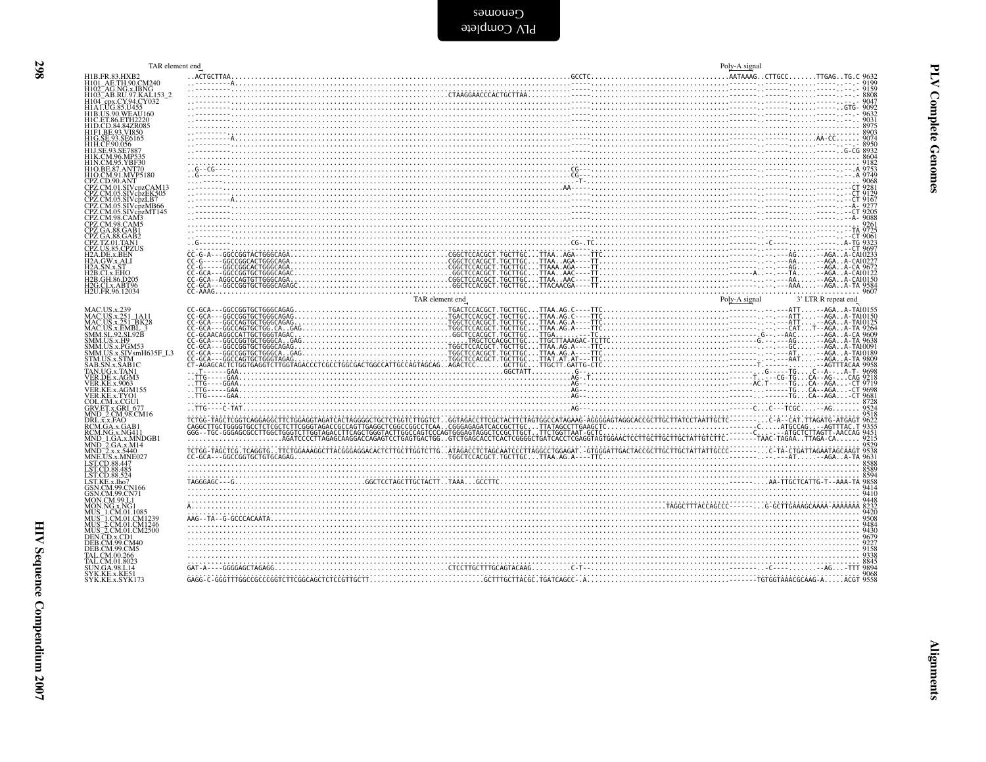| TAR element end                                                                                                                                                                                 |                                                                                                                                                                                                                                                                                                                              | Poly-A signal |  |  |
|-------------------------------------------------------------------------------------------------------------------------------------------------------------------------------------------------|------------------------------------------------------------------------------------------------------------------------------------------------------------------------------------------------------------------------------------------------------------------------------------------------------------------------------|---------------|--|--|
| H1B.FR.83.HXB2<br>H101_AE.TH.90.CM240                                                                                                                                                           |                                                                                                                                                                                                                                                                                                                              |               |  |  |
| H102_AG.NG.x.IBNG<br>H102_AG.NG.x.IBNG<br>H103_AB.RU.97.KAL153_2<br>H104_epx.CY.94.CY032<br>H1A.LUG.85.U455<br>H1B.US.90.WEAU160                                                                |                                                                                                                                                                                                                                                                                                                              |               |  |  |
|                                                                                                                                                                                                 |                                                                                                                                                                                                                                                                                                                              |               |  |  |
| H1C.ET.86.ETH2220<br>H1D.CD.84.84ZR085<br>H1F1.BE.93.VI850                                                                                                                                      |                                                                                                                                                                                                                                                                                                                              |               |  |  |
| HIG.SE.93.SE6165<br>H1H.CF.90.056                                                                                                                                                               |                                                                                                                                                                                                                                                                                                                              |               |  |  |
| <b>H1J SE 93 SE788</b><br>H1K.CM.96.MP535                                                                                                                                                       |                                                                                                                                                                                                                                                                                                                              |               |  |  |
| H1N.CM.95.YBF30<br>H1O.BE.87.ANT70<br>H1O.CM.91.MVP5180                                                                                                                                         |                                                                                                                                                                                                                                                                                                                              |               |  |  |
| HIOCKM 91, MWP5180<br>CPZ.CD.90.ANT<br>CPZ.CM.05.SIV cpzCAM13<br>CPZ.CM.05.SIV cpzEK505<br>CPZ.CM.05.SIV cpzMB66<br>CPZ.CM.05.SIV cpzMB66<br>CPZ.CM.98.CAM3<br>CPZ.CM.98.CAM3<br>CPZ.CM.98.CAM3 | $\frac{66}{17221}$<br>$\frac{1}{2021}$<br>$\frac{1}{2021}$<br>$\frac{1}{2021}$<br>$\frac{1}{2021}$<br>$\frac{1}{2021}$<br>$\frac{1}{2021}$<br>$\frac{1}{2021}$<br>$\frac{1}{2021}$<br>$\frac{1}{2021}$<br>$\frac{1}{2021}$<br>$\frac{1}{2021}$<br>$\frac{1}{2021}$<br>$\frac{1}{2021}$<br>$\frac{1}{2021}$<br>$\frac{1}{202$ |               |  |  |
|                                                                                                                                                                                                 |                                                                                                                                                                                                                                                                                                                              |               |  |  |
|                                                                                                                                                                                                 |                                                                                                                                                                                                                                                                                                                              |               |  |  |
| CPZ.GA.88.GAB1                                                                                                                                                                                  |                                                                                                                                                                                                                                                                                                                              |               |  |  |
| CPZ.GA.88.GAB2<br>CPZ.TZ.01.TAN1<br>CPZ.US.85.CPZUS                                                                                                                                             |                                                                                                                                                                                                                                                                                                                              |               |  |  |
| H <sub>2</sub> A.DE.x.BEN<br><b>H2A.GW.x.ALI</b>                                                                                                                                                |                                                                                                                                                                                                                                                                                                                              |               |  |  |
| I2A.SN.x.ST<br><b>H2B.CI.x.EHO</b>                                                                                                                                                              |                                                                                                                                                                                                                                                                                                                              |               |  |  |
| H2B.GH.86.D205<br>H2G.CI.x.ABT96<br>H2U.FR.96.12034                                                                                                                                             |                                                                                                                                                                                                                                                                                                                              |               |  |  |
|                                                                                                                                                                                                 |                                                                                                                                                                                                                                                                                                                              |               |  |  |
| MAC.US.x.239<br>MAC.US.x.251_1A11<br>MAC.US.x.251_BK28<br>MAC.US.x.EMBL_3                                                                                                                       |                                                                                                                                                                                                                                                                                                                              |               |  |  |
|                                                                                                                                                                                                 |                                                                                                                                                                                                                                                                                                                              |               |  |  |
| SMM.SL.92.SL92B<br>SMM.US.x.H9<br>SMM.US.x.PGM53                                                                                                                                                |                                                                                                                                                                                                                                                                                                                              |               |  |  |
| SMM.US.x.SIVsmH635F_L3<br>STM.US.x.SIM<br>SAB.SN.x.SAB1C<br>TAN.UG.x.TAN1                                                                                                                       |                                                                                                                                                                                                                                                                                                                              |               |  |  |
|                                                                                                                                                                                                 |                                                                                                                                                                                                                                                                                                                              |               |  |  |
| <b>TAN.OO.X.TANT<br/>VER.DE.x.AGM3<br/>VER.KE.x.9063<br/>VER.KE.x.AGM155</b>                                                                                                                    |                                                                                                                                                                                                                                                                                                                              |               |  |  |
| VER.KE.x.TYO1<br>COL.CM.x.CGU1<br>GRV.ET.x.GRI_677<br>MND_2.CM.98.CM16                                                                                                                          |                                                                                                                                                                                                                                                                                                                              |               |  |  |
| DRL.x.x.FAO                                                                                                                                                                                     |                                                                                                                                                                                                                                                                                                                              |               |  |  |
| RCM.GA.x.GAB<br>RCM.NG.x.NG411<br>MND 1.GA.x.MNDGB1                                                                                                                                             |                                                                                                                                                                                                                                                                                                                              |               |  |  |
| MND_2.GA.x.M14<br>MND_2.x.x.5440<br>MNE.US.x.MNE027                                                                                                                                             |                                                                                                                                                                                                                                                                                                                              |               |  |  |
| LST.CD.88.447<br>LST.CD.88.485                                                                                                                                                                  |                                                                                                                                                                                                                                                                                                                              |               |  |  |
| LST.CD.88.524<br>LST.KE.x.lho7                                                                                                                                                                  |                                                                                                                                                                                                                                                                                                                              |               |  |  |
| GSN.CM.99.CN166<br>GSN.CM.99.CN71<br>MON.CM.99.L1                                                                                                                                               |                                                                                                                                                                                                                                                                                                                              |               |  |  |
| MUS 1.CM.01.1085                                                                                                                                                                                |                                                                                                                                                                                                                                                                                                                              |               |  |  |
| MUS_1.CM.01.CM1239<br>MUS_2.CM.01.CM1246<br>MUS_2.CM.01.CM2500                                                                                                                                  |                                                                                                                                                                                                                                                                                                                              |               |  |  |
| DEN.CD.x.CD1<br><b>DEB.CM.99.CM40</b>                                                                                                                                                           |                                                                                                                                                                                                                                                                                                                              |               |  |  |
| TAL.CM.00.266                                                                                                                                                                                   |                                                                                                                                                                                                                                                                                                                              |               |  |  |
| TAL.CM.01.8023<br>UN.GA.98.L14                                                                                                                                                                  |                                                                                                                                                                                                                                                                                                                              |               |  |  |
| SYK.KE.x.KE5<br>SYK.KE.x.SYK173                                                                                                                                                                 |                                                                                                                                                                                                                                                                                                                              |               |  |  |